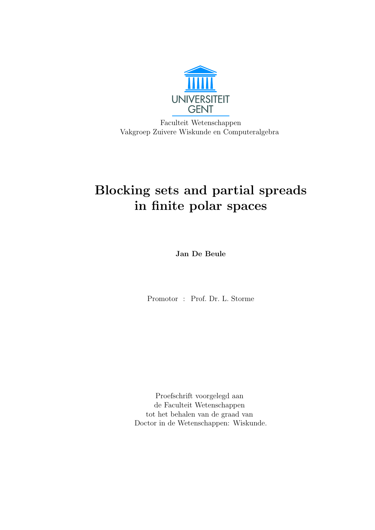

Faculteit Wetenschappen Vakgroep Zuivere Wiskunde en Computeralgebra

# Blocking sets and partial spreads in finite polar spaces

Jan De Beule

Promotor : Prof. Dr. L. Storme

Proefschrift voorgelegd aan de Faculteit Wetenschappen tot het behalen van de graad van Doctor in de Wetenschappen: Wiskunde.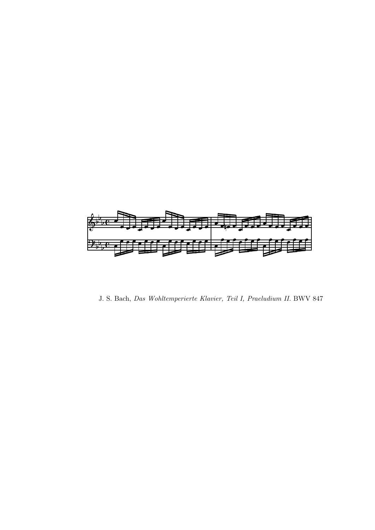

J. S. Bach, Das Wohltemperierte Klavier, Teil I, Praeludium II. BWV 847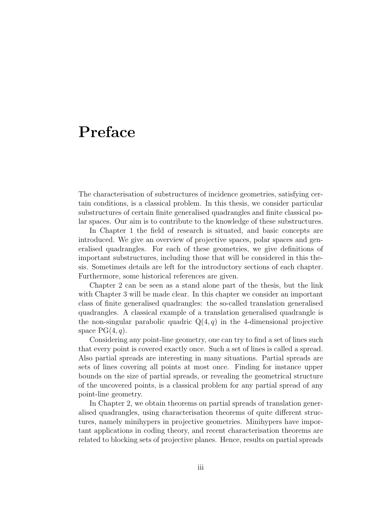## Preface

The characterisation of substructures of incidence geometries, satisfying certain conditions, is a classical problem. In this thesis, we consider particular substructures of certain finite generalised quadrangles and finite classical polar spaces. Our aim is to contribute to the knowledge of these substructures.

In Chapter 1 the field of research is situated, and basic concepts are introduced. We give an overview of projective spaces, polar spaces and generalised quadrangles. For each of these geometries, we give definitions of important substructures, including those that will be considered in this thesis. Sometimes details are left for the introductory sections of each chapter. Furthermore, some historical references are given.

Chapter 2 can be seen as a stand alone part of the thesis, but the link with Chapter 3 will be made clear. In this chapter we consider an important class of finite generalised quadrangles: the so-called translation generalised quadrangles. A classical example of a translation generalised quadrangle is the non-singular parabolic quadric  $Q(4, q)$  in the 4-dimensional projective space  $PG(4, q)$ .

Considering any point-line geometry, one can try to find a set of lines such that every point is covered exactly once. Such a set of lines is called a spread. Also partial spreads are interesting in many situations. Partial spreads are sets of lines covering all points at most once. Finding for instance upper bounds on the size of partial spreads, or revealing the geometrical structure of the uncovered points, is a classical problem for any partial spread of any point-line geometry.

In Chapter 2, we obtain theorems on partial spreads of translation generalised quadrangles, using characterisation theorems of quite different structures, namely minihypers in projective geometries. Minihypers have important applications in coding theory, and recent characterisation theorems are related to blocking sets of projective planes. Hence, results on partial spreads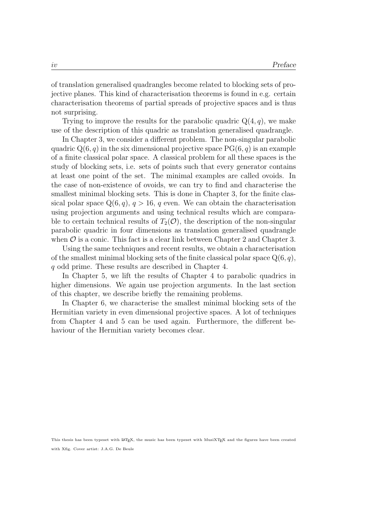of translation generalised quadrangles become related to blocking sets of projective planes. This kind of characterisation theorems is found in e.g. certain characterisation theorems of partial spreads of projective spaces and is thus not surprising.

Trying to improve the results for the parabolic quadric  $Q(4, q)$ , we make use of the description of this quadric as translation generalised quadrangle.

In Chapter 3, we consider a different problem. The non-singular parabolic quadric  $Q(6, q)$  in the six dimensional projective space  $PG(6, q)$  is an example of a finite classical polar space. A classical problem for all these spaces is the study of blocking sets, i.e. sets of points such that every generator contains at least one point of the set. The minimal examples are called ovoids. In the case of non-existence of ovoids, we can try to find and characterise the smallest minimal blocking sets. This is done in Chapter 3, for the finite classical polar space  $Q(6, q)$ ,  $q > 16$ , q even. We can obtain the characterisation using projection arguments and using technical results which are comparable to certain technical results of  $T_2(\mathcal{O})$ , the description of the non-singular parabolic quadric in four dimensions as translation generalised quadrangle when  $\mathcal O$  is a conic. This fact is a clear link between Chapter 2 and Chapter 3.

Using the same techniques and recent results, we obtain a characterisation of the smallest minimal blocking sets of the finite classical polar space  $Q(6, q)$ , q odd prime. These results are described in Chapter 4.

In Chapter 5, we lift the results of Chapter 4 to parabolic quadrics in higher dimensions. We again use projection arguments. In the last section of this chapter, we describe briefly the remaining problems.

In Chapter 6, we characterise the smallest minimal blocking sets of the Hermitian variety in even dimensional projective spaces. A lot of techniques from Chapter 4 and 5 can be used again. Furthermore, the different behaviour of the Hermitian variety becomes clear.

This thesis has been typeset with LATEX, the music has been typeset with MusiXTEX and the figures have been created with Xfig. Cover artist: J.A.G. De Beule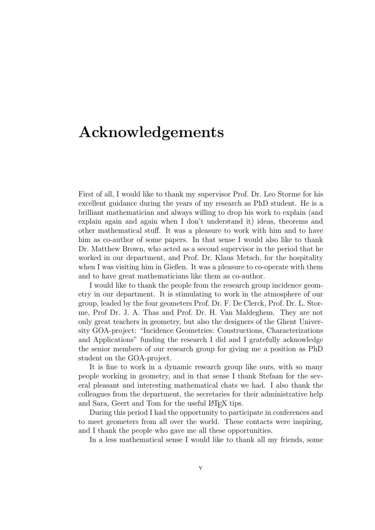## Acknowledgements

First of all, I would like to thank my supervisor Prof. Dr. Leo Storme for his excellent guidance during the years of my research as PhD student. He is a brilliant mathematician and always willing to drop his work to explain (and explain again and again when I don't understand it) ideas, theorems and other mathematical stuff. It was a pleasure to work with him and to have him as co-author of some papers. In that sense I would also like to thank Dr. Matthew Brown, who acted as a second supervisor in the period that he worked in our department, and Prof. Dr. Klaus Metsch, for the hospitality when I was visiting him in Gießen. It was a pleasure to co-operate with them and to have great mathematicians like them as co-author.

I would like to thank the people from the research group incidence geometry in our department. It is stimulating to work in the atmosphere of our group, leaded by the four geometers Prof. Dr. F. De Clerck, Prof. Dr. L. Storme, Prof Dr. J. A. Thas and Prof. Dr. H. Van Maldeghem. They are not only great teachers in geometry, but also the designers of the Ghent University GOA-project: "Incidence Geometries: Constructions, Characterizations and Applications" funding the research I did and I gratefully acknowledge the senior members of our research group for giving me a position as PhD student on the GOA-project.

It is fine to work in a dynamic research group like ours, with so many people working in geometry, and in that sense I thank Stefaan for the several pleasant and interesting mathematical chats we had. I also thank the colleagues from the department, the secretaries for their administrative help and Sara, Geert and Tom for the useful LATEX tips.

During this period I had the opportunity to participate in conferences and to meet geometers from all over the world. These contacts were inspiring, and I thank the people who gave me all these opportunities.

In a less mathematical sense I would like to thank all my friends, some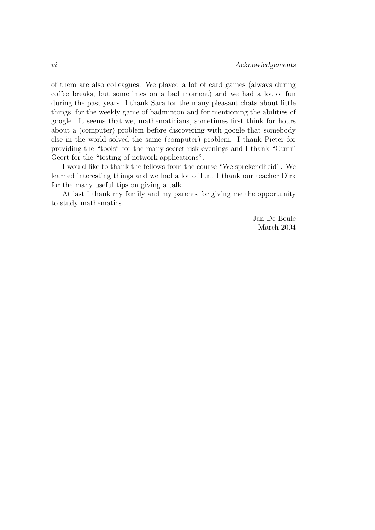of them are also colleagues. We played a lot of card games (always during coffee breaks, but sometimes on a bad moment) and we had a lot of fun during the past years. I thank Sara for the many pleasant chats about little things, for the weekly game of badminton and for mentioning the abilities of google. It seems that we, mathematicians, sometimes first think for hours about a (computer) problem before discovering with google that somebody else in the world solved the same (computer) problem. I thank Pieter for providing the "tools" for the many secret risk evenings and I thank "Guru" Geert for the "testing of network applications".

I would like to thank the fellows from the course "Welsprekendheid". We learned interesting things and we had a lot of fun. I thank our teacher Dirk for the many useful tips on giving a talk.

At last I thank my family and my parents for giving me the opportunity to study mathematics.

> Jan De Beule March 2004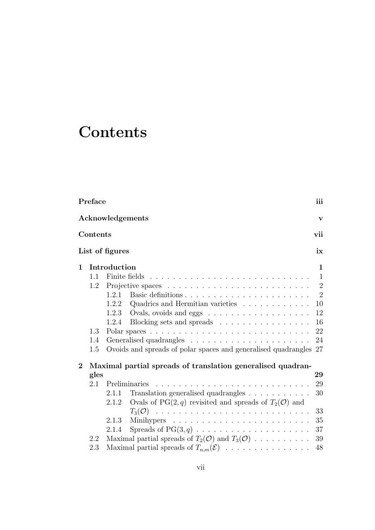# **Contents**

|                | Preface    |                                                                            | iii            |
|----------------|------------|----------------------------------------------------------------------------|----------------|
|                |            | Acknowledgements                                                           | $\mathbf{V}$   |
|                | Contents   |                                                                            | vii            |
|                |            | List of figures                                                            | ix             |
| $\mathbf{1}$   |            | Introduction                                                               | 1              |
|                | 1.1        |                                                                            | $\mathbf{1}$   |
|                | 1.2        |                                                                            | $\overline{2}$ |
|                |            | Basic definitions<br>1.2.1                                                 | $\overline{2}$ |
|                |            | 1.2.2<br>Quadrics and Hermitian varieties                                  | 10             |
|                |            | 1.2.3                                                                      | 12             |
|                |            | Blocking sets and spreads<br>1.2.4                                         | 16             |
|                | 1.3<br>1.4 |                                                                            | 22<br>24       |
|                | 1.5        | Ovoids and spreads of polar spaces and generalised quadrangles 27          |                |
| $\overline{2}$ |            | Maximal partial spreads of translation generalised quadran-                |                |
|                | gles       |                                                                            | 29             |
|                | 2.1        | Preliminaries                                                              | 29             |
|                |            | Translation generalised quadrangles<br>2.1.1                               | 30             |
|                |            | 2.1.2 Ovals of PG $(2, q)$ revisited and spreads of $T_2(\mathcal{O})$ and |                |
|                |            |                                                                            | 33             |
|                |            | 2.1.3                                                                      | 35             |
|                |            | Spreads of $PG(3, q)$<br>2.1.4                                             | 37             |
|                | 2.2        | Maximal partial spreads of $T_2(\mathcal{O})$ and $T_3(\mathcal{O})$       | 39             |
|                | 2.3        | Maximal partial spreads of $T_{n,m}(\mathcal{E})$                          | 48             |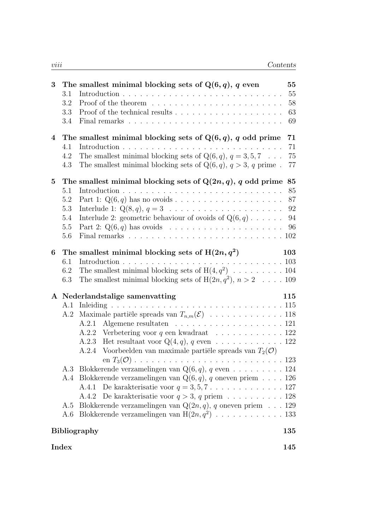| 3              | 3.1<br>3.2<br>$3.3\,$<br>3.4 | The smallest minimal blocking sets of $Q(6, q)$ , q even                                                                                      | 55<br>55<br>58<br>63<br>69 |
|----------------|------------------------------|-----------------------------------------------------------------------------------------------------------------------------------------------|----------------------------|
| $\overline{4}$ |                              | The smallest minimal blocking sets of $Q(6, q)$ , q odd prime                                                                                 | 71                         |
|                | 4.1                          | Introduction.<br>a de la caractería de la caractería de la caractería de la caractería                                                        | 71                         |
|                | 4.2<br>4.3                   | The smallest minimal blocking sets of $Q(6, q)$ , $q = 3, 5, 7 \dots$<br>The smallest minimal blocking sets of $Q(6, q)$ , $q > 3$ , q prime. | $75\,$<br>77               |
| $\bf{5}$       |                              | The smallest minimal blocking sets of $Q(2n, q)$ , q odd prime                                                                                | 85                         |
|                | 5.1                          |                                                                                                                                               | 85                         |
|                | 5.2                          |                                                                                                                                               | 87                         |
|                | 5.3                          |                                                                                                                                               | 92                         |
|                | 5.4                          | Interlude 2: geometric behaviour of ovoids of $Q(6, q) \dots$                                                                                 | 94                         |
|                | 5.5                          |                                                                                                                                               | 96                         |
|                | 5.6                          | Final remarks $\ldots \ldots \ldots \ldots \ldots \ldots \ldots \ldots \ldots \ldots \ldots$                                                  |                            |
| 6              |                              | The smallest minimal blocking sets of $H(2n, q^2)$                                                                                            | 103                        |
|                | 6.1                          | Introduction.                                                                                                                                 |                            |
|                | 6.2<br>6.3                   | The smallest minimal blocking sets of $H(4, q^2)$ 104<br>The smallest minimal blocking sets of $H(2n, q^2), n > 2 \dots$ 109                  |                            |
|                |                              | A Nederlandstalige samenvatting                                                                                                               | 115                        |
|                | A.1                          |                                                                                                                                               |                            |
|                | A.2                          |                                                                                                                                               |                            |
|                |                              | Algemene resultaten 121<br>A.2.1                                                                                                              |                            |
|                |                              | A.2.2<br>Het resultaat voor $Q(4, q)$ , q even 122<br>A.2.3                                                                                   |                            |
|                |                              | Voorbeelden van maximale partiële spreads van $T_2(\mathcal{O})$<br>A.2.4                                                                     |                            |
|                |                              |                                                                                                                                               |                            |
|                |                              | A.3 Blokkerende verzamelingen van $Q(6, q)$ , q even 124                                                                                      |                            |
|                |                              | A.4 Blokkerende verzamelingen van $Q(6, q)$ , q oneven priem 126                                                                              |                            |
|                |                              | A.4.1 De karakterisatie voor $q = 3, 5, 7, \ldots, \ldots, \ldots, 127$                                                                       |                            |
|                |                              | A.4.2                                                                                                                                         |                            |
|                | A.5                          | Blokkerende verzamelingen van $Q(2n, q)$ , q oneven priem 129                                                                                 |                            |
|                | A.6                          |                                                                                                                                               |                            |
|                |                              | <b>Bibliography</b>                                                                                                                           | 135                        |

 $\Gamma$ Index  $\Gamma$  145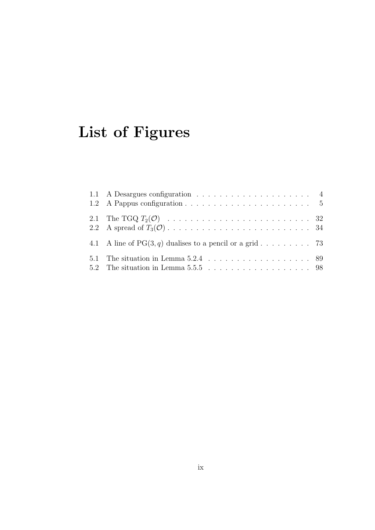# List of Figures

| 4.1 A line of $PG(3, q)$ dualises to a pencil or a grid 73 |  |
|------------------------------------------------------------|--|
| 5.2 The situation in Lemma 5.5.5 $\ldots$ 98               |  |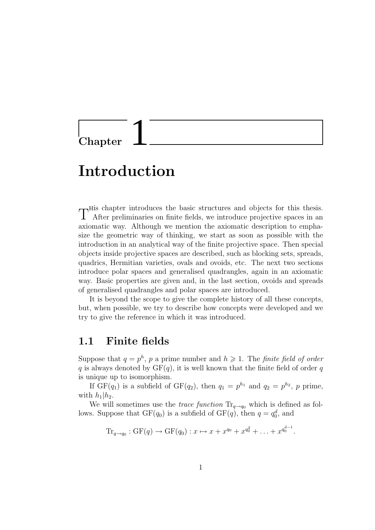# **Chapter**

# Introduction

T<sup>His</sup> chapter introduces the basic structures and objects for this thesis.<br>T After preliminaries on finite fields, we introduce projective spaces in an After preliminaries on finite fields, we introduce projective spaces in an axiomatic way. Although we mention the axiomatic description to emphasize the geometric way of thinking, we start as soon as possible with the introduction in an analytical way of the finite projective space. Then special objects inside projective spaces are described, such as blocking sets, spreads, quadrics, Hermitian varieties, ovals and ovoids, etc. The next two sections introduce polar spaces and generalised quadrangles, again in an axiomatic way. Basic properties are given and, in the last section, ovoids and spreads of generalised quadrangles and polar spaces are introduced.

It is beyond the scope to give the complete history of all these concepts, but, when possible, we try to describe how concepts were developed and we try to give the reference in which it was introduced.

### 1.1 Finite fields

Suppose that  $q = p^h$ , p a prime number and  $h \geq 1$ . The *finite field of order* q is always denoted by  $GF(q)$ , it is well known that the finite field of order q is unique up to isomorphism.

If  $GF(q_1)$  is a subfield of  $GF(q_2)$ , then  $q_1 = p^{h_1}$  and  $q_2 = p^{h_2}$ , p prime, with  $h_1|h_2$ .

We will sometimes use the *trace function*  $\text{Tr}_{q\rightarrow q_0}$  which is defined as follows. Suppose that  $GF(q_0)$  is a subfield of  $GF(q)$ , then  $q = q_0^d$ , and

$$
\mathrm{Tr}_{q \to q_0} : \mathrm{GF}(q) \to \mathrm{GF}(q_0) : x \mapsto x + x^{q_0} + x^{q_0^2} + \ldots + x^{q_0^{d-1}}.
$$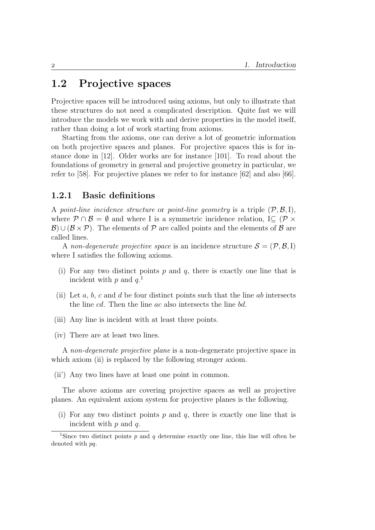## 1.2 Projective spaces

Projective spaces will be introduced using axioms, but only to illustrate that these structures do not need a complicated description. Quite fast we will introduce the models we work with and derive properties in the model itself, rather than doing a lot of work starting from axioms.

Starting from the axioms, one can derive a lot of geometric information on both projective spaces and planes. For projective spaces this is for instance done in [12]. Older works are for instance [101]. To read about the foundations of geometry in general and projective geometry in particular, we refer to [58]. For projective planes we refer to for instance [62] and also [66].

#### 1.2.1 Basic definitions

A point-line incidence structure or point-line geometry is a triple  $(\mathcal{P}, \mathcal{B}, I)$ , where  $\mathcal{P} \cap \mathcal{B} = \emptyset$  and where I is a symmetric incidence relation, I $\subset (\mathcal{P} \times$  $\mathcal{B}$ ) ∪ ( $\mathcal{B} \times \mathcal{P}$ ). The elements of  $\mathcal{P}$  are called points and the elements of  $\mathcal{B}$  are called lines.

A non-degenerate projective space is an incidence structure  $\mathcal{S} = (\mathcal{P}, \mathcal{B}, I)$ where I satisfies the following axioms.

- (i) For any two distinct points  $p$  and  $q$ , there is exactly one line that is incident with  $p$  and  $q$ <sup>1</sup>
- (ii) Let  $a, b, c$  and  $d$  be four distinct points such that the line  $ab$  intersects the line cd. Then the line ac also intersects the line bd.
- (iii) Any line is incident with at least three points.
- (iv) There are at least two lines.

A non-degenerate projective plane is a non-degenerate projective space in which axiom (ii) is replaced by the following stronger axiom.

(ii') Any two lines have at least one point in common.

The above axioms are covering projective spaces as well as projective planes. An equivalent axiom system for projective planes is the following.

(i) For any two distinct points p and q, there is exactly one line that is incident with  $p$  and  $q$ .

<sup>&</sup>lt;sup>1</sup>Since two distinct points  $p$  and  $q$  determine exactly one line, this line will often be denoted with pq.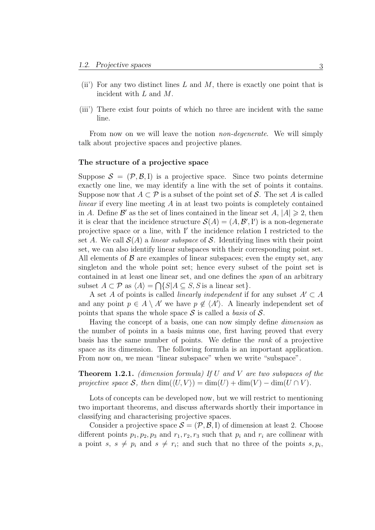- (ii) For any two distinct lines L and M, there is exactly one point that is incident with L and M.
- (iii') There exist four points of which no three are incident with the same line.

From now on we will leave the notion *non-degenerate*. We will simply talk about projective spaces and projective planes.

#### The structure of a projective space

Suppose  $\mathcal{S} = (\mathcal{P}, \mathcal{B}, I)$  is a projective space. Since two points determine exactly one line, we may identify a line with the set of points it contains. Suppose now that  $A \subset \mathcal{P}$  is a subset of the point set of S. The set A is called *linear* if every line meeting  $\vec{A}$  in at least two points is completely contained in A. Define  $\mathcal{B}'$  as the set of lines contained in the linear set  $A, |A| \geq 2$ , then it is clear that the incidence structure  $\mathcal{S}(A) = (A, \mathcal{B}', I')$  is a non-degenerate projective space or a line, with I' the incidence relation I restricted to the set A. We call  $\mathcal{S}(A)$  a linear subspace of S. Identifying lines with their point set, we can also identify linear subspaces with their corresponding point set. All elements of  $\beta$  are examples of linear subspaces; even the empty set, any singleton and the whole point set; hence every subset of the point set is contained in at least one linear set, and one defines the span of an arbitrary subset  $A \subset \mathcal{P}$  as  $\langle A \rangle = \bigcap \{S | A \subseteq S, S \text{ is a linear set} \}.$ 

A set A of points is called *linearly independent* if for any subset  $A' \subset A$ and any point  $p \in A \setminus A'$  we have  $p \notin \langle A' \rangle$ . A linearly independent set of points that spans the whole space  $S$  is called a *basis* of  $S$ .

Having the concept of a basis, one can now simply define dimension as the number of points in a basis minus one, first having proved that every basis has the same number of points. We define the rank of a projective space as its dimension. The following formula is an important application. From now on, we mean "linear subspace" when we write "subspace".

**Theorem 1.2.1.** (dimension formula) If U and V are two subspaces of the projective space S, then  $\dim(\langle U, V \rangle) = \dim(U) + \dim(V) - \dim(U \cap V)$ .

Lots of concepts can be developed now, but we will restrict to mentioning two important theorems, and discuss afterwards shortly their importance in classifying and characterising projective spaces.

Consider a projective space  $\mathcal{S} = (\mathcal{P}, \mathcal{B}, I)$  of dimension at least 2. Choose different points  $p_1, p_2, p_3$  and  $r_1, r_2, r_3$  such that  $p_i$  and  $r_i$  are collinear with a point s,  $s \neq p_i$  and  $s \neq r_i$ ; and such that no three of the points s,  $p_i$ ,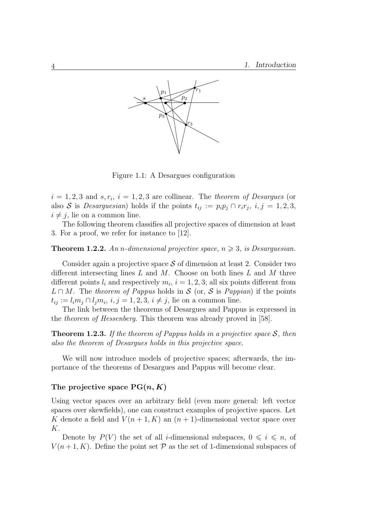

Figure 1.1: A Desargues configuration

 $i = 1, 2, 3$  and  $s, r_i$ ,  $i = 1, 2, 3$  are collinear. The theorem of Desargues (or also S is Desarguesian) holds if the points  $t_{ij} := p_i p_j \cap r_i r_j$ ,  $i, j = 1, 2, 3$ ,  $i \neq j$ , lie on a common line.

The following theorem classifies all projective spaces of dimension at least 3. For a proof, we refer for instance to [12].

#### **Theorem 1.2.2.** An n-dimensional projective space,  $n \geq 3$ , is Desarguesian.

Consider again a projective space  $S$  of dimension at least 2. Consider two different intersecting lines  $L$  and  $M$ . Choose on both lines  $L$  and  $M$  three different points  $l_i$  and respectively  $m_i$ ,  $i = 1, 2, 3$ ; all six points different from  $L \cap M$ . The theorem of Pappus holds in S (or, S is Pappian) if the points  $t_{ij} := l_i m_j \cap l_j m_i, i, j = 1, 2, 3, i \neq j$ , lie on a common line.

The link between the theorems of Desargues and Pappus is expressed in the theorem of Hessenberg. This theorem was already proved in [58].

**Theorem 1.2.3.** If the theorem of Pappus holds in a projective space  $S$ , then also the theorem of Desargues holds in this projective space.

We will now introduce models of projective spaces; afterwards, the importance of the theorems of Desargues and Pappus will become clear.

#### The projective space  $PG(n, K)$

Using vector spaces over an arbitrary field (even more general: left vector spaces over skewfields), one can construct examples of projective spaces. Let K denote a field and  $V(n+1, K)$  an  $(n+1)$ -dimensional vector space over K.

Denote by  $P(V)$  the set of all *i*-dimensional subspaces,  $0 \leq i \leq n$ , of  $V(n+1, K)$ . Define the point set  $\mathcal P$  as the set of 1-dimensional subspaces of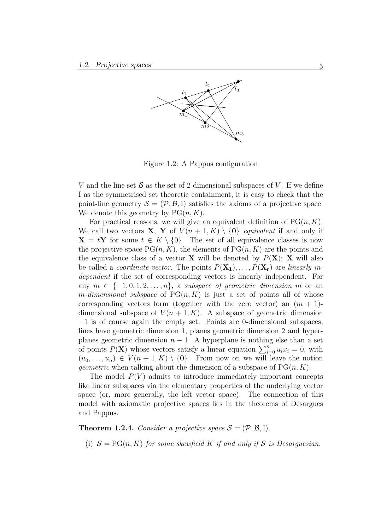

Figure 1.2: A Pappus configuration

V and the line set  $\beta$  as the set of 2-dimensional subspaces of V. If we define I as the symmetrised set theoretic containment, it is easy to check that the point-line geometry  $\mathcal{S} = (\mathcal{P}, \mathcal{B}, I)$  satisfies the axioms of a projective space. We denote this geometry by  $PG(n, K)$ .

For practical reasons, we will give an equivalent definition of  $PG(n, K)$ . We call two vectors **X**, **Y** of  $V(n+1, K) \setminus \{0\}$  equivalent if and only if  $X = tY$  for some  $t \in K \setminus \{0\}$ . The set of all equivalence classes is now the projective space  $PG(n, K)$ , the elements of  $PG(n, K)$  are the points and the equivalence class of a vector **X** will be denoted by  $P(X)$ ; **X** will also be called a *coordinate vector*. The points  $P(\mathbf{X}_1), \ldots, P(\mathbf{X}_r)$  are *linearly in*dependent if the set of corresponding vectors is linearly independent. For any  $m \in \{-1, 0, 1, 2, \ldots, n\}$ , a subspace of geometric dimension m or an m-dimensional subspace of  $PG(n, K)$  is just a set of points all of whose corresponding vectors form (together with the zero vector) an  $(m + 1)$ dimensional subspace of  $V(n+1, K)$ . A subspace of geometric dimension −1 is of course again the empty set. Points are 0-dimensional subspaces, lines have geometric dimension 1, planes geometric dimension 2 and hyperplanes geometric dimension  $n-1$ . A hyperplane is nothing else than a set of points  $P(\mathbf{X})$  whose vectors satisfy a linear equation  $\sum_{i=0}^{n} u_i x_i = 0$ , with  $(u_0, \ldots, u_n) \in V(n+1, K) \setminus \{0\}$ . From now on we will leave the notion *geometric* when talking about the dimension of a subspace of  $PG(n, K)$ .

The model  $P(V)$  admits to introduce immediately important concepts like linear subspaces via the elementary properties of the underlying vector space (or, more generally, the left vector space). The connection of this model with axiomatic projective spaces lies in the theorems of Desargues and Pappus.

**Theorem 1.2.4.** Consider a projective space  $S = (\mathcal{P}, \mathcal{B}, I)$ .

(i)  $S = PG(n, K)$  for some skewfield K if and only if S is Desarguesian.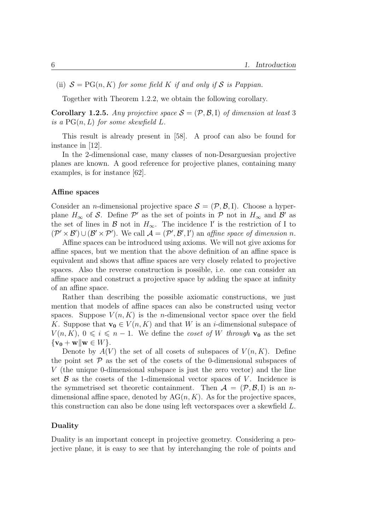(ii)  $S = PG(n, K)$  for some field K if and only if S is Pappian.

Together with Theorem 1.2.2, we obtain the following corollary.

**Corollary 1.2.5.** Any projective space  $S = (\mathcal{P}, \mathcal{B}, I)$  of dimension at least 3 is a  $PG(n, L)$  for some skewfield L.

This result is already present in [58]. A proof can also be found for instance in [12].

In the 2-dimensional case, many classes of non-Desarguesian projective planes are known. A good reference for projective planes, containing many examples, is for instance [62].

#### Affine spaces

Consider an *n*-dimensional projective space  $S = (\mathcal{P}, \mathcal{B}, I)$ . Choose a hyperplane  $H_{\infty}$  of S. Define  $\mathcal{P}'$  as the set of points in  $\mathcal{P}$  not in  $H_{\infty}$  and  $\mathcal{B}'$  as the set of lines in  $\mathcal B$  not in  $H_{\infty}$ . The incidence I' is the restriction of I to  $(\mathcal{P}' \times \mathcal{B}') \cup (\mathcal{B}' \times \mathcal{P}')$ . We call  $\mathcal{A} = (\mathcal{P}', \mathcal{B}', I')$  an affine space of dimension n.

Affine spaces can be introduced using axioms. We will not give axioms for affine spaces, but we mention that the above definition of an affine space is equivalent and shows that affine spaces are very closely related to projective spaces. Also the reverse construction is possible, i.e. one can consider an affine space and construct a projective space by adding the space at infinity of an affine space.

Rather than describing the possible axiomatic constructions, we just mention that models of affine spaces can also be constructed using vector spaces. Suppose  $V(n, K)$  is the *n*-dimensional vector space over the field K. Suppose that  $\mathbf{v_0} \in V(n, K)$  and that W is an *i*-dimensional subspace of  $V(n, K)$ ,  $0 \leq i \leq n - 1$ . We define the *coset of W through*  $\mathbf{v}_0$  as the set  $\{v_0 + w \mid w \in W\}.$ 

Denote by  $A(V)$  the set of all cosets of subspaces of  $V(n, K)$ . Define the point set  $P$  as the set of the cosets of the 0-dimensional subspaces of V (the unique 0-dimensional subspace is just the zero vector) and the line set  $\beta$  as the cosets of the 1-dimensional vector spaces of V. Incidence is the symmetrised set theoretic containment. Then  $\mathcal{A} = (\mathcal{P}, \mathcal{B}, I)$  is an ndimensional affine space, denoted by  $AG(n, K)$ . As for the projective spaces, this construction can also be done using left vectorspaces over a skewfield L.

#### Duality

Duality is an important concept in projective geometry. Considering a projective plane, it is easy to see that by interchanging the role of points and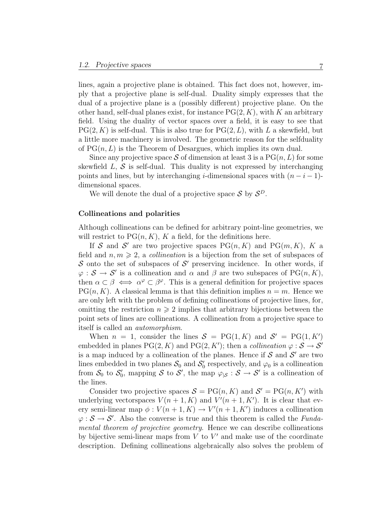lines, again a projective plane is obtained. This fact does not, however, imply that a projective plane is self-dual. Duality simply expresses that the dual of a projective plane is a (possibly different) projective plane. On the other hand, self-dual planes exist, for instance  $PG(2, K)$ , with K an arbitrary field. Using the duality of vector spaces over a field, it is easy to see that  $PG(2, K)$  is self-dual. This is also true for  $PG(2, L)$ , with L a skewfield, but a little more machinery is involved. The geometric reason for the selfduality of  $PG(n, L)$  is the Theorem of Desargues, which implies its own dual.

Since any projective space S of dimension at least 3 is a  $PG(n, L)$  for some skewfield  $L, \mathcal{S}$  is self-dual. This duality is not expressed by interchanging points and lines, but by interchanging i-dimensional spaces with  $(n-i-1)$ dimensional spaces.

We will denote the dual of a projective space  $S$  by  $S^D$ .

#### Collineations and polarities

Although collineations can be defined for arbitrary point-line geometries, we will restrict to  $PG(n, K)$ , K a field, for the definitions here.

If S and S' are two projective spaces  $PG(n, K)$  and  $PG(m, K)$ , K a field and  $n, m \geq 2$ , a *collineation* is a bijection from the set of subspaces of S onto the set of subspaces of S' preserving incidence. In other words, if  $\varphi : \mathcal{S} \to \mathcal{S}'$  is a collineation and  $\alpha$  and  $\beta$  are two subspaces of PG(n, K), then  $\alpha \subset \beta \iff \alpha^{\varphi} \subset \beta^{\varphi}$ . This is a general definition for projective spaces  $PG(n, K)$ . A classical lemma is that this definition implies  $n = m$ . Hence we are only left with the problem of defining collineations of projective lines, for, omitting the restriction  $n \geqslant 2$  implies that arbitrary bijections between the point sets of lines are collineations. A collineation from a projective space to itself is called an automorphism.

When  $n = 1$ , consider the lines  $S = PG(1, K)$  and  $S' = PG(1, K')$ embedded in planes  $PG(2, K)$  and  $PG(2, K')$ ; then a *collineation*  $\varphi : \mathcal{S} \to \mathcal{S}'$ is a map induced by a collineation of the planes. Hence if  $S$  and  $S'$  are two lines embedded in two planes  $S_0$  and  $S_0$  $y'_0$  respectively, and  $\varphi_0$  is a collineation from  $\mathcal{S}_0$  to  $\mathcal{S}_0'$  $\mathcal{S}_0$ , mapping S to S', the map  $\varphi_{|S}: S \to S'$  is a collineation of the lines.

Consider two projective spaces  $S = PG(n, K)$  and  $S' = PG(n, K')$  with underlying vectorspaces  $V(n+1, K)$  and  $V'(n+1, K')$ . It is clear that every semi-linear map  $\phi: V(n+1, K) \to V'(n+1, K')$  induces a collineation  $\varphi : \mathcal{S} \to \mathcal{S}'$ . Also the converse is true and this theorem is called the *Funda*mental theorem of projective geometry. Hence we can describe collineations by bijective semi-linear maps from  $V$  to  $V'$  and make use of the coordinate description. Defining collineations algebraically also solves the problem of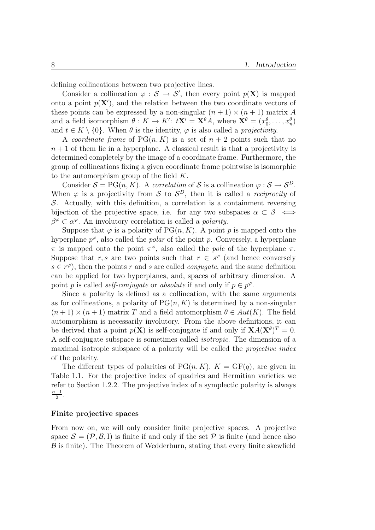defining collineations between two projective lines.

Consider a collineation  $\varphi : \mathcal{S} \to \mathcal{S}'$ , then every point  $p(\mathbf{X})$  is mapped onto a point  $p(\mathbf{X}')$ , and the relation between the two coordinate vectors of these points can be expressed by a non-singular  $(n + 1) \times (n + 1)$  matrix A and a field isomorphism  $\theta: K \to K'$ :  $t\mathbf{X}' = \mathbf{X}^{\theta}A$ , where  $\mathbf{X}^{\theta} = (x_0^{\theta}, \dots, x_n^{\theta})$ and  $t \in K \setminus \{0\}$ . When  $\theta$  is the identity,  $\varphi$  is also called a *projectivity*.

A coordinate frame of  $PG(n, K)$  is a set of  $n + 2$  points such that no  $n + 1$  of them lie in a hyperplane. A classical result is that a projectivity is determined completely by the image of a coordinate frame. Furthermore, the group of collineations fixing a given coordinate frame pointwise is isomorphic to the automorphism group of the field K.

Consider  $S = PG(n, K)$ . A correlation of S is a collineation  $\varphi : S \to S^D$ . When  $\varphi$  is a projectivity from S to  $S^D$ , then it is called a *reciprocity* of  $\mathcal{S}$ . Actually, with this definition, a correlation is a containment reversing bijection of the projective space, i.e. for any two subspaces  $\alpha \subset \beta \iff$  $\beta^{\varphi} \subset \alpha^{\varphi}$ . An involutory correlation is called a *polarity*.

Suppose that  $\varphi$  is a polarity of PG $(n, K)$ . A point p is mapped onto the hyperplane  $p^{\varphi}$ , also called the *polar* of the point p. Conversely, a hyperplane  $\pi$  is mapped onto the point  $\pi^{\varphi}$ , also called the *pole* of the hyperplane π. Suppose that r, s are two points such that  $r \in s^{\varphi}$  (and hence conversely  $s \in r^{\varphi}$ , then the points r and s are called *conjugate*, and the same definition can be applied for two hyperplanes, and, spaces of arbitrary dimension. A point p is called *self-conjugate* or *absolute* if and only if  $p \in p^{\varphi}$ .

Since a polarity is defined as a collineation, with the same arguments as for collineations, a polarity of  $PG(n, K)$  is determined by a non-singular  $(n+1) \times (n+1)$  matrix T and a field automorphism  $\theta \in Aut(K)$ . The field automorphism is necessarily involutory. From the above definitions, it can be derived that a point  $p(\mathbf{X})$  is self-conjugate if and only if  $\mathbf{X}A(\mathbf{X}^{\theta})^T = 0$ . A self-conjugate subspace is sometimes called isotropic. The dimension of a maximal isotropic subspace of a polarity will be called the *projective index* of the polarity.

The different types of polarities of  $PG(n, K)$ ,  $K = GF(q)$ , are given in Table 1.1. For the projective index of quadrics and Hermitian varieties we refer to Section 1.2.2. The projective index of a symplectic polarity is always  $n-1$  $\frac{-1}{2}$ .

#### Finite projective spaces

From now on, we will only consider finite projective spaces. A projective space  $\mathcal{S} = (\mathcal{P}, \mathcal{B}, I)$  is finite if and only if the set  $\mathcal{P}$  is finite (and hence also  $\beta$  is finite). The Theorem of Wedderburn, stating that every finite skewfield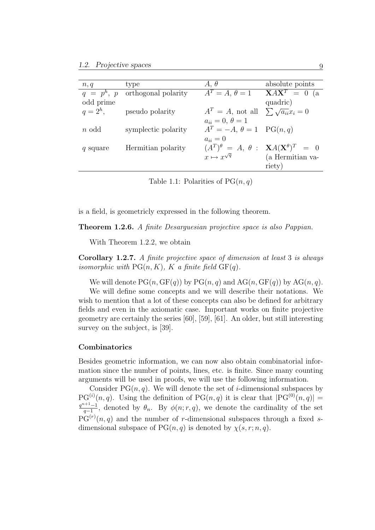| n, q         | type                | $A, \theta$                                                           | absolute points           |
|--------------|---------------------|-----------------------------------------------------------------------|---------------------------|
| $q = p^h, p$ | orthogonal polarity | $A^T=A, \theta=1$                                                     | $\overline{XAX}^T = 0$ (a |
| odd prime    |                     |                                                                       | quadric)                  |
| $q=2^h$ ,    | pseudo polarity     | $A^T = A$ , not all $\sum \sqrt{a_{ii}} x_i = 0$                      |                           |
|              |                     | $a_{ii} = 0, \, \theta = 1$                                           |                           |
| $n$ odd      | symplectic polarity | $A^T = -A, \theta = 1$ PG(n, q)                                       |                           |
|              |                     | $a_{ii}=0$                                                            |                           |
| q square     | Hermitian polarity  | $(A^T)^{\theta} = A, \theta : \mathbf{X}A(\mathbf{X}^{\theta})^T = 0$ |                           |
|              |                     | $x \mapsto x^{\sqrt{q}}$                                              | (a Hermitian va-          |
|              |                     |                                                                       | riety)                    |

Table 1.1: Polarities of  $PG(n, q)$ 

is a field, is geometricly expressed in the following theorem.

Theorem 1.2.6. A finite Desarguesian projective space is also Pappian.

With Theorem 1.2.2, we obtain

Corollary 1.2.7. A finite projective space of dimension at least 3 is always isomorphic with  $PG(n, K)$ , K a finite field  $GF(q)$ .

We will denote  $PG(n, GF(q))$  by  $PG(n, q)$  and  $AG(n, GF(q))$  by  $AG(n, q)$ .

We will define some concepts and we will describe their notations. We wish to mention that a lot of these concepts can also be defined for arbitrary fields and even in the axiomatic case. Important works on finite projective geometry are certainly the series [60], [59], [61]. An older, but still interesting survey on the subject, is [39].

#### Combinatorics

Besides geometric information, we can now also obtain combinatorial information since the number of points, lines, etc. is finite. Since many counting arguments will be used in proofs, we will use the following information.

Consider  $PG(n, q)$ . We will denote the set of *i*-dimensional subspaces by  $PG^{(i)}(n,q)$ . Using the definition of  $PG(n,q)$  it is clear that  $|PG^{(0)}(n,q)|=$  $q^{n+1}-1$  $\frac{q-1}{q-1}$ , denoted by  $\theta_n$ . By  $\phi(n;r,q)$ , we denote the cardinality of the set  $PG<sup>(r)</sup>(n, q)$  and the number of r-dimensional subspaces through a fixed sdimensional subspace of  $PG(n, q)$  is denoted by  $\chi(s, r; n, q)$ .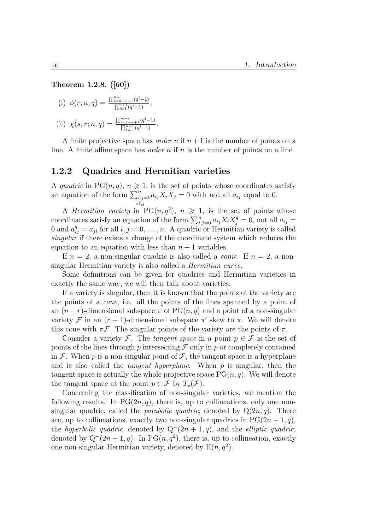Theorem 1.2.8. ([60])

(i) 
$$
\phi(r; n, q) = \frac{\prod_{i=n-r+1}^{n+1} (q^i - 1)}{\prod_{i=1}^{r+1} (q^i - 1)}
$$
.

(ii) 
$$
\chi(s, r; n, q) = \frac{\prod_{i=r-s+1}^{n-s} (q^i - 1)}{\prod_{i=1}^{n-r} (q^i - 1)}
$$
.

A finite projective space has *order* n if  $n+1$  is the number of points on a line. A finite affine space has *order*  $n$  if  $n$  is the number of points on a line.

#### 1.2.2 Quadrics and Hermitian varieties

A quadric in PG $(n, q)$ ,  $n \geq 1$ , is the set of points whose coordinates satisfy an equation of the form  $\sum_{\substack{i,j=0 \ i \leq j}}^{n}$  $a_{ij}X_iX_j = 0$  with not all  $a_{ij}$  equal to 0.

A *Hermitian variety* in  $PG(n, q^2)$ ,  $n \geq 1$ , is the set of points whose coordinates satisfy an equation of the form  $\sum_{i,j=0}^{n} a_{ij}X_iX_j^q = 0$ , not all  $a_{ij} =$ 0 and  $a_{ij}^q = a_{ji}$  for all  $i, j = 0, \ldots, n$ . A quadric or Hermitian variety is called singular if there exists a change of the coordinate system which reduces the equation to an equation with less than  $n + 1$  variables.

If  $n = 2$ , a non-singular quadric is also called a *conic*. If  $n = 2$ , a nonsingular Hermitian variety is also called a Hermitian curve.

Some definitions can be given for quadrics and Hermitian varieties in exactly the same way; we will then talk about varieties.

If a variety is singular, then it is known that the points of the variety are the points of a cone, i.e. all the points of the lines spanned by a point of an  $(n - r)$ -dimensional subspace  $\pi$  of PG $(n, q)$  and a point of a non-singular variety  $\mathcal F$  in an  $(r-1)$ -dimensional subspace  $\pi'$  skew to  $\pi$ . We will denote this cone with  $\pi \mathcal{F}$ . The singular points of the variety are the points of  $\pi$ .

Consider a variety F. The tangent space in a point  $p \in \mathcal{F}$  is the set of points of the lines through p intersecting  $\mathcal F$  only in p or completely contained in F. When p is a non-singular point of F, the tangent space is a hyperplane and is also called the *tangent hyperplane*. When  $p$  is singular, then the tangent space is actually the whole projective space  $PG(n, q)$ . We will denote the tangent space at the point  $p \in \mathcal{F}$  by  $T_p(\mathcal{F})$ .

Concerning the classification of non-singular varieties, we mention the following results. In  $PG(2n, q)$ , there is, up to collineations, only one nonsingular quadric, called the *parabolic quadric*, denoted by  $Q(2n, q)$ . There are, up to collineations, exactly two non-singular quadrics in  $PG(2n + 1, q)$ , the hyperbolic quadric, denoted by  $Q^+(2n+1, q)$ , and the elliptic quadric, denoted by  $Q^-(2n+1, q)$ . In PG $(n, q^2)$ , there is, up to collineation, exactly one non-singular Hermitian variety, denoted by  $H(n, q^2)$ .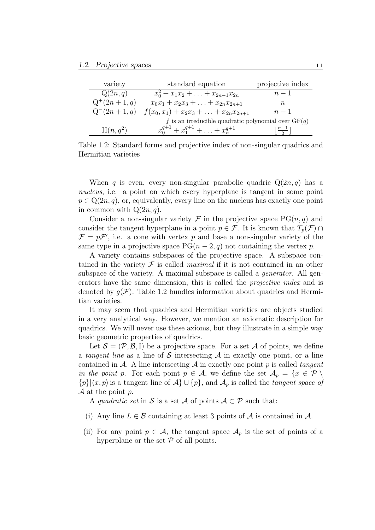| variety         | standard equation                                     | projective index |
|-----------------|-------------------------------------------------------|------------------|
| Q(2n,q)         | $x_0^2 + x_1x_2 + \ldots + x_{2n-1}x_{2n}$            | $n-1$            |
| $Q^+(2n+1,q)$   | $x_0x_1 + x_2x_3 + \ldots + x_{2n}x_{2n+1}$           | n                |
| $Q^{-}(2n+1,q)$ | $f(x_0, x_1) + x_2x_3 + \ldots + x_{2n}x_{2n+1}$      | $n-1$            |
|                 | f is an irreducible quadratic polynomial over $GF(q)$ |                  |
| $H(n,q^2)$      | $x_0^{q+1} + x_1^{q+1} + \ldots + x_n^{q+1}$          |                  |

Table 1.2: Standard forms and projective index of non-singular quadrics and Hermitian varieties

When q is even, every non-singular parabolic quadric  $Q(2n, q)$  has a nucleus, i.e. a point on which every hyperplane is tangent in some point  $p \in Q(2n, q)$ , or, equivalently, every line on the nucleus has exactly one point in common with  $Q(2n, q)$ .

Consider a non-singular variety  $\mathcal F$  in the projective space  $PG(n, q)$  and consider the tangent hyperplane in a point  $p \in \mathcal{F}$ . It is known that  $T_p(\mathcal{F}) \cap$  $\mathcal{F} = p\mathcal{F}'$ , i.e. a cone with vertex p and base a non-singular variety of the same type in a projective space  $PG(n-2, q)$  not containing the vertex p.

A variety contains subspaces of the projective space. A subspace contained in the variety  $\mathcal F$  is called *maximal* if it is not contained in an other subspace of the variety. A maximal subspace is called a *generator*. All generators have the same dimension, this is called the *projective index* and is denoted by  $g(\mathcal{F})$ . Table 1.2 bundles information about quadrics and Hermitian varieties.

It may seem that quadrics and Hermitian varieties are objects studied in a very analytical way. However, we mention an axiomatic description for quadrics. We will never use these axioms, but they illustrate in a simple way basic geometric properties of quadrics.

Let  $\mathcal{S} = (\mathcal{P}, \mathcal{B}, I)$  be a projective space. For a set A of points, we define a tangent line as a line of S intersecting  $A$  in exactly one point, or a line contained in  $A$ . A line intersecting  $A$  in exactly one point p is called tangent in the point p. For each point  $p \in \mathcal{A}$ , we define the set  $\mathcal{A}_p = \{x \in \mathcal{P} \setminus \mathcal{A}_p\}$  $\{p\}|\langle x, p\rangle$  is a tangent line of  $\mathcal{A}\}\cup\{p\}$ , and  $\mathcal{A}_p$  is called the tangent space of  $\mathcal A$  at the point p.

A quadratic set in S is a set A of points  $A \subset \mathcal{P}$  such that:

- (i) Any line  $L \in \mathcal{B}$  containing at least 3 points of  $\mathcal{A}$  is contained in  $\mathcal{A}$ .
- (ii) For any point  $p \in \mathcal{A}$ , the tangent space  $\mathcal{A}_p$  is the set of points of a hyperplane or the set  $P$  of all points.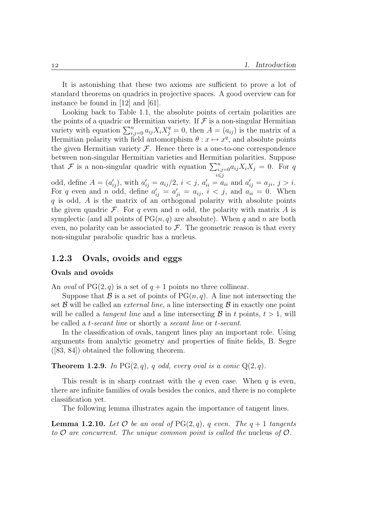It is astonishing that these two axioms are sufficient to prove a lot of standard theorems on quadrics in projective spaces. A good overview can for instance be found in [12] and [61].

Looking back to Table 1.1, the absolute points of certain polarities are the points of a quadric or Hermitian variety. If  $\mathcal F$  is a non-singular Hermitian variety with equation  $\sum_{i,j=0}^{n} a_{ij} X_i X_j^q = 0$ , then  $A = (a_{ij})$  is the matrix of a Hermitian polarity with field automorphism  $\theta: x \mapsto x^q$ , and absolute points the given Hermitian variety  $\mathcal F$ . Hence there is a one-to-one correspondence between non-singular Hermitian varieties and Hermitian polarities. Suppose that  $\mathcal F$  is a non-singular quadric with equation  $\sum_{\substack{i,j=0 \ i \leq j}}^n$  $a_{ij}X_iX_j = 0$ . For q odd, define  $A = (a'_{ij})$ , with  $a'_{ij} = a_{ij}/2$ ,  $i < j$ ,  $a'_{ii} = a_{ii}$  and  $a'_{ij} = a_{ji}$ ,  $j > i$ . For q even and n odd, define  $a'_{ij} = a'_{ji} = a_{ij}$ ,  $i < j$ , and  $a_{ii} = 0$ . When  $q$  is odd,  $\ddot{A}$  is the matrix of an orthogonal polarity with absolute points the given quadric  $\mathcal F$ . For q even and n odd, the polarity with matrix A is symplectic (and all points of  $PG(n, q)$  are absolute). When q and n are both even, no polarity can be associated to  $\mathcal F$ . The geometric reason is that every non-singular parabolic quadric has a nucleus.

#### 1.2.3 Ovals, ovoids and eggs

#### Ovals and ovoids

An *oval* of  $PG(2, q)$  is a set of  $q + 1$  points no three collinear.

Suppose that  $\mathcal B$  is a set of points of PG $(n, q)$ . A line not intersecting the set  $\beta$  will be called an *external line*, a line intersecting  $\beta$  in exactly one point will be called a *tangent line* and a line intersecting  $\mathcal{B}$  in t points,  $t > 1$ , will be called a *t*-secant line or shortly a secant line or *t*-secant.

In the classification of ovals, tangent lines play an important role. Using arguments from analytic geometry and properties of finite fields, B. Segre ([83, 84]) obtained the following theorem.

**Theorem 1.2.9.** In PG $(2, q)$ , q odd, every oval is a conic  $Q(2, q)$ .

This result is in sharp contrast with the  $q$  even case. When  $q$  is even, there are infinite families of ovals besides the conics, and there is no complete classification yet.

The following lemma illustrates again the importance of tangent lines.

**Lemma 1.2.10.** Let  $\mathcal O$  be an oval of PG(2, q), q even. The  $q + 1$  tangents to  $\mathcal O$  are concurrent. The unique common point is called the nucleus of  $\mathcal O$ .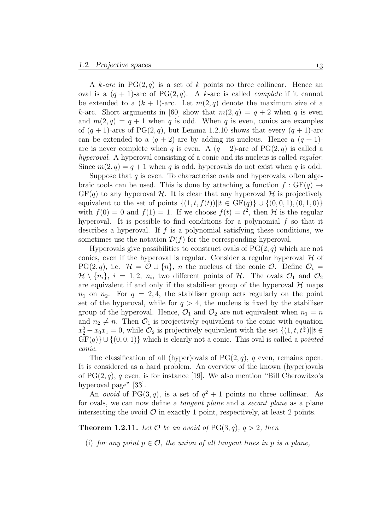A k-arc in  $PG(2,q)$  is a set of k points no three collinear. Hence an oval is a  $(q + 1)$ -arc of PG(2, q). A k-arc is called *complete* if it cannot be extended to a  $(k + 1)$ -arc. Let  $m(2, q)$  denote the maximum size of a k-arc. Short arguments in [60] show that  $m(2,q) = q+2$  when q is even and  $m(2, q) = q + 1$  when q is odd. When q is even, conics are examples of  $(q + 1)$ -arcs of PG(2, q), but Lemma 1.2.10 shows that every  $(q + 1)$ -arc can be extended to a  $(q + 2)$ -arc by adding its nucleus. Hence a  $(q + 1)$ arc is never complete when q is even. A  $(q + 2)$ -arc of PG(2,q) is called a hyperoval. A hyperoval consisting of a conic and its nucleus is called *regular*. Since  $m(2, q) = q + 1$  when q is odd, hyperovals do not exist when q is odd.

Suppose that  $q$  is even. To characterise ovals and hyperovals, often algebraic tools can be used. This is done by attaching a function  $f : GF(q) \rightarrow$  $GF(q)$  to any hyperoval H. It is clear that any hyperoval H is projectively equivalent to the set of points  $\{(1, t, f(t))||t \in \text{GF}(q)\} \cup \{(0, 0, 1), (0, 1, 0)\}\$ with  $f(0) = 0$  and  $f(1) = 1$ . If we choose  $f(t) = t^2$ , then H is the regular hyperoval. It is possible to find conditions for a polynomial  $f$  so that it describes a hyperoval. If  $f$  is a polynomial satisfying these conditions, we sometimes use the notation  $\mathcal{D}(f)$  for the corresponding hyperoval.

Hyperovals give possibilities to construct ovals of  $PG(2, q)$  which are not conics, even if the hyperoval is regular. Consider a regular hyperoval  $H$  of  $PG(2, q)$ , i.e.  $\mathcal{H} = \mathcal{O} \cup \{n\}$ , *n* the nucleus of the conic  $\mathcal{O}$ . Define  $\mathcal{O}_i =$  $\mathcal{H} \setminus \{n_i\}, i = 1, 2, n_i$ , two different points of  $\mathcal{H}$ . The ovals  $\mathcal{O}_1$  and  $\mathcal{O}_2$ are equivalent if and only if the stabiliser group of the hyperoval  $H$  maps  $n_1$  on  $n_2$ . For  $q = 2, 4$ , the stabiliser group acts regularly on the point set of the hyperoval, while for  $q > 4$ , the nucleus is fixed by the stabiliser group of the hyperoval. Hence,  $\mathcal{O}_1$  and  $\mathcal{O}_2$  are not equivalent when  $n_1 = n$ and  $n_2 \neq n$ . Then  $\mathcal{O}_1$  is projectively equivalent to the conic with equation  $x_2^2 + x_0 x_1 = 0$ , while  $\mathcal{O}_2$  is projectively equivalent with the set  $\{(1, t, t^{\frac{q}{2}}) \| t \in$  $GF(q)$  ∪ {(0, 0, 1)} which is clearly not a conic. This oval is called a *pointed* conic.

The classification of all (hyper)ovals of  $PG(2, q)$ , q even, remains open. It is considered as a hard problem. An overview of the known (hyper)ovals of  $PG(2, q)$ , q even, is for instance [19]. We also mention "Bill Cherowitzo's hyperoval page" [33].

An *ovoid* of PG(3,q), is a set of  $q^2 + 1$  points no three collinear. As for ovals, we can now define a tangent plane and a secant plane as a plane intersecting the ovoid  $\mathcal O$  in exactly 1 point, respectively, at least 2 points.

**Theorem 1.2.11.** Let  $\mathcal O$  be an ovoid of PG(3, q),  $q > 2$ , then

(i) for any point  $p \in \mathcal{O}$ , the union of all tangent lines in p is a plane,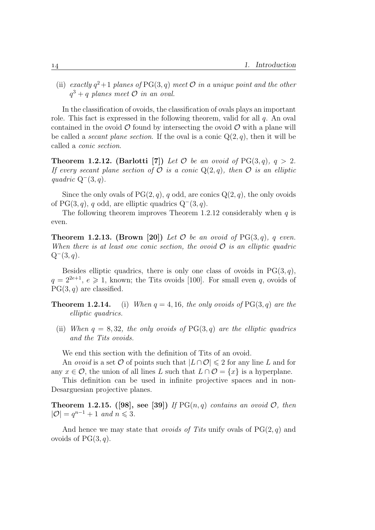(ii) exactly  $q^2+1$  planes of PG(3, q) meet  $\mathcal O$  in a unique point and the other  $q^3 + q$  planes meet  $\overline{O}$  in an oval.

In the classification of ovoids, the classification of ovals plays an important role. This fact is expressed in the following theorem, valid for all  $q$ . An oval contained in the ovoid  $\mathcal O$  found by intersecting the ovoid  $\mathcal O$  with a plane will be called a *secant plane section*. If the oval is a conic  $Q(2, q)$ , then it will be called a conic section.

**Theorem 1.2.12.** (Barlotti [7]) Let  $\mathcal O$  be an ovoid of PG(3, q),  $q > 2$ . If every secant plane section of  $\mathcal O$  is a conic  $Q(2,q)$ , then  $\mathcal O$  is an elliptic quadric  $Q^-(3, q)$ .

Since the only ovals of  $PG(2, q)$ , q odd, are conics  $Q(2, q)$ , the only ovoids of PG(3, q), q odd, are elliptic quadrics  $Q^-(3, q)$ .

The following theorem improves Theorem 1.2.12 considerably when  $q$  is even.

**Theorem 1.2.13.** (Brown [20]) Let  $\mathcal O$  be an ovoid of PG(3, q), q even. When there is at least one conic section, the ovoid  $\mathcal O$  is an elliptic quadric  $Q^-(3, q)$ .

Besides elliptic quadrics, there is only one class of ovoids in  $PG(3, q)$ ,  $q = 2^{2e+1}, e \ge 1$ , known; the Tits ovoids [100]. For small even q, ovoids of  $PG(3, q)$  are classified.

**Theorem 1.2.14.** (i) When  $q = 4, 16$ , the only ovoids of PG(3, q) are the elliptic quadrics.

(ii) When  $q = 8, 32$ , the only ovoids of PG(3, q) are the elliptic quadrics and the Tits ovoids.

We end this section with the definition of Tits of an ovoid.

An *ovoid* is a set  $\mathcal O$  of points such that  $|L \cap \mathcal O| \leq 2$  for any line L and for any  $x \in \mathcal{O}$ , the union of all lines L such that  $L \cap \mathcal{O} = \{x\}$  is a hyperplane.

This definition can be used in infinite projective spaces and in non-Desarguesian projective planes.

**Theorem 1.2.15.** ([98], see [39]) If  $PG(n,q)$  contains an ovoid  $O$ , then  $|\mathcal{O}| = q^{n-1} + 1$  and  $n \leq 3$ .

And hence we may state that *ovoids of Tits* unify ovals of  $PG(2, q)$  and ovoids of  $PG(3, q)$ .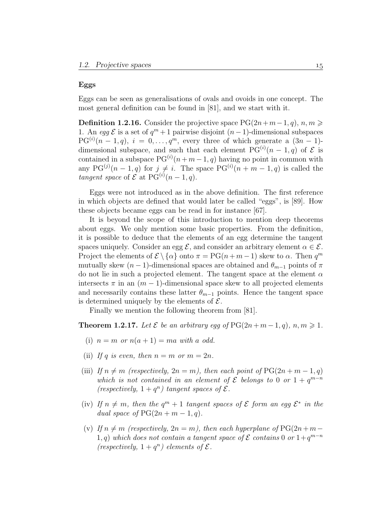#### Eggs

Eggs can be seen as generalisations of ovals and ovoids in one concept. The most general definition can be found in [81], and we start with it.

**Definition 1.2.16.** Consider the projective space  $PG(2n+m-1, q), n, m ≥$ 1. An egg  $\mathcal E$  is a set of  $q^m + 1$  pairwise disjoint  $(n-1)$ -dimensional subspaces  $PG^{(i)}(n-1,q), i = 0,\ldots,q^m$ , every three of which generate a  $(3n-1)$ dimensional subspace, and such that each element  $PG^{(i)}(n-1,q)$  of  $\mathcal E$  is contained in a subspace  $PG^{(i)}(n+m-1, q)$  having no point in common with any  $PG^{(j)}(n-1,q)$  for  $j \neq i$ . The space  $PG^{(i)}(n+m-1,q)$  is called the tangent space of  $\mathcal E$  at PG<sup>(i)</sup>(n - 1, q).

Eggs were not introduced as in the above definition. The first reference in which objects are defined that would later be called "eggs", is [89]. How these objects became eggs can be read in for instance [67].

It is beyond the scope of this introduction to mention deep theorems about eggs. We only mention some basic properties. From the definition, it is possible to deduce that the elements of an egg determine the tangent spaces uniquely. Consider an egg  $\mathcal{E}$ , and consider an arbitrary element  $\alpha \in \mathcal{E}$ . Project the elements of  $\mathcal{E} \setminus \{ \alpha \}$  onto  $\pi = PG(n+m-1)$  skew to  $\alpha$ . Then  $q^m$ mutually skew  $(n-1)$ -dimensional spaces are obtained and  $\theta_{m-1}$  points of  $\pi$ do not lie in such a projected element. The tangent space at the element  $\alpha$ intersects  $\pi$  in an  $(m-1)$ -dimensional space skew to all projected elements and necessarily contains these latter  $\theta_{m-1}$  points. Hence the tangent space is determined uniquely by the elements of  $\mathcal{E}$ .

Finally we mention the following theorem from [81].

**Theorem 1.2.17.** Let  $\mathcal E$  be an arbitrary egg of  $PG(2n + m - 1, q)$ ,  $n, m \geq 1$ .

- (i)  $n = m$  or  $n(a + 1) = ma$  with a odd.
- (ii) If q is even, then  $n = m$  or  $m = 2n$ .
- (iii) If  $n \neq m$  (respectively,  $2n = m$ ), then each point of PG(2n + m 1, q) which is not contained in an element of  $\mathcal E$  belongs to 0 or  $1 + q^{m-n}$ (respectively,  $1 + q^n$ ) tangent spaces of  $\mathcal{E}$ .
- (iv) If  $n \neq m$ , then the  $q^m + 1$  tangent spaces of  $\mathcal E$  form an egg  $\mathcal E^*$  in the dual space of  $PG(2n + m - 1, q)$ .
- (v) If  $n \neq m$  (respectively,  $2n = m$ ), then each hyperplane of PG(2n+m− 1, q) which does not contain a tangent space of  $\mathcal E$  contains 0 or  $1+q^{m-n}$ (respectively,  $1 + q^n$ ) elements of  $\mathcal{E}$ .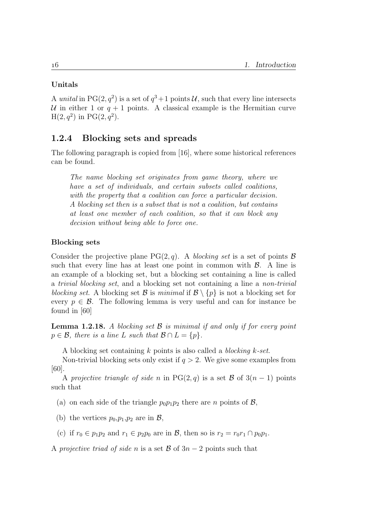#### Unitals

A unital in PG(2,  $q^2$ ) is a set of  $q^3+1$  points U, such that every line intersects U in either 1 or  $q + 1$  points. A classical example is the Hermitian curve  $H(2, q^2)$  in PG $(2, q^2)$ .

#### 1.2.4 Blocking sets and spreads

The following paragraph is copied from [16], where some historical references can be found.

The name blocking set originates from game theory, where we have a set of individuals, and certain subsets called coalitions, with the property that a coalition can force a particular decision. A blocking set then is a subset that is not a coalition, but contains at least one member of each coalition, so that it can block any decision without being able to force one.

#### Blocking sets

Consider the projective plane  $PG(2, q)$ . A blocking set is a set of points B such that every line has at least one point in common with  $\beta$ . A line is an example of a blocking set, but a blocking set containing a line is called a trivial blocking set, and a blocking set not containing a line a non-trivial blocking set. A blocking set B is minimal if  $\mathcal{B} \setminus \{p\}$  is not a blocking set for every  $p \in \mathcal{B}$ . The following lemma is very useful and can for instance be found in [60]

**Lemma 1.2.18.** A blocking set  $\mathcal{B}$  is minimal if and only if for every point  $p \in \mathcal{B}$ , there is a line L such that  $\mathcal{B} \cap L = \{p\}.$ 

A blocking set containing  $k$  points is also called a *blocking k-set*.

Non-trivial blocking sets only exist if  $q > 2$ . We give some examples from [60].

A projective triangle of side n in PG(2, q) is a set  $\mathcal{B}$  of  $3(n-1)$  points such that

(a) on each side of the triangle  $p_0p_1p_2$  there are *n* points of  $\mathcal{B}$ ,

- (b) the vertices  $p_0, p_1, p_2$  are in  $\mathcal{B}$ ,
- (c) if  $r_0 \in p_1p_2$  and  $r_1 \in p_2p_0$  are in  $\mathcal{B}$ , then so is  $r_2 = r_0r_1 \cap p_0p_1$ .

A projective triad of side n is a set  $\mathcal{B}$  of  $3n-2$  points such that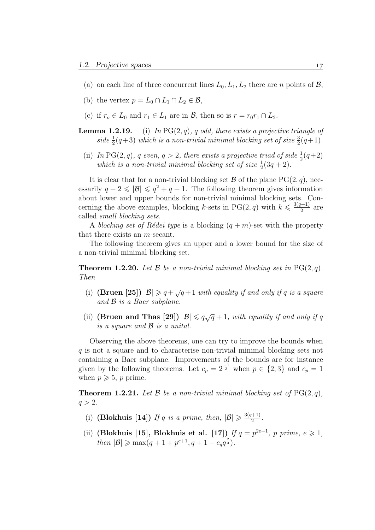- (a) on each line of three concurrent lines  $L_0, L_1, L_2$  there are n points of  $\mathcal{B}$ ,
- (b) the vertex  $p = L_0 \cap L_1 \cap L_2 \in \mathcal{B}$ ,
- (c) if  $r_o \in L_0$  and  $r_1 \in L_1$  are in  $\mathcal{B}$ , then so is  $r = r_0r_1 \cap L_2$ .
- **Lemma 1.2.19.** (i) In PG $(2, q)$ , q odd, there exists a projective triangle of side  $\frac{1}{2}(q+3)$  which is a non-trivial minimal blocking set of size  $\frac{3}{2}(q+1)$ .
	- (ii) In PG(2, q), q even,  $q > 2$ , there exists a projective triad of side  $\frac{1}{2}(q+2)$ which is a non-trivial minimal blocking set of size  $\frac{1}{2}(3q+2)$ .

It is clear that for a non-trivial blocking set  $\mathcal B$  of the plane  $PG(2, q)$ , necessarily  $q + 2 \leq |\mathcal{B}| \leq q^2 + q + 1$ . The following theorem gives information about lower and upper bounds for non-trivial minimal blocking sets. Concerning the above examples, blocking k-sets in PG(2, q) with  $k \leq \frac{3(q+1)}{2}$  $\frac{(n+1)}{2}$  are called small blocking sets.

A blocking set of Rédei type is a blocking  $(q + m)$ -set with the property that there exists an m-secant.

The following theorem gives an upper and a lower bound for the size of a non-trivial minimal blocking set.

**Theorem 1.2.20.** Let B be a non-trivial minimal blocking set in  $PG(2, q)$ . Then

- (i) (Bruen [25])  $|\mathcal{B}| \geq q + \sqrt{q} + 1$  with equality if and only if q is a square and  $\beta$  is a Baer subplane.
- (ii) (Bruen and Thas [29])  $|\mathcal{B}| \leq q\sqrt{q} + 1$ , with equality if and only if q is a square and B is a unital.

Observing the above theorems, one can try to improve the bounds when q is not a square and to characterise non-trivial minimal blocking sets not containing a Baer subplane. Improvements of the bounds are for instance given by the following theorems. Let  $c_p = 2^{-1}$  when  $p \in \{2,3\}$  and  $c_p = 1$ when  $p \geqslant 5$ , p prime.

**Theorem 1.2.21.** Let B be a non-trivial minimal blocking set of  $PG(2, q)$ ,  $q > 2$ .

- (i) (Blokhuis [14]) If q is a prime, then,  $|\mathcal{B}| \geq \frac{3(q+1)}{2}$  $\frac{(n+1)}{2}$ .
- (ii) (Blokhuis [15], Blokhuis et al. [17]) If  $q = p^{2e+1}$ , p prime,  $e \ge 1$ , then  $|\mathcal{B}| \ge \max(q+1+p^{e+1}, q+1+c_q q^{\frac{2}{3}}).$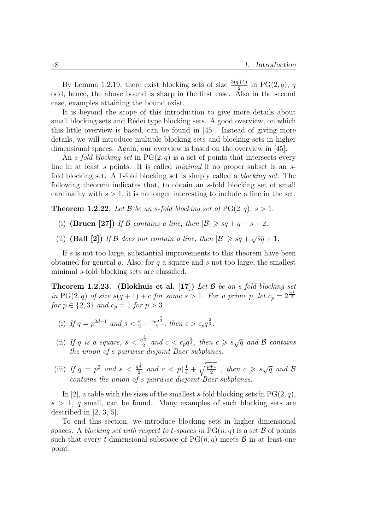By Lemma 1.2.19, there exist blocking sets of size  $\frac{3(q+1)}{2}$  in PG(2,q), q odd, hence, the above bound is sharp in the first case. Also in the second case, examples attaining the bound exist.

It is beyond the scope of this introduction to give more details about small blocking sets and Rédei type blocking sets. A good overview, on which this little overview is based, can be found in [45]. Instead of giving more details, we will introduce multiple blocking sets and blocking sets in higher dimensional spaces. Again, our overview is based on the overview in [45].

An s-fold blocking set in  $PG(2, q)$  is a set of points that intersects every line in at least s points. It is called *minimal* if no proper subset is an sfold blocking set. A 1-fold blocking set is simply called a blocking set. The following theorem indicates that, to obtain an s-fold blocking set of small cardinality with  $s > 1$ , it is no longer interesting to include a line in the set.

**Theorem 1.2.22.** Let  $\beta$  be an s-fold blocking set of  $PG(2, q)$ ,  $s > 1$ .

- (i) (Bruen [27]) If B contains a line, then  $|\mathcal{B}| \geqslant sq + q s + 2$ .
- (ii) (Ball [2]) If B does not contain a line, then  $|\mathcal{B}| \geqslant s q + \sqrt{s q} + 1$ .

If s is not too large, substantial improvements to this theorem have been obtained for general q. Also, for q a square and s not too large, the smallest minimal s-fold blocking sets are classified.

**Theorem 1.2.23.** (Blokhuis et al. [17]) Let  $\beta$  be an s-fold blocking set in PG(2, q) of size  $s(q + 1) + c$  for some  $s > 1$ . For a prime p, let  $c_p = 2^{-1/3}$ for  $p \in \{2, 3\}$  and  $c_p = 1$  for  $p > 3$ .

- (i) If  $q = p^{2d+1}$  and  $s < \frac{q}{2} \frac{c_p q^{\frac{2}{3}}}{2}$  $rac{q^{\frac{3}{3}}}{2}$ , then  $c > c_p q^{\frac{2}{3}}$ .
- (ii) If q is a square,  $s < \frac{q^{\frac{1}{4}}}{2}$  $\frac{1}{2}$  and  $c < c_p q^{\frac{2}{3}}$ , then  $c \geqslant s\sqrt{q}$  and  $\mathcal B$  contains the union of s pairwise disjoint Baer subplanes.
- (iii) If  $q = p^2$  and  $s < \frac{q^{\frac{1}{4}}}{2}$  $\frac{1}{2}$  and  $c < p\lceil \frac{1}{4} + \sqrt{\frac{p+1}{2}}$  $\frac{1}{2}$ , then  $c \geqslant s\sqrt{q}$  and B contains the union of s pairwise disjoint Baer subplanes.

In [2], a table with the sizes of the smallest s-fold blocking sets in  $PG(2, q)$ ,  $s > 1$ , q small, can be found. Many examples of such blocking sets are described in [2, 3, 5].

To end this section, we introduce blocking sets in higher dimensional spaces. A blocking set with respect to t-spaces in  $PG(n, q)$  is a set B of points such that every t-dimensional subspace of  $PG(n, q)$  meets  $\mathcal B$  in at least one point.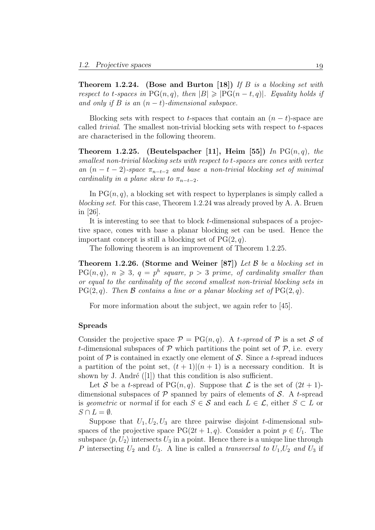**Theorem 1.2.24.** (Bose and Burton [18]) If B is a blocking set with respect to t-spaces in  $PG(n, q)$ , then  $|B| \geq |PG(n - t, q)|$ . Equality holds if and only if B is an  $(n-t)$ -dimensional subspace.

Blocking sets with respect to t-spaces that contain an  $(n - t)$ -space are called trivial. The smallest non-trivial blocking sets with respect to t-spaces are characterised in the following theorem.

Theorem 1.2.25. (Beutelspacher [11], Heim [55]) In  $PG(n, q)$ , the smallest non-trivial blocking sets with respect to t-spaces are cones with vertex an  $(n - t - 2)$ -space  $\pi_{n-t-2}$  and base a non-trivial blocking set of minimal cardinality in a plane skew to  $\pi_{n-t-2}$ .

In  $PG(n, q)$ , a blocking set with respect to hyperplanes is simply called a blocking set. For this case, Theorem 1.2.24 was already proved by A. A. Bruen in [26].

It is interesting to see that to block t-dimensional subspaces of a projective space, cones with base a planar blocking set can be used. Hence the important concept is still a blocking set of  $PG(2, q)$ .

The following theorem is an improvement of Theorem 1.2.25.

**Theorem 1.2.26.** (Storme and Weiner [87]) Let  $\beta$  be a blocking set in  $PG(n, q)$ ,  $n \geqslant 3$ ,  $q = p^h$  square,  $p > 3$  prime, of cardinality smaller than or equal to the cardinality of the second smallest non-trivial blocking sets in  $PG(2, q)$ . Then B contains a line or a planar blocking set of  $PG(2, q)$ .

For more information about the subject, we again refer to [45].

#### Spreads

Consider the projective space  $\mathcal{P} = PG(n, q)$ . A t-spread of  $\mathcal P$  is a set S of t-dimensional subspaces of  $\mathcal P$  which partitions the point set of  $\mathcal P$ , i.e. every point of  $\mathcal P$  is contained in exactly one element of  $\mathcal S$ . Since a t-spread induces a partition of the point set,  $(t + 1)(n + 1)$  is a necessary condition. It is shown by J. André  $([1])$  that this condition is also sufficient.

Let S be a t-spread of PG $(n, q)$ . Suppose that  $\mathcal L$  is the set of  $(2t + 1)$ dimensional subspaces of  $P$  spanned by pairs of elements of  $S$ . A t-spread is geometric or normal if for each  $S \in \mathcal{S}$  and each  $L \in \mathcal{L}$ , either  $S \subset L$  or  $S \cap L = \emptyset$ .

Suppose that  $U_1, U_2, U_3$  are three pairwise disjoint t-dimensional subspaces of the projective space  $PG(2t + 1, q)$ . Consider a point  $p \in U_1$ . The subspace  $\langle p, U_2 \rangle$  intersects  $U_3$  in a point. Hence there is a unique line through P intersecting  $U_2$  and  $U_3$ . A line is called a *transversal to*  $U_1, U_2$  and  $U_3$  if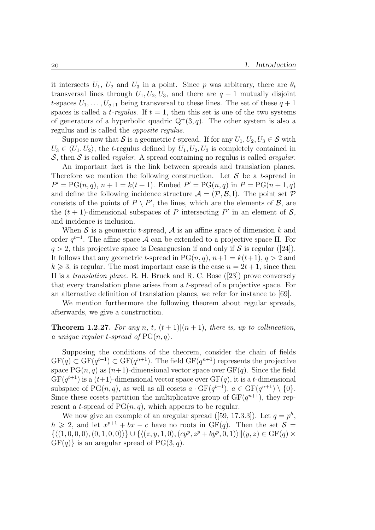it intersects  $U_1$ ,  $U_2$  and  $U_3$  in a point. Since p was arbitrary, there are  $\theta_t$ transversal lines through  $U_1, U_2, U_3$ , and there are  $q + 1$  mutually disjoint t-spaces  $U_1, \ldots, U_{q+1}$  being transversal to these lines. The set of these  $q+1$ spaces is called a *t*-regulus. If  $t = 1$ , then this set is one of the two systems of generators of a hyperbolic quadric  $Q^+(3, q)$ . The other system is also a regulus and is called the opposite regulus.

Suppose now that S is a geometric t-spread. If for any  $U_1, U_2, U_3 \in \mathcal{S}$  with  $U_3 \in \langle U_1, U_2 \rangle$ , the t-regulus defined by  $U_1, U_2, U_3$  is completely contained in S, then S is called *regular*. A spread containing no regulus is called *aregular*.

An important fact is the link between spreads and translation planes. Therefore we mention the following construction. Let  $\mathcal S$  be a t-spread in  $P' = PG(n, q), n + 1 = k(t + 1)$ . Embed  $P' = PG(n, q)$  in  $P = PG(n + 1, q)$ and define the following incidence structure  $\mathcal{A} = (\mathcal{P}, \mathcal{B}, I)$ . The point set  $\mathcal P$ consists of the points of  $P \setminus P'$ , the lines, which are the elements of  $\mathcal{B}$ , are the  $(t + 1)$ -dimensional subspaces of P intersecting P' in an element of S, and incidence is inclusion.

When  $S$  is a geometric *t*-spread,  $A$  is an affine space of dimension k and order  $q^{t+1}$ . The affine space A can be extended to a projective space  $\Pi$ . For  $q > 2$ , this projective space is Desarguesian if and only if S is regular ([24]). It follows that any geometric t-spread in  $PG(n, q)$ ,  $n+1 = k(t+1)$ ,  $q > 2$  and  $k \geq 3$ , is regular. The most important case is the case  $n = 2t + 1$ , since then  $\Pi$  is a *translation plane.* R. H. Bruck and R. C. Bose ([23]) prove conversely that every translation plane arises from a t-spread of a projective space. For an alternative definition of translation planes, we refer for instance to [69].

We mention furthermore the following theorem about regular spreads, afterwards, we give a construction.

**Theorem 1.2.27.** For any n, t,  $(t + 1)(n + 1)$ , there is, up to collineation, a unique regular t-spread of  $PG(n, q)$ .

Supposing the conditions of the theorem, consider the chain of fields  $GF(q) \subset GF(q^{t+1}) \subset GF(q^{n+1})$ . The field  $GF(q^{n+1})$  represents the projective space  $PG(n, q)$  as  $(n+1)$ -dimensional vector space over  $GF(q)$ . Since the field  $GF(q^{t+1})$  is a  $(t+1)$ -dimensional vector space over  $GF(q)$ , it is a t-dimensional subspace of  $PG(n, q)$ , as well as all cosets  $a \cdot GF(q^{t+1}), a \in GF(q^{n+1}) \setminus \{0\}.$ Since these cosets partition the multiplicative group of  $GF(q^{n+1})$ , they represent a t-spread of  $PG(n, q)$ , which appears to be regular.

We now give an example of an aregular spread ([59, 17.3.3]). Let  $q = p<sup>h</sup>$ ,  $h \geq 2$ , and let  $x^{p+1} + bx - c$  have no roots in  $GF(q)$ . Then the set  $S =$  $\{ \langle (1, 0, 0, 0), (0, 1, 0, 0) \rangle \} \cup \{ \langle (z, y, 1, 0), (cy^p, z^p + by^p, 0, 1) \rangle || (y, z) \in \text{GF}(q) \times$  $GF(q)$  is an aregular spread of  $PG(3, q)$ .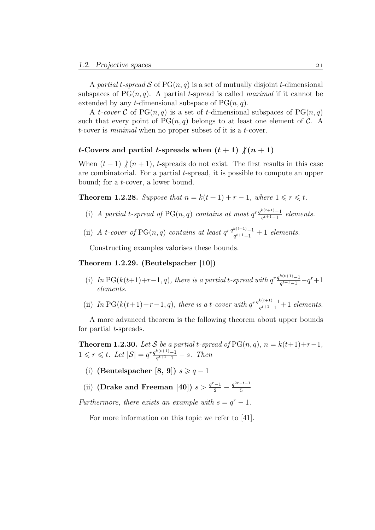A partial t-spread S of  $PG(n, q)$  is a set of mutually disjoint t-dimensional subspaces of  $PG(n, q)$ . A partial t-spread is called *maximal* if it cannot be extended by any *t*-dimensional subspace of  $PG(n, q)$ .

A *t*-cover C of PG $(n, q)$  is a set of t-dimensional subspaces of PG $(n, q)$ such that every point of  $PG(n, q)$  belongs to at least one element of C. A t-cover is minimal when no proper subset of it is a t-cover.

#### t-Covers and partial t-spreads when  $(t + 1)$   $/(n + 1)$

When  $(t + 1)$   $/(n + 1)$ , t-spreads do not exist. The first results in this case are combinatorial. For a partial t-spread, it is possible to compute an upper bound; for a t-cover, a lower bound.

**Theorem 1.2.28.** Suppose that  $n = k(t + 1) + r - 1$ , where  $1 \le r \le t$ .

- (i) A partial t-spread of PG(n, q) contains at most  $q^r \frac{q^{k(t+1)}-1}{q^{t+1}-1}$  $\frac{a^{(t+1)}-1}{q^{t+1}-1}$  elements.
- (ii) A t-cover of PG(n, q) contains at least  $q^r \frac{q^{k(t+1)}-1}{q^{t+1}-1}$  $\frac{a^{(t+1)}-1}{q^{t+1}-1}+1$  elements.

Constructing examples valorises these bounds.

#### Theorem 1.2.29. (Beutelspacher [10])

- (i) In PG( $k(t+1)+r-1, q$ ), there is a partial t-spread with  $q^r \frac{q^{k(t+1)}-1}{q^{t+1}-1}$  $\frac{\frac{k(t+1)}{q^{t+1}-1}-q^r+1}$ elements.
- (ii) In PG( $k(t+1)+r-1, q$ ), there is a t-cover with  $q^r \frac{q^{k(t+1)}-1}{q^{t+1}-1}$  $\frac{a^{(t+1)}-1}{q^{t+1}-1}+1$  elements.

A more advanced theorem is the following theorem about upper bounds for partial *t*-spreads.

**Theorem 1.2.30.** Let S be a partial t-spread of  $PG(n, q)$ ,  $n = k(t+1)+r-1$ ,  $1 \leq r \leq t$ . Let  $|\mathcal{S}| = q^{r} \frac{q^{k(t+1)} - 1}{q^{t+1} - 1}$  $\frac{k(t+1)-1}{q^{t+1}-1}$  – s. Then

(i) (Beutelspacher [8, 9])  $s \geqslant q-1$ 

(ii) (Drake and Freeman [40])  $s > \frac{q^r - 1}{2} - \frac{q^{2r - t - 1}}{5}$ 5

Furthermore, there exists an example with  $s = q<sup>r</sup> - 1$ .

For more information on this topic we refer to [41].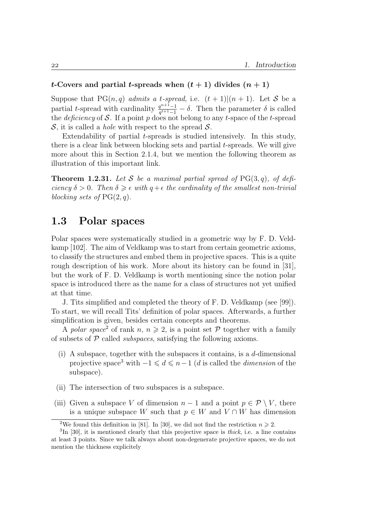#### t-Covers and partial t-spreads when  $(t + 1)$  divides  $(n + 1)$

Suppose that  $PG(n, q)$  admits a t-spread, i.e.  $(t + 1)|(n + 1)$ . Let S be a partial t-spread with cardinality  $\frac{q^{n+1}-1}{q^{n+1}-1}$  $\frac{q^{n+1}-1}{q^{t+1}-1} - \delta$ . Then the parameter  $\delta$  is called the *deficiency* of S. If a point p does not belong to any t-space of the t-spread S, it is called a *hole* with respect to the spread  $S$ .

Extendability of partial  $t$ -spreads is studied intensively. In this study, there is a clear link between blocking sets and partial t-spreads. We will give more about this in Section 2.1.4, but we mention the following theorem as illustration of this important link.

**Theorem 1.2.31.** Let S be a maximal partial spread of  $PG(3, q)$ , of deficiency  $\delta > 0$ . Then  $\delta \geq \epsilon$  with  $q + \epsilon$  the cardinality of the smallest non-trivial blocking sets of  $PG(2, q)$ .

## 1.3 Polar spaces

Polar spaces were systematically studied in a geometric way by F. D. Veldkamp [102]. The aim of Veldkamp was to start from certain geometric axioms, to classify the structures and embed them in projective spaces. This is a quite rough description of his work. More about its history can be found in [31], but the work of F. D. Veldkamp is worth mentioning since the notion polar space is introduced there as the name for a class of structures not yet unified at that time.

J. Tits simplified and completed the theory of F. D. Veldkamp (see [99]). To start, we will recall Tits' definition of polar spaces. Afterwards, a further simplification is given, besides certain concepts and theorems.

A polar space<sup>2</sup> of rank n,  $n \geq 2$ , is a point set P together with a family of subsets of  $P$  called *subspaces*, satisfying the following axioms.

- (i) A subspace, together with the subspaces it contains, is a d-dimensional projective space<sup>3</sup> with  $-1 \leq d \leq n-1$  (d is called the dimension of the subspace).
- (ii) The intersection of two subspaces is a subspace.
- (iii) Given a subspace V of dimension  $n-1$  and a point  $p \in \mathcal{P} \setminus V$ , there is a unique subspace W such that  $p \in W$  and  $V \cap W$  has dimension

<sup>&</sup>lt;sup>2</sup>We found this definition in [81]. In [30], we did not find the restriction  $n \ge 2$ .

 ${}^{3}\text{In}$  [30], it is mentioned clearly that this projective space is *thick*, i.e. a line contains at least 3 points. Since we talk always about non-degenerate projective spaces, we do not mention the thickness explicitely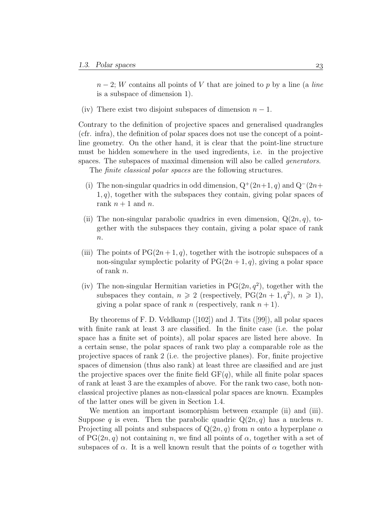$n-2$ ; W contains all points of V that are joined to p by a line (a line is a subspace of dimension 1).

(iv) There exist two disjoint subspaces of dimension  $n-1$ .

Contrary to the definition of projective spaces and generalised quadrangles (cfr. infra), the definition of polar spaces does not use the concept of a pointline geometry. On the other hand, it is clear that the point-line structure must be hidden somewhere in the used ingredients, i.e. in the projective spaces. The subspaces of maximal dimension will also be called generators.

The finite classical polar spaces are the following structures.

- (i) The non-singular quadrics in odd dimension,  $Q^+(2n+1, q)$  and  $Q^-(2n+1, q)$  $1, q$ , together with the subspaces they contain, giving polar spaces of rank  $n + 1$  and n.
- (ii) The non-singular parabolic quadrics in even dimension,  $Q(2n, q)$ , together with the subspaces they contain, giving a polar space of rank  $\overline{n}$ .
- (iii) The points of  $PG(2n+1, q)$ , together with the isotropic subspaces of a non-singular symplectic polarity of  $PG(2n + 1, q)$ , giving a polar space of rank n.
- (iv) The non-singular Hermitian varieties in  $PG(2n, q^2)$ , together with the subspaces they contain,  $n \geq 2$  (respectively, PG(2n + 1, q<sup>2</sup>),  $n \geq 1$ ), giving a polar space of rank n (respectively, rank  $n + 1$ ).

By theorems of F. D. Veldkamp ([102]) and J. Tits ([99]), all polar spaces with finite rank at least 3 are classified. In the finite case (i.e. the polar space has a finite set of points), all polar spaces are listed here above. In a certain sense, the polar spaces of rank two play a comparable role as the projective spaces of rank 2 (i.e. the projective planes). For, finite projective spaces of dimension (thus also rank) at least three are classified and are just the projective spaces over the finite field  $GF(q)$ , while all finite polar spaces of rank at least 3 are the examples of above. For the rank two case, both nonclassical projective planes as non-classical polar spaces are known. Examples of the latter ones will be given in Section 1.4.

We mention an important isomorphism between example (ii) and (iii). Suppose q is even. Then the parabolic quadric  $Q(2n, q)$  has a nucleus n. Projecting all points and subspaces of  $Q(2n, q)$  from n onto a hyperplane  $\alpha$ of PG(2n, q) not containing n, we find all points of  $\alpha$ , together with a set of subspaces of  $\alpha$ . It is a well known result that the points of  $\alpha$  together with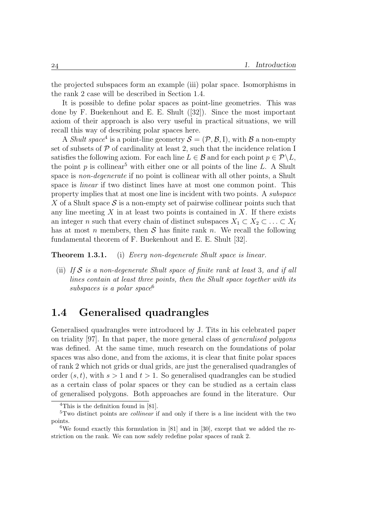the projected subspaces form an example (iii) polar space. Isomorphisms in the rank 2 case will be described in Section 1.4.

It is possible to define polar spaces as point-line geometries. This was done by F. Buekenhout and E. E. Shult ([32]). Since the most important axiom of their approach is also very useful in practical situations, we will recall this way of describing polar spaces here.

A *Shult space*<sup>4</sup> is a point-line geometry  $S = (\mathcal{P}, \mathcal{B}, I)$ , with  $\mathcal{B}$  a non-empty set of subsets of  $P$  of cardinality at least 2, such that the incidence relation I satisfies the following axiom. For each line  $L \in \mathcal{B}$  and for each point  $p \in \mathcal{P} \backslash L$ , the point p is collinear<sup>5</sup> with either one or all points of the line L. A Shult space is *non-degenerate* if no point is collinear with all other points, a Shult space is *linear* if two distinct lines have at most one common point. This property implies that at most one line is incident with two points. A subspace X of a Shult space  $\mathcal S$  is a non-empty set of pairwise collinear points such that any line meeting  $X$  in at least two points is contained in  $X$ . If there exists an integer n such that every chain of distinct subspaces  $X_1 \subset X_2 \subset \ldots \subset X_l$ has at most n members, then  $S$  has finite rank n. We recall the following fundamental theorem of F. Buekenhout and E. E. Shult [32].

**Theorem 1.3.1.** (i) Every non-degenerate Shult space is linear.

(ii) If  $S$  is a non-degenerate Shult space of finite rank at least 3, and if all lines contain at least three points, then the Shult space together with its subspaces is a polar space  $6$ 

## 1.4 Generalised quadrangles

Generalised quadrangles were introduced by J. Tits in his celebrated paper on triality [97]. In that paper, the more general class of generalised polygons was defined. At the same time, much research on the foundations of polar spaces was also done, and from the axioms, it is clear that finite polar spaces of rank 2 which not grids or dual grids, are just the generalised quadrangles of order  $(s, t)$ , with  $s > 1$  and  $t > 1$ . So generalised quadrangles can be studied as a certain class of polar spaces or they can be studied as a certain class of generalised polygons. Both approaches are found in the literature. Our

 $4$ This is the definition found in [81].

<sup>5</sup>Two distinct points are collinear if and only if there is a line incident with the two points.

<sup>&</sup>lt;sup>6</sup>We found exactly this formulation in [81] and in [30], except that we added the restriction on the rank. We can now safely redefine polar spaces of rank 2.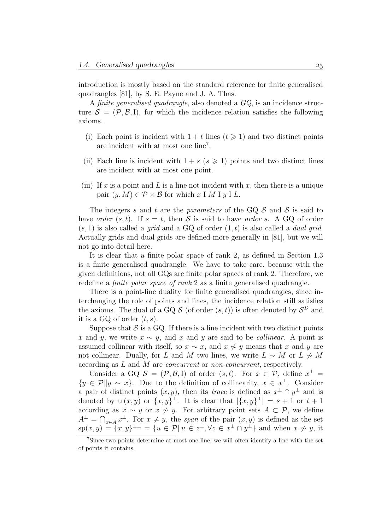introduction is mostly based on the standard reference for finite generalised quadrangles [81], by S. E. Payne and J. A. Thas.

A finite generalised quadrangle, also denoted a GQ, is an incidence structure  $\mathcal{S} = (\mathcal{P}, \mathcal{B}, I)$ , for which the incidence relation satisfies the following axioms.

- (i) Each point is incident with  $1 + t$  lines  $(t \ge 1)$  and two distinct points are incident with at most one line<sup>7</sup> .
- (ii) Each line is incident with  $1 + s$  ( $s \ge 1$ ) points and two distinct lines are incident with at most one point.
- (iii) If x is a point and L is a line not incident with x, then there is a unique pair  $(y, M) \in \mathcal{P} \times \mathcal{B}$  for which x I M I y I L.

The integers s and t are the parameters of the GQ  $S$  and  $S$  is said to have order  $(s, t)$ . If  $s = t$ , then S is said to have order s. A GQ of order  $(s, 1)$  is also called a grid and a GQ of order  $(1, t)$  is also called a *dual grid.* Actually grids and dual grids are defined more generally in [81], but we will not go into detail here.

It is clear that a finite polar space of rank 2, as defined in Section 1.3 is a finite generalised quadrangle. We have to take care, because with the given definitions, not all GQs are finite polar spaces of rank 2. Therefore, we redefine a *finite polar space of rank* 2 as a finite generalised quadrangle.

There is a point-line duality for finite generalised quadrangles, since interchanging the role of points and lines, the incidence relation still satisfies the axioms. The dual of a GQ  $S$  (of order  $(s,t)$ ) is often denoted by  $S^D$  and it is a GQ of order  $(t, s)$ .

Suppose that  $S$  is a GQ. If there is a line incident with two distinct points x and y, we write  $x \sim y$ , and x and y are said to be *collinear*. A point is assumed collinear with itself, so  $x \sim x$ , and  $x \not\sim y$  means that x and y are not collinear. Dually, for L and M two lines, we write  $L \sim M$  or  $L \not\sim M$ according as L and M are *concurrent* or *non-concurrent*, respectively.

Consider a GQ  $S = (\mathcal{P}, \mathcal{B}, I)$  of order  $(s, t)$ . For  $x \in \mathcal{P}$ , define  $x^{\perp} =$  ${y \in \mathcal{P}} \| y \sim x$ . Due to the definition of collinearity,  $x \in x^{\perp}$ . Consider a pair of distinct points  $(x, y)$ , then its trace is defined as  $x^{\perp} \cap y^{\perp}$  and is denoted by  $tr(x, y)$  or  $\{x, y\}^{\perp}$ . It is clear that  $|\{x, y\}^{\perp}| = s + 1$  or  $t + 1$ according as  $x \sim y$  or  $x \not\sim y$ . For arbitrary point sets  $A \subset \mathcal{P}$ , we define  $A^{\perp} = \bigcap_{x \in A} x^{\perp}$ . For  $x \neq y$ , the span of the pair  $(x, y)$  is defined as the set  $\text{sp}(x, y) = \{x, y\}^{\perp} = \{u \in \mathcal{P} \mid u \in z^{\perp}, \forall z \in x^{\perp} \cap y^{\perp}\}\$ and when  $x \not\sim y$ , it

<sup>7</sup>Since two points determine at most one line, we will often identify a line with the set of points it contains.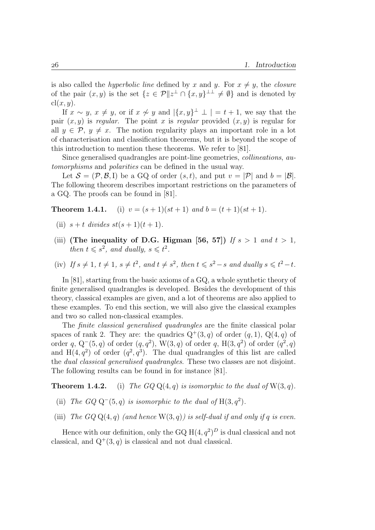is also called the *hyperbolic line* defined by x and y. For  $x \neq y$ , the *closure* of the pair  $(x, y)$  is the set  $\{z \in \mathcal{P} \mid |z^{\perp} \cap \{x, y\}^{\perp} \neq \emptyset\}$  and is denoted by  $cl(x, y)$ .

If  $x \sim y$ ,  $x \neq y$ , or if  $x \not\sim y$  and  $|\{x,y\}^{\perp} \perp | = t + 1$ , we say that the pair  $(x, y)$  is regular. The point x is regular provided  $(x, y)$  is regular for all  $y \in \mathcal{P}, y \neq x$ . The notion regularity plays an important role in a lot of characterisation and classification theorems, but it is beyond the scope of this introduction to mention these theorems. We refer to [81].

Since generalised quadrangles are point-line geometries, collineations, automorphisms and polarities can be defined in the usual way.

Let  $\mathcal{S} = (\mathcal{P}, \mathcal{B}, I)$  be a GQ of order  $(s, t)$ , and put  $v = |\mathcal{P}|$  and  $b = |\mathcal{B}|$ . The following theorem describes important restrictions on the parameters of a GQ. The proofs can be found in [81].

**Theorem 1.4.1.** (i)  $v = (s+1)(st+1)$  and  $b = (t+1)(st+1)$ .

- (ii)  $s + t$  divides  $st(s + 1)(t + 1)$ .
- (iii) (The inequality of D.G. Higman [56, 57]) If  $s > 1$  and  $t > 1$ , then  $t \leq s^2$ , and dually,  $s \leq t^2$ .
- (iv) If  $s \neq 1$ ,  $t \neq 1$ ,  $s \neq t^2$ , and  $t \neq s^2$ , then  $t \leq s^2 s$  and dually  $s \leq t^2 t$ .

In [81], starting from the basic axioms of a GQ, a whole synthetic theory of finite generalised quadrangles is developed. Besides the development of this theory, classical examples are given, and a lot of theorems are also applied to these examples. To end this section, we will also give the classical examples and two so called non-classical examples.

The finite classical generalised quadrangles are the finite classical polar spaces of rank 2. They are: the quadrics  $Q^+(3, q)$  of order  $(q, 1)$ ,  $Q(4, q)$  of order q, Q<sup>-</sup>(5,q) of order  $(q, q^2)$ , W(3,q) of order q, H(3,q<sup>2</sup>) of order  $(q^2, q)$ and  $H(4, q^2)$  of order  $(q^2, q^3)$ . The dual quadrangles of this list are called the dual classical generalised quadrangles. These two classes are not disjoint. The following results can be found in for instance [81].

**Theorem 1.4.2.** (i) The  $GQQ(4,q)$  is isomorphic to the dual of  $W(3,q)$ .

- (ii) The  $GQ Q^{-}(5, q)$  is isomorphic to the dual of  $H(3, q^2)$ .
- (iii) The  $GQ \mathbf{Q}(4,q)$  (and hence  $W(3,q)$ ) is self-dual if and only if q is even.

Hence with our definition, only the GQ  $H(4, q^2)^D$  is dual classical and not classical, and  $Q^+(3, q)$  is classical and not dual classical.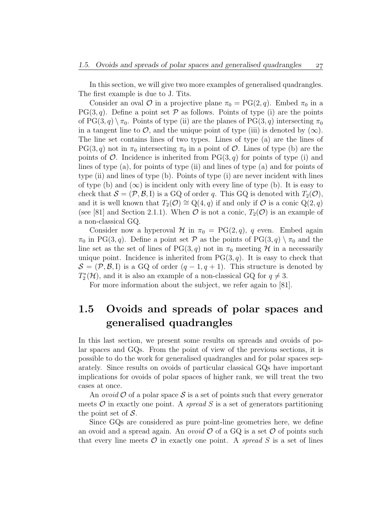In this section, we will give two more examples of generalised quadrangles. The first example is due to J. Tits.

Consider an oval  $\mathcal O$  in a projective plane  $\pi_0 = PG(2, q)$ . Embed  $\pi_0$  in a  $PG(3, q)$ . Define a point set  $P$  as follows. Points of type (i) are the points of PG(3, q)  $\setminus \pi_0$ . Points of type (ii) are the planes of PG(3, q) intersecting  $\pi_0$ in a tangent line to  $\mathcal{O}$ , and the unique point of type (iii) is denoted by  $(\infty)$ . The line set contains lines of two types. Lines of type (a) are the lines of  $PG(3, q)$  not in  $\pi_0$  intersecting  $\pi_0$  in a point of  $\mathcal{O}$ . Lines of type (b) are the points of  $\mathcal{O}$ . Incidence is inherited from PG(3, q) for points of type (i) and lines of type (a), for points of type (ii) and lines of type (a) and for points of type (ii) and lines of type (b). Points of type (i) are never incident with lines of type (b) and  $(\infty)$  is incident only with every line of type (b). It is easy to check that  $S = (\mathcal{P}, \mathcal{B}, I)$  is a GQ of order q. This GQ is denoted with  $T_2(\mathcal{O})$ , and it is well known that  $T_2(\mathcal{O}) \cong Q(4,q)$  if and only if  $\mathcal O$  is a conic  $Q(2,q)$ (see [81] and Section 2.1.1). When  $\mathcal O$  is not a conic,  $T_2(\mathcal O)$  is an example of a non-classical GQ.

Consider now a hyperoval  $\mathcal{H}$  in  $\pi_0 = \text{PG}(2, q)$ , q even. Embed again  $\pi_0$  in PG(3, q). Define a point set P as the points of PG(3, q)  $\setminus \pi_0$  and the line set as the set of lines of PG(3, q) not in  $\pi_0$  meeting H in a necessarily unique point. Incidence is inherited from  $PG(3, q)$ . It is easy to check that  $S = (\mathcal{P}, \mathcal{B}, I)$  is a GQ of order  $(q - 1, q + 1)$ . This structure is denoted by  $T_2^*$  $\mathbb{Z}_2^*(\mathcal{H})$ , and it is also an example of a non-classical GQ for  $q \neq 3$ .

For more information about the subject, we refer again to [81].

# 1.5 Ovoids and spreads of polar spaces and generalised quadrangles

In this last section, we present some results on spreads and ovoids of polar spaces and GQs. From the point of view of the previous sections, it is possible to do the work for generalised quadrangles and for polar spaces separately. Since results on ovoids of particular classical GQs have important implications for ovoids of polar spaces of higher rank, we will treat the two cases at once.

An *ovoid*  $\mathcal O$  of a polar space  $\mathcal S$  is a set of points such that every generator meets  $\mathcal O$  in exactly one point. A spread S is a set of generators partitioning the point set of  $S$ .

Since GQs are considered as pure point-line geometries here, we define an ovoid and a spread again. An *ovoid*  $\mathcal{O}$  of a GQ is a set  $\mathcal{O}$  of points such that every line meets  $\mathcal O$  in exactly one point. A spread S is a set of lines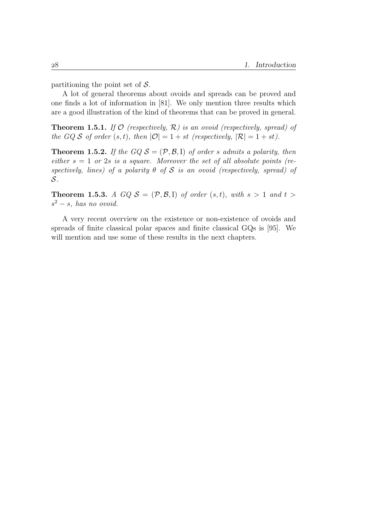partitioning the point set of  $\mathcal{S}$ .

A lot of general theorems about ovoids and spreads can be proved and one finds a lot of information in [81]. We only mention three results which are a good illustration of the kind of theorems that can be proved in general.

**Theorem 1.5.1.** If  $\mathcal{O}$  (respectively,  $\mathcal{R}$ ) is an ovoid (respectively, spread) of the GQ S of order  $(s, t)$ , then  $|\mathcal{O}| = 1 + st$  (respectively,  $|\mathcal{R}| = 1 + st$ ).

**Theorem 1.5.2.** If the  $GQ S = (\mathcal{P}, \mathcal{B}, I)$  of order s admits a polarity, then either  $s = 1$  or 2s is a square. Moreover the set of all absolute points (respectively, lines) of a polarity  $\theta$  of  $S$  is an ovoid (respectively, spread) of S.

**Theorem 1.5.3.** A GQ  $S = (\mathcal{P}, \mathcal{B}, I)$  of order  $(s, t)$ , with  $s > 1$  and  $t >$  $s^2 - s$ , has no ovoid.

A very recent overview on the existence or non-existence of ovoids and spreads of finite classical polar spaces and finite classical GQs is [95]. We will mention and use some of these results in the next chapters.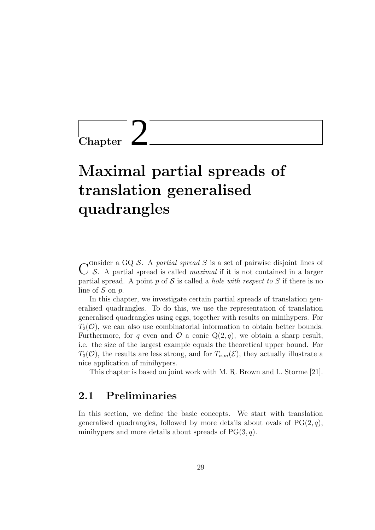$\overline{\text{Chapter}}$ 

# Maximal partial spreads of translation generalised quadrangles

C S. A partial spread is called *maximal* if it is not contained in a larger onsider a GQ S. A partial spread S is a set of pairwise disjoint lines of partial spread. A point  $p$  of  $S$  is called a *hole with respect to*  $S$  if there is no line of  $S$  on  $p$ .

In this chapter, we investigate certain partial spreads of translation generalised quadrangles. To do this, we use the representation of translation generalised quadrangles using eggs, together with results on minihypers. For  $T_2(\mathcal{O})$ , we can also use combinatorial information to obtain better bounds. Furthermore, for q even and  $\mathcal O$  a conic  $Q(2,q)$ , we obtain a sharp result, i.e. the size of the largest example equals the theoretical upper bound. For  $T_3(\mathcal{O})$ , the results are less strong, and for  $T_{n,m}(\mathcal{E})$ , they actually illustrate a nice application of minihypers.

This chapter is based on joint work with M. R. Brown and L. Storme [21].

## 2.1 Preliminaries

In this section, we define the basic concepts. We start with translation generalised quadrangles, followed by more details about ovals of  $PG(2, q)$ , minihypers and more details about spreads of  $PG(3, q)$ .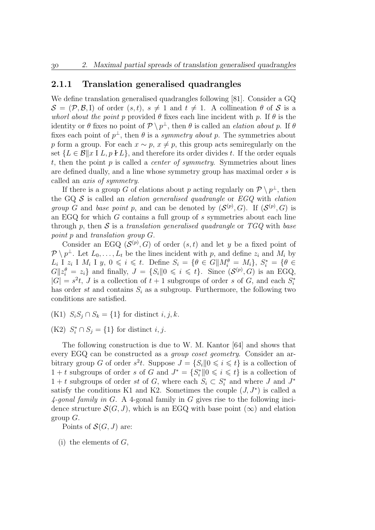#### 2.1.1 Translation generalised quadrangles

We define translation generalised quadrangles following [81]. Consider a GQ  $\mathcal{S} = (\mathcal{P}, \mathcal{B}, I)$  of order  $(s, t), s \neq 1$  and  $t \neq 1$ . A collineation  $\theta$  of S is a whorl about the point p provided  $\theta$  fixes each line incident with p. If  $\theta$  is the identity or  $\theta$  fixes no point of  $\mathcal{P} \setminus p^{\perp}$ , then  $\theta$  is called an *elation about p*. If  $\theta$ fixes each point of  $p^{\perp}$ , then  $\theta$  is a *symmetry about p*. The symmetries about p form a group. For each  $x \sim p$ ,  $x \neq p$ , this group acts semiregularly on the set  $\{L \in \mathcal{B} \mid x \mid L, p \nmid L\}$ , and therefore its order divides t. If the order equals t, then the point p is called a *center of symmetry*. Symmetries about lines are defined dually, and a line whose symmetry group has maximal order s is called an axis of symmetry.

If there is a group G of elations about p acting regularly on  $\mathcal{P} \setminus p^{\perp}$ , then the GQ  $S$  is called an *elation generalised quadrangle* or  $EGQ$  with *elation* group G and base point p, and can be denoted by  $(S^{(p)}, G)$ . If  $(S^{(p)}, G)$  is an EGQ for which G contains a full group of s symmetries about each line through p, then  $S$  is a translation generalised quadrangle or  $TGQ$  with base point p and translation group G.

Consider an EGQ  $(S^{(p)}, G)$  of order  $(s, t)$  and let y be a fixed point of  $\mathcal{P} \setminus p^{\perp}$ . Let  $L_0, \ldots, L_t$  be the lines incident with p, and define  $z_i$  and  $M_i$  by  $L_i$  I  $z_i$  I  $M_i$  I  $y, 0 \leqslant i \leqslant t$ . Define  $S_i = \{ \theta \in G | \mid M_i^{\theta} = M_i \}, S_i^* = \{ \theta \in$  $G||z_i^{\theta} = z_i$  and finally,  $J = \{S_i | 0 \leq i \leq t\}$ . Since  $(S^{(p)}, G)$  is an EGQ,  $|G| = s^2t$ , J is a collection of  $t + 1$  subgroups of order s of G, and each  $S_i^*$ i has order st and contains  $S_i$  as a subgroup. Furthermore, the following two conditions are satisfied.

(K1)  $S_iS_j \cap S_k = \{1\}$  for distinct  $i, j, k$ .

(K2)  $S_i^* \cap S_j = \{1\}$  for distinct *i*, *j*.

The following construction is due to W. M. Kantor [64] and shows that every EGQ can be constructed as a group coset geometry. Consider an arbitrary group G of order  $s^2t$ . Suppose  $J = \{S_i | 0 \leq i \leq t\}$  is a collection of  $1 + t$  subgroups of order s of G and  $J^* = \{S_i^*\mid 0 \leq i \leq t\}$  is a collection of  $1 + t$  subgroups of order st of G, where each  $S_i \subset S_i^*$  $j^*$  and where J and  $J^*$ satisfy the conditions K1 and K2. Sometimes the couple  $(J, J^*)$  is called a  $4$ -gonal family in G. A 4-gonal family in G gives rise to the following incidence structure  $\mathcal{S}(G, J)$ , which is an EGQ with base point  $(\infty)$  and elation group  $G$ .

Points of  $\mathcal{S}(G, J)$  are:

 $(i)$  the elements of  $G$ ,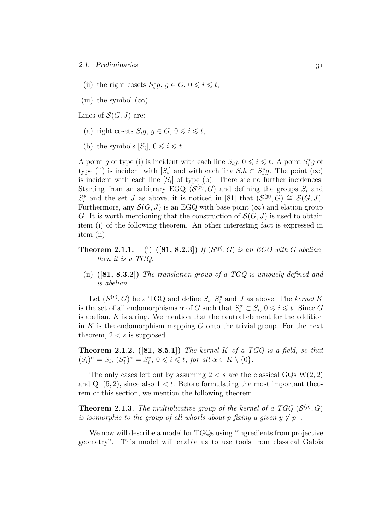- (ii) the right cosets  $S_i^*$  $i<sup>*</sup>g, g \in G, 0 \leqslant i \leqslant t,$
- (iii) the symbol  $(\infty)$ .

Lines of  $\mathcal{S}(G, J)$  are:

- (a) right cosets  $S_i g, g \in G, 0 \leq i \leq t$ ,
- (b) the symbols  $[S_i]$ ,  $0 \leq i \leq t$ .

A point g of type (i) is incident with each line  $S_i g, 0 \leq i \leq t$ . A point  $S_i^*$  $j^*_{i}g$  of type (ii) is incident with  $[S_i]$  and with each line  $S_i h \subset S_i^*$  $i<sup>*</sup>g$ . The point  $(\infty)$ is incident with each line  $[S_i]$  of type (b). There are no further incidences. Starting from an arbitrary EGQ  $(S^{(p)}, G)$  and defining the groups  $S_i$  and  $S_i^*$ <sup>on</sup> and the set J as above, it is noticed in [81] that  $(S^{(p)}, G) \cong S(G, J)$ . Furthermore, any  $\mathcal{S}(G, J)$  is an EGQ with base point  $(\infty)$  and elation group G. It is worth mentioning that the construction of  $\mathcal{S}(G, J)$  is used to obtain item (i) of the following theorem. An other interesting fact is expressed in item (ii).

- **Theorem 2.1.1.** (i)  $([81, 8.2.3])$  If  $(S^{(p)}, G)$  is an EGQ with G abelian, then it is a TGQ.
	- (ii)  $([81, 8.3.2])$  The translation group of a TGQ is uniquely defined and is abelian.

Let  $(\mathcal{S}^{(p)}, G)$  be a TGQ and define  $S_i, S_i^*$  $i_i^*$  and J as above. The kernel K is the set of all endomorphisms  $\alpha$  of G such that  $S_i^{\alpha} \subset S_i$ ,  $0 \leq i \leq t$ . Since G is abelian,  $K$  is a ring. We mention that the neutral element for the addition in  $K$  is the endomorphism mapping  $G$  onto the trivial group. For the next theorem,  $2 < s$  is supposed.

**Theorem 2.1.2.** ([81, 8.5.1]) The kernel K of a TGQ is a field, so that  $(S_i)^{\alpha} = S_i, (S_i^*$  $j^{(*)\alpha} = S_i^*$  $i^*, 0 \leq i \leq t$ , for all  $\alpha \in K \setminus \{0\}.$ 

The only cases left out by assuming  $2 < s$  are the classical GQs W(2, 2) and  $Q^-(5, 2)$ , since also  $1 < t$ . Before formulating the most important theorem of this section, we mention the following theorem.

**Theorem 2.1.3.** The multiplicative group of the kernel of a TGQ  $(\mathcal{S}^{(p)}, G)$ is isomorphic to the group of all whorls about p fixing a given  $y \notin p^{\perp}$ .

We now will describe a model for TGQs using "ingredients from projective geometry". This model will enable us to use tools from classical Galois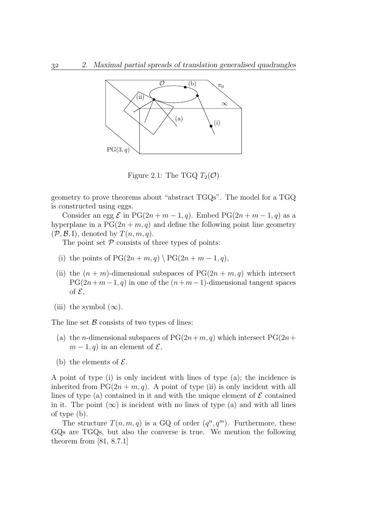

Figure 2.1: The TGQ  $T_2(\mathcal{O})$ 

geometry to prove theorems about "abstract TGQs". The model for a TGQ is constructed using eggs.

Consider an egg  $\mathcal E$  in PG(2n + m - 1, q). Embed PG(2n + m - 1, q) as a hyperplane in a  $PG(2n + m, q)$  and define the following point line geometry  $(\mathcal{P}, \mathcal{B}, I)$ , denoted by  $T(n, m, q)$ .

The point set  $P$  consists of three types of points:

- (i) the points of  $PG(2n + m, q) \setminus PG(2n + m 1, q)$ ,
- (ii) the  $(n + m)$ -dimensional subspaces of  $PG(2n + m, q)$  which intersect  $PG(2n+m-1, q)$  in one of the  $(n+m-1)$ -dimensional tangent spaces of  $\mathcal{E}$ ,
- (iii) the symbol  $(\infty)$ .

The line set  $\beta$  consists of two types of lines:

- (a) the *n*-dimensional subspaces of  $PG(2n+m, q)$  which intersect  $PG(2n+$  $m-1, q$  in an element of  $\mathcal{E},$
- (b) the elements of  $\mathcal{E}$ .

A point of type (i) is only incident with lines of type (a); the incidence is inherited from  $PG(2n + m, q)$ . A point of type (ii) is only incident with all lines of type (a) contained in it and with the unique element of  $\mathcal E$  contained in it. The point  $(\infty)$  is incident with no lines of type (a) and with all lines of type (b).

The structure  $T(n, m, q)$  is a GQ of order  $(q^n, q^m)$ . Furthermore, these GQs are TGQs, but also the converse is true. We mention the following theorem from [81, 8.7.1]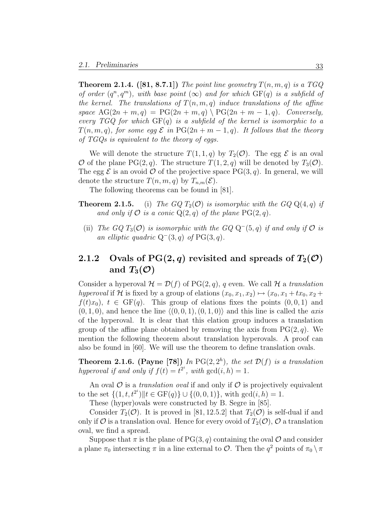**Theorem 2.1.4.** ([81, 8.7.1]) The point line geometry  $T(n, m, q)$  is a TGQ of order  $(q^n, q^m)$ , with base point  $(\infty)$  and for which  $GF(q)$  is a subfield of the kernel. The translations of  $T(n, m, q)$  induce translations of the affine space  $\text{AG}(2n + m, q) = \text{PG}(2n + m, q) \setminus \text{PG}(2n + m - 1, q)$ . Conversely, every TGQ for which  $GF(q)$  is a subfield of the kernel is isomorphic to a  $T(n, m, q)$ , for some egg  $\mathcal E$  in  $PG(2n + m - 1, q)$ . It follows that the theory of TGQs is equivalent to the theory of eggs.

We will denote the structure  $T(1, 1, q)$  by  $T_2(\mathcal{O})$ . The egg  $\mathcal E$  is an oval O of the plane  $PG(2,q)$ . The structure  $T(1, 2, q)$  will be denoted by  $T_3(\mathcal{O})$ . The egg  $\mathcal E$  is an ovoid  $\mathcal O$  of the projective space PG(3, q). In general, we will denote the structure  $T(n, m, q)$  by  $T_{n,m}(\mathcal{E})$ .

The following theorems can be found in [81].

- **Theorem 2.1.5.** (i) The GQ  $T_2(\mathcal{O})$  is isomorphic with the GQ  $Q(4, q)$  if and only if  $\mathcal O$  is a conic  $Q(2,q)$  of the plane  $PG(2,q)$ .
	- (ii) The GQ  $T_3(\mathcal{O})$  is isomorphic with the GQ Q<sup>-</sup>(5, q) if and only if  $\mathcal O$  is an elliptic quadric  $Q^-(3, q)$  of PG(3,q).

# 2.1.2 Ovals of  $PG(2, q)$  revisited and spreads of  $T_2(\mathcal{O})$ and  $T_3(\mathcal{O})$

Consider a hyperoval  $\mathcal{H} = \mathcal{D}(f)$  of PG(2, q), q even. We call  $\mathcal{H}$  a translation hyperoval if H is fixed by a group of elations  $(x_0, x_1, x_2) \mapsto (x_0, x_1 + tx_0, x_2 +$  $f(t)x_0$ ,  $t \in GF(q)$ . This group of elations fixes the points  $(0,0,1)$  and  $(0, 1, 0)$ , and hence the line  $\langle (0, 0, 1), (0, 1, 0) \rangle$  and this line is called the *axis* of the hyperoval. It is clear that this elation group induces a translation group of the affine plane obtained by removing the axis from  $PG(2, q)$ . We mention the following theorem about translation hyperovals. A proof can also be found in [60]. We will use the theorem to define translation ovals.

**Theorem 2.1.6.** (Payne [78]) In PG(2,  $2<sup>h</sup>$ ), the set  $\mathcal{D}(f)$  is a translation hyperoval if and only if  $f(t) = t^{2^i}$ , with  $gcd(i, h) = 1$ .

An oval  $\mathcal O$  is a *translation oval* if and only if  $\mathcal O$  is projectively equivalent to the set  $\{(1, t, t^{2^i})\|t \in \mathrm{GF}(q)\}\cup \{(0, 0, 1)\}\)$ , with  $\gcd(i, h) = 1$ .

These (hyper)ovals were constructed by B. Segre in [85].

Consider  $T_2(\mathcal{O})$ . It is proved in [81, 12.5.2] that  $T_2(\mathcal{O})$  is self-dual if and only if  $\mathcal O$  is a translation oval. Hence for every ovoid of  $T_2(\mathcal O)$ ,  $\mathcal O$  a translation oval, we find a spread.

Suppose that  $\pi$  is the plane of PG(3, q) containing the oval  $\mathcal O$  and consider a plane  $\pi_0$  intersecting  $\pi$  in a line external to  $\mathcal{O}$ . Then the  $q^2$  points of  $\pi_0 \setminus \pi$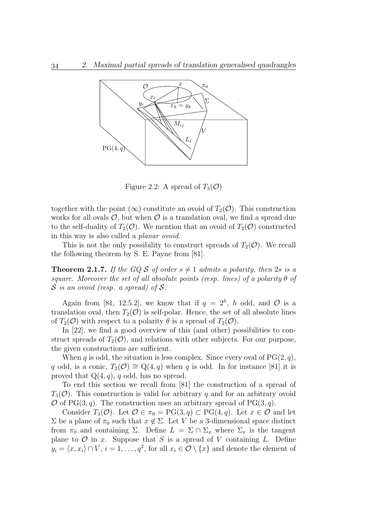

Figure 2.2: A spread of  $T_3(\mathcal{O})$ 

together with the point  $(\infty)$  constitute an ovoid of  $T_2(\mathcal{O})$ . This construction works for all ovals  $\mathcal{O}$ , but when  $\mathcal O$  is a translation oval, we find a spread due to the self-duality of  $T_2(\mathcal{O})$ . We mention that an ovoid of  $T_2(\mathcal{O})$  constructed in this way is also called a planar ovoid.

This is not the only possibility to construct spreads of  $T_2(\mathcal{O})$ . We recall the following theorem by S. E. Payne from [81].

**Theorem 2.1.7.** If the GQ S of order  $s \neq 1$  admits a polarity, then 2s is a square. Moreover the set of all absolute points (resp. lines) of a polarity  $\theta$  of  $S$  is an ovoid (resp. a spread) of  $S$ .

Again from [81, 12.5.2], we know that if  $q = 2<sup>h</sup>$ , h odd, and  $\mathcal O$  is a translation oval, then  $T_2(\mathcal{O})$  is self-polar. Hence, the set of all absolute lines of  $T_2(\mathcal{O})$  with respect to a polarity  $\theta$  is a spread of  $T_2(\mathcal{O})$ .

In [22], we find a good overview of this (and other) possibilities to construct spreads of  $T_2(\mathcal{O})$ , and relations with other subjects. For our purpose, the given constructions are sufficient.

When q is odd, the situation is less complex. Since every oval of  $PG(2, q)$ , q odd, is a conic,  $T_2(\mathcal{O}) \cong Q(4,q)$  when q is odd. In for instance [81] it is proved that  $Q(4, q)$ , q odd, has no spread.

To end this section we recall from [81] the construction of a spread of  $T_3(\mathcal{O})$ . This construction is valid for arbitrary q and for an arbitrary ovoid  $\mathcal O$  of PG(3, q). The construction uses an arbitrary spread of PG(3, q).

Consider  $T_3(\mathcal{O})$ . Let  $\mathcal{O} \in \pi_0 = PG(3, q) \subset PG(4, q)$ . Let  $x \in \mathcal{O}$  and let  $\Sigma$  be a plane of  $\pi_0$  such that  $x \notin \Sigma$ . Let V be a 3-dimensional space distinct from  $\pi_0$  and containing  $\Sigma$ . Define  $L = \Sigma \cap \Sigma_x$  where  $\Sigma_x$  is the tangent plane to  $\mathcal O$  in x. Suppose that S is a spread of V containing L. Define  $y_i = \langle x, x_i \rangle \cap V$ ,  $i = 1, \ldots, q^2$ , for all  $x_i \in \mathcal{O} \setminus \{x\}$  and denote the element of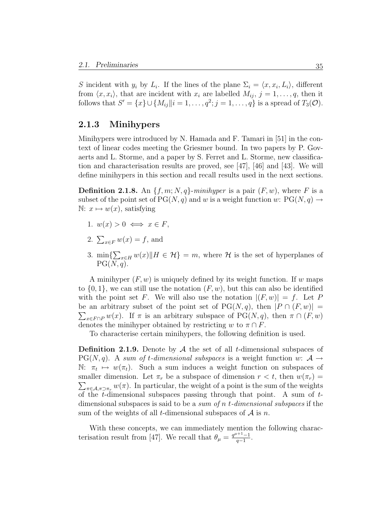S incident with  $y_i$  by  $L_i$ . If the lines of the plane  $\Sigma_i = \langle x, x_i, L_i \rangle$ , different from  $\langle x, x_i \rangle$ , that are incident with  $x_i$  are labelled  $M_{ij}$ ,  $j = 1, \ldots, q$ , then it follows that  $S' = \{x\} \cup \{M_{ij} \mid i = 1, \ldots, q^2; j = 1, \ldots, q\}$  is a spread of  $T_3(\mathcal{O})$ .

### 2.1.3 Minihypers

Minihypers were introduced by N. Hamada and F. Tamari in [51] in the context of linear codes meeting the Griesmer bound. In two papers by P. Govaerts and L. Storme, and a paper by S. Ferret and L. Storme, new classification and characterisation results are proved, see [47], [46] and [43]. We will define minihypers in this section and recall results used in the next sections.

**Definition 2.1.8.** An  $\{f, m; N, q\}$ -minihyper is a pair  $(F, w)$ , where F is a subset of the point set of  $PG(N, q)$  and w is a weight function w:  $PG(N, q) \rightarrow$  $\mathbb{N}: x \mapsto w(x)$ , satisfying

- 1.  $w(x) > 0 \iff x \in F$ ,
- 2.  $\sum_{x \in F} w(x) = f$ , and
- 3. min $\sum_{x\in H} w(x)$   $\|H \in \mathcal{H}\} = m$ , where  $\mathcal H$  is the set of hyperplanes of  $PG(N, q)$ .

A minihyper  $(F, w)$  is uniquely defined by its weight function. If w maps to  $\{0,1\}$ , we can still use the notation  $(F, w)$ , but this can also be identified with the point set F. We will also use the notation  $|(F, w)| = f$ . Let P be an arbitrary subset of the point set of  $PG(N, q)$ , then  $|P \cap (F, w)| =$  $\sum_{x \in F \cap P} w(x)$ . If  $\pi$  is an arbitrary subspace of PG(N, q), then  $\pi \cap (F, w)$ denotes the minihyper obtained by restricting w to  $\pi \cap F$ .

To characterise certain minihypers, the following definition is used.

**Definition 2.1.9.** Denote by  $A$  the set of all *t*-dimensional subspaces of  $PG(N, q)$ . A sum of t-dimensional subspaces is a weight function w:  $\mathcal{A} \rightarrow$ N:  $\pi_t \mapsto w(\pi_t)$ . Such a sum induces a weight function on subspaces of smaller dimension. Let  $\pi_r$  be a subspace of dimension  $r < t$ , then  $w(\pi_r) =$  $\sum_{\pi \in A, \pi \supset \pi_r} w(\pi)$ . In particular, the weight of a point is the sum of the weights of the t-dimensional subspaces passing through that point. A sum of  $t$ dimensional subspaces is said to be a sum of n t-dimensional subspaces if the sum of the weights of all t-dimensional subspaces of  $A$  is n.

With these concepts, we can immediately mention the following characterisation result from [47]. We recall that  $\theta_{\mu} = \frac{q^{\mu+1}-1}{q-1}$  $\frac{a+1}{q-1}$ .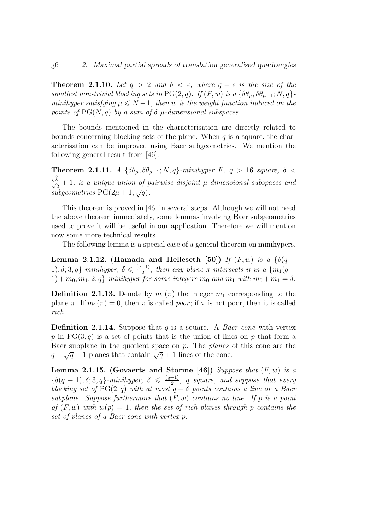**Theorem 2.1.10.** Let  $q > 2$  and  $\delta < \epsilon$ , where  $q + \epsilon$  is the size of the smallest non-trivial blocking sets in PG(2, q). If  $(F, w)$  is a  $\{\delta\theta_u, \delta\theta_{u-1}; N, q\}$ minihyper satisfying  $\mu \leq N-1$ , then w is the weight function induced on the points of  $PG(N, q)$  by a sum of  $\delta$   $\mu$ -dimensional subspaces.

The bounds mentioned in the characterisation are directly related to bounds concerning blocking sets of the plane. When  $q$  is a square, the characterisation can be improved using Baer subgeometries. We mention the following general result from [46].

Theorem 2.1.11. A  $\{\delta\theta_{\mu}, \delta\theta_{\mu-1}; N, q\}$ -minihyper F,  $q > 16$  square,  $\delta$  <  $q^{\frac{5}{8}}$  $\frac{2}{2} + 1$ , is a unique union of pairwise disjoint  $\mu$ -dimensional subspaces and ubgeometries PG(2 $\mu$ +1, $\sqrt{q}$ ). subgeometries  $PG(2\mu + 1, \sqrt{q})$ .

This theorem is proved in [46] in several steps. Although we will not need the above theorem immediately, some lemmas involving Baer subgeometries used to prove it will be useful in our application. Therefore we will mention now some more technical results.

The following lemma is a special case of a general theorem on minihypers.

Lemma 2.1.12. (Hamada and Helleseth [50]) If  $(F, w)$  is a  $\{\delta(q +$ 1),  $\delta$ ; 3, q}-minihyper,  $\delta \leq \frac{(q+1)}{2}$  $\frac{+1)}{2}$ , then any plane  $\pi$  intersects it in a  $\{m_1(q+1)\}$  $1) + m_0, m_1; 2, q$  -minihyper for some integers  $m_0$  and  $m_1$  with  $m_0 + m_1 = \delta$ .

**Definition 2.1.13.** Denote by  $m_1(\pi)$  the integer  $m_1$  corresponding to the plane  $\pi$ . If  $m_1(\pi) = 0$ , then  $\pi$  is called *poor*; if  $\pi$  is not poor, then it is called rich.

**Definition 2.1.14.** Suppose that q is a square. A Baer cone with vertex p in PG(3, q) is a set of points that is the union of lines on p that form a Baer subplane in the quotient space on  $p$ . The planes of this cone are the Baer subplane in the quotient space on p. The planes  $q + \sqrt{q} + 1$  planes that contain  $\sqrt{q} + 1$  lines of the cone.

Lemma 2.1.15. (Govaerts and Storme [46]) Suppose that  $(F, w)$  is a  $\{\delta(q+1), \delta; 3, q\}$ -minihyper,  $\delta \leq \frac{(q+1)}{2}$  $\frac{+1}{2}$ , q square, and suppose that every blocking set of  $PG(2,q)$  with at most  $q + \delta$  points contains a line or a Baer subplane. Suppose furthermore that  $(F, w)$  contains no line. If p is a point of  $(F, w)$  with  $w(p) = 1$ , then the set of rich planes through p contains the set of planes of a Baer cone with vertex p.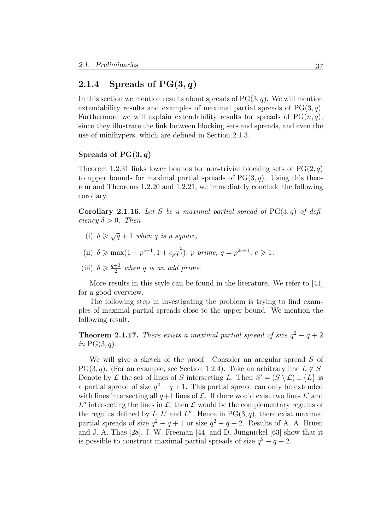### 2.1.4 Spreads of  $PG(3, q)$

In this section we mention results about spreads of  $PG(3, q)$ . We will mention extendability results and examples of maximal partial spreads of  $PG(3, q)$ . Furthermore we will explain extendability results for spreads of  $PG(n, q)$ , since they illustrate the link between blocking sets and spreads, and even the use of minihypers, which are defined in Section 2.1.3.

#### Spreads of  $PG(3, q)$

Theorem 1.2.31 links lower bounds for non-trivial blocking sets of  $PG(2, q)$ to upper bounds for maximal partial spreads of  $PG(3, q)$ . Using this theorem and Theorems 1.2.20 and 1.2.21, we immediately conclude the following corollary.

**Corollary 2.1.16.** Let S be a maximal partial spread of  $PG(3, q)$  of deficiency  $\delta > 0$ . Then

- (i)  $\delta \geqslant \sqrt{q} + 1$  when q is a square,
- (ii)  $\delta \ge \max(1 + p^{e+1}, 1 + c_p q^{\frac{2}{3}}), p \text{ prime}, q = p^{2e+1}, e \ge 1,$
- (iii)  $\delta \geqslant \frac{q+3}{2}$  $\frac{+3}{2}$  when q is an odd prime.

More results in this style can be found in the literature. We refer to [41] for a good overview.

The following step in investigating the problem is trying to find examples of maximal partial spreads close to the upper bound. We mention the following result.

**Theorem 2.1.17.** There exists a maximal partial spread of size  $q^2 - q + 2$ in  $PG(3, q)$ .

We will give a sketch of the proof. Consider an aregular spread S of PG(3, q). (For an example, see Section 1.2.4). Take an arbitrary line  $L \notin S$ . Denote by  $\mathcal L$  the set of lines of S intersecting L. Then  $S' = (S \setminus \mathcal L) \cup \{L\}$  is a partial spread of size  $q^2 - q + 1$ . This partial spread can only be extended with lines intersecting all  $q+1$  lines of  $\mathcal L$ . If there would exist two lines L' and L'' intersecting the lines in  $\mathcal{L}$ , then  $\mathcal{L}$  would be the complementary regulus of the regulus defined by  $L, L'$  and  $L''$ . Hence in PG(3, q), there exist maximal partial spreads of size  $q^2 - q + 1$  or size  $q^2 - q + 2$ . Results of A. A. Bruen and J. A. Thas [28], J. W. Freeman [44] and D. Jungnickel [63] show that it is possible to construct maximal partial spreads of size  $q^2 - q + 2$ .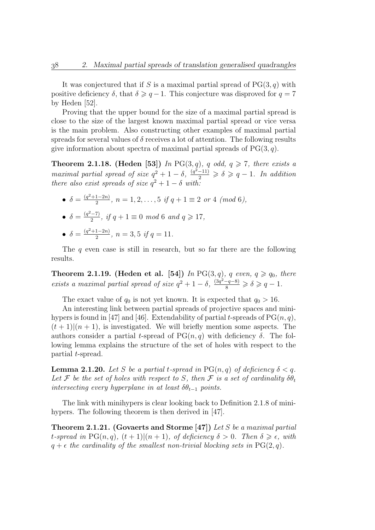It was conjectured that if S is a maximal partial spread of  $PG(3, q)$  with positive deficiency  $\delta$ , that  $\delta \geqslant q-1$ . This conjecture was disproved for  $q = 7$ by Heden [52].

Proving that the upper bound for the size of a maximal partial spread is close to the size of the largest known maximal partial spread or vice versa is the main problem. Also constructing other examples of maximal partial spreads for several values of  $\delta$  receives a lot of attention. The following results give information about spectra of maximal partial spreads of  $PG(3, q)$ .

**Theorem 2.1.18.** (Heden [53]) In PG(3, q), q odd,  $q \ge 7$ , there exists a maximal partial spread of size  $q^2 + 1 - \delta$ ,  $\frac{(q^2-11)}{2} \geq \delta \geq q-1$ . In addition there also exist spreads of size  $q^2 + 1 - \delta$  with:

- $\bullet$   $\delta = \frac{(q^2+1-2n)}{2}$  $\frac{1-2n}{2}$ ,  $n = 1, 2, ..., 5$  if  $q + 1 \equiv 2$  or 4 (mod 6),
- $\delta = \frac{(q^2-7)}{2}$  $\frac{(-7)}{2}$ , if  $q + 1 \equiv 0 \mod 6$  and  $q \geq 17$ ,
- $\bullet$   $\delta = \frac{(q^2+1-2n)}{2}$  $\frac{1-2n}{2}$ ,  $n=3,5$  if  $q=11$ .

The q even case is still in research, but so far there are the following results.

**Theorem 2.1.19.** (Heden et al. [54]) In PG(3, q), q even,  $q \geq q_0$ , there exists a maximal partial spread of size  $q^2 + 1 - \delta$ ,  $\frac{(3q^2 - q - 8)}{8} \ge \delta \ge q - 1$ .

The exact value of  $q_0$  is not yet known. It is expected that  $q_0 > 16$ .

An interesting link between partial spreads of projective spaces and minihypers is found in [47] and [46]. Extendability of partial t-spreads of  $PG(n, q)$ ,  $(t + 1)(n + 1)$ , is investigated. We will briefly mention some aspects. The authors consider a partial t-spread of  $PG(n, q)$  with deficiency  $\delta$ . The following lemma explains the structure of the set of holes with respect to the partial t-spread.

**Lemma 2.1.20.** Let S be a partial t-spread in  $PG(n, q)$  of deficiency  $\delta < q$ . Let F be the set of holes with respect to S, then F is a set of cardinality  $\delta \theta_t$ intersecting every hyperplane in at least  $\delta\theta_{t-1}$  points.

The link with minihypers is clear looking back to Definition 2.1.8 of minihypers. The following theorem is then derived in [47].

**Theorem 2.1.21.** (Govaerts and Storme [47]) Let S be a maximal partial t-spread in PG(n, q),  $(t + 1)|(n + 1)$ , of deficiency  $\delta > 0$ . Then  $\delta \geq \epsilon$ , with  $q + \epsilon$  the cardinality of the smallest non-trivial blocking sets in PG(2, q).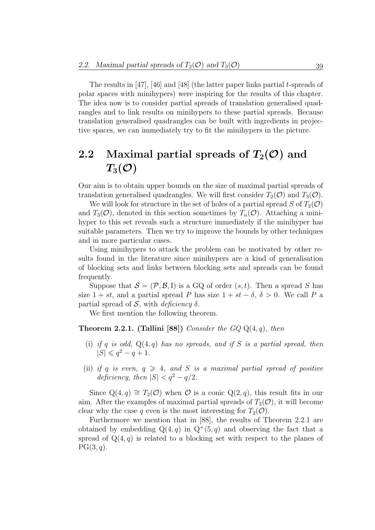The results in  $[47]$ ,  $[46]$  and  $[48]$  (the latter paper links partial t-spreads of polar spaces with minihypers) were inspiring for the results of this chapter. The idea now is to consider partial spreads of translation generalised quadrangles and to link results on minihypers to these partial spreads. Because translation generalised quadrangles can be built with ingredients in projective spaces, we can immediately try to fit the minihypers in the picture.

# 2.2 Maximal partial spreads of  $T_2(\mathcal{O})$  and  $T_3(\mathcal{O})$

Our aim is to obtain upper bounds on the size of maximal partial spreads of translation generalised quadrangles. We will first consider  $T_2(\mathcal{O})$  and  $T_3(\mathcal{O})$ .

We will look for structure in the set of holes of a partial spread S of  $T_2(\mathcal{O})$ and  $T_3(\mathcal{O})$ , denoted in this section sometimes by  $T_n(\mathcal{O})$ . Attaching a minihyper to this set reveals such a structure immediately if the minihyper has suitable parameters. Then we try to improve the bounds by other techniques and in more particular cases.

Using minihypers to attack the problem can be motivated by other results found in the literature since minihypers are a kind of generalisation of blocking sets and links between blocking sets and spreads can be found frequently.

Suppose that  $S = (\mathcal{P}, \mathcal{B}, I)$  is a GQ of order  $(s, t)$ . Then a spread S has size  $1 + st$ , and a partial spread P has size  $1 + st - \delta$ ,  $\delta > 0$ . We call P a partial spread of  $S$ , with *deficiency*  $\delta$ .

We first mention the following theorem.

**Theorem 2.2.1.** (Tallini [88]) Consider the  $GQQ(4, q)$ , then

- (i) if q is odd,  $Q(4,q)$  has no spreads, and if S is a partial spread, then  $|S| \leqslant q^2 - q + 1.$
- (ii) if q is even,  $q \geq 4$ , and S is a maximal partial spread of positive deficiency, then  $|S| < q^2 - q/2$ .

Since  $Q(4,q) \cong T_2(\mathcal{O})$  when  $\mathcal O$  is a conic  $Q(2,q)$ , this result fits in our aim. After the examples of maximal partial spreads of  $T_2(\mathcal{O})$ , it will become clear why the case q even is the most interesting for  $T_2(\mathcal{O})$ .

Furthermore we mention that in [88], the results of Theorem 2.2.1 are obtained by embedding  $Q(4, q)$  in  $Q^+(5, q)$  and observing the fact that a spread of  $Q(4, q)$  is related to a blocking set with respect to the planes of  $PG(3, q)$ .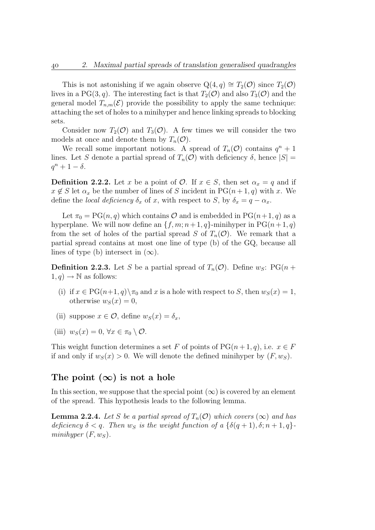This is not astonishing if we again observe  $Q(4,q) \cong T_2(\mathcal{O})$  since  $T_2(\mathcal{O})$ lives in a PG(3, q). The interesting fact is that  $T_2(\mathcal{O})$  and also  $T_3(\mathcal{O})$  and the general model  $T_{n,m}(\mathcal{E})$  provide the possibility to apply the same technique: attaching the set of holes to a minihyper and hence linking spreads to blocking sets.

Consider now  $T_2(\mathcal{O})$  and  $T_3(\mathcal{O})$ . A few times we will consider the two models at once and denote them by  $T_n(\mathcal{O})$ .

We recall some important notions. A spread of  $T_n(\mathcal{O})$  contains  $q^n + 1$ lines. Let S denote a partial spread of  $T_n(\mathcal{O})$  with deficiency  $\delta$ , hence  $|S|$  =  $q^n + 1 - \delta$ .

**Definition 2.2.2.** Let x be a point of  $\mathcal{O}$ . If  $x \in S$ , then set  $\alpha_x = q$  and if  $x \notin S$  let  $\alpha_x$  be the number of lines of S incident in PG( $n+1, q$ ) with x. We define the local deficiency  $\delta_x$  of x, with respect to S, by  $\delta_x = q - \alpha_x$ .

Let  $\pi_0 = PG(n, q)$  which contains  $O$  and is embedded in  $PG(n+1, q)$  as a hyperplane. We will now define an  $\{f, m; n+1, q\}$ -minihyper in PG $(n+1, q)$ from the set of holes of the partial spread S of  $T_n(\mathcal{O})$ . We remark that a partial spread contains at most one line of type (b) of the GQ, because all lines of type (b) intersect in  $(\infty)$ .

**Definition 2.2.3.** Let S be a partial spread of  $T_n(\mathcal{O})$ . Define  $w_S$ : PG(n +  $1, q$   $\rightarrow \mathbb{N}$  as follows:

- (i) if  $x \in PG(n+1, q) \setminus \pi_0$  and x is a hole with respect to S, then  $w_S(x) = 1$ , otherwise  $w_S(x) = 0$ ,
- (ii) suppose  $x \in \mathcal{O}$ , define  $w_S(x) = \delta_x$ ,
- (iii)  $w_S(x) = 0, \forall x \in \pi_0 \setminus \mathcal{O}.$

This weight function determines a set F of points of  $PG(n+1, q)$ , i.e.  $x \in F$ if and only if  $w_S(x) > 0$ . We will denote the defined minihyper by  $(F, w_S)$ .

### The point  $(\infty)$  is not a hole

In this section, we suppose that the special point  $(\infty)$  is covered by an element of the spread. This hypothesis leads to the following lemma.

**Lemma 2.2.4.** Let S be a partial spread of  $T_n(\mathcal{O})$  which covers  $(\infty)$  and has deficiency  $\delta < q$ . Then  $w_S$  is the weight function of a  $\{\delta(q+1), \delta; n+1, q\}$ . minihyper  $(F, w_S)$ .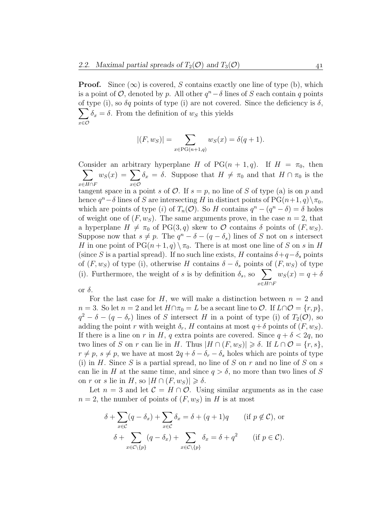**Proof.** Since  $(\infty)$  is covered, S contains exactly one line of type (b), which is a point of  $\mathcal{O}$ , denoted by p. All other  $q^{n}-\delta$  lines of S each contain q points of type (i), so  $\delta q$  points of type (i) are not covered. Since the deficiency is  $\delta$ ,  $\sum$ x∈O  $\delta_x = \delta$ . From the definition of  $w_s$  this yields

$$
|(F, w_S)| = \sum_{x \in PG(n+1,q)} w_S(x) = \delta(q+1).
$$

Consider an arbitrary hyperplane H of PG $(n + 1, q)$ . If  $H = \pi_0$ , then  $\sum$  $x\in H\cap F$  $w_S(x) = \sum$ x∈O  $\delta_x = \delta$ . Suppose that  $H \neq \pi_0$  and that  $H \cap \pi_0$  is the tangent space in a point s of  $\mathcal{O}$ . If  $s = p$ , no line of S of type (a) is on p and hence  $q^{n}-\delta$  lines of S are intersecting H in distinct points of PG(n+1,q) $\setminus \pi_0$ , which are points of type (i) of  $T_n(\mathcal{O})$ . So H contains  $q^n - (q^n - \delta) = \delta$  holes of weight one of  $(F, w<sub>S</sub>)$ . The same arguments prove, in the case  $n = 2$ , that a hyperplane  $H \neq \pi_0$  of PG(3, q) skew to  $\mathcal O$  contains  $\delta$  points of  $(F, w_S)$ . Suppose now that  $s \neq p$ . The  $q^n - \delta - (q - \delta_s)$  lines of S not on s intersect H in one point of  $PG(n+1,q) \setminus \pi_0$ . There is at most one line of S on s in H (since S is a partial spread). If no such line exists, H contains  $\delta + q - \delta_s$  points of  $(F, w_S)$  of type (i), otherwise H contains  $\delta - \delta_s$  points of  $(F, w_S)$  of type (i). Furthermore, the weight of s is by definition  $\delta_s$ , so  $\sum$  $x\in H\cap F$  $w_S(x) = q + \delta$ or  $\delta$ .

For the last case for H, we will make a distinction between  $n = 2$  and  $n = 3$ . So let  $n = 2$  and let  $H \cap \pi_0 = L$  be a secant line to  $\mathcal{O}$ . If  $L \cap \mathcal{O} = \{r, p\},$  $q^2 - \delta - (q - \delta_r)$  lines of S intersect H in a point of type (i) of  $T_2(\mathcal{O})$ , so adding the point r with weight  $\delta_r$ , H contains at most  $q+\delta$  points of  $(F, w_S)$ . If there is a line on r in H, q extra points are covered. Since  $q + \delta < 2q$ , no two lines of S on r can lie in H. Thus  $|H \cap (F, w_S)| \geq \delta$ . If  $L \cap \mathcal{O} = \{r, s\},\$  $r \neq p$ ,  $s \neq p$ , we have at most  $2q + \delta - \delta_r - \delta_s$  holes which are points of type (i) in H. Since S is a partial spread, no line of S on r and no line of S on s can lie in H at the same time, and since  $q > \delta$ , no more than two lines of S on r or s lie in H, so  $|H \cap (F, w_S)| \geq \delta$ .

Let  $n = 3$  and let  $\mathcal{C} = H \cap \mathcal{O}$ . Using similar arguments as in the case  $n = 2$ , the number of points of  $(F, w<sub>S</sub>)$  in H is at most

$$
\delta + \sum_{x \in \mathcal{C}} (q - \delta_x) + \sum_{x \in \mathcal{C}} \delta_x = \delta + (q + 1)q \quad \text{(if } p \notin \mathcal{C}\text{), or}
$$

$$
\delta + \sum_{x \in \mathcal{C} \setminus \{p\}} (q - \delta_x) + \sum_{x \in \mathcal{C} \setminus \{p\}} \delta_x = \delta + q^2 \quad \text{(if } p \in \mathcal{C}\text{)}.
$$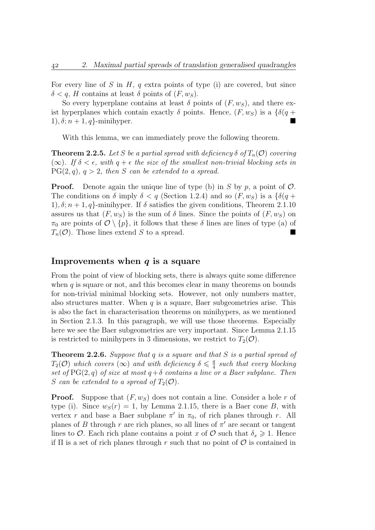For every line of S in H, q extra points of type (i) are covered, but since  $\delta < q$ , H contains at least  $\delta$  points of  $(F, w_S)$ .

So every hyperplane contains at least  $\delta$  points of  $(F, w_S)$ , and there exist hyperplanes which contain exactly  $\delta$  points. Hence,  $(F, w_S)$  is a  $\{\delta(q +$ 1),  $\delta; n+1, q$ -minihyper.

With this lemma, we can immediately prove the following theorem.

**Theorem 2.2.5.** Let S be a partial spread with deficiency  $\delta$  of  $T_n(\mathcal{O})$  covering ( $\infty$ ). If  $\delta < \epsilon$ , with  $q + \epsilon$  the size of the smallest non-trivial blocking sets in  $PG(2,q), q > 2$ , then S can be extended to a spread.

**Proof.** Denote again the unique line of type (b) in S by p, a point of  $\mathcal{O}$ . The conditions on  $\delta$  imply  $\delta < q$  (Section 1.2.4) and so  $(F, w_S)$  is a  $\{\delta(q +$ 1),  $\delta$ ;  $n + 1$ ,  $q$ }-minihyper. If  $\delta$  satisfies the given conditions, Theorem 2.1.10 assures us that  $(F, w_S)$  is the sum of  $\delta$  lines. Since the points of  $(F, w_S)$  on  $\pi_0$  are points of  $\mathcal{O} \setminus \{p\}$ , it follows that these  $\delta$  lines are lines of type (a) of  $T_n(\mathcal{O})$ . Those lines extend S to a spread.

#### Improvements when  $q$  is a square

From the point of view of blocking sets, there is always quite some difference when  $q$  is square or not, and this becomes clear in many theorems on bounds for non-trivial minimal blocking sets. However, not only numbers matter, also structures matter. When  $q$  is a square, Baer subgeometries arise. This is also the fact in characterisation theorems on minihypers, as we mentioned in Section 2.1.3. In this paragraph, we will use those theorems. Especially here we see the Baer subgeometries are very important. Since Lemma 2.1.15 is restricted to minihypers in 3 dimensions, we restrict to  $T_2(\mathcal{O})$ .

**Theorem 2.2.6.** Suppose that q is a square and that S is a partial spread of  $T_2(\mathcal{O})$  which covers  $(\infty)$  and with deficiency  $\delta \leqslant \frac{q}{4}$  $\frac{q}{4}$  such that every blocking set of  $PG(2,q)$  of size at most  $q+\delta$  contains a line or a Baer subplane. Then S can be extended to a spread of  $T_2(\mathcal{O})$ .

**Proof.** Suppose that  $(F, w<sub>S</sub>)$  does not contain a line. Consider a hole r of type (i). Since  $w_S(r) = 1$ , by Lemma 2.1.15, there is a Baer cone B, with vertex r and base a Baer subplane  $\pi'$  in  $\pi_0$ , of rich planes through r. All planes of B through r are rich planes, so all lines of  $\pi'$  are secant or tangent lines to  $\mathcal O$ . Each rich plane contains a point x of  $\mathcal O$  such that  $\delta_x \geq 1$ . Hence if  $\Pi$  is a set of rich planes through r such that no point of  $\mathcal O$  is contained in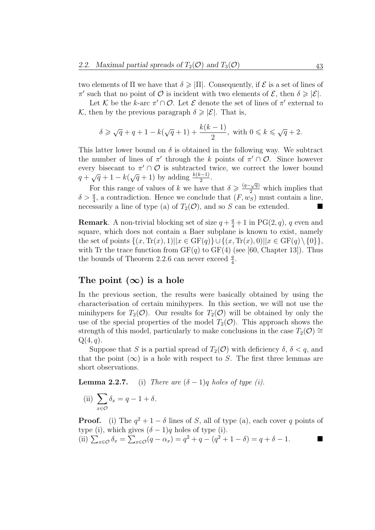two elements of  $\Pi$  we have that  $\delta \geqslant |\Pi|$ . Consequently, if  $\mathcal E$  is a set of lines of  $\pi'$  such that no point of *O* is incident with two elements of *E*, then  $\delta \geq |\mathcal{E}|$ .

Let K be the k-arc  $\pi' \cap \mathcal{O}$ . Let E denote the set of lines of  $\pi'$  external to K, then by the previous paragraph  $\delta \geq |\mathcal{E}|$ . That is,

$$
\delta \geqslant \sqrt{q} + q + 1 - k(\sqrt{q} + 1) + \frac{k(k-1)}{2}, \text{ with } 0 \leqslant k \leqslant \sqrt{q} + 2.
$$

This latter lower bound on  $\delta$  is obtained in the following way. We subtract the number of lines of  $\pi'$  through the k points of  $\pi' \cap \mathcal{O}$ . Since however every bisecant to  $\pi' \cap O$  is subtracted twice, we correct the lower bound every bisecant to  $\pi$  + i  $\sigma$  is subtracted to  $q + \sqrt{q} + 1 - k(\sqrt{q} + 1)$  by adding  $\frac{k(k-1)}{2}$ .

For this range of values of k we have that  $\delta \geq \frac{(q-\sqrt{q})^2}{2}$  $\frac{2}{2}$  which implies that  $\delta > \frac{q}{4}$ , a contradiction. Hence we conclude that  $(F, w_S)$  must contain a line, necessarily a line of type (a) of  $T_2(\mathcal{O})$ , and so S can be extended.

**Remark**. A non-trivial blocking set of size  $q + \frac{q}{4} + 1$  in PG(2, q), q even and square, which does not contain a Baer subplane is known to exist, namely the set of points  $\{(x, \text{Tr}(x), 1) \mid | x \in \text{GF}(q)\} \cup \{(x, \text{Tr}(x), 0) \mid | x \in \text{GF}(q) \setminus \{0\}\},\$ with Tr the trace function from  $GF(q)$  to  $GF(4)$  (see [60, Chapter 13]). Thus the bounds of Theorem 2.2.6 can never exceed  $\frac{q}{4}$ .

### The point  $(\infty)$  is a hole

In the previous section, the results were basically obtained by using the characterisation of certain minihypers. In this section, we will not use the minihypers for  $T_2(\mathcal{O})$ . Our results for  $T_2(\mathcal{O})$  will be obtained by only the use of the special properties of the model  $T_2(\mathcal{O})$ . This approach shows the strength of this model, particularly to make conclusions in the case  $T_2(\mathcal{O}) \cong$  $Q(4,q)$ .

Suppose that S is a partial spread of  $T_2(\mathcal{O})$  with deficiency  $\delta$ ,  $\delta < q$ , and that the point  $(\infty)$  is a hole with respect to S. The first three lemmas are short observations.

**Lemma 2.2.7.** (i) There are  $(\delta - 1)q$  holes of type (i).

 $(ii) \sum$ x∈O  $\delta_x = q - 1 + \delta.$ 

**Proof.** (i) The  $q^2 + 1 - \delta$  lines of S, all of type (a), each cover q points of type (i), which gives  $(\delta - 1)q$  holes of type (i).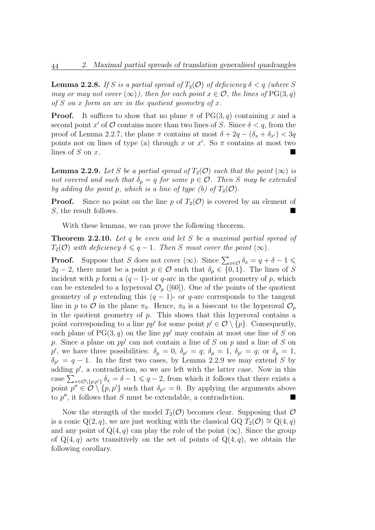**Lemma 2.2.8.** If S is a partial spread of  $T_2(\mathcal{O})$  of deficiency  $\delta < q$  (where S may or may not cover  $(\infty)$ ), then for each point  $x \in \mathcal{O}$ , the lines of PG(3, q) of S on x form an arc in the quotient geometry of x.

**Proof.** It suffices to show that no plane  $\pi$  of PG(3, q) containing x and a second point x' of  $\mathcal O$  contains more than two lines of S. Since  $\delta < q$ , from the proof of Lemma 2.2.7, the plane  $\pi$  contains at most  $\delta + 2q - (\delta_x + \delta_{x'}) < 3q$ points not on lines of type (a) through x or x'. So  $\pi$  contains at most two lines of  $S$  on  $x$ .

**Lemma 2.2.9.** Let S be a partial spread of  $T_2(\mathcal{O})$  such that the point  $(\infty)$  is not covered and such that  $\delta_p = q$  for some  $p \in \mathcal{O}$ . Then S may be extended by adding the point p, which is a line of type (b) of  $T_2(\mathcal{O})$ .

**Proof.** Since no point on the line p of  $T_2(\mathcal{O})$  is covered by an element of S, the result follows.

With these lemmas, we can prove the following theorem.

**Theorem 2.2.10.** Let q be even and let S be a maximal partial spread of  $T_2(\mathcal{O})$  with deficiency  $\delta \leq q-1$ . Then S must cover the point  $(\infty)$ .

**Proof.** Suppose that S does not cover  $(\infty)$ . Since  $\sum_{x \in \mathcal{O}} \delta_x = q + \delta - 1 \leq$  $2q - 2$ , there must be a point  $p \in \mathcal{O}$  such that  $\delta_p \in \{0, 1\}$ . The lines of S incident with p form a  $(q-1)$ - or q-arc in the quotient geometry of p, which can be extended to a hyperoval  $\mathcal{O}_p$  ([60]). One of the points of the quotient geometry of p extending this  $(q - 1)$ - or q-arc corresponds to the tangent line in p to O in the plane  $\pi_0$ . Hence,  $\pi_0$  is a bisecant to the hyperoval  $\mathcal{O}_p$ in the quotient geometry of  $p$ . This shows that this hyperoval contains a point corresponding to a line  $pp'$  for some point  $p' \in \mathcal{O} \setminus \{p\}$ . Consequently, each plane of  $PG(3, q)$  on the line pp' may contain at most one line of S on p. Since a plane on  $pp'$  can not contain a line of S on p and a line of S on p', we have three possibilities:  $\delta_p = 0$ ,  $\delta_{p'} = q$ ;  $\delta_p = 1$ ,  $\delta_{p'} = q$ ; or  $\delta_p = 1$ ,  $\delta_{p'} = q - 1$ . In the first two cases, by Lemma 2.2.9 we may extend S by adding  $p'$ , a contradiction, so we are left with the latter case. Now in this case  $\sum_{x \in \mathcal{O}\backslash \{p,p'\}} \delta_x = \delta - 1 \leqslant q-2$ , from which it follows that there exists a point  $p'' \in \mathcal{O} \setminus \{p, p'\}$  such that  $\delta_{p''} = 0$ . By applying the arguments above to  $p''$ , it follows that S must be extendable, a contradiction.

Now the strength of the model  $T_2(\mathcal{O})$  becomes clear. Supposing that  $\mathcal O$ is a conic  $Q(2, q)$ , we are just working with the classical GQ  $T_2(\mathcal{O}) \cong Q(4, q)$ and any point of  $Q(4, q)$  can play the role of the point  $(\infty)$ . Since the group of  $Q(4, q)$  acts transitively on the set of points of  $Q(4, q)$ , we obtain the following corollary.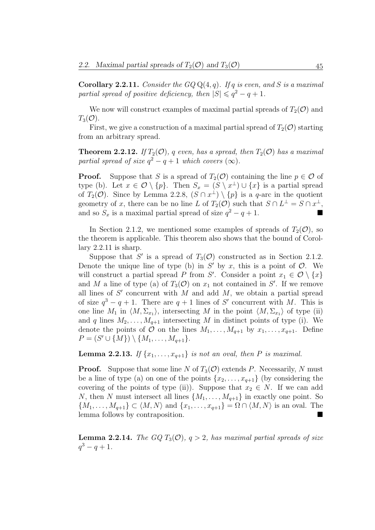**Corollary 2.2.11.** Consider the  $GQ \mathbf{Q}(4,q)$ . If q is even, and S is a maximal partial spread of positive deficiency, then  $|S| \leqslant q^2 - q + 1$ .

We now will construct examples of maximal partial spreads of  $T_2(\mathcal{O})$  and  $T_3(\mathcal{O}).$ 

First, we give a construction of a maximal partial spread of  $T_2(\mathcal{O})$  starting from an arbitrary spread.

**Theorem 2.2.12.** If  $T_2(\mathcal{O})$ , q even, has a spread, then  $T_2(\mathcal{O})$  has a maximal partial spread of size  $q^2 - q + 1$  which covers  $(\infty)$ .

**Proof.** Suppose that S is a spread of  $T_2(\mathcal{O})$  containing the line  $p \in \mathcal{O}$  of type (b). Let  $x \in \mathcal{O} \setminus \{p\}$ . Then  $S_x = (S \setminus x^{\perp}) \cup \{x\}$  is a partial spread of  $T_2(\mathcal{O})$ . Since by Lemma 2.2.8,  $(S \cap x^{\perp}) \setminus \{p\}$  is a q-arc in the quotient geometry of x, there can be no line L of  $T_2(\mathcal{O})$  such that  $S \cap L^{\perp} = S \cap x^{\perp}$ , and so  $S_x$  is a maximal partial spread of size  $q^2 - q + 1$ .

In Section 2.1.2, we mentioned some examples of spreads of  $T_2(\mathcal{O})$ , so the theorem is applicable. This theorem also shows that the bound of Corollary 2.2.11 is sharp.

Suppose that S' is a spread of  $T_3(\mathcal{O})$  constructed as in Section 2.1.2. Denote the unique line of type (b) in  $S'$  by x, this is a point of  $O$ . We will construct a partial spread P from S'. Consider a point  $x_1 \in \mathcal{O} \setminus \{x\}$ and M a line of type (a) of  $T_3(\mathcal{O})$  on  $x_1$  not contained in S'. If we remove all lines of  $S'$  concurrent with  $\overline{M}$  and add  $\overline{M}$ , we obtain a partial spread of size  $q^3 - q + 1$ . There are  $q + 1$  lines of S' concurrent with M. This is one line  $M_1$  in  $\langle M, \Sigma_{x_1} \rangle$ , intersecting M in the point  $\langle M, \Sigma_{x_1} \rangle$  of type (ii) and q lines  $M_2, \ldots, M_{q+1}$  intersecting M in distinct points of type (i). We denote the points of  $\mathcal O$  on the lines  $M_1, \ldots, M_{q+1}$  by  $x_1, \ldots, x_{q+1}$ . Define  $P = (S' \cup \{M\}) \setminus \{M_1, \ldots, M_{q+1}\}.$ 

**Lemma 2.2.13.** If  $\{x_1, \ldots, x_{q+1}\}\$ is not an oval, then P is maximal.

**Proof.** Suppose that some line N of  $T_3(\mathcal{O})$  extends P. Necessarily, N must be a line of type (a) on one of the points  $\{x_2, \ldots, x_{q+1}\}$  (by considering the covering of the points of type (ii)). Suppose that  $x_2 \in N$ . If we can add N, then N must intersect all lines  $\{M_1, \ldots, M_{q+1}\}\$ in exactly one point. So  $\{M_1, \ldots, M_{q+1}\} \subset \langle M, N \rangle$  and  $\{x_1, \ldots, x_{q+1}\} = \Omega \cap \langle M, N \rangle$  is an oval. The lemma follows by contraposition.

**Lemma 2.2.14.** The GQ  $T_3(\mathcal{O})$ ,  $q > 2$ , has maximal partial spreads of size  $q^3 - q + 1.$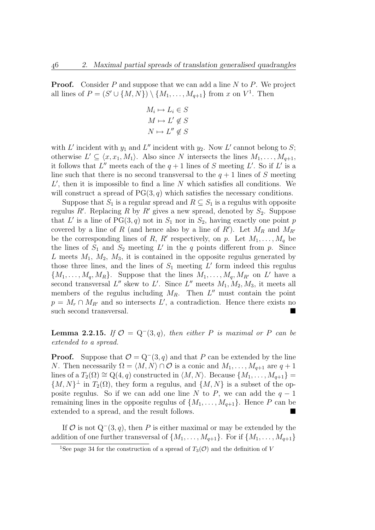**Proof.** Consider P and suppose that we can add a line  $N$  to  $P$ . We project all lines of  $P = (S' \cup \{M, N\}) \setminus \{M_1, \ldots, M_{q+1}\}\)$  from x on  $V^1$ . Then

$$
M_i \mapsto L_i \in S
$$

$$
M \mapsto L' \notin S
$$

$$
N \mapsto L'' \notin S
$$

with L' incident with  $y_1$  and L'' incident with  $y_2$ . Now L' cannot belong to S; otherwise  $L' \subseteq \langle x, x_1, M_1 \rangle$ . Also since N intersects the lines  $M_1, \ldots, M_{q+1}$ , it follows that  $L''$  meets each of the  $q+1$  lines of S meeting L'. So if L' is a line such that there is no second transversal to the  $q + 1$  lines of S meeting  $L'$ , then it is impossible to find a line  $N$  which satisfies all conditions. We will construct a spread of  $PG(3, q)$  which satisfies the necessary conditions.

Suppose that  $S_1$  is a regular spread and  $R \subseteq S_1$  is a regulus with opposite regulus R'. Replacing R by R' gives a new spread, denoted by  $S_2$ . Suppose that L' is a line of  $PG(3, q)$  not in  $S_1$  nor in  $S_2$ , having exactly one point p covered by a line of R (and hence also by a line of R'). Let  $M_R$  and  $M_{R}$ be the corresponding lines of R, R' respectively, on p. Let  $M_1, \ldots, M_q$  be the lines of  $S_1$  and  $S_2$  meeting L' in the q points different from p. Since L meets  $M_1$ ,  $M_2$ ,  $M_3$ , it is contained in the opposite regulus generated by those three lines, and the lines of  $S_1$  meeting  $L'$  form indeed this regulus  ${M_1, \ldots, M_q, M_R}$ . Suppose that the lines  $M_1, \ldots, M_q, M_{R'}$  on L' have a second transversal  $L''$  skew to  $L'$ . Since  $L''$  meets  $M_1, M_2, M_3$ , it meets all members of the regulus including  $M_R$ . Then  $L''$  must contain the point  $p = M_r \cap M_{R'}$  and so intersects L', a contradiction. Hence there exists no such second transversal.

**Lemma 2.2.15.** If  $\mathcal{O} = Q^-(3,q)$ , then either P is maximal or P can be extended to a spread.

**Proof.** Suppose that  $\mathcal{O} = Q^-(3, q)$  and that P can be extended by the line N. Then necessarily  $\Omega = \langle M, N \rangle \cap \mathcal{O}$  is a conic and  $M_1, \ldots, M_{q+1}$  are  $q + 1$ lines of a  $T_2(\Omega) \cong \mathbb{Q}(4,q)$  constructed in  $\langle M, N \rangle$ . Because  $\{M_1, \ldots, M_{q+1}\}$  ${M, N}^{\perp}$  in  $T_2(\Omega)$ , they form a regulus, and  ${M, N}$  is a subset of the opposite regulus. So if we can add one line N to P, we can add the  $q-1$ remaining lines in the opposite regulus of  $\{M_1, \ldots, M_{q+1}\}\$ . Hence P can be extended to a spread, and the result follows.

If  $\mathcal O$  is not  $Q^-(3, q)$ , then P is either maximal or may be extended by the addition of one further transversal of  $\{M_1, \ldots, M_{q+1}\}\$ . For if  $\{M_1, \ldots, M_{q+1}\}\$ 

<sup>&</sup>lt;sup>1</sup>See page 34 for the construction of a spread of  $T_3(\mathcal{O})$  and the definition of V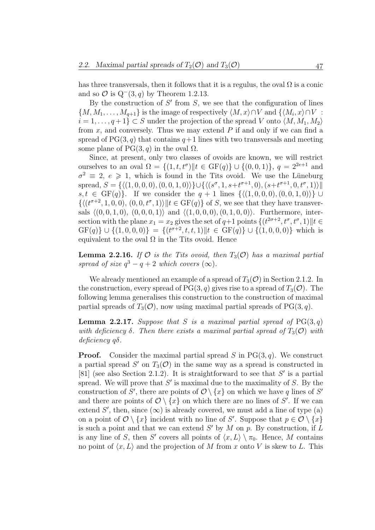has three transversals, then it follows that it is a regulus, the oval  $\Omega$  is a conic and so  $\mathcal{O}$  is  $Q^-(3, q)$  by Theorem 1.2.13.

By the construction of  $S'$  from  $S$ , we see that the configuration of lines  ${M, M_1, \ldots, M_{q+1}}$  is the image of respectively  $\langle M, x \rangle \cap V$  and  ${\langle M_i, x \rangle \cap V}$ :  $i = 1, \ldots, q+1$   $\subset S$  under the projection of the spread V onto  $\langle M, M_1, M_2 \rangle$ from  $x$ , and conversely. Thus we may extend  $P$  if and only if we can find a spread of  $PG(3, q)$  that contains  $q+1$  lines with two transversals and meeting some plane of  $PG(3, q)$  in the oval  $\Omega$ .

Since, at present, only two classes of ovoids are known, we will restrict ourselves to an oval  $\Omega = \{(1, t, t^{\sigma})\|t \in \text{GF}(q)\}\cup \{(0, 0, 1)\}, q = 2^{2e+1}$  and  $\sigma^2 \equiv 2, e \geq 1$ , which is found in the Tits ovoid. We use the Lüneburg spread,  $S = \{ \langle (1, 0, 0, 0), (0, 0, 1, 0) \rangle \} \cup \{ \langle (s^{\sigma}, 1, s+t^{\sigma+1}, 0), (s+t^{\sigma+1}, 0, t^{\sigma}, 1) \rangle \}$ s, t ∈ GF(q)}. If we consider the  $q + 1$  lines  $\{((1, 0, 0, 0), (0, 0, 1, 0))\}\cup$  $\{ \langle (t^{\sigma+2}, 1, 0, 0), (0, 0, t^{\sigma}, 1) \rangle | t \in \text{GF}(q) \}$  of S, we see that they have transversals  $\langle (0, 0, 1, 0), (0, 0, 0, 1) \rangle$  and  $\langle (1, 0, 0, 0), (0, 1, 0, 0) \rangle$ . Furthermore, intersection with the plane  $x_1 = x_2$  gives the set of  $q+1$  points  $\{(t^{2\sigma+2}, t^{\sigma}, t^{\sigma}, 1) \mid t \in$  $GF(q)\} \cup \{(1,0,0,0)\} = \{(t^{\sigma+2},t,t,1) \| t \in GF(q)\} \cup \{(1,0,0,0)\}$  which is equivalent to the oval  $\Omega$  in the Tits ovoid. Hence

**Lemma 2.2.16.** If  $\mathcal O$  is the Tits ovoid, then  $T_3(\mathcal O)$  has a maximal partial spread of size  $q^3 - q + 2$  which covers  $(\infty)$ .

We already mentioned an example of a spread of  $T_3(\mathcal{O})$  in Section 2.1.2. In the construction, every spread of PG(3, q) gives rise to a spread of  $T_3(\mathcal{O})$ . The following lemma generalises this construction to the construction of maximal partial spreads of  $T_3(\mathcal{O})$ , now using maximal partial spreads of PG(3, q).

**Lemma 2.2.17.** Suppose that S is a maximal partial spread of  $PG(3, q)$ with deficiency  $\delta$ . Then there exists a maximal partial spread of  $T_3(\mathcal{O})$  with deficiency qδ.

**Proof.** Consider the maximal partial spread S in  $PG(3, q)$ . We construct a partial spread S' on  $T_3(\mathcal{O})$  in the same way as a spread is constructed in [81] (see also Section 2.1.2). It is straightforward to see that  $S'$  is a partial spread. We will prove that  $S'$  is maximal due to the maximality of S. By the construction of S', there are points of  $\mathcal{O}\setminus\{x\}$  on which we have q lines of S' and there are points of  $\mathcal{O}\setminus\{x\}$  on which there are no lines of S'. If we can extend S', then, since  $(\infty)$  is already covered, we must add a line of type (a) on a point of  $\mathcal{O}\setminus\{x\}$  incident with no line of S'. Suppose that  $p\in\mathcal{O}\setminus\{x\}$ is such a point and that we can extend  $S'$  by M on p. By construction, if L is any line of S, then S' covers all points of  $\langle x, L \rangle \setminus \pi_0$ . Hence, M contains no point of  $\langle x, L \rangle$  and the projection of M from x onto V is skew to L. This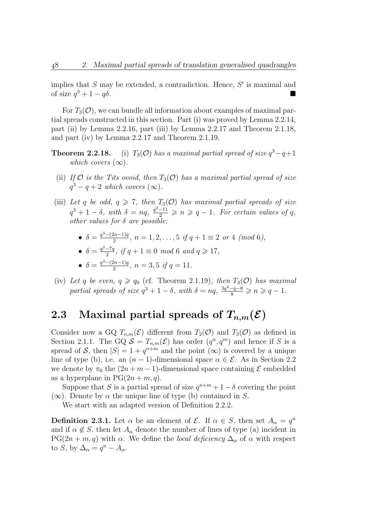implies that  $S$  may be extended, a contradiction. Hence,  $S'$  is maximal and of size  $q^3 + 1 - q\delta$ .

For  $T_3(\mathcal{O})$ , we can bundle all information about examples of maximal partial spreads constructed in this section. Part (i) was proved by Lemma 2.2.14, part (ii) by Lemma 2.2.16, part (iii) by Lemma 2.2.17 and Theorem 2.1.18, and part (iv) by Lemma 2.2.17 and Theorem 2.1.19.

- **Theorem 2.2.18.** (i)  $T_3(\mathcal{O})$  has a maximal partial spread of size  $q^3 q + 1$ which covers  $(\infty)$ .
	- (ii) If  $\mathcal O$  is the Tits ovoid, then  $T_3(\mathcal O)$  has a maximal partial spread of size  $q^3 - q + 2$  which covers  $(\infty)$ .
- (iii) Let q be odd,  $q \geq 7$ , then  $T_3(\mathcal{O})$  has maximal partial spreads of size  $q^3 + 1 - \delta$ , with  $\delta = nq$ ,  $\frac{q^2 - 11}{2} \geqslant n \geqslant q - 1$ . For certain values of q, other values for  $\delta$  are possible:
	- $\delta = \frac{q^3 (2n-1)q}{2}$  $\frac{2n-1}{2}, n = 1, 2, \ldots, 5 \text{ if } q+1 \equiv 2 \text{ or } 4 \text{ (mod 6)},$

• 
$$
\delta = \frac{q^3 - 7q}{2}
$$
, if  $q + 1 \equiv 0 \mod 6$  and  $q \ge 17$ ,

- $\delta = \frac{q^3 (2n-1)q}{2}$  $\frac{2(n-1)q}{2}$ ,  $n = 3, 5$  if  $q = 11$ .
- (iv) Let q be even,  $q \geq q_0$  (cf. Theorem 2.1.19), then  $T_3(\mathcal{O})$  has maximal partial spreads of size  $q^3 + 1 - \delta$ , with  $\delta = nq$ ,  $\frac{3q^2 - q - 8}{8} \geqslant n \geqslant q - 1$ .

# 2.3 Maximal partial spreads of  $T_{n,m}(\mathcal{E})$

Consider now a GQ  $T_{n,m}(\mathcal{E})$  different from  $T_2(\mathcal{O})$  and  $T_3(\mathcal{O})$  as defined in Section 2.1.1. The GQ  $S = T_{n,m}(\mathcal{E})$  has order  $(q^n, q^m)$  and hence if S is a spread of S, then  $|S| = 1 + q^{n+m}$  and the point  $(\infty)$  is covered by a unique line of type (b), i.e. an  $(n-1)$ -dimensional space  $\alpha \in \mathcal{E}$ . As in Section 2.2 we denote by  $\pi_0$  the  $(2n + m - 1)$ -dimensional space containing  $\mathcal E$  embedded as a hyperplane in  $PG(2n + m, q)$ .

Suppose that S is a partial spread of size  $q^{n+m} + 1 - \delta$  covering the point  $(\infty)$ . Denote by  $\alpha$  the unique line of type (b) contained in S.

We start with an adapted version of Definition 2.2.2.

**Definition 2.3.1.** Let  $\alpha$  be an element of  $\mathcal{E}$ . If  $\alpha \in S$ , then set  $A_{\alpha} = q^{n}$ and if  $\alpha \notin S$ , then let  $A_{\alpha}$  denote the number of lines of type (a) incident in  $PG(2n + m, q)$  with  $\alpha$ . We define the *local deficiency*  $\Delta_{\alpha}$  of  $\alpha$  with respect to S, by  $\Delta_{\alpha} = q^{n} - A_{\alpha}$ .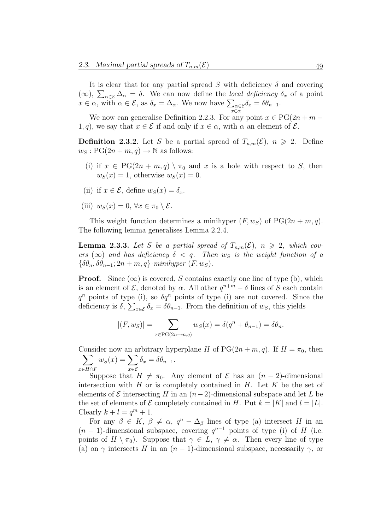It is clear that for any partial spread S with deficiency  $\delta$  and covering (∞),  $\sum_{\alpha \in \mathcal{E}} \Delta_{\alpha} = \delta$ . We can now define the *local deficiency*  $\delta_x$  of a point  $x \in \alpha$ , with  $\alpha \in \mathcal{E}$ , as  $\delta_x = \Delta_\alpha$ . We now have  $\sum_{x \in \alpha} \epsilon$  $\delta_x = \delta \theta_{n-1}.$ 

We now can generalise Definition 2.2.3. For any point  $x \in PG(2n + m -$ 1, q), we say that  $x \in \mathcal{E}$  if and only if  $x \in \alpha$ , with  $\alpha$  an element of  $\mathcal{E}$ .

**Definition 2.3.2.** Let S be a partial spread of  $T_{n,m}(\mathcal{E})$ ,  $n \ge 2$ . Define  $w_S: PG(2n + m, q) \rightarrow \mathbb{N}$  as follows:

- (i) if  $x \in PG(2n + m, q) \setminus \pi_0$  and x is a hole with respect to S, then  $w_S(x) = 1$ , otherwise  $w_S(x) = 0$ .
- (ii) if  $x \in \mathcal{E}$ , define  $w_S(x) = \delta_x$ .
- (iii)  $w_S(x) = 0, \forall x \in \pi_0 \setminus \mathcal{E}.$

This weight function determines a minihyper  $(F, w<sub>S</sub>)$  of  $PG(2n + m, q)$ . The following lemma generalises Lemma 2.2.4.

**Lemma 2.3.3.** Let S be a partial spread of  $T_{n,m}(\mathcal{E})$ ,  $n \geq 2$ , which covers  $(\infty)$  and has deficiency  $\delta < q$ . Then  $w_S$  is the weight function of a  $\{\delta\theta_n, \delta\theta_{n-1}; 2n+m, q\}$ -minihyper  $(F, w_S)$ .

**Proof.** Since  $(\infty)$  is covered, S contains exactly one line of type (b), which is an element of  $\mathcal{E}$ , denoted by  $\alpha$ . All other  $q^{n+m} - \delta$  lines of S each contain  $q^n$  points of type (i), so  $\delta q^n$  points of type (i) are not covered. Since the deficiency is  $\delta$ ,  $\sum_{x \in \mathcal{E}} \delta_x = \delta \theta_{n-1}$ . From the definition of  $w_S$ , this yields

$$
|(F, w_S)| = \sum_{x \in \text{PG}(2n+m,q)} w_S(x) = \delta(q^n + \theta_{n-1}) = \delta\theta_n.
$$

Consider now an arbitrary hyperplane H of  $PG(2n + m, q)$ . If  $H = \pi_0$ , then  $\sum$  $x\in H\cap F$  $w_S(x) = \sum$ x∈E  $\delta_x = \delta \theta_{n-1}.$ 

Suppose that  $H \neq \pi_0$ . Any element of  $\mathcal E$  has an  $(n-2)$ -dimensional intersection with H or is completely contained in H. Let K be the set of elements of  $\mathcal E$  intersecting H in an  $(n-2)$ -dimensional subspace and let L be the set of elements of  $\mathcal E$  completely contained in H. Put  $k = |K|$  and  $l = |L|$ . Clearly  $k + l = q<sup>m</sup> + 1$ .

For any  $\beta \in K$ ,  $\beta \neq \alpha$ ,  $q^{n} - \Delta_{\beta}$  lines of type (a) intersect H in an  $(n-1)$ -dimensional subspace, covering  $q^{n-1}$  points of type (i) of H (i.e. points of  $H \setminus \pi_0$ ). Suppose that  $\gamma \in L$ ,  $\gamma \neq \alpha$ . Then every line of type (a) on  $\gamma$  intersects H in an  $(n-1)$ -dimensional subspace, necessarily  $\gamma$ , or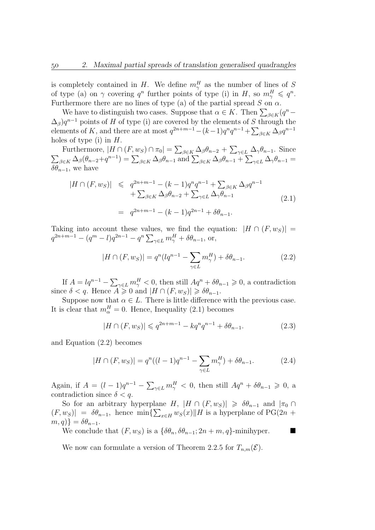is completely contained in H. We define  $m_\gamma^H$  as the number of lines of S of type (a) on  $\gamma$  covering  $q^n$  further points of type (i) in H, so  $m_\gamma^H \leqslant q^n$ . Furthermore there are no lines of type (a) of the partial spread  $S$  on  $\alpha$ .

We have to distinguish two cases. Suppose that  $\alpha \in K$ . Then  $\sum_{\beta \in K} (q^n (\Delta_{\beta})q^{n-1}$  points of H of type (i) are covered by the elements of S through the elements of K, and there are at most  $q^{2n+m-1}-(k-1)q^nq^{n-1}+\sum_{\beta\in K}\Delta_{\beta}q^{n-1}$ holes of type (i) in  $H$ .

Furthermore,  $|H \cap (F, w_S) \cap \pi_0| = \sum_{\beta \in K} \Delta_{\beta} \theta_{n-2} + \sum_{\gamma \in L} \Delta_{\gamma} \theta_{n-1}$ . Since  $\sum_{\beta \in K} \Delta_{\beta}(\theta_{n-2} + q^{n-1}) = \sum_{\beta \in K} \Delta_{\beta} \theta_{n-1} \text{ and } \sum_{\beta \in K} \Delta_{\beta} \theta_{n-1} + \sum_{\gamma \in L} \Delta_{\gamma} \theta_{n-1} =$  $\delta\theta_{n-1}$ , we have

$$
|H \cap (F, w_S)| \leq q^{2n+m-1} - (k-1)q^n q^{n-1} + \sum_{\beta \in K} \Delta_{\beta} q^{n-1} + \sum_{\gamma \in L} \Delta_{\gamma} \theta_{n-1} + \sum_{\gamma \in L} \Delta_{\gamma} \theta_{n-1}
$$
  
=  $q^{2n+m-1} - (k-1)q^{2n-1} + \delta \theta_{n-1}.$  (2.1)

Taking into account these values, we find the equation:  $|H \cap (F, w_S)|$  =  $q^{2n+m-1} - (q^m - l)q^{2n-1} - q^n \sum_{\gamma \in L} m_{\gamma}^H + \delta \theta_{n-1}, \text{ or,}$ 

$$
|H \cap (F, w_S)| = q^n (lq^{n-1} - \sum_{\gamma \in L} m_{\gamma}^H) + \delta \theta_{n-1}.
$$
 (2.2)

If  $A = lq^{n-1} - \sum_{\gamma \in L} m_{\gamma}^H < 0$ , then still  $Aq^n + \delta \theta_{n-1} \geq 0$ , a contradiction since  $\delta < q$ . Hence  $A \geq 0$  and  $|H \cap (F, w_S)| \geq \delta \theta_{n-1}$ .

Suppose now that  $\alpha \in L$ . There is little difference with the previous case. It is clear that  $m_{\alpha}^{H} = 0$ . Hence, Inequality (2.1) becomes

$$
|H \cap (F, w_S)| \leqslant q^{2n+m-1} - kq^n q^{n-1} + \delta \theta_{n-1}.
$$
 (2.3)

and Equation (2.2) becomes

$$
|H \cap (F, w_S)| = q^n((l-1)q^{n-1} - \sum_{\gamma \in L} m_{\gamma}^H) + \delta \theta_{n-1}.
$$
 (2.4)

Again, if  $A = (l-1)q^{n-1} - \sum_{\gamma \in L} m_{\gamma}^H < 0$ , then still  $Aq^n + \delta \theta_{n-1} \geq 0$ , a contradiction since  $\delta < q$ .

So for an arbitrary hyperplane H,  $|H \cap (F, w_S)| \geq \delta \theta_{n-1}$  and  $|\pi_0 \cap$  $(F, w_S)| = \delta \theta_{n-1}$ , hence min $\{\sum_{x \in H} w_S(x) || H$  is a hyperplane of PG(2n +  $m, q$ } =  $\delta \theta_{n-1}$ .

We conclude that  $(F, w_s)$  is a  $\{\delta \theta_n, \delta \theta_{n-1}; 2n + m, q\}$ -minihyper.

We now can formulate a version of Theorem 2.2.5 for  $T_{n,m}(\mathcal{E})$ .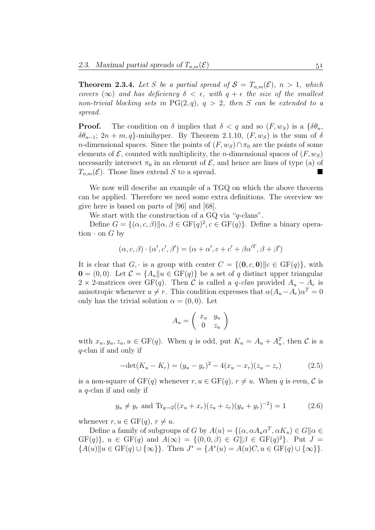**Theorem 2.3.4.** Let S be a partial spread of  $S = T_{n,m}(\mathcal{E}), n > 1$ , which covers  $(\infty)$  and has deficiency  $\delta < \epsilon$ , with  $q + \epsilon$  the size of the smallest non-trivial blocking sets in  $PG(2,q)$ ,  $q > 2$ , then S can be extended to a spread.

**Proof.** The condition on  $\delta$  implies that  $\delta < q$  and so  $(F, w_S)$  is a  $\{\delta \theta_n, \delta \theta_n\}$  $\delta\theta_{n-1}$ ; 2n + m, q}-minihyper. By Theorem 2.1.10,  $(F, w_S)$  is the sum of  $\delta$ n-dimensional spaces. Since the points of  $(F, w_S) \cap \pi_0$  are the points of some elements of  $\mathcal{E}$ , counted with multiplicity, the *n*-dimensional spaces of  $(F, w_S)$ necessarily intersect  $\pi_0$  in an element of  $\mathcal{E}$ , and hence are lines of type (a) of  $T_{n,m}(\mathcal{E})$ . Those lines extend S to a spread.

We now will describe an example of a TGQ on which the above theorem can be applied. Therefore we need some extra definitions. The overview we give here is based on parts of [96] and [68].

We start with the construction of a GQ via "q-clans".

Define  $G = \{(\alpha, c, \beta) || \alpha, \beta \in \mathrm{GF}(q)^2, c \in \mathrm{GF}(q)\}.$  Define a binary operation  $\cdot$  on G by

$$
(\alpha, c, \beta) \cdot (\alpha', c', \beta') = (\alpha + \alpha', c + c' + \beta \alpha'^T, \beta + \beta')
$$

It is clear that  $G_i$  is a group with center  $C = \{(\mathbf{0}, c, \mathbf{0}) | | c \in \text{GF}(q)\}\)$ , with  $\mathbf{0} = (0,0)$ . Let  $\mathcal{C} = \{A_u | u \in \text{GF}(q)\}\$ be a set of q distinct upper triangular 2 × 2-matrices over GF(q). Then C is called a q-clan provided  $A_u - A_r$  is anisotropic whenever  $u \neq r$ . This condition expresses that  $\alpha(A_u - A_r)\alpha^T = 0$ only has the trivial solution  $\alpha = (0, 0)$ . Let

$$
A_u = \left(\begin{array}{cc} x_u & y_u \\ 0 & z_u \end{array}\right)
$$

with  $x_u, y_u, z_u, u \in \mathrm{GF}(q)$ . When q is odd, put  $K_u = A_u + A_u^T$ , then C is a q-clan if and only if

$$
-\det(K_u - K_r) = (y_u - y_r)^2 - 4(x_u - x_r)(z_u - z_r)
$$
 (2.5)

is a non-square of  $GF(q)$  whenever  $r, u \in GF(q), r \neq u$ . When q is even, C is a q-clan if and only if

$$
y_u \neq y_r
$$
 and  $\text{Tr}_{q\to 2}((x_u + x_r)(z_u + z_r)(y_u + y_r)^{-2}) = 1$  (2.6)

whenever  $r, u \in \mathrm{GF}(q), r \neq u$ .

Define a family of subgroups of G by  $A(u) = \{(\alpha, \alpha A_u \alpha^T, \alpha K_u) \in G \mid \alpha \in$  $GF(q)$ ,  $u \in GF(q)$  and  $A(\infty) = \{(0,0,\beta) \in G \mid \beta \in GF(q)^2\}$ . Put  $J =$  ${A(u)}||u \in GF(q) \cup {\infty}$ . Then  $J^* = {A^*(u) = A(u)C, u \in GF(q) \cup {\infty}}$ .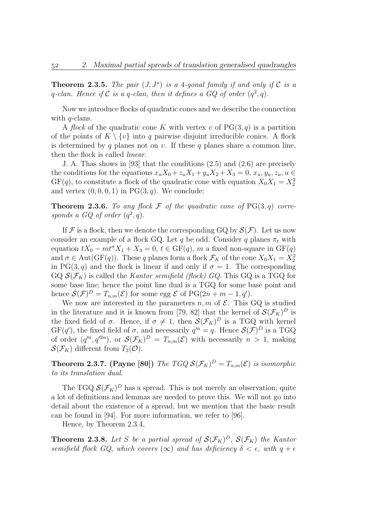**Theorem 2.3.5.** The pair  $(J, J^*)$  is a 4-gonal family if and only if C is a q-clan. Hence if C is a q-clan, then it defines a GQ of order  $(q^2, q)$ .

Now we introduce flocks of quadratic cones and we describe the connection with  $q$ -clans.

A flock of the quadratic cone K with vertex v of  $PG(3, q)$  is a partition of the points of  $K \setminus \{v\}$  into q pairwise disjoint irreducible conics. A flock is determined by q planes not on v. If these q planes share a common line, then the flock is called linear.

J. A. Thas shows in [93] that the conditions (2.5) and (2.6) are precisely the conditions for the equations  $x_uX_0 + z_uX_1 + y_uX_2 + X_3 = 0$ ,  $x_u, y_u, z_u, u \in$  $GF(q)$ , to constitute a flock of the quadratic cone with equation  $X_0X_1 = X_2^2$ and vertex  $(0, 0, 0, 1)$  in PG $(3, q)$ . We conclude:

**Theorem 2.3.6.** To any flock  $\mathcal F$  of the quadratic cone of PG(3, q) corresponds a GQ of order  $(q^2, q)$ .

If F is a flock, then we denote the corresponding GQ by  $\mathcal{S}(\mathcal{F})$ . Let us now consider an example of a flock GQ. Let q be odd. Consider q planes  $\pi_t$  with equation  $tX_0 - mt^{\sigma}X_1 + X_3 = 0$ ,  $t \in GF(q)$ , m a fixed non-square in  $GF(q)$ and  $\sigma \in \text{Aut}(\text{GF}(q))$ . These q planes form a flock  $\mathcal{F}_K$  of the cone  $X_0X_1 = \overline{X_2^2}$ in PG(3, q) and the flock is linear if and only if  $\sigma = 1$ . The corresponding GQ  $\mathcal{S}(\mathcal{F}_K)$  is called the Kantor semifield (flock) GQ. This GQ is a TGQ for some base line; hence the point line dual is a TGQ for some base point and hence  $\mathcal{S}(\mathcal{F})^D = T_{n,m}(\mathcal{E})$  for some egg  $\mathcal E$  of PG(2n + m - 1, q').

We now are interested in the parameters  $n, m$  of  $\mathcal{E}$ . This GQ is studied in the literature and it is known from [79, 82] that the kernel of  $\mathcal{S}(\mathcal{F}_K)^D$  is the fixed field of  $\sigma$ . Hence, if  $\sigma \neq 1$ , then  $\mathcal{S}(\mathcal{F}_K)^D$  is a TGQ with kernel  $GF(q')$ , the fixed field of  $\sigma$ , and necessarily  $q'^n = q$ . Hence  $\mathcal{S}(\mathcal{F})^D$  is a TGQ of order  $(q^m, q^{2n})$ , or  $\mathcal{S}(\mathcal{F}_K)^D = T_{n,m}(\mathcal{E})$  with necessarily  $n > 1$ , making  $\mathcal{S}(\mathcal{F}_K)$  different from  $T_3(\mathcal{O})$ .

**Theorem 2.3.7.** (Payne [80]) The TGQ  $\mathcal{S}(\mathcal{F}_K)^D = T_{n,m}(\mathcal{E})$  is isomorphic to its translation dual.

The TGQ  $\mathcal{S}(\mathcal{F}_K)^D$  has a spread. This is not merely an observation; quite a lot of definitions and lemmas are needed to prove this. We will not go into detail about the existence of a spread, but we mention that the basic result can be found in [94]. For more information, we refer to [96].

Hence, by Theorem 2.3.4,

**Theorem 2.3.8.** Let S be a partial spread of  $\mathcal{S}(\mathcal{F}_K)^D$ ,  $\mathcal{S}(\mathcal{F}_K)$  the Kantor semifield flock GQ, which covers  $(\infty)$  and has deficiency  $\delta < \epsilon$ , with  $q + \epsilon$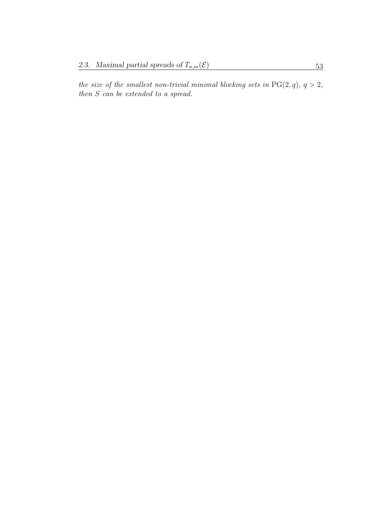the size of the smallest non-trivial minimal blocking sets in  $PG(2, q)$ ,  $q > 2$ , then S can be extended to a spread.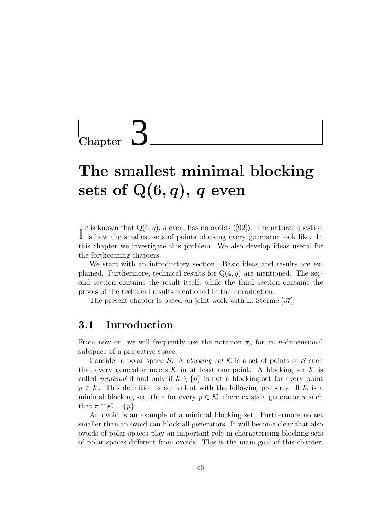**Chapter** 

# The smallest minimal blocking sets of  $Q(6, q)$ , q even

 $\int_{0}^{\tau}$  is known that Q(6, q), q even, has no ovoids ([92]). The natural question is how the smallest sets of points blocking every generator look like. In is how the smallest sets of points blocking every generator look like. In this chapter we investigate this problem. We also develop ideas useful for the forthcoming chapters.

We start with an introductory section. Basic ideas and results are explained. Furthermore, technical results for  $Q(4, q)$  are mentioned. The second section contains the result itself, while the third section contains the proofs of the technical results mentioned in the introduction.

The present chapter is based on joint work with L. Storme [37].

## 3.1 Introduction

From now on, we will frequently use the notation  $\pi_n$  for an *n*-dimensional subspace of a projective space.

Consider a polar space S. A blocking set K is a set of points of S such that every generator meets  $\mathcal K$  in at least one point. A blocking set  $\mathcal K$  is called *minimal* if and only if  $\mathcal{K} \setminus \{p\}$  is not a blocking set for every point  $p \in \mathcal{K}$ . This definition is equivalent with the following property. If  $\mathcal{K}$  is a minimal blocking set, then for every  $p \in \mathcal{K}$ , there exists a generator  $\pi$  such that  $\pi \cap \mathcal{K} = \{p\}.$ 

An ovoid is an example of a minimal blocking set. Furthermore no set smaller than an ovoid can block all generators. It will become clear that also ovoids of polar spaces play an important role in characterising blocking sets of polar spaces different from ovoids. This is the main goal of this chapter,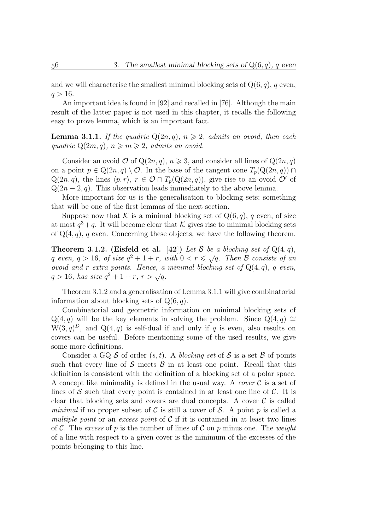and we will characterise the smallest minimal blocking sets of  $Q(6, q)$ , q even,  $q > 16$ .

An important idea is found in [92] and recalled in [76]. Although the main result of the latter paper is not used in this chapter, it recalls the following easy to prove lemma, which is an important fact.

**Lemma 3.1.1.** If the quadric  $Q(2n, q)$ ,  $n \ge 2$ , admits an ovoid, then each quadric  $Q(2m, q)$ ,  $n \geqslant m \geqslant 2$ , admits an ovoid.

Consider an ovoid  $\mathcal O$  of  $\mathbb Q(2n, q)$ ,  $n \geqslant 3$ , and consider all lines of  $\mathbb Q(2n, q)$ on a point  $p \in \mathbb{Q}(2n, q) \setminus \mathcal{O}$ . In the base of the tangent cone  $T_p(\mathbb{Q}(2n, q)) \cap$  $Q(2n, q)$ , the lines  $\langle p, r \rangle$ ,  $r \in \mathcal{O} \cap T_p(Q(2n, q))$ , give rise to an ovoid  $\mathcal{O}'$  of  $Q(2n-2, q)$ . This observation leads immediately to the above lemma.

More important for us is the generalisation to blocking sets; something that will be one of the first lemmas of the next section.

Suppose now that K is a minimal blocking set of  $Q(6, q)$ , q even, of size at most  $q^3 + q$ . It will become clear that K gives rise to minimal blocking sets of  $Q(4, q)$ , q even. Concerning these objects, we have the following theorem.

**Theorem 3.1.2.** (Eisfeld et al. [42]) Let B be a blocking set of  $Q(4, q)$ , **Theorem 3.1.2.** (Eisield et al. [42]) Let  $\beta$  be a blocking set of  $Q(4, q)$ ,<br>q even,  $q > 16$ , of size  $q^2 + 1 + r$ , with  $0 < r \leq \sqrt{q}$ . Then  $\beta$  consists of an ovoid and r extra points. Hence, a minimal blocking set of  $Q(4,q)$ , q even, ovota ana r extra points. Hence, a<br> $q > 16$ , has size  $q^2 + 1 + r$ ,  $r > \sqrt{q}$ .

Theorem 3.1.2 and a generalisation of Lemma 3.1.1 will give combinatorial information about blocking sets of  $Q(6, q)$ .

Combinatorial and geometric information on minimal blocking sets of Q(4, q) will be the key elements in solving the problem. Since Q(4, q) ≅  $W(3, q)^{D}$ , and  $Q(4, q)$  is self-dual if and only if q is even, also results on covers can be useful. Before mentioning some of the used results, we give some more definitions.

Consider a GQ  $S$  of order  $(s, t)$ . A blocking set of  $S$  is a set  $\beta$  of points such that every line of  $S$  meets  $\beta$  in at least one point. Recall that this definition is consistent with the definition of a blocking set of a polar space. A concept like minimality is defined in the usual way. A *cover*  $\mathcal C$  is a set of lines of  $S$  such that every point is contained in at least one line of  $C$ . It is clear that blocking sets and covers are dual concepts. A cover  $\mathcal C$  is called minimal if no proper subset of C is still a cover of S. A point p is called a multiple point or an excess point of  $\mathcal C$  if it is contained in at least two lines of C. The excess of p is the number of lines of C on p minus one. The weight of a line with respect to a given cover is the minimum of the excesses of the points belonging to this line.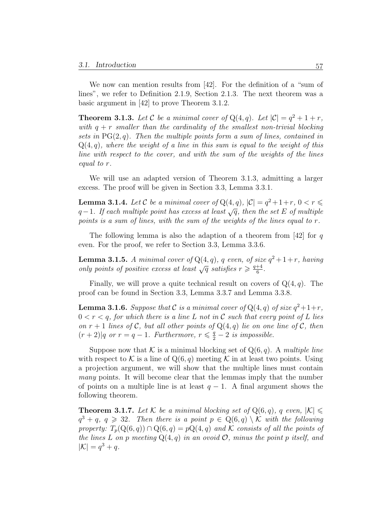We now can mention results from [42]. For the definition of a "sum of lines", we refer to Definition 2.1.9, Section 2.1.3. The next theorem was a basic argument in [42] to prove Theorem 3.1.2.

**Theorem 3.1.3.** Let C be a minimal cover of  $Q(4, q)$ . Let  $|C| = q^2 + 1 + r$ , with  $q + r$  smaller than the cardinality of the smallest non-trivial blocking sets in  $PG(2, q)$ . Then the multiple points form a sum of lines, contained in  $Q(4, q)$ , where the weight of a line in this sum is equal to the weight of this line with respect to the cover, and with the sum of the weights of the lines equal to r.

We will use an adapted version of Theorem 3.1.3, admitting a larger excess. The proof will be given in Section 3.3, Lemma 3.3.1.

**Lemma 3.1.4.** Let C be a minimal cover of  $Q(4, q)$ ,  $|C| = q^2 + 1 + r$ ,  $0 < r \leq$  $q-1$ . If each multiple point has excess at least  $\sqrt{q}$ , then the set E of multiple points is a sum of lines, with the sum of the weights of the lines equal to r.

The following lemma is also the adaption of a theorem from [42] for q even. For the proof, we refer to Section 3.3, Lemma 3.3.6.

**Lemma 3.1.5.** A minimal cover of  $Q(4,q)$ , q even, of size  $q^2+1+r$ , having **Lemma 3.1.5.** A minimal cover of  $Q(4, q)$ , q even, of size only points of positive excess at least  $\sqrt{q}$  satisfies  $r \geq \frac{q+4}{6}$  $\frac{+4}{6}$ .

Finally, we will prove a quite technical result on covers of  $Q(4, q)$ . The proof can be found in Section 3.3, Lemma 3.3.7 and Lemma 3.3.8.

**Lemma 3.1.6.** Suppose that C is a minimal cover of  $Q(4,q)$  of size  $q^2+1+r$ ,  $0 < r < q$ , for which there is a line L not in C such that every point of L lies on  $r + 1$  lines of C, but all other points of  $Q(4, q)$  lie on one line of C, then  $(r+2)|q$  or  $r = q-1$ . Furthermore,  $r \leq \frac{q}{2} - 2$  is impossible.

Suppose now that K is a minimal blocking set of  $Q(6, q)$ . A multiple line with respect to K is a line of  $Q(6, q)$  meeting K in at least two points. Using a projection argument, we will show that the multiple lines must contain many points. It will become clear that the lemmas imply that the number of points on a multiple line is at least  $q - 1$ . A final argument shows the following theorem.

**Theorem 3.1.7.** Let K be a minimal blocking set of  $Q(6, q)$ , q even,  $|K| \le$  $q^3 + q, q \geq 32$ . Then there is a point  $p \in Q(6,q) \setminus \mathcal{K}$  with the following property:  $T_p(Q(6,q)) \cap Q(6,q) = pQ(4,q)$  and K consists of all the points of the lines L on p meeting  $Q(4, q)$  in an ovoid  $\mathcal{O}$ , minus the point p itself, and  $|\mathcal{K}| = q^3 + q.$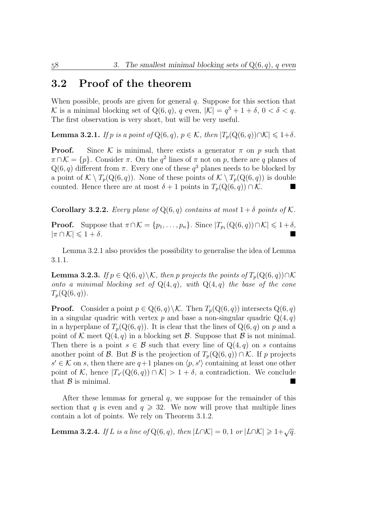# 3.2 Proof of the theorem

When possible, proofs are given for general  $q$ . Suppose for this section that K is a minimal blocking set of  $Q(6, q)$ , q even,  $|\mathcal{K}| = q^3 + 1 + \delta$ ,  $0 < \delta < q$ . The first observation is very short, but will be very useful.

**Lemma 3.2.1.** If p is a point of Q(6, q),  $p \in \mathcal{K}$ , then  $|T_p(Q(6, q)) \cap \mathcal{K}| \leq 1+\delta$ .

**Proof.** Since K is minimal, there exists a generator  $\pi$  on p such that  $\pi \cap \mathcal{K} = \{p\}.$  Consider  $\pi$ . On the  $q^2$  lines of  $\pi$  not on p, there are q planes of  $Q(6, q)$  different from  $\pi$ . Every one of these  $q<sup>3</sup>$  planes needs to be blocked by a point of  $\mathcal{K} \setminus T_p(Q(6, q))$ . None of these points of  $\mathcal{K} \setminus T_p(Q(6, q))$  is double counted. Hence there are at most  $\delta + 1$  points in  $T_p(Q(6, q)) \cap \mathcal{K}$ .

**Corollary 3.2.2.** Every plane of  $Q(6, q)$  contains at most  $1 + \delta$  points of K.

**Proof.** Suppose that  $\pi \cap \mathcal{K} = \{p_1, \ldots, p_n\}$ . Since  $|T_{p_1}(Q(6, q)) \cap \mathcal{K}| \leq 1 + \delta$ ,  $|\pi \cap \mathcal{K}| \leqslant 1 + \delta.$ 

Lemma 3.2.1 also provides the possibility to generalise the idea of Lemma 3.1.1.

**Lemma 3.2.3.** If  $p \in \mathbb{Q}(6, q) \backslash \mathcal{K}$ , then p projects the points of  $T_p(\mathbb{Q}(6, q)) \cap \mathcal{K}$ onto a minimal blocking set of  $Q(4,q)$ , with  $Q(4,q)$  the base of the cone  $T_p(Q(6, q)).$ 

**Proof.** Consider a point  $p \in \mathbb{Q}(6, q) \setminus \mathcal{K}$ . Then  $T_p(\mathbb{Q}(6, q))$  intersects  $\mathbb{Q}(6, q)$ in a singular quadric with vertex p and base a non-singular quadric  $Q(4, q)$ in a hyperplane of  $T_p(Q(6, q))$ . It is clear that the lines of  $Q(6, q)$  on p and a point of K meet  $Q(4, q)$  in a blocking set B. Suppose that B is not minimal. Then there is a point  $s \in \mathcal{B}$  such that every line of  $Q(4,q)$  on s contains another point of B. But B is the projection of  $T_p(Q(6,q)) \cap \mathcal{K}$ . If p projects  $s' \in \mathcal{K}$  on s, then there are  $q+1$  planes on  $\langle p, s' \rangle$  containing at least one other point of K, hence  $|T_{s'}(Q(6, q)) \cap K| > 1 + \delta$ , a contradiction. We conclude that  $\beta$  is minimal.

After these lemmas for general  $q$ , we suppose for the remainder of this section that q is even and  $q \ge 32$ . We now will prove that multiple lines contain a lot of points. We rely on Theorem 3.1.2.

**Lemma 3.2.4.** If L is a line of Q(6, q), then  $|L \cap K| = 0, 1$  or  $|L \cap K| \geq 1 + \sqrt{q}$ .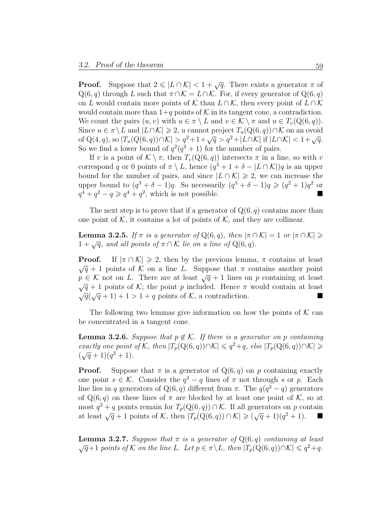**Proof.** Suppose that  $2 \leq L \cap \mathcal{K} < 1 + \sqrt{q}$ . There exists a generator  $\pi$  of  $Q(6, q)$  through L such that  $\pi \cap \mathcal{K} = L \cap \mathcal{K}$ . For, if every generator of  $Q(6, q)$ on L would contain more points of K than  $L \cap K$ , then every point of  $L \cap K$ would contain more than  $1+q$  points of K in its tangent cone, a contradiction. We count the pairs  $(u, v)$  with  $u \in \pi \setminus L$  and  $v \in \mathcal{K} \setminus \pi$  and  $u \in T_v(Q(6, q))$ . Since  $u \in \pi \backslash L$  and  $|L \cap K| \geq 2$ , u cannot project  $T_u(Q(6, q)) \cap K$  on an ovoid of Q(4, q), so  $|T_u(Q(6, q)) \cap \mathcal{K}| > q^2 + 1 + \sqrt{q} > q^2 + |L \cap \mathcal{K}|$  if  $|L \cap \mathcal{K}| < 1 + \sqrt{q}$ . So we find a lower bound of  $q^2(q^2+1)$  for the number of pairs.

If v is a point of  $\mathcal{K} \setminus \pi$ , then  $T_v(Q(6, q))$  intersects  $\pi$  in a line, so with v correspond q or 0 points of  $\pi \setminus L$ , hence  $(q^3 + 1 + \delta - |L \cap \mathcal{K}|)q$  is an upper bound for the number of pairs, and since  $|L \cap \mathcal{K}| \geq 2$ , we can increase the upper bound to  $(q^3 + \delta - 1)q$ . So necessarily  $(q^3 + \delta - 1)q \geq (q^2 + 1)q^2$  or  $q^4 + q^2 - q \geqslant q^4 + q^2$ , which is not possible.

The next step is to prove that if a generator of  $Q(6, q)$  contains more than one point of  $K$ , it contains a lot of points of  $K$ , and they are collinear.

**Lemma 3.2.5.** If  $\pi$  is a generator of  $Q(6, q)$ , then  $|\pi \cap \mathcal{K}| = 1$  or  $|\pi \cap \mathcal{K}| \geq$  $1 + \sqrt{q}$ , and all points of  $\pi \cap \mathcal{K}$  lie on a line of Q(6, q).

**Proof.** If  $|\pi \cap \mathcal{K}| \geq 2$ , then by the previous lemma,  $\pi$  contains at least  $\sqrt{q} + 1$  points of K on a line L. Suppose that  $\pi$  contains another point  $p \in \mathcal{K}$  not on L. There are at least  $\sqrt{q} + 1$  lines on p containing at least  $\sqrt{q}$  + 1 points of K; the point p included. Hence  $\pi$  would contain at least  $\sqrt{q}$  + 1 points or  $\kappa$ ; the point p included. Hence  $\pi$  would contain at least  $\sqrt{q}(\sqrt{q}+1)+1>1+q$  points of  $\mathcal{K}$ , a contradiction.

The following two lemmas give information on how the points of  $K$  can be concentrated in a tangent cone.

**Lemma 3.2.6.** Suppose that  $p \notin \mathcal{K}$ . If there is a generator on p containing exactly one point of K, then  $|T_p(Q(6, q)) \cap K| \leqslant q^2 + q$ , else  $|T_p(Q(6, q)) \cap K| \geqslant$ exactly one point<br> $(\sqrt{q}+1)(q^2+1)$ .

**Proof.** Suppose that  $\pi$  is a generator of  $Q(6, q)$  on p containing exactly one point  $s \in \mathcal{K}$ . Consider the  $q^2 - q$  lines of  $\pi$  not through s or p. Each line lies in q generators of Q(6, q) different from  $\pi$ . The  $q(q^2-q)$  generators of  $Q(6, q)$  on these lines of  $\pi$  are blocked by at least one point of K, so at most  $q^2 + q$  points remain for  $T_p(Q(6, q)) \cap \mathcal{K}$ . If all generators on p contain most  $q^2 + q$  points remain for  $I_p(Q(0, q)) \cap \mathcal{K}$ . If all generators on p contain<br>at least  $\sqrt{q} + 1$  points of K, then  $|T_p(Q(6, q)) \cap \mathcal{K}| \geq (\sqrt{q} + 1)(q^2 + 1)$ .

**Lemma 3.2.7.** Suppose that  $\pi$  is a generator of  $Q(6, q)$  containing at least **Lemma 3.2.7.** Suppose that  $\pi$  is a generator of Q(0, q) containing at least  $\sqrt{q}+1$  points of K on the line L. Let  $p \in \pi \backslash L$ , then  $|T_p(\mathbb{Q}(6,q)) \cap K| \leqslant q^2+q$ .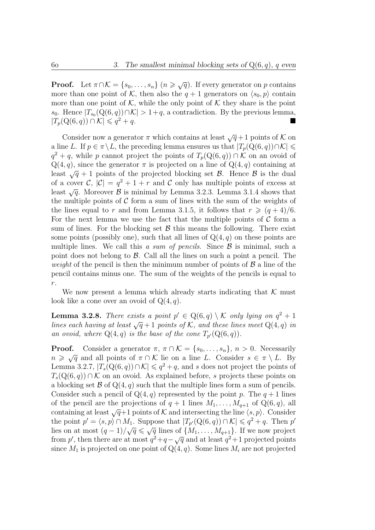**Proof.** Let  $\pi \cap \mathcal{K} = \{s_0, \ldots, s_n\}$   $(n \geq \sqrt{q})$ . If every generator on p contains more than one point of K, then also the  $q + 1$  generators on  $\langle s_0, p \rangle$  contain more than one point of  $K$ , while the only point of  $K$  they share is the point s<sub>0</sub>. Hence  $|T_{s_0}(Q(6, q)) \cap \mathcal{K}| > 1 + q$ , a contradiction. By the previous lemma,  $|T_p(Q(6, q)) \cap \mathcal{K}| \leqslant q^2 + q.$  $2^2+q$ .

Consider now a generator  $\pi$  which contains at least  $\sqrt{q}+1$  points of K on a line L. If  $p \in \pi \backslash L$ , the preceding lemma ensures us that  $|T_p(Q(6, q)) \cap K| \leq$  $q^2 + q$ , while p cannot project the points of  $T_p(Q(6, q)) \cap K$  on an ovoid of  $Q(4, q)$ , since the generator  $\pi$  is projected on a line of  $Q(4, q)$  containing at least  $\sqrt{q} + 1$  points of the projected blocking set  $\beta$ . Hence  $\beta$  is the dual of a cover C,  $|\mathcal{C}| = q^2 + 1 + r$  and C only has multiple points of excess at least  $\sqrt{q}$ . Moreover  $\beta$  is minimal by Lemma 3.2.3. Lemma 3.1.4 shows that the multiple points of  $\mathcal C$  form a sum of lines with the sum of the weights of the lines equal to r and from Lemma 3.1.5, it follows that  $r \geqslant (q+4)/6$ . For the next lemma we use the fact that the multiple points of  $\mathcal C$  form a sum of lines. For the blocking set  $\beta$  this means the following. There exist some points (possibly one), such that all lines of  $Q(4, q)$  on these points are multiple lines. We call this a sum of pencils. Since  $\mathcal{B}$  is minimal, such a point does not belong to  $\beta$ . Call all the lines on such a point a pencil. The *weight* of the pencil is then the minimum number of points of  $\beta$  a line of the pencil contains minus one. The sum of the weights of the pencils is equal to  $r. \,$ 

We now present a lemma which already starts indicating that  $K$  must look like a cone over an ovoid of  $Q(4, q)$ .

**Lemma 3.2.8.** There exists a point  $p' \in Q(6,q) \setminus \mathcal{K}$  only lying on  $q^2 + 1$ lines each having at least  $\sqrt{q} + 1$  points of K, and these lines meet Q(4, q) in an ovoid, where  $Q(4,q)$  is the base of the cone  $T_{p'}(Q(6,q))$ .

**Proof.** Consider a generator  $\pi$ ,  $\pi \cap \mathcal{K} = \{s_0, \ldots, s_n\}, n > 0$ . Necessarily **Proof.** Consider a generator  $\pi$ ,  $\pi \cap \mathcal{K} = \{s_0, \ldots, s_n\}$ ,  $n > 0$ . Necessarily  $n \geq \sqrt{q}$  and all points of  $\pi \cap \mathcal{K}$  lie on a line L. Consider  $s \in \pi \setminus L$ . By Lemma 3.2.7,  $|T_s(\mathbf{Q}(6, q)) \cap \mathcal{K}| \leqslant q^2 + q$ , and s does not project the points of  $T_s(Q(6, q)) \cap \mathcal{K}$  on an ovoid. As explained before, s projects these points on a blocking set  $\mathcal B$  of  $Q(4, q)$  such that the multiple lines form a sum of pencils. Consider such a pencil of  $Q(4, q)$  represented by the point p. The  $q + 1$  lines of the pencil are the projections of  $q + 1$  lines  $M_1, \ldots, M_{q+1}$  of  $Q(6, q)$ , all containing at least  $\sqrt{q}+1$  points of K and intersecting the line  $\langle s, p \rangle$ . Consider the point  $p' = \langle s, p \rangle \cap M_1$ . Suppose that  $|T_{p'}(\mathcal{Q}(6, q)) \cap \mathcal{K}| \leqslant q^2 + q$ . Then p' the point  $p = \langle s, p \rangle \cap M_1$ . Suppose that  $|I_{p'}(Q(0, q))| \cap K| \leq q^2 + q$ . Then p<br>lies on at most  $(q - 1)/\sqrt{q} \leq \sqrt{q}$  lines of  $\{M_1, \ldots, M_{q+1}\}$ . If we now project the positive integration of  $(q - 1)/\sqrt{q} \leq \sqrt{q}$  integrals of  $\{M_1, \ldots, M_{q+1}\}\$ . If we now project<br>from p', then there are at most  $q^2 + q - \sqrt{q}$  and at least  $q^2 + 1$  projected points since  $M_1$  is projected on one point of  $Q(4, q)$ . Some lines  $M_i$  are not projected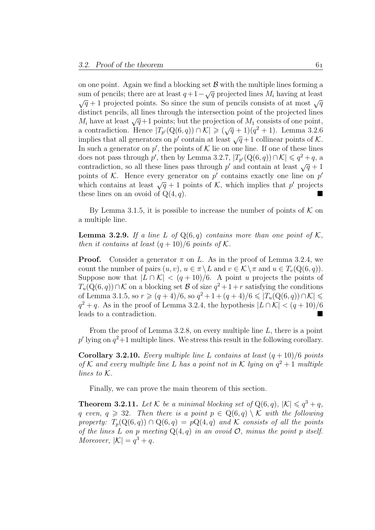on one point. Again we find a blocking set  $\mathcal B$  with the multiple lines forming a on one point. Again we find a blocking set  $\mathcal B$  with the multiple lines forming a<br>sum of pencils; there are at least  $q+1-\sqrt{q}$  projected lines  $M_i$  having at least  $\sqrt{q}$  + 1 projected points. So since the sum of pencils consists of at most  $\sqrt{q}$ distinct pencils, all lines through the intersection point of the projected lines  $M_i$  have at least  $\sqrt{q}+1$  points; but the projection of  $M_1$  consists of one point,  $M_i$  nave at least  $\sqrt{q+1}$  points; but the projection of  $M_1$  consists of one point,<br>a contradiction. Hence  $|T_{p'}(\mathbf{Q}(6,q)) \cap \mathcal{K}| \geqslant (\sqrt{q}+1)(q^2+1)$ . Lemma 3.2.6 a contradiction. Hence  $|I_{p'}(Q(0, q))| \le |\sqrt{q} + 1|(q^2 + 1)|$ . Lemma 3.2.0<br>implies that all generators on p' contain at least  $\sqrt{q}+1$  collinear points of K. In such a generator on  $p'$ , the points of K lie on one line. If one of these lines does not pass through p', then by Lemma 3.2.7,  $|T_{p'}(\mathbf{Q}(6, q)) \cap \mathcal{K}| \leq q^2 + q$ , a does not pass through p, then by Lemma 3.2.1,  $\vert I_{p'}(Q(0, q)) \cap \mathcal{N} \vert \leq q^2 + q$ , a contradiction, so all these lines pass through p' and contain at least  $\sqrt{q} + 1$ points of K. Hence every generator on  $p'$  contains exactly one line on  $p'$ points or  $\kappa$ . Hence every generator on p contains exactly one line on p which contains at least  $\sqrt{q} + 1$  points of K, which implies that p' projects these lines on an ovoid of  $Q(4, q)$ .

By Lemma 3.1.5, it is possible to increase the number of points of  $K$  on a multiple line.

**Lemma 3.2.9.** If a line L of  $Q(6,q)$  contains more than one point of K, then it contains at least  $(q+10)/6$  points of K.

**Proof.** Consider a generator  $\pi$  on L. As in the proof of Lemma 3.2.4, we count the number of pairs  $(u, v), u \in \pi \setminus L$  and  $v \in \mathcal{K} \setminus \pi$  and  $u \in T_v(Q(6, q)).$ Suppose now that  $|L \cap \mathcal{K}| < (q+10)/6$ . A point u projects the points of  $T_u(Q(6,q)) \cap \mathcal{K}$  on a blocking set  $\mathcal B$  of size  $q^2 + 1 + r$  satisfying the conditions of Lemma 3.1.5, so  $r \ge (q + 4)/6$ , so  $q^2 + 1 + (q + 4)/6 \le |T_u(Q(6, q)) \cap K|$  $q^2 + q$ . As in the proof of Lemma 3.2.4, the hypothesis  $|L \cap \mathcal{K}| < (q+10)/6$ leads to a contradiction.

From the proof of Lemma 3.2.8, on every multiple line L, there is a point  $p'$  lying on  $q^2+1$  multiple lines. We stress this result in the following corollary.

Corollary 3.2.10. Every multiple line L contains at least  $(q+10)/6$  points of K and every multiple line L has a point not in K lying on  $q^2 + 1$  multiple lines to K.

Finally, we can prove the main theorem of this section.

**Theorem 3.2.11.** Let K be a minimal blocking set of  $Q(6, q)$ ,  $|K| \leq q^3 + q$ , q even,  $q \ge 32$ . Then there is a point  $p \in \mathbb{Q}(6,q) \setminus \mathcal{K}$  with the following property:  $T_p(Q(6,q)) \cap Q(6,q) = pQ(4,q)$  and K consists of all the points of the lines L on p meeting  $Q(4, q)$  in an ovoid  $\mathcal{O}$ , minus the point p itself. Moreover,  $|\mathcal{K}| = q^3 + q$ .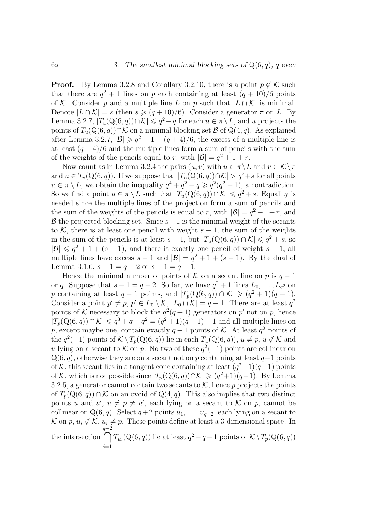**Proof.** By Lemma 3.2.8 and Corollary 3.2.10, there is a point  $p \notin \mathcal{K}$  such that there are  $q^2 + 1$  lines on p each containing at least  $(q + 10)/6$  points of K. Consider p and a multiple line L on p such that  $|L \cap K|$  is minimal. Denote  $|L \cap \mathcal{K}| = s$  (then  $s \geq (q + 10)/6$ ). Consider a generator  $\pi$  on L. By Lemma 3.2.7,  $|T_u(Q(6, q)) \cap \mathcal{K}| \leqslant q^2 + q$  for each  $u \in \pi \setminus L$ , and u projects the points of  $T_u(Q(6, q)) \cap \mathcal{K}$  on a minimal blocking set  $\mathcal{B}$  of  $Q(4, q)$ . As explained after Lemma 3.2.7,  $|\mathcal{B}| \geq q^2 + 1 + (q+4)/6$ , the excess of a multiple line is at least  $(q + 4)/6$  and the multiple lines form a sum of pencils with the sum of the weights of the pencils equal to r; with  $|\mathcal{B}| = q^2 + 1 + r$ .

Now count as in Lemma 3.2.4 the pairs  $(u, v)$  with  $u \in \pi \setminus L$  and  $v \in \mathcal{K} \setminus \pi$ and  $u \in T_v(Q(6, q))$ . If we suppose that  $|T_u(Q(6, q)) \cap K| > q^2 + s$  for all points  $u \in \pi \setminus L$ , we obtain the inequality  $q^4 + q^2 - q \geqslant q^2(q^2 + 1)$ , a contradiction. So we find a point  $u \in \pi \setminus L$  such that  $|T_u(Q(6, q)) \cap K| \leqslant q^2 + s$ . Equality is needed since the multiple lines of the projection form a sum of pencils and the sum of the weights of the pencils is equal to r, with  $|\mathcal{B}| = q^2 + 1 + r$ , and B the projected blocking set. Since  $s-1$  is the minimal weight of the secants to K, there is at least one pencil with weight  $s-1$ , the sum of the weights in the sum of the pencils is at least  $s - 1$ , but  $|T_u(Q(6, q)) \cap \mathcal{K}| \leq q^2 + s$ , so  $|\mathcal{B}| \leqslant q^2 + 1 + (s - 1)$ , and there is exactly one pencil of weight  $s - 1$ , all multiple lines have excess  $s - 1$  and  $|\mathcal{B}| = q^2 + 1 + (s - 1)$ . By the dual of Lemma 3.1.6,  $s - 1 = q - 2$  or  $s - 1 = q - 1$ .

Hence the minimal number of points of K on a secant line on p is  $q-1$ or q. Suppose that  $s - 1 = q - 2$ . So far, we have  $q^2 + 1$  lines  $L_0, \ldots, L_{q^2}$  on p containing at least  $q-1$  points, and  $|T_p(Q(6,q)) \cap \mathcal{K}| \geqslant (q^2+1)(q-1)$ . Consider a point  $p' \neq p$ ,  $p' \in L_0 \setminus \mathcal{K}$ ,  $|L_0 \cap \mathcal{K}| = q - 1$ . There are at least  $q^2$ points of K necessary to block the  $q^2(q+1)$  generators on p' not on p, hence  $|T_p(Q(6,q)) \cap \mathcal{K}| \leqslant q^3 + q - q^2 = (q^2 + 1)(q - 1) + 1$  and all multiple lines on p, except maybe one, contain exactly  $q-1$  points of K. At least  $q^2$  points of the  $q^2(+1)$  points of  $K \setminus T_p(Q(6,q))$  lie in each  $T_u(Q(6,q))$ ,  $u \neq p$ ,  $u \notin K$  and u lying on a secant to K on p. No two of these  $q^2(+1)$  points are collinear on  $Q(6, q)$ , otherwise they are on a secant not on p containing at least  $q-1$  points of K, this secant lies in a tangent cone containing at least  $(q^2+1)(q-1)$  points of K, which is not possible since  $|T_p(Q(6,q)) \cap K| \geqslant (q^2+1)(q-1)$ . By Lemma 3.2.5, a generator cannot contain two secants to  $K$ , hence p projects the points of  $T_p(Q(6, q)) \cap \mathcal{K}$  on an ovoid of  $Q(4, q)$ . This also implies that two distinct points u and  $u'$ ,  $u \neq p \neq u'$ , each lying on a secant to K on p, cannot be collinear on  $Q(6, q)$ . Select  $q+2$  points  $u_1, \ldots, u_{q+2}$ , each lying on a secant to K on p,  $u_i \notin \mathcal{K}$ ,  $u_i \neq p$ . These points define at least a 3-dimensional space. In the intersection  $\bigcap$  $i=1$  $T_{u_i}(\mathbf{Q}(6,q))$  lie at least  $q^2-q-1$  points of  $\mathcal{K}\setminus T_p(\mathbf{Q}(6,q))$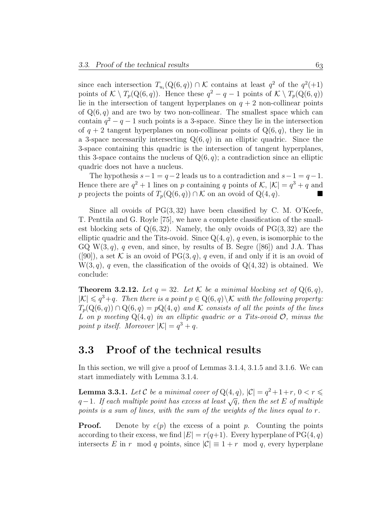since each intersection  $T_{u_i}(Q(6,q)) \cap \mathcal{K}$  contains at least  $q^2$  of the  $q^2(+1)$ points of  $K \setminus T_p(Q(6,q))$ . Hence these  $q^2 - q - 1$  points of  $K \setminus T_p(Q(6,q))$ lie in the intersection of tangent hyperplanes on  $q + 2$  non-collinear points of  $Q(6, q)$  and are two by two non-collinear. The smallest space which can contain  $q^2 - q - 1$  such points is a 3-space. Since they lie in the intersection of  $q + 2$  tangent hyperplanes on non-collinear points of  $Q(6, q)$ , they lie in a 3-space necessarily intersecting  $Q(6, q)$  in an elliptic quadric. Since the 3-space containing this quadric is the intersection of tangent hyperplanes, this 3-space contains the nucleus of  $Q(6, q)$ ; a contradiction since an elliptic quadric does not have a nucleus.

The hypothesis  $s-1 = q-2$  leads us to a contradiction and  $s-1 = q-1$ . Hence there are  $q^2 + 1$  lines on p containing q points of K,  $|\mathcal{K}| = q^3 + q$  and p projects the points of  $T_p(Q(6, q)) \cap \mathcal{K}$  on an ovoid of  $Q(4, q)$ .

Since all ovoids of  $PG(3, 32)$  have been classified by C. M. O'Keefe, T. Penttila and G. Royle [75], we have a complete classification of the smallest blocking sets of  $Q(6, 32)$ . Namely, the only ovoids of  $PG(3, 32)$  are the elliptic quadric and the Tits-ovoid. Since  $Q(4, q)$ , q even, is isomorphic to the GQ W $(3, q)$ , q even, and since, by results of B. Segre ([86]) and J.A. Thas ([90]), a set K is an ovoid of PG(3, q), q even, if and only if it is an ovoid of  $W(3, q)$ , q even, the classification of the ovoids of  $Q(4, 32)$  is obtained. We conclude:

**Theorem 3.2.12.** Let  $q = 32$ . Let K be a minimal blocking set of  $Q(6, q)$ ,  $|\mathcal{K}| \leqslant q^3+q$ . Then there is a point  $p \in \mathbb{Q}(6,q) \setminus \mathcal{K}$  with the following property.  $T_p(Q(6,q)) \cap Q(6,q) = pQ(4,q)$  and K consists of all the points of the lines L on p meeting  $Q(4,q)$  in an elliptic quadric or a Tits-ovoid  $\mathcal{O}$ , minus the point p itself. Moreover  $|\mathcal{K}| = q^3 + q$ .

### 3.3 Proof of the technical results

In this section, we will give a proof of Lemmas 3.1.4, 3.1.5 and 3.1.6. We can start immediately with Lemma 3.1.4.

**Lemma 3.3.1.** Let C be a minimal cover of  $Q(4, q)$ ,  $|C| = q^2 + 1 + r$ ,  $0 < r \leq$  $q-1$ . If each multiple point has excess at least  $\sqrt{q}$ , then the set E of multiple points is a sum of lines, with the sum of the weights of the lines equal to r.

**Proof.** Denote by  $e(p)$  the excess of a point p. Counting the points according to their excess, we find  $|E| = r(q+1)$ . Every hyperplane of PG(4, q) intersects E in r mod q points, since  $|\mathcal{C}| \equiv 1 + r \mod q$ , every hyperplane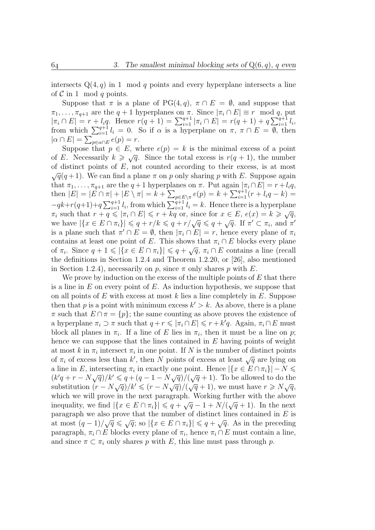intersects  $Q(4, q)$  in 1 mod q points and every hyperplane intersects a line of  $C$  in 1 mod q points.

Suppose that  $\pi$  is a plane of PG(4, q),  $\pi \cap E = \emptyset$ , and suppose that  $\pi_1, \ldots, \pi_{q+1}$  are the  $q+1$  hyperplanes on  $\pi$ . Since  $|\pi_i \cap E| \equiv r \mod q$ , put  $|\pi_i \cap E| = r + l_i q$ . Hence  $r(q+1) = \sum_{i=1}^{q+1} |\pi_i \cap E| = r(q+1) + q \sum_{i=1}^{q+1} l_i$ , from which  $\sum_{i=1}^{q+1} l_i = 0$ . So if  $\alpha$  is a hyperplane on  $\pi, \pi \cap E = \overline{\emptyset}$ , then  $|\alpha \cap E| = \sum_{p \in \alpha \cap E} e(p) = r.$ 

Suppose that  $p \in E$ , where  $e(p) = k$  is the minimal excess of a point suppose that  $p \in E$ , where  $e(p) = k$  is the minimal excess of a point<br>of E. Necessarily  $k \ge \sqrt{q}$ . Since the total excess is  $r(q + 1)$ , the number of distinct points of  $E$ , not counted according to their excess, is at most  $\sqrt{q}(q+1)$ . We can find a plane  $\pi$  on p only sharing p with E. Suppose again that  $\pi_1, \ldots, \pi_{q+1}$  are the  $q+1$  hyperplanes on  $\pi$ . Put again  $|\pi_i \cap E| = r + l_i q$ , then  $|E| = |\vec{E} \cap \pi| + |\vec{E} \setminus \pi| = k + \sum_{p \in E \setminus \pi} e(p) = k + \sum_{i=1}^{q+1} (r + l_i q - k) =$  $-qk+r(q+1)+q\sum_{i=1}^{q+1} l_i$ , from which  $\sum_{i=1}^{q+1} l_i = k$ . Hence there is a hyperplane  $-qk+r(q+1)+q \sum_{i=1}^{n} l_i$ , from which  $\sum_{i=1}^{n} l_i = k$ . Hence there is a hyperplane  $\pi_i$  such that  $r + q \leqslant |\pi_i \cap E| \leqslant r + kq$  or, since for  $x \in E$ ,  $e(x) = k \geqslant \sqrt{q}$ ,  $\pi_i$  such that  $r + q \leqslant |\pi_i| |L| \leqslant r + kq$  or, since for  $x \in L$ ,  $e(x) = k \geqslant \sqrt{q}$ ,<br>we have  $|\{x \in E \cap \pi_i\}| \leqslant q + r/k \leqslant q + r/\sqrt{q} \leqslant q + \sqrt{q}$ . If  $\pi' \subset \pi_i$ , and  $\pi'$ is a plane such that  $\pi' \cap E = \emptyset$ , then  $|\pi_i \cap E| = r$ , hence every plane of  $\pi_i$ contains at least one point of E. This shows that  $\pi_i \cap E$  blocks every plane contains at least one point of E. This shows that  $\pi_i \cap E$  blocks every plane<br>of  $\pi_i$ . Since  $q + 1 \leq \lvert \{x \in E \cap \pi_i\} \rvert \leq q + \sqrt{q}, \pi_i \cap E$  contains a line (recall the definitions in Section 1.2.4 and Theorem 1.2.20, or [26], also mentioned in Section 1.2.4), necessarily on p, since  $\pi$  only shares p with E.

We prove by induction on the excess of the multiple points of  $E$  that there is a line in  $E$  on every point of  $E$ . As induction hypothesis, we suppose that on all points of E with excess at most  $k$  lies a line completely in  $E$ . Suppose then that p is a point with minimum excess  $k' > k$ . As above, there is a plane  $\pi$  such that  $E \cap \pi = \{p\}$ ; the same counting as above proves the existence of a hyperplane  $\pi_i \supset \pi$  such that  $q + r \leq \vert \pi_i \cap E \vert \leqslant r + k'q$ . Again,  $\pi_i \cap E$  must block all planes in  $\pi_i$ . If a line of E lies in  $\pi_i$ , then it must be a line on p; hence we can suppose that the lines contained in  $E$  having points of weight at most k in  $\pi_i$  intersect  $\pi_i$  in one point. If N is the number of distinct points at most  $\kappa$  in  $\pi_i$  intersect  $\pi_i$  in one point. If N is the number of distinct points<br>of  $\pi_i$  of excess less than  $k'$ , then N points of excess at least  $\sqrt{q}$  are lying on a line in E, intersecting  $\pi_i$  in exactly one point. Hence  $|\{x \in E \cap \pi_i\}| - N \leq$ a line in E, intersecting  $\pi_i$  in exactly one point. Hence  $|\{x \in E \cap \pi_i\}| = N \leq k'q + r - N\sqrt{q}$  / $k' \leq q + (q - 1 - N\sqrt{q})/(\sqrt{q} + 1)$ . To be allowed to do the  $(k q + r - N \sqrt{q})/k \leq q + (q - 1 - N \sqrt{q})/(\sqrt{q} + 1)$ . To be allowed to do the substitution  $(r - N \sqrt{q})/k' \leq (r - N \sqrt{q})/(\sqrt{q} + 1)$ , we must have  $r \geq N \sqrt{q}$ , which we will prove in the next paragraph. Working further with the above which we will prove in the next paragraph. Working further with the above<br>inequality, we find  $|\{x \in E \cap \pi_i\}| \leqslant q + \sqrt{q} - 1 + N/(\sqrt{q} + 1)$ . In the next paragraph we also prove that the number of distinct lines contained in  $E$  is paragraph we also prove that the number of distinct lines contained in E is<br>at most  $(q-1)/\sqrt{q} \leq \sqrt{q}$ ; so  $|\{x \in E \cap \pi_i\}| \leq q + \sqrt{q}$ . As in the preceding paragraph,  $\pi_i \cap E$  blocks every plane of  $\pi_i$ , hence  $\pi_i \cap E$  must contain a line, and since  $\pi \subset \pi_i$  only shares p with E, this line must pass through p.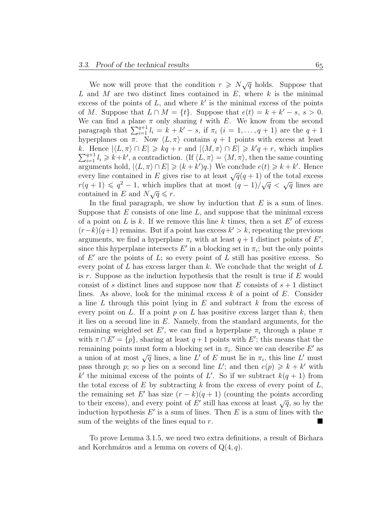We now will prove that the condition  $r \geq N\sqrt{q}$  holds. Suppose that L and M are two distinct lines contained in  $E$ , where  $k$  is the minimal excess of the points of  $L$ , and where  $k'$  is the minimal excess of the points of M. Suppose that  $L \cap M = \{t\}$ . Suppose that  $e(t) = k + k' - s$ ,  $s > 0$ . We can find a plane  $\pi$  only sharing t with E. We know from the second paragraph that  $\sum_{i=1}^{q+1} l_i = k + k' - s$ , if  $\pi_i$   $(i = 1, ..., q + 1)$  are the  $q + 1$ hyperplanes on  $\pi$ . Now  $\langle L, \pi \rangle$  contains  $q + 1$  points with excess at least k. Hence  $|\langle L, \pi \rangle \cap E| \geqslant kq + r$  and  $|\langle M, \pi \rangle \cap E| \geqslant k'q + r$ , which implies  $\sum_{i=1}^{q+1} l_i \geq k+k'$ , a contradiction. (If  $\langle L, \pi \rangle = \langle M, \pi \rangle$ , then the same counting arguments hold,  $|\langle L, \pi \rangle \cap E| \geqslant (k + k')q$ .) We conclude  $e(t) \geqslant k + k'$ . Hence every line contained in E gives rise to at least  $\sqrt{q}(q+1)$  of the total excess every line contained in E gives rise to at least  $\sqrt{q(q+1)}$  of the total excess  $r(q+1) \leq q^2 - 1$ , which implies that at most  $(q-1)/\sqrt{q} < \sqrt{q}$  lines are  $r(q+1) \leqslant q^2 - 1$ , which importanced in E and  $N\sqrt{q} \leqslant r$ .

In the final paragraph, we show by induction that  $E$  is a sum of lines. Suppose that  $E$  consists of one line  $L$ , and suppose that the minimal excess of a point on L is k. If we remove this line k times, then a set  $E'$  of excess  $(r-k)(q+1)$  remains. But if a point has excess  $k' > k$ , repeating the previous arguments, we find a hyperplane  $\pi_i$  with at least  $q + 1$  distinct points of E', since this hyperplane intersects  $E'$  in a blocking set in  $\pi_i$ ; but the only points of  $E'$  are the points of  $L$ ; so every point of  $L$  still has positive excess. So every point of  $L$  has excess larger than  $k$ . We conclude that the weight of  $L$ is r. Suppose as the induction hypothesis that the result is true if  $E$  would consist of s distinct lines and suppose now that E consists of  $s + 1$  distinct lines. As above, look for the minimal excess  $k$  of a point of  $E$ . Consider a line L through this point lying in E and subtract  $k$  from the excess of every point on L. If a point p on L has positive excess larger than  $k$ , then it lies on a second line in  $E$ . Namely, from the standard arguments, for the remaining weighted set E', we can find a hyperplane  $\pi_i$  through a plane  $\pi$ with  $\pi \cap E' = \{p\}$ , sharing at least  $q + 1$  points with E'; this means that the remaining points must form a blocking set in  $\pi_i$ . Since we can describe E' as remaining points must form a blocking set in  $\pi_i$ . Since we can describe E as<br>a union of at most  $\sqrt{q}$  lines, a line L' of E must lie in  $\pi_i$ , this line L' must pass through p; so p lies on a second line L'; and then  $e(p) \geq k + k'$  with k' the minimal excess of the points of L'. So if we subtract  $k(q + 1)$  from the total excess of  $E$  by subtracting  $k$  from the excess of every point of  $L$ , the remaining set E' has size  $(r - \tilde{k})(q + 1)$  (counting the points according the remaining set E has size  $(r - \kappa)(q + 1)$  (counting the points according to their excess), and every point of E' still has excess at least  $\sqrt{q}$ , so by the induction hypothesis  $E'$  is a sum of lines. Then E is a sum of lines with the sum of the weights of the lines equal to  $r$ .

To prove Lemma 3.1.5, we need two extra definitions, a result of Bichara and Korchmáros and a lemma on covers of  $Q(4, q)$ .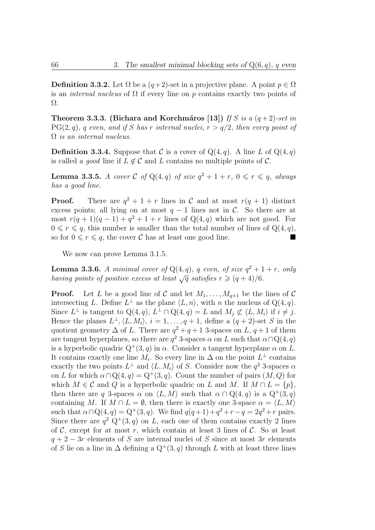**Definition 3.3.2.** Let  $\Omega$  be a  $(q+2)$ -set in a projective plane. A point  $p \in \Omega$ is an *internal nucleus* of  $\Omega$  if every line on p contains exactly two points of Ω.

Theorem 3.3.3. (Bichara and Korchmáros [13]) If S is a  $(q+2)$ -set in  $PG(2, q)$ , q even, and if S has r internal nuclei,  $r > q/2$ , then every point of  $\Omega$  is an internal nucleus.

**Definition 3.3.4.** Suppose that C is a cover of  $Q(4, q)$ . A line L of  $Q(4, q)$ is called a *good* line if  $L \notin \mathcal{C}$  and L contains no multiple points of  $\mathcal{C}$ .

**Lemma 3.3.5.** A cover C of  $Q(4,q)$  of size  $q^2 + 1 + r$ ,  $0 \leq r \leq q$ , always has a good line.

**Proof.** There are  $q^2 + 1 + r$  lines in C and at most  $r(q + 1)$  distinct excess points; all lying on at most  $q - 1$  lines not in C. So there are at most  $r(q + 1)(q - 1) + q^2 + 1 + r$  lines of Q(4, q) which are not good. For  $0 \leq r \leq q$ , this number is smaller than the total number of lines of  $Q(4, q)$ , so for  $0 \le r \le q$ , the cover C has at least one good line.

We now can prove Lemma 3.1.5.

**Lemma 3.3.6.** A minimal cover of  $Q(4,q)$ , q even, of size  $q^2 + 1 + r$ , only having points of positive excess at least  $\sqrt{q}$  satisfies  $r \geq (q+4)/6$ .

**Proof.** Let L be a good line of C and let  $M_1, \ldots, M_{q+1}$  be the lines of C intersecting L. Define  $L^{\perp}$  as the plane  $\langle L, n \rangle$ , with n the nucleus of  $Q(4, q)$ . Since  $L^{\perp}$  is tangent to  $Q(4,q), L^{\perp} \cap Q(4,q) = L$  and  $M_j \not\subset \langle L, M_i \rangle$  if  $i \neq j$ . Hence the planes  $L^{\perp},\langle L,M_i\rangle, i=1,\ldots,q+1$ , define a  $(q+2)$ -set S in the quotient geometry  $\Delta$  of L. There are  $q^2 + q + 1$  3-spaces on L,  $q + 1$  of them are tangent hyperplanes, so there are  $q^2$  3-spaces  $\alpha$  on L such that  $\alpha \cap Q(4, q)$ is a hyperbolic quadric  $Q^+(3, q)$  in  $\alpha$ . Consider a tangent hyperplane  $\alpha$  on L. It contains exactly one line  $M_i$ . So every line in  $\Delta$  on the point  $L^{\perp}$  contains exactly the two points  $L^{\perp}$  and  $\langle L, M_i \rangle$  of S. Consider now the  $q^2$  3-spaces  $\alpha$ on L for which  $\alpha \cap Q(4, q) = Q^+(3, q)$ . Count the number of pairs  $(M, Q)$  for which  $M \in \mathcal{C}$  and  $Q$  is a hyperbolic quadric on L and M. If  $M \cap L = \{p\},\$ then there are q 3-spaces  $\alpha$  on  $\langle L, M \rangle$  such that  $\alpha \cap \mathbb{Q}(4, q)$  is a  $\mathbb{Q}^+(3, q)$ containing M. If  $M \cap L = \emptyset$ , then there is exactly one 3-space  $\alpha = \langle L, M \rangle$ such that  $\alpha \cap Q(4, q) = Q^+(3, q)$ . We find  $q(q+1) + q^2 + r - q = 2q^2 + r$  pairs. Since there are  $q^2$  Q<sup>+</sup>(3, q) on L, each one of them contains exactly 2 lines of  $\mathcal{C}$ , except for at most r, which contain at least 3 lines of  $\mathcal{C}$ . So at least  $q + 2 - 3r$  elements of S are internal nuclei of S since at most 3r elements of S lie on a line in  $\Delta$  defining a  $Q^+(3, q)$  through L with at least three lines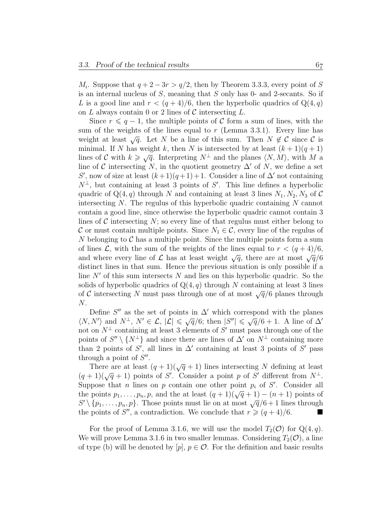$M_i$ . Suppose that  $q + 2 - 3r > q/2$ , then by Theorem 3.3.3, every point of S is an internal nucleus of S, meaning that S only has 0- and 2-secants. So if L is a good line and  $r < (q+4)/6$ , then the hyperbolic quadrics of  $Q(4, q)$ on L always contain 0 or 2 lines of  $\mathcal C$  intersecting L.

Since  $r \leqslant q-1$ , the multiple points of C form a sum of lines, with the sum of the weights of the lines equal to  $r$  (Lemma 3.3.1). Every line has weight at least  $\sqrt{q}$ . Let N be a line of this sum. Then  $N \notin \mathcal{C}$  since  $\mathcal{C}$  is minimal. If N has weight k, then N is intersected by at least  $(k+1)(q+1)$ minimal. If N has weight k, then N is intersected by at least  $(k+1)(q+1)$ <br>lines of C with  $k \geqslant \sqrt{q}$ . Interpreting  $N^{\perp}$  and the planes  $\langle N, M \rangle$ , with M a line of C intersecting N, in the quotient geometry  $\Delta'$  of N, we define a set S', now of size at least  $(k+1)(q+1)+1$ . Consider a line of  $\Delta'$  not containing  $N^{\perp}$ , but containing at least 3 points of S'. This line defines a hyperbolic quadric of  $Q(4, q)$  through N and containing at least 3 lines  $N_1, N_2, N_3$  of C intersecting  $N$ . The regulus of this hyperbolic quadric containing  $N$  cannot contain a good line, since otherwise the hyperbolic quadric cannot contain 3 lines of  $\mathcal C$  intersecting  $N$ ; so every line of that regulus must either belong to C or must contain multiple points. Since  $N_1 \in \mathcal{C}$ , every line of the regulus of N belonging to  $\mathcal C$  has a multiple point. Since the multiple points form a sum of lines  $\mathcal{L}$ , with the sum of the weights of the lines equal to  $r < (q+4)/6$ , and where every line of  $\mathcal L$  has at least weight  $\sqrt{q}$ , there are at most  $\sqrt{q}/6$ distinct lines in that sum. Hence the previous situation is only possible if a line  $N'$  of this sum intersects N and lies on this hyperbolic quadric. So the solids of hyperbolic quadrics of  $Q(4, q)$  through N containing at least 3 lines of C intersecting N must pass through one of at most  $\sqrt{q}/6$  planes through N.

Define  $S''$  as the set of points in  $\Delta'$  which correspond with the planes Denne S<sup>2</sup> as the set of points in  $\Delta$  which correspond with the planes  $\langle N, N' \rangle$  and  $N^{\perp}$ ,  $N' \in \mathcal{L}$ ,  $|\mathcal{L}| \leqslant \sqrt{q}/6$ ; then  $|S''| \leqslant \sqrt{q}/6 + 1$ . A line of  $\Delta'$ not on  $N^{\perp}$  containing at least 3 elements of S' must pass through one of the points of  $S'' \setminus \{N^{\perp}\}\$ and since there are lines of  $\Delta'$  on  $N^{\perp}$  containing more than 2 points of  $S'$ , all lines in  $\Delta'$  containing at least 3 points of  $S'$  pass through a point of  $S''$ .

There are at least  $(q + 1)(\sqrt{q} + 1)$  lines intersecting N defining at least There are at least  $(q + 1)(\sqrt{q} + 1)$  lines intersecting N defining at least  $(q + 1)(\sqrt{q} + 1)$  points of S'. Consider a point p of S' different from  $N^{\perp}$ . Suppose that *n* lines on *p* contain one other point  $p_i$  of S'. Consider all the points  $p_1, \ldots, p_n, p$ , and the at least  $(q + 1)(\sqrt{q} + 1) - (n + 1)$  points of the points  $p_1, \ldots, p_n, p$ , and the at least  $(q + 1)(\sqrt{q} + 1) - (n + 1)$  points of  $S' \setminus \{p_1, \ldots, p_n, p\}$ . Those points must lie on at most  $\sqrt{q}/6 + 1$  lines through the points of S'', a contradiction. We conclude that  $r \geq (q+4)/6$ .

For the proof of Lemma 3.1.6, we will use the model  $T_2(\mathcal{O})$  for  $Q(4, q)$ . We will prove Lemma 3.1.6 in two smaller lemmas. Considering  $T_2(\mathcal{O})$ , a line of type (b) will be denoted by  $[p], p \in \mathcal{O}$ . For the definition and basic results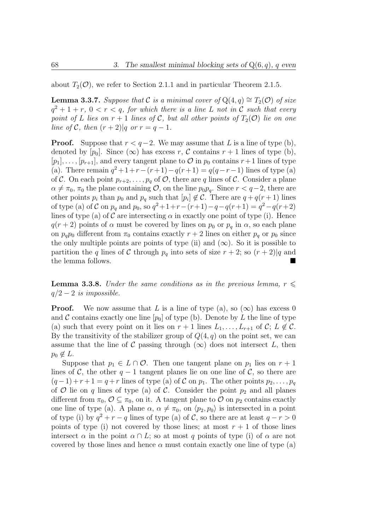about  $T_2(\mathcal{O})$ , we refer to Section 2.1.1 and in particular Theorem 2.1.5.

**Lemma 3.3.7.** Suppose that C is a minimal cover of  $Q(4,q) \cong T_2(\mathcal{O})$  of size  $q^2 + 1 + r$ ,  $0 < r < q$ , for which there is a line L not in C such that every point of L lies on  $r + 1$  lines of C, but all other points of  $T_2(\mathcal{O})$  lie on one line of C, then  $(r+2)|q$  or  $r = q-1$ .

**Proof.** Suppose that  $r < q-2$ . We may assume that L is a line of type (b), denoted by  $[p_0]$ . Since  $(\infty)$  has excess r, C contains r + 1 lines of type (b),  $[p_1], \ldots, [p_{r+1}],$  and every tangent plane to  $\mathcal O$  in  $p_0$  contains  $r+1$  lines of type (a). There remain  $q^2 + 1+r-(r+1)-q(r+1) = q(q-r-1)$  lines of type (a) of C. On each point  $p_{r+2}, \ldots, p_q$  of  $\mathcal{O}$ , there are q lines of C. Consider a plane  $\alpha \neq \pi_0$ ,  $\pi_0$  the plane containing  $\mathcal{O}$ , on the line  $p_0p_q$ . Since  $r < q-2$ , there are other points  $p_i$  than  $p_0$  and  $p_q$  such that  $[p_i] \notin \mathcal{C}$ . There are  $q + q(r + 1)$  lines of type (a) of C on  $p_q$  and  $p_0$ , so  $q^2 + 1 + r - (r+1) - q - q(r+1) = q^2 - q(r+2)$ lines of type (a) of C are intersecting  $\alpha$  in exactly one point of type (i). Hence  $q(r+2)$  points of  $\alpha$  must be covered by lines on  $p_0$  or  $p_q$  in  $\alpha$ , so each plane on  $p_q p_0$  different from  $\pi_0$  contains exactly  $r + 2$  lines on either  $p_q$  or  $p_0$  since the only multiple points are points of type (ii) and  $(\infty)$ . So it is possible to partition the q lines of C through  $p_q$  into sets of size  $r + 2$ ; so  $(r + 2)|q$  and the lemma follows.

**Lemma 3.3.8.** Under the same conditions as in the previous lemma,  $r \leqslant$  $q/2-2$  is impossible.

**Proof.** We now assume that L is a line of type (a), so  $(\infty)$  has excess 0 and C contains exactly one line  $[p_0]$  of type (b). Denote by L the line of type (a) such that every point on it lies on  $r + 1$  lines  $L_1, \ldots, L_{r+1}$  of  $\mathcal{C}; L \notin \mathcal{C}$ . By the transitivity of the stabilizer group of  $Q(4, q)$  on the point set, we can assume that the line of C passing through  $(\infty)$  does not intersect L, then  $p_0 \notin L$ .

Suppose that  $p_1 \in L \cap \mathcal{O}$ . Then one tangent plane on  $p_1$  lies on  $r + 1$ lines of C, the other  $q-1$  tangent planes lie on one line of C, so there are  $(q-1) + r + 1 = q + r$  lines of type (a) of C on  $p_1$ . The other points  $p_2, \ldots, p_q$ of O lie on q lines of type (a) of C. Consider the point  $p_2$  and all planes different from  $\pi_0$ ,  $\mathcal{O} \subseteq \pi_0$ , on it. A tangent plane to  $\mathcal{O}$  on  $p_2$  contains exactly one line of type (a). A plane  $\alpha$ ,  $\alpha \neq \pi_0$ , on  $\langle p_2, p_0 \rangle$  is intersected in a point of type (i) by  $q^2 + r - q$  lines of type (a) of C, so there are at least  $q - r > 0$ points of type (i) not covered by those lines; at most  $r + 1$  of those lines intersect  $\alpha$  in the point  $\alpha \cap L$ ; so at most q points of type (i) of  $\alpha$  are not covered by those lines and hence  $\alpha$  must contain exactly one line of type (a)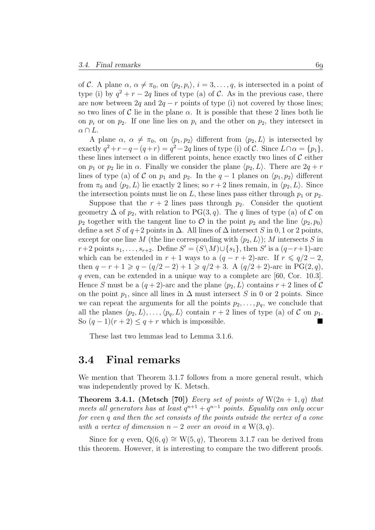of C. A plane  $\alpha$ ,  $\alpha \neq \pi_0$ , on  $\langle p_2, p_i \rangle$ ,  $i = 3, \ldots, q$ , is intersected in a point of type (i) by  $q^2 + r - 2q$  lines of type (a) of C. As in the previous case, there are now between  $2q$  and  $2q - r$  points of type (i) not covered by those lines; so two lines of C lie in the plane  $\alpha$ . It is possible that these 2 lines both lie on  $p_i$  or on  $p_2$ . If one line lies on  $p_i$  and the other on  $p_2$ , they intersect in  $\alpha \cap L$ .

A plane  $\alpha$ ,  $\alpha \neq \pi_0$ , on  $\langle p_1, p_2 \rangle$  different from  $\langle p_2, L \rangle$  is intersected by exactly  $q^2 + r - q - (q + r) = q^2 - 2q$  lines of type (i) of C. Since  $L \cap \alpha = \{p_1\},\$ these lines intersect  $\alpha$  in different points, hence exactly two lines of  $\mathcal C$  either on  $p_1$  or  $p_2$  lie in  $\alpha$ . Finally we consider the plane  $\langle p_2, L \rangle$ . There are  $2q + r$ lines of type (a) of C on  $p_1$  and  $p_2$ . In the  $q-1$  planes on  $\langle p_1, p_2 \rangle$  different from  $\pi_0$  and  $\langle p_2, L \rangle$  lie exactly 2 lines; so  $r + 2$  lines remain, in  $\langle p_2, L \rangle$ . Since the intersection points must lie on L, these lines pass either through  $p_1$  or  $p_2$ .

Suppose that the  $r + 2$  lines pass through  $p_2$ . Consider the quotient geometry  $\Delta$  of  $p_2$ , with relation to PG(3, q). The q lines of type (a) of C on  $p_2$  together with the tangent line to  $\mathcal O$  in the point  $p_2$  and the line  $\langle p_2, p_0 \rangle$ define a set S of  $q+2$  points in  $\Delta$ . All lines of  $\Delta$  intersect S in 0, 1 or 2 points, except for one line M (the line corresponding with  $\langle p_2, L \rangle$ ); M intersects S in  $r+2$  points  $s_1, \ldots, s_{r+2}$ . Define  $S' = (S \setminus M) \cup \{s_1\}$ , then  $S'$  is a  $(q-r+1)$ -arc which can be extended in  $r + 1$  ways to a  $(q - r + 2)$ -arc. If  $r \leq q/2 - 2$ , then  $q - r + 1 \geq q - (q/2 - 2) + 1 \geq q/2 + 3$ . A  $(q/2 + 2)$ -arc in PG(2,q), q even, can be extended in a unique way to a complete arc  $[60, \text{Cor. } 10.3]$ . Hence S must be a  $(q + 2)$ -arc and the plane  $\langle p_2, L \rangle$  contains  $r + 2$  lines of C on the point  $p_1$ , since all lines in  $\Delta$  must intersect S in 0 or 2 points. Since we can repeat the arguments for all the points  $p_2, \ldots, p_q$ , we conclude that all the planes  $\langle p_2, L \rangle, \ldots, \langle p_q, L \rangle$  contain  $r + 2$  lines of type (a) of C on  $p_1$ . So  $(q-1)(r+2) \leq q+r$  which is impossible.

These last two lemmas lead to Lemma 3.1.6.

#### 3.4 Final remarks

We mention that Theorem 3.1.7 follows from a more general result, which was independently proved by K. Metsch.

**Theorem 3.4.1.** (Metsch [70]) Every set of points of  $W(2n + 1, q)$  that meets all generators has at least  $q^{n+1} + q^{n-1}$  points. Equality can only occur for even q and then the set consists of the points outside the vertex of a cone with a vertex of dimension  $n-2$  over an ovoid in a  $W(3, q)$ .

Since for q even,  $Q(6, q) \cong W(5, q)$ , Theorem 3.1.7 can be derived from this theorem. However, it is interesting to compare the two different proofs.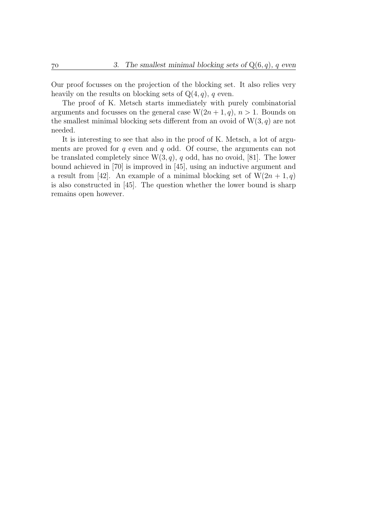Our proof focusses on the projection of the blocking set. It also relies very heavily on the results on blocking sets of  $Q(4, q)$ , q even.

The proof of K. Metsch starts immediately with purely combinatorial arguments and focusses on the general case  $W(2n + 1, q)$ ,  $n > 1$ . Bounds on the smallest minimal blocking sets different from an ovoid of  $W(3, q)$  are not needed.

It is interesting to see that also in the proof of K. Metsch, a lot of arguments are proved for q even and q odd. Of course, the arguments can not be translated completely since  $W(3, q)$ , q odd, has no ovoid, [81]. The lower bound achieved in [70] is improved in [45], using an inductive argument and a result from [42]. An example of a minimal blocking set of  $W(2n + 1, q)$ is also constructed in [45]. The question whether the lower bound is sharp remains open however.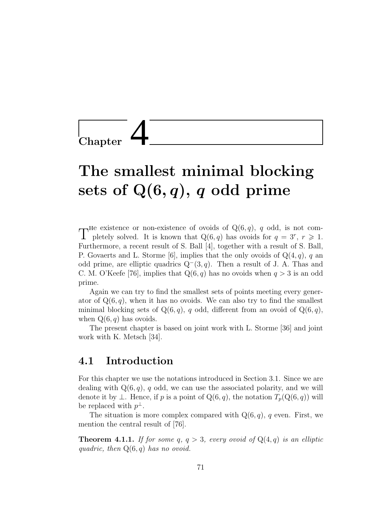**Chapter** 

# The smallest minimal blocking sets of  $Q(6, q)$ , q odd prime

The existence or non-existence of ovoids of  $Q(6, q)$ , q odd, is not completely solved. It is known that  $Q(6, q)$  has ovoids for  $q = 3^r$ ,  $r \ge 1$ . pletely solved. It is known that  $Q(6, q)$  has ovoids for  $q = 3^r, r \geq 1$ . Furthermore, a recent result of S. Ball [4], together with a result of S. Ball, P. Govaerts and L. Storme [6], implies that the only ovoids of  $Q(4, q)$ , q an odd prime, are elliptic quadrics  $Q^-(3, q)$ . Then a result of J. A. Thas and C. M. O'Keefe [76], implies that  $Q(6, q)$  has no ovoids when  $q > 3$  is an odd prime.

Again we can try to find the smallest sets of points meeting every generator of  $Q(6, q)$ , when it has no ovoids. We can also try to find the smallest minimal blocking sets of  $Q(6, q)$ , q odd, different from an ovoid of  $Q(6, q)$ , when  $Q(6, q)$  has ovoids.

The present chapter is based on joint work with L. Storme [36] and joint work with K. Metsch [34].

### 4.1 Introduction

For this chapter we use the notations introduced in Section 3.1. Since we are dealing with  $Q(6, q)$ , q odd, we can use the associated polarity, and we will denote it by  $\perp$ . Hence, if p is a point of Q(6, q), the notation  $T_p(Q(6, q))$  will be replaced with  $p^{\perp}$ .

The situation is more complex compared with  $Q(6, q)$ , q even. First, we mention the central result of [76].

**Theorem 4.1.1.** If for some  $q, q > 3$ , every ovoid of  $Q(4,q)$  is an elliptic quadric, then  $Q(6, q)$  has no ovoid.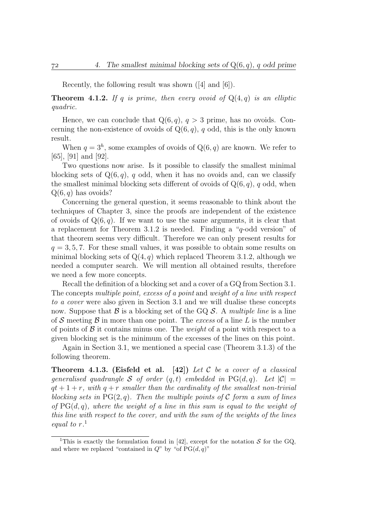Recently, the following result was shown ([4] and [6]).

**Theorem 4.1.2.** If q is prime, then every ovoid of  $Q(4,q)$  is an elliptic quadric.

Hence, we can conclude that  $Q(6, q)$ ,  $q > 3$  prime, has no ovoids. Concerning the non-existence of ovoids of  $Q(6, q)$ , q odd, this is the only known result.

When  $q = 3<sup>h</sup>$ , some examples of ovoids of  $Q(6, q)$  are known. We refer to [65], [91] and [92].

Two questions now arise. Is it possible to classify the smallest minimal blocking sets of  $Q(6, q)$ , q odd, when it has no ovoids and, can we classify the smallest minimal blocking sets different of ovoids of  $Q(6, q)$ , q odd, when  $Q(6, q)$  has ovoids?

Concerning the general question, it seems reasonable to think about the techniques of Chapter 3, since the proofs are independent of the existence of ovoids of  $Q(6, q)$ . If we want to use the same arguments, it is clear that a replacement for Theorem 3.1.2 is needed. Finding a "q-odd version" of that theorem seems very difficult. Therefore we can only present results for  $q = 3, 5, 7$ . For these small values, it was possible to obtain some results on minimal blocking sets of  $Q(4, q)$  which replaced Theorem 3.1.2, although we needed a computer search. We will mention all obtained results, therefore we need a few more concepts.

Recall the definition of a blocking set and a cover of a GQ from Section 3.1. The concepts multiple point, excess of a point and weight of a line with respect to a cover were also given in Section 3.1 and we will dualise these concepts now. Suppose that  $\mathcal B$  is a blocking set of the GQ  $\mathcal S$ . A *multiple line* is a line of S meeting B in more than one point. The excess of a line L is the number of points of  $\beta$  it contains minus one. The *weight* of a point with respect to a given blocking set is the minimum of the excesses of the lines on this point.

Again in Section 3.1, we mentioned a special case (Theorem 3.1.3) of the following theorem.

**Theorem 4.1.3.** (Eisfeld et al. [42]) Let C be a cover of a classical generalised quadrangle S of order  $(q, t)$  embedded in PG $(d, q)$ . Let  $|\mathcal{C}| =$  $qt + 1 + r$ , with  $q + r$  smaller than the cardinality of the smallest non-trivial blocking sets in  $PG(2,q)$ . Then the multiple points of C form a sum of lines of  $PG(d, q)$ , where the weight of a line in this sum is equal to the weight of this line with respect to the cover, and with the sum of the weights of the lines equal to r. 1

<sup>&</sup>lt;sup>1</sup>This is exactly the formulation found in [42], except for the notation S for the GQ, and where we replaced "contained in  $Q$ " by "of  $PG(d, q)$ "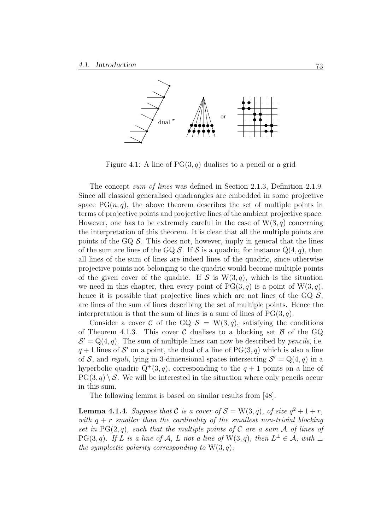

Figure 4.1: A line of  $PG(3, q)$  dualises to a pencil or a grid

The concept sum of lines was defined in Section 2.1.3, Definition 2.1.9. Since all classical generalised quadrangles are embedded in some projective space  $PG(n, q)$ , the above theorem describes the set of multiple points in terms of projective points and projective lines of the ambient projective space. However, one has to be extremely careful in the case of  $W(3, q)$  concerning the interpretation of this theorem. It is clear that all the multiple points are points of the GQ  $\mathcal{S}$ . This does not, however, imply in general that the lines of the sum are lines of the GQ  $S$ . If S is a quadric, for instance  $Q(4, q)$ , then all lines of the sum of lines are indeed lines of the quadric, since otherwise projective points not belonging to the quadric would become multiple points of the given cover of the quadric. If S is  $W(3, q)$ , which is the situation we need in this chapter, then every point of  $PG(3, q)$  is a point of  $W(3, q)$ , hence it is possible that projective lines which are not lines of the GQ  $\mathcal{S}$ , are lines of the sum of lines describing the set of multiple points. Hence the interpretation is that the sum of lines is a sum of lines of  $PG(3, q)$ .

Consider a cover C of the GQ  $S = W(3, q)$ , satisfying the conditions of Theorem 4.1.3. This cover C dualises to a blocking set  $\beta$  of the GQ  $S' = Q(4, q)$ . The sum of multiple lines can now be described by *pencils*, i.e.  $q+1$  lines of S' on a point, the dual of a line of PG(3, q) which is also a line of S, and reguli, lying in 3-dimensional spaces intersecting  $S' = Q(4, q)$  in a hyperbolic quadric  $Q^+(3, q)$ , corresponding to the  $q + 1$  points on a line of  $PG(3, q) \setminus S$ . We will be interested in the situation where only pencils occur in this sum.

The following lemma is based on similar results from [48].

**Lemma 4.1.4.** Suppose that C is a cover of  $S = W(3, q)$ , of size  $q^2 + 1 + r$ , with  $q + r$  smaller than the cardinality of the smallest non-trivial blocking set in PG(2,q), such that the multiple points of C are a sum A of lines of  $PG(3, q)$ . If L is a line of A, L not a line of  $W(3, q)$ , then  $L^{\perp} \in \mathcal{A}$ , with  $\perp$ the symplectic polarity corresponding to  $W(3, q)$ .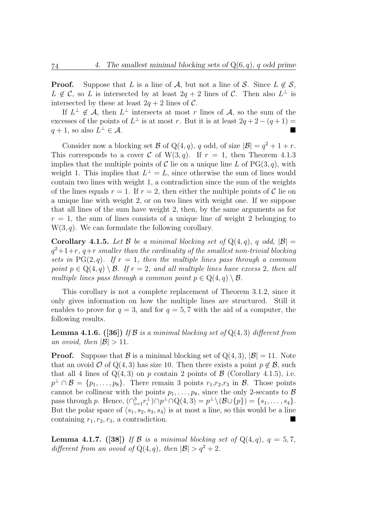**Proof.** Suppose that L is a line of A, but not a line of S. Since  $L \notin S$ ,  $L \notin \mathcal{C}$ , so L is intersected by at least  $2q + 2$  lines of C. Then also  $L^{\perp}$  is intersected by these at least  $2q + 2$  lines of C.

If  $L^{\perp} \notin \mathcal{A}$ , then  $L^{\perp}$  intersects at most r lines of  $\mathcal{A}$ , so the sum of the excesses of the points of  $L^{\perp}$  is at most r. But it is at least  $2q + 2 - (q + 1) =$  $q + 1$ , so also  $L^{\perp} \in \mathcal{A}$ .  $\bot \in \mathcal{A}.$ 

Consider now a blocking set B of Q(4, q), q odd, of size  $|\mathcal{B}| = q^2 + 1 + r$ . This corresponds to a cover C of W(3, q). If  $r = 1$ , then Theorem 4.1.3 implies that the multiple points of C lie on a unique line L of  $PG(3, q)$ , with weight 1. This implies that  $L^{\perp} = L$ , since otherwise the sum of lines would contain two lines with weight 1, a contradiction since the sum of the weights of the lines equals  $r = 1$ . If  $r = 2$ , then either the multiple points of C lie on a unique line with weight 2, or on two lines with weight one. If we suppose that all lines of the sum have weight 2, then, by the same arguments as for  $r = 1$ , the sum of lines consists of a unique line of weight 2 belonging to  $W(3, q)$ . We can formulate the following corollary.

**Corollary 4.1.5.** Let B be a minimal blocking set of  $Q(4, q)$ , q odd,  $|\mathcal{B}| =$  $q^2+1+r$ ,  $q+r$  smaller than the cardinality of the smallest non-trivial blocking sets in PG(2,q). If  $r = 1$ , then the multiple lines pass through a common point  $p \in Q(4,q) \setminus \mathcal{B}$ . If  $r = 2$ , and all multiple lines have excess 2, then all multiple lines pass through a common point  $p \in Q(4,q) \setminus \mathcal{B}$ .

This corollary is not a complete replacement of Theorem 3.1.2, since it only gives information on how the multiple lines are structured. Still it enables to prove for  $q = 3$ , and for  $q = 5, 7$  with the aid of a computer, the following results.

**Lemma 4.1.6.** ([36]) If B is a minimal blocking set of  $Q(4,3)$  different from an ovoid, then  $|\mathcal{B}| > 11$ .

**Proof.** Suppose that  $\mathcal{B}$  is a minimal blocking set of  $Q(4,3)$ ,  $|\mathcal{B}| = 11$ . Note that an ovoid O of Q(4, 3) has size 10. Then there exists a point  $p \notin \mathcal{B}$ , such that all 4 lines of  $Q(4,3)$  on p contain 2 points of  $\beta$  (Corollary 4.1.5), i.e.  $p^{\perp} \cap \mathcal{B} = \{p_1, \ldots, p_8\}.$  There remain 3 points  $r_1, r_2, r_3$  in  $\mathcal{B}$ . Those points cannot be collinear with the points  $p_1, \ldots, p_8$ , since the only 2-secants to  $\mathcal B$ pass through p. Hence,  $\left(\bigcap_{i=1}^3 r_i^{\perp} \right)$  $\mathcal{L}_i^{\perp} \cap p^{\perp} \cap \mathcal{Q}(4,3) = p^{\perp} \setminus (\mathcal{B} \cup \{p\}) = \{s_1, \ldots, s_4\}.$ But the polar space of  $\langle s_1, s_2, s_3, s_4 \rangle$  is at most a line, so this would be a line containing  $r_1, r_2, r_3$ , a contradiction.

**Lemma 4.1.7.** ([38]) If B is a minimal blocking set of  $Q(4, q)$ ,  $q = 5, 7$ , different from an ovoid of  $Q(4,q)$ , then  $|\mathcal{B}| > q^2 + 2$ .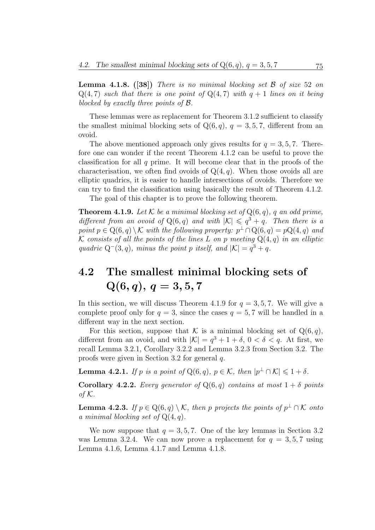**Lemma 4.1.8.** ([38]) There is no minimal blocking set  $\beta$  of size 52 on  $Q(4, 7)$  such that there is one point of  $Q(4, 7)$  with  $q + 1$  lines on it being blocked by exactly three points of B.

These lemmas were as replacement for Theorem 3.1.2 sufficient to classify the smallest minimal blocking sets of  $Q(6, q)$ ,  $q = 3, 5, 7$ , different from an ovoid.

The above mentioned approach only gives results for  $q = 3, 5, 7$ . Therefore one can wonder if the recent Theorem 4.1.2 can be useful to prove the classification for all q prime. It will become clear that in the proofs of the characterisation, we often find ovoids of  $Q(4, q)$ . When those ovoids all are elliptic quadrics, it is easier to handle intersections of ovoids. Therefore we can try to find the classification using basically the result of Theorem 4.1.2.

The goal of this chapter is to prove the following theorem.

**Theorem 4.1.9.** Let  $K$  be a minimal blocking set of  $Q(6, q)$ , q an odd prime, different from an ovoid of  $Q(6, q)$  and with  $|K| \leq q^3 + q$ . Then there is a point  $p \in Q(6,q) \setminus \mathcal{K}$  with the following property:  $p^{\perp} \cap Q(6,q) = pQ(4,q)$  and K consists of all the points of the lines L on p meeting  $Q(4,q)$  in an elliptic quadric  $Q^-(3, q)$ , minus the point p itself, and  $|K| = q^3 + q$ .

# 4.2 The smallest minimal blocking sets of  $Q(6, q), q = 3, 5, 7$

In this section, we will discuss Theorem 4.1.9 for  $q = 3, 5, 7$ . We will give a complete proof only for  $q = 3$ , since the cases  $q = 5, 7$  will be handled in a different way in the next section.

For this section, suppose that K is a minimal blocking set of  $Q(6, q)$ , different from an ovoid, and with  $|\mathcal{K}| = q^3 + 1 + \delta$ ,  $0 < \delta < q$ . At first, we recall Lemma 3.2.1, Corollary 3.2.2 and Lemma 3.2.3 from Section 3.2. The proofs were given in Section 3.2 for general q.

**Lemma 4.2.1.** If p is a point of  $Q(6, q)$ ,  $p \in \mathcal{K}$ , then  $|p^{\perp} \cap \mathcal{K}| \leq 1 + \delta$ .

**Corollary 4.2.2.** Every generator of  $Q(6, q)$  contains at most  $1 + \delta$  points of  $K$ .

**Lemma 4.2.3.** If  $p \in Q(6,q) \setminus \mathcal{K}$ , then p projects the points of  $p^{\perp} \cap \mathcal{K}$  onto a minimal blocking set of  $Q(4, q)$ .

We now suppose that  $q = 3, 5, 7$ . One of the key lemmas in Section 3.2 was Lemma 3.2.4. We can now prove a replacement for  $q = 3, 5, 7$  using Lemma 4.1.6, Lemma 4.1.7 and Lemma 4.1.8.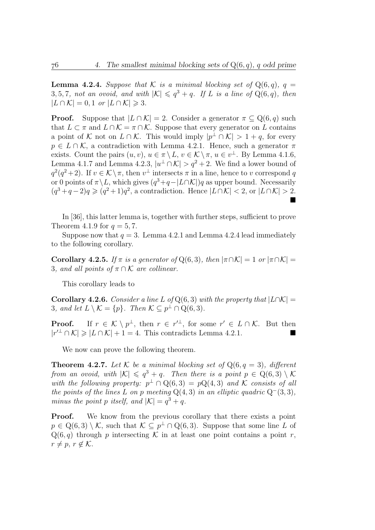**Lemma 4.2.4.** Suppose that K is a minimal blocking set of  $Q(6, q)$ ,  $q =$ 3, 5, 7, not an ovoid, and with  $|K| \leq q^3 + q$ . If L is a line of  $Q(6, q)$ , then  $|L \cap \mathcal{K}| = 0, 1 \text{ or } |L \cap \mathcal{K}| \geqslant 3.$ 

**Proof.** Suppose that  $|L \cap K| = 2$ . Consider a generator  $\pi \subseteq Q(6, q)$  such that  $L \subset \pi$  and  $L \cap \mathcal{K} = \pi \cap \mathcal{K}$ . Suppose that every generator on L contains a point of K not on  $L \cap K$ . This would imply  $|p^{\perp} \cap K| > 1 + q$ , for every  $p \in L \cap \mathcal{K}$ , a contradiction with Lemma 4.2.1. Hence, such a generator  $\pi$ exists. Count the pairs  $(u, v), u \in \pi \setminus L, v \in \mathcal{K} \setminus \pi, u \in v^{\perp}$ . By Lemma 4.1.6, Lemma 4.1.7 and Lemma 4.2.3,  $|u^{\perp} \cap \mathcal{K}| > q^2 + 2$ . We find a lower bound of  $q^2(q^2+2)$ . If  $v \in \mathcal{K} \setminus \pi$ , then  $v^{\perp}$  intersects  $\pi$  in a line, hence to v correspond q or 0 points of  $\pi \backslash L$ , which gives  $(q^3 + q - |L \cap K|)q$  as upper bound. Necessarily  $(q^3+q-2)q \geqslant (q^2+1)q^2$ , a contradiction. Hence  $|L \cap K| < 2$ , or  $|L \cap K| > 2$ .  $\blacksquare$ 

In [36], this latter lemma is, together with further steps, sufficient to prove Theorem 4.1.9 for  $q = 5, 7$ .

Suppose now that  $q = 3$ . Lemma 4.2.1 and Lemma 4.2.4 lead immediately to the following corollary.

**Corollary 4.2.5.** If  $\pi$  is a generator of Q(6,3), then  $|\pi \cap \mathcal{K}| = 1$  or  $|\pi \cap \mathcal{K}| =$ 3, and all points of  $\pi \cap \mathcal{K}$  are collinear.

This corollary leads to

**Corollary 4.2.6.** Consider a line L of Q(6, 3) with the property that  $|L \cap K|$  = 3, and let  $L \setminus \mathcal{K} = \{p\}$ . Then  $\mathcal{K} \subseteq p^{\perp} \cap Q(6,3)$ .

**Proof.** If  $r \in \mathcal{K} \setminus p^{\perp}$ , then  $r \in r'^{\perp}$ , for some  $r' \in L \cap \mathcal{K}$ . But then  $|r'^{\perp} \cap \mathcal{K}| \geqslant |L \cap \mathcal{K}| + 1 = 4$ . This contradicts Lemma 4.2.1.

We now can prove the following theorem.

**Theorem 4.2.7.** Let K be a minimal blocking set of  $Q(6, q = 3)$ , different from an ovoid, with  $|\mathcal{K}| \leqslant q^3 + q$ . Then there is a point  $p \in \mathbb{Q}(6,3) \setminus \mathcal{K}$ with the following property:  $p^{\perp} \cap Q(6,3) = pQ(4,3)$  and K consists of all the points of the lines L on p meeting  $Q(4,3)$  in an elliptic quadric  $Q^-(3,3)$ , minus the point p itself, and  $|\mathcal{K}| = q^3 + q$ .

**Proof.** We know from the previous corollary that there exists a point  $p \in \mathbb{Q}(6,3) \setminus \mathcal{K}$ , such that  $\mathcal{K} \subseteq p^{\perp} \cap \mathbb{Q}(6,3)$ . Suppose that some line L of  $Q(6, q)$  through p intersecting K in at least one point contains a point r,  $r \neq p, r \notin \mathcal{K}.$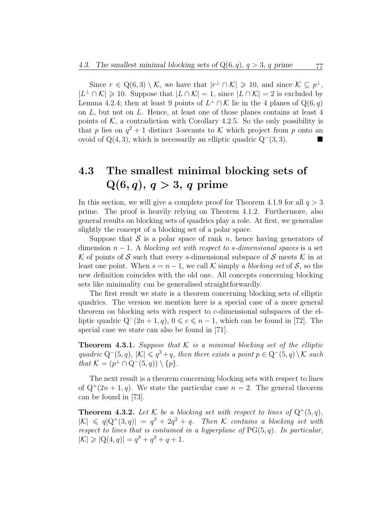Since  $r \in \mathbb{Q}(6,3) \setminus \mathcal{K}$ , we have that  $|r^{\perp} \cap \mathcal{K}| \geqslant 10$ , and since  $\mathcal{K} \subseteq p^{\perp}$ ,  $|L^{\perp} \cap \mathcal{K}| \geq 10$ . Suppose that  $|L \cap \mathcal{K}| = 1$ , since  $|L \cap \mathcal{K}| = 2$  is excluded by Lemma 4.2.4; then at least 9 points of  $L^{\perp} \cap \mathcal{K}$  lie in the 4 planes of  $Q(6, q)$ on L, but not on L. Hence, at least one of those planes contains at least 4 points of  $K$ , a contradiction with Corollary 4.2.5. So the only possibility is that p lies on  $q^2 + 1$  distinct 3-secants to K which project from p onto an ovoid of  $Q(4, 3)$ , which is necessarily an elliptic quadric  $Q^-(3, 3)$ . ■

# 4.3 The smallest minimal blocking sets of  $Q(6, q), q > 3, q$  prime

In this section, we will give a complete proof for Theorem 4.1.9 for all  $q > 3$ prime. The proof is heavily relying on Theorem 4.1.2. Furthermore, also general results on blocking sets of quadrics play a role. At first, we generalise slightly the concept of a blocking set of a polar space.

Suppose that  $S$  is a polar space of rank n, hence having generators of dimension  $n-1$ . A blocking set with respect to s-dimensional spaces is a set K of points of S such that every s-dimensional subspace of S meets K in at least one point. When  $s = n - 1$ , we call K simply a blocking set of S, so the new definition coincides with the old one. All concepts concerning blocking sets like minimality can be generalised straightforwardly.

The first result we state is a theorem concerning blocking sets of elliptic quadrics. The version we mention here is a special case of a more general theorem on blocking sets with respect to c-dimensional subspaces of the elliptic quadric  $Q^-(2n+1, q)$ ,  $0 \leq c \leq n-1$ , which can be found in [72]. The special case we state can also be found in [71].

**Theorem 4.3.1.** Suppose that  $K$  is a minimal blocking set of the elliptic quadric  $Q^-(5, q)$ ,  $|\mathcal{K}| \leqslant q^3 + q$ , then there exists a point  $p \in Q^-(5, q) \setminus \mathcal{K}$  such that  $\mathcal{K} = (p^{\perp} \cap Q^{-}(5, q)) \setminus \{p\}.$ 

The next result is a theorem concerning blocking sets with respect to lines of  $Q^+(2n+1, q)$ . We state the particular case  $n = 2$ . The general theorem can be found in [73].

**Theorem 4.3.2.** Let K be a blocking set with respect to lines of  $Q^+(5, q)$ ,  $|K| \leq q|Q^+(3,q)| = q^3 + 2q^2 + q$ . Then K contains a blocking set with respect to lines that is contained in a hyperplane of  $PG(5, q)$ . In particular,  $|\mathcal{K}| \geqslant |Q(4,q)| = q^3 + q^2 + q + 1.$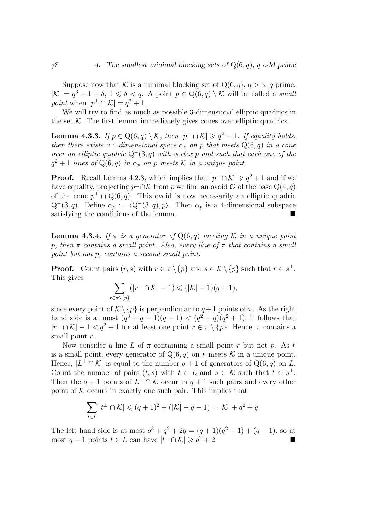Suppose now that K is a minimal blocking set of  $Q(6, q)$ ,  $q > 3$ , q prime,  $|\mathcal{K}| = q^3 + 1 + \delta, 1 \leq \delta < q$ . A point  $p \in \mathbb{Q}(6, q) \setminus \mathcal{K}$  will be called a small point when  $|p^{\perp} \cap \mathcal{K}| = q^2 + 1$ .

We will try to find as much as possible 3-dimensional elliptic quadrics in the set  $K$ . The first lemma immediately gives cones over elliptic quadrics.

**Lemma 4.3.3.** If  $p \in Q(6, q) \setminus \mathcal{K}$ , then  $|p^{\perp} \cap \mathcal{K}| \geq q^2 + 1$ . If equality holds, then there exists a 4-dimensional space  $\alpha_p$  on p that meets  $Q(6, q)$  in a cone over an elliptic quadric  $Q^-(3, q)$  with vertex p and such that each one of the  $q^2 + 1$  lines of  $Q(6, q)$  in  $\alpha_p$  on p meets K in a unique point.

**Proof.** Recall Lemma 4.2.3, which implies that  $|p^{\perp} \cap \mathcal{K}| \geq q^2 + 1$  and if we have equality, projecting  $p^{\perp} \cap \mathcal{K}$  from p we find an ovoid  $\mathcal{O}$  of the base  $Q(4,q)$ of the cone  $p^{\perp} \cap Q(6, q)$ . This ovoid is now necessarily an elliptic quadric  $Q^-(3, q)$ . Define  $\alpha_p := \langle Q^-(3, q), p \rangle$ . Then  $\alpha_p$  is a 4-dimensional subspace satisfying the conditions of the lemma.

**Lemma 4.3.4.** If  $\pi$  is a generator of  $Q(6, q)$  meeting K in a unique point p, then  $\pi$  contains a small point. Also, every line of  $\pi$  that contains a small point but not p, contains a second small point.

**Proof.** Count pairs  $(r, s)$  with  $r \in \pi \setminus \{p\}$  and  $s \in \mathcal{K} \setminus \{p\}$  such that  $r \in s^{\perp}$ . This gives

$$
\sum_{r \in \pi \setminus \{p\}} (|r^{\perp} \cap \mathcal{K}| - 1) \leq (|\mathcal{K}| - 1)(q + 1),
$$

since every point of  $\mathcal{K}\backslash\{p\}$  is perpendicular to  $q+1$  points of  $\pi$ . As the right hand side is at most  $(q^3 + q - 1)(q + 1) < (q^2 + q)(q^2 + 1)$ , it follows that  $|r^{\perp} \cap \mathcal{K}| - 1 < q^2 + 1$  for at least one point  $r \in \pi \setminus \{p\}$ . Hence,  $\pi$  contains a small point  $r$ .

Now consider a line L of  $\pi$  containing a small point r but not p. As r is a small point, every generator of  $Q(6, q)$  on r meets K in a unique point. Hence,  $|L^{\perp} \cap \mathcal{K}|$  is equal to the number  $q + 1$  of generators of  $Q(6, q)$  on L. Count the number of pairs  $(t, s)$  with  $t \in L$  and  $s \in \mathcal{K}$  such that  $t \in s^{\perp}$ . Then the  $q + 1$  points of  $L^{\perp} \cap \mathcal{K}$  occur in  $q + 1$  such pairs and every other point of  $K$  occurs in exactly one such pair. This implies that

$$
\sum_{t \in L} |t^{\perp} \cap \mathcal{K}| \leqslant (q+1)^2 + (|\mathcal{K}| - q - 1) = |\mathcal{K}| + q^2 + q.
$$

The left hand side is at most  $q^3 + q^2 + 2q = (q+1)(q^2 + 1) + (q-1)$ , so at most q − 1 points  $t \in L$  can have  $|t^{\perp} \cap \mathcal{K}| \geqslant q^2 + 2$ .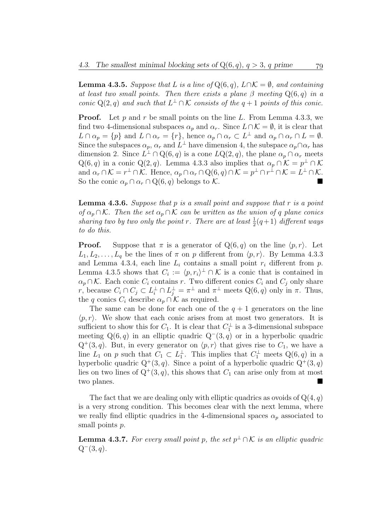**Lemma 4.3.5.** Suppose that L is a line of  $Q(6, q)$ ,  $L \cap K = \emptyset$ , and containing at least two small points. Then there exists a plane  $\beta$  meeting  $Q(6, q)$  in a conic Q(2, q) and such that  $L^{\perp} \cap \mathcal{K}$  consists of the  $q + 1$  points of this conic.

**Proof.** Let p and r be small points on the line L. From Lemma 4.3.3, we find two 4-dimensional subspaces  $\alpha_p$  and  $\alpha_r$ . Since  $L \cap \mathcal{K} = \emptyset$ , it is clear that  $L \cap \alpha_p = \{p\}$  and  $L \cap \alpha_r = \{r\}$ , hence  $\alpha_p \cap \alpha_r \subset L^{\perp}$  and  $\alpha_p \cap \alpha_r \cap L = \emptyset$ . Since the subspaces  $\alpha_p$ ,  $\alpha_r$  and  $\tilde{L}^{\perp}$  have dimension 4, the subspace  $\alpha_p \cap \alpha_r$  has dimension 2. Since  $L^{\perp} \cap Q(6,q)$  is a cone  $LQ(2,q)$ , the plane  $\alpha_p \cap \alpha_r$  meets  $Q(6, q)$  in a conic  $Q(2, q)$ . Lemma 4.3.3 also implies that  $\alpha_p \cap \mathcal{K} = p^{\perp} \cap \mathcal{K}$ and  $\alpha_r \cap \mathcal{K} = r^{\perp} \cap \mathcal{K}$ . Hence,  $\alpha_p \cap \alpha_r \cap \mathrm{Q}(6,q) \cap \mathcal{K} = p^{\perp} \cap r^{\perp} \cap \mathcal{K} = L^{\perp} \cap \mathcal{K}$ . So the conic  $\alpha_p \cap \alpha_r \cap \mathcal{Q}(6, q)$  belongs to K.

**Lemma 4.3.6.** Suppose that p is a small point and suppose that r is a point of  $\alpha_p \cap \mathcal{K}$ . Then the set  $\alpha_p \cap \mathcal{K}$  can be written as the union of q plane conics sharing two by two only the point r. There are at least  $\frac{1}{2}(q+1)$  different ways to do this.

**Proof.** Suppose that  $\pi$  is a generator of  $Q(6, q)$  on the line  $\langle p, r \rangle$ . Let  $L_1, L_2, \ldots, L_q$  be the lines of  $\pi$  on p different from  $\langle p, r \rangle$ . By Lemma 4.3.3 and Lemma 4.3.4, each line  $L_i$  contains a small point  $r_i$  different from  $p$ . Lemma 4.3.5 shows that  $C_i := \langle p, r_i \rangle^{\perp} \cap \mathcal{K}$  is a conic that is contained in  $\alpha_p \cap \mathcal{K}$ . Each conic  $C_i$  contains r. Two different conics  $C_i$  and  $C_j$  only share r, because  $C_i \cap C_j \subset L_i^{\perp} \cap L_j^{\perp} = \pi^{\perp}$  and  $\pi^{\perp}$  meets  $Q(6, q)$  only in  $\pi$ . Thus, the q conics  $C_i$  describe  $\alpha_n \cap \mathcal{K}$  as required.

The same can be done for each one of the  $q + 1$  generators on the line  $\langle p, r \rangle$ . We show that each conic arises from at most two generators. It is sufficient to show this for  $C_1$ . It is clear that  $C_1^{\perp}$  $\frac{1}{1}$  is a 3-dimensional subspace meeting  $Q(6, q)$  in an elliptic quadric  $Q^-(3, q)$  or in a hyperbolic quadric  $Q^+(3, q)$ . But, in every generator on  $\langle p, r \rangle$  that gives rise to  $C_1$ , we have a line  $L_1$  on p such that  $C_1 \subset L_1^{\perp}$  $\frac{1}{1}$ . This implies that  $C_1^{\perp}$  meets  $Q(6, q)$  in a hyperbolic quadric  $Q^+(3, q)$ . Since a point of a hyperbolic quadric  $Q^+(3, q)$ lies on two lines of  $Q^+(3, q)$ , this shows that  $C_1$  can arise only from at most two planes.

The fact that we are dealing only with elliptic quadrics as ovoids of  $Q(4, q)$ is a very strong condition. This becomes clear with the next lemma, where we really find elliptic quadrics in the 4-dimensional spaces  $\alpha_p$  associated to small points  $p$ .

**Lemma 4.3.7.** For every small point p, the set  $p^{\perp} \cap \mathcal{K}$  is an elliptic quadric  $Q^-(3, q)$ .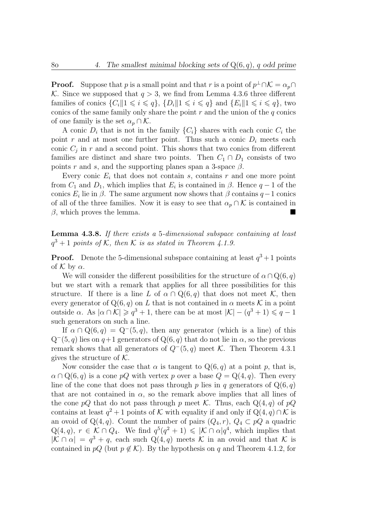**Proof.** Suppose that p is a small point and that r is a point of  $p^{\perp} \cap \mathcal{K} = \alpha_p \cap \mathcal{K}$ K. Since we supposed that  $q > 3$ , we find from Lemma 4.3.6 three different families of conics  $\{C_i \| 1 \leq i \leq q\}$ ,  $\{D_i \| 1 \leq i \leq q\}$  and  $\{E_i \| 1 \leq i \leq q\}$ , two conics of the same family only share the point  $r$  and the union of the  $q$  conics of one family is the set  $\alpha_p \cap \mathcal{K}$ .

A conic  $D_i$  that is not in the family  $\{C_i\}$  shares with each conic  $C_i$  the point r and at most one further point. Thus such a conic  $D_i$  meets each conic  $C_j$  in r and a second point. This shows that two conics from different families are distinct and share two points. Then  $C_1 \cap D_1$  consists of two points r and s, and the supporting planes span a 3-space  $\beta$ .

Every conic  $E_i$  that does not contain s, contains r and one more point from  $C_1$  and  $D_1$ , which implies that  $E_i$  is contained in  $\beta$ . Hence  $q-1$  of the conics  $E_i$  lie in  $\beta$ . The same argument now shows that  $\beta$  contains  $q-1$  conics of all of the three families. Now it is easy to see that  $\alpha_p \cap \mathcal{K}$  is contained in  $\beta$ , which proves the lemma.

Lemma 4.3.8. If there exists a 5-dimensional subspace containing at least  $q^3 + 1$  points of K, then K is as stated in Theorem 4.1.9.

**Proof.** Denote the 5-dimensional subspace containing at least  $q^3 + 1$  points of  $\mathcal K$  by  $\alpha$ .

We will consider the different possibilities for the structure of  $\alpha \cap Q(6, q)$ but we start with a remark that applies for all three possibilities for this structure. If there is a line L of  $\alpha \cap Q(6,q)$  that does not meet K, then every generator of  $Q(6, q)$  on L that is not contained in  $\alpha$  meets K in a point outside  $\alpha$ . As  $|\alpha \cap \mathcal{K}| \geqslant q^3 + 1$ , there can be at most  $|\mathcal{K}| - (q^3 + 1) \leqslant q - 1$ such generators on such a line.

If  $\alpha \cap Q(6, q) = Q^-(5, q)$ , then any generator (which is a line) of this  $Q^-(5, q)$  lies on  $q+1$  generators of  $Q(6, q)$  that do not lie in  $\alpha$ , so the previous remark shows that all generators of  $Q^-(5, q)$  meet K. Then Theorem 4.3.1 gives the structure of  $K$ .

Now consider the case that  $\alpha$  is tangent to  $Q(6, q)$  at a point p, that is,  $\alpha \cap Q(6, q)$  is a cone pQ with vertex p over a base  $Q = Q(4, q)$ . Then every line of the cone that does not pass through p lies in q generators of  $Q(6, q)$ that are not contained in  $\alpha$ , so the remark above implies that all lines of the cone pQ that do not pass through p meet K. Thus, each  $Q(4, q)$  of pQ contains at least  $q^2 + 1$  points of K with equality if and only if  $Q(4, q) \cap \mathcal{K}$  is an ovoid of Q(4, q). Count the number of pairs  $(Q_4, r)$ ,  $Q_4 \subset pQ$  a quadric  $Q(4,q), r \in \mathcal{K} \cap Q_4$ . We find  $q^5(q^2+1) \leq \mathcal{K} \cap \alpha |q^4$ , which implies that  $|K \cap \alpha| = q^3 + q$ , each such  $Q(4,q)$  meets K in an ovoid and that K is contained in  $pQ$  (but  $p \notin \mathcal{K}$ ). By the hypothesis on q and Theorem 4.1.2, for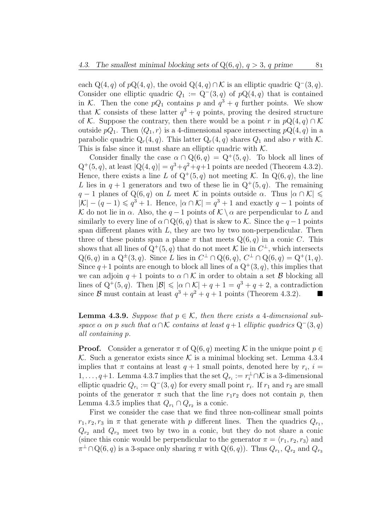each  $Q(4, q)$  of  $pQ(4, q)$ , the ovoid  $Q(4, q) \cap \mathcal{K}$  is an elliptic quadric  $Q^-(3, q)$ . Consider one elliptic quadric  $Q_1 := Q^-(3, q)$  of  $pQ(4, q)$  that is contained in K. Then the cone  $pQ_1$  contains p and  $q^3 + q$  further points. We show that K consists of these latter  $q^3 + q$  points, proving the desired structure of K. Suppose the contrary, then there would be a point r in  $pQ(4, q) \cap K$ outside  $pQ_1$ . Then  $\langle Q_1, r \rangle$  is a 4-dimensional space intersecting  $pQ(4, q)$  in a parabolic quadric  $Q_r(4,q)$ . This latter  $Q_r(4,q)$  shares  $Q_1$  and also r with K. This is false since it must share an elliptic quadric with  $K$ .

Consider finally the case  $\alpha \cap Q(6, q) = Q^+(5, q)$ . To block all lines of  $Q^+(5, q)$ , at least  $|Q(4, q)| = q^3 + q^2 + q + 1$  points are needed (Theorem 4.3.2). Hence, there exists a line L of  $Q^+(5, q)$  not meeting K. In  $Q(6, q)$ , the line L lies in  $q + 1$  generators and two of these lie in  $Q^+(5, q)$ . The remaining  $q-1$  planes of Q(6, q) on L meet K in points outside  $\alpha$ . Thus  $|\alpha \cap \mathcal{K}| \leq$  $|\mathcal{K}| - (q-1) \leqslant q^3 + 1$ . Hence,  $|\alpha \cap \mathcal{K}| = q^3 + 1$  and exactly  $q-1$  points of K do not lie in  $\alpha$ . Also, the  $q-1$  points of  $\mathcal{K} \setminus \alpha$  are perpendicular to L and similarly to every line of  $\alpha \cap Q(6, q)$  that is skew to K. Since the  $q-1$  points span different planes with  $L$ , they are two by two non-perpendicular. Then three of these points span a plane  $\pi$  that meets  $Q(6, q)$  in a conic C. This shows that all lines of  $Q^+(5, q)$  that do not meet K lie in  $C^{\perp}$ , which intersects  $Q(6, q)$  in a  $Q^{\pm}(3, q)$ . Since L lies in  $C^{\perp} \cap Q(6, q)$ ,  $C^{\perp} \cap Q(6, q) = Q^+(1, q)$ . Since  $q+1$  points are enough to block all lines of a  $Q^+(3, q)$ , this implies that we can adjoin  $q + 1$  points to  $\alpha \cap \mathcal{K}$  in order to obtain a set B blocking all lines of  $Q^+(5, q)$ . Then  $|\mathcal{B}| \leq \alpha \cap \mathcal{K} + q + 1 = q^3 + q + 2$ , a contradiction since B must contain at least  $q^3 + q^2 + q + 1$  points (Theorem 4.3.2).

**Lemma 4.3.9.** Suppose that  $p \in \mathcal{K}$ , then there exists a 4-dimensional subspace  $\alpha$  on p such that  $\alpha \cap \mathcal{K}$  contains at least  $q+1$  elliptic quadrics  $Q^-(3, q)$ all containing p.

**Proof.** Consider a generator  $\pi$  of Q(6, q) meeting K in the unique point  $p \in \mathbb{R}$ K. Such a generator exists since K is a minimal blocking set. Lemma 4.3.4 implies that  $\pi$  contains at least  $q+1$  small points, denoted here by  $r_i$ ,  $i=$  $1, \ldots, q+1$ . Lemma 4.3.7 implies that the set  $Q_{r_i} := r_i^{\perp} \cap \mathcal{K}$  is a 3-dimensional elliptic quadric  $Q_{r_i} := Q^-(3, q)$  for every small point  $r_i$ . If  $r_1$  and  $r_2$  are small points of the generator  $\pi$  such that the line  $r_1r_2$  does not contain p, then Lemma 4.3.5 implies that  $Q_{r_1} \cap Q_{r_2}$  is a conic.

First we consider the case that we find three non-collinear small points  $r_1, r_2, r_3$  in  $\pi$  that generate with p different lines. Then the quadrics  $Q_{r_1}$ ,  $Q_{r_2}$  and  $Q_{r_3}$  meet two by two in a conic, but they do not share a conic (since this conic would be perpendicular to the generator  $\pi = \langle r_1, r_2, r_3 \rangle$  and  $\pi^{\perp} \cap Q(6, q)$  is a 3-space only sharing  $\pi$  with  $Q(6, q)$ ). Thus  $Q_{r_1}$ ,  $Q_{r_2}$  and  $Q_{r_3}$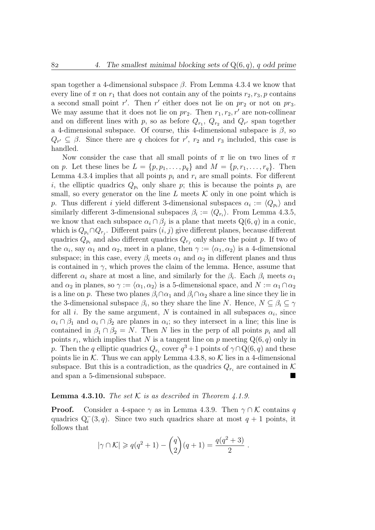span together a 4-dimensional subspace  $\beta$ . From Lemma 4.3.4 we know that every line of  $\pi$  on  $r_1$  that does not contain any of the points  $r_2, r_3, p$  contains a second small point  $r'$ . Then  $r'$  either does not lie on  $pr_2$  or not on  $pr_3$ . We may assume that it does not lie on  $pr_2$ . Then  $r_1, r_2, r'$  are non-collinear and on different lines with p, so as before  $Q_{r_1}$ ,  $Q_{r_2}$  and  $Q_{r'}$  span together a 4-dimensional subspace. Of course, this 4-dimensional subspace is  $\beta$ , so  $Q_{r'} \subseteq \beta$ . Since there are q choices for r', r<sub>2</sub> and r<sub>3</sub> included, this case is handled.

Now consider the case that all small points of  $\pi$  lie on two lines of  $\pi$ on p. Let these lines be  $L = \{p, p_1, \ldots, p_q\}$  and  $M = \{p, r_1, \ldots, r_q\}$ . Then Lemma 4.3.4 implies that all points  $p_i$  and  $r_i$  are small points. For different i, the elliptic quadrics  $Q_{p_i}$  only share p; this is because the points  $p_i$  are small, so every generator on the line L meets  $K$  only in one point which is p. Thus different i yield different 3-dimensional subspaces  $\alpha_i := \langle Q_{p_i} \rangle$  and similarly different 3-dimensional subspaces  $\beta_i := \langle Q_{r_i} \rangle$ . From Lemma 4.3.5, we know that each subspace  $\alpha_i \cap \beta_j$  is a plane that meets  $Q(6, q)$  in a conic, which is  $Q_{p_i} \cap Q_{r_j}$ . Different pairs  $(i, j)$  give different planes, because different quadrics  $Q_{p_i}$  and also different quadrics  $Q_{r_j}$  only share the point p. If two of the  $\alpha_i$ , say  $\alpha_1$  and  $\alpha_2$ , meet in a plane, then  $\gamma := \langle \alpha_1, \alpha_2 \rangle$  is a 4-dimensional subspace; in this case, every  $\beta_i$  meets  $\alpha_1$  and  $\alpha_2$  in different planes and thus is contained in  $\gamma$ , which proves the claim of the lemma. Hence, assume that different  $\alpha_i$  share at most a line, and similarly for the  $\beta_i$ . Each  $\beta_i$  meets  $\alpha_1$ and  $\alpha_2$  in planes, so  $\gamma := \langle \alpha_1, \alpha_2 \rangle$  is a 5-dimensional space, and  $N := \alpha_1 \cap \alpha_2$ is a line on p. These two planes  $\beta_i \cap \alpha_1$  and  $\beta_i \cap \alpha_2$  share a line since they lie in the 3-dimensional subspace  $\beta_i$ , so they share the line N. Hence,  $N \subseteq \beta_i \subseteq \gamma$ for all *i*. By the same argument, N is contained in all subspaces  $\alpha_i$ , since  $\alpha_i \cap \beta_1$  and  $\alpha_i \cap \beta_2$  are planes in  $\alpha_i$ ; so they intersect in a line; this line is contained in  $\beta_1 \cap \beta_2 = N$ . Then N lies in the perp of all points  $p_i$  and all points  $r_i$ , which implies that N is a tangent line on p meeting  $Q(6, q)$  only in p. Then the q elliptic quadrics  $Q_{r_i}$  cover  $q^3 + 1$  points of  $\gamma \cap Q(6, q)$  and these points lie in  $K$ . Thus we can apply Lemma 4.3.8, so  $K$  lies in a 4-dimensional subspace. But this is a contradiction, as the quadrics  $Q_{r_i}$  are contained in K and span a 5-dimensional subspace.

#### **Lemma 4.3.10.** The set  $K$  is as described in Theorem 4.1.9.

**Proof.** Consider a 4-space  $\gamma$  as in Lemma 4.3.9. Then  $\gamma \cap \mathcal{K}$  contains q quadrics  $Q_i^-(3, q)$ . Since two such quadrics share at most  $q + 1$  points, it follows that

$$
|\gamma \cap \mathcal{K}| \geqslant q(q^2 + 1) - {q \choose 2}(q + 1) = \frac{q(q^2 + 3)}{2}
$$
.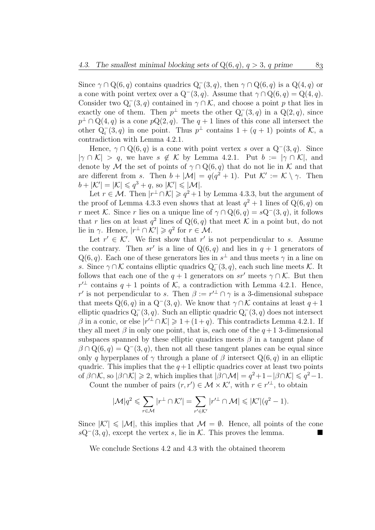Since  $\gamma \cap Q(6, q)$  contains quadrics  $Q_i^-(3, q)$ , then  $\gamma \cap Q(6, q)$  is a  $Q(4, q)$  or a cone with point vertex over a  $Q^-(3, q)$ . Assume that  $\gamma \cap Q(6, q) = Q(4, q)$ . Consider two  $Q_i^-(3, q)$  contained in  $\gamma \cap \mathcal{K}$ , and choose a point p that lies in exactly one of them. Then  $p^{\perp}$  meets the other  $Q_i^-(3, q)$  in a  $Q(2, q)$ , since  $p^{\perp} \cap \mathcal{Q}(4,q)$  is a cone  $p\mathcal{Q}(2,q)$ . The  $q+1$  lines of this cone all intersect the other  $Q_i^-(3, q)$  in one point. Thus  $p^{\perp}$  contains  $1 + (q + 1)$  points of K, a contradiction with Lemma 4.2.1.

Hence,  $\gamma \cap Q(6, q)$  is a cone with point vertex s over a  $Q^-(3, q)$ . Since  $|\gamma \cap \mathcal{K}| > q$ , we have  $s \notin \mathcal{K}$  by Lemma 4.2.1. Put  $b := |\gamma \cap \mathcal{K}|$ , and denote by M the set of points of  $\gamma \cap Q(6, q)$  that do not lie in K and that are different from s. Then  $b + |\mathcal{M}| = q(q^2 + 1)$ . Put  $\mathcal{K}' := \mathcal{K} \setminus \gamma$ . Then  $b+|\mathcal{K}'|=|\mathcal{K}|\leqslant q^3+q$ , so  $|\mathcal{K}'|\leqslant |\mathcal{M}|$ .

Let  $r \in \mathcal{M}$ . Then  $|r^{\perp} \cap \mathcal{K}| \geqslant q^2 + 1$  by Lemma 4.3.3, but the argument of the proof of Lemma 4.3.3 even shows that at least  $q^2 + 1$  lines of  $Q(6, q)$  on r meet K. Since r lies on a unique line of  $\gamma \cap Q(6, q) = sQ^-(3, q)$ , it follows that r lies on at least  $q^2$  lines of  $Q(6, q)$  that meet K in a point but, do not lie in  $\gamma$ . Hence,  $|r^{\perp} \cap \mathcal{K}'| \geqslant q^2$  for  $r \in \mathcal{M}$ .

Let  $r' \in \mathcal{K}'$ . We first show that r' is not perpendicular to s. Assume the contrary. Then sr' is a line of  $Q(6, q)$  and lies in  $q + 1$  generators of  $Q(6, q)$ . Each one of these generators lies in  $s^{\perp}$  and thus meets  $\gamma$  in a line on s. Since  $\gamma \cap \mathcal{K}$  contains elliptic quadrics  $Q_i^-(3, q)$ , each such line meets  $\mathcal{K}$ . It follows that each one of the  $q + 1$  generators on sr' meets  $\gamma \cap \mathcal{K}$ . But then  $r'^{\perp}$  contains  $q + 1$  points of  $K$ , a contradiction with Lemma 4.2.1. Hence, r' is not perpendicular to s. Then  $\beta := r'^{\perp} \cap \gamma$  is a 3-dimensional subspace that meets  $Q(6, q)$  in a  $Q^-(3, q)$ . We know that  $\gamma \cap \mathcal{K}$  contains at least  $q + 1$ elliptic quadrics  $Q_i^-(3, q)$ . Such an elliptic quadric  $Q_i^-(3, q)$  does not intersect  $\beta$  in a conic, or else  $|r'^{\perp} \cap \mathcal{K}| \geq 1 + (1+q)$ . This contradicts Lemma 4.2.1. If they all meet  $\beta$  in only one point, that is, each one of the  $q+1$  3-dimensional subspaces spanned by these elliptic quadrics meets  $\beta$  in a tangent plane of  $\beta \cap Q(6, q) = Q^-(3, q)$ , then not all these tangent planes can be equal since only q hyperplanes of  $\gamma$  through a plane of  $\beta$  intersect  $Q(6, q)$  in an elliptic quadric. This implies that the  $q+1$  elliptic quadrics cover at least two points of  $\beta \cap \mathcal{K}$ , so  $|\beta \cap \mathcal{K}| \geq 2$ , which implies that  $|\beta \cap \mathcal{M}| = q^2 + 1 - |\beta \cap \mathcal{K}| \leq q^2 - 1$ .

Count the number of pairs  $(r, r') \in \mathcal{M} \times \mathcal{K}'$ , with  $r \in r'^{\perp}$ , to obtain

$$
|\mathcal{M}|q^2 \leq \sum_{r \in \mathcal{M}} |r^{\perp} \cap \mathcal{K}'| = \sum_{r' \in \mathcal{K}'} |r'^{\perp} \cap \mathcal{M}| \leq |\mathcal{K}'|(q^2 - 1).
$$

Since  $|K'| \leq |\mathcal{M}|$ , this implies that  $\mathcal{M} = \emptyset$ . Hence, all points of the cone  $sQ^-(3, q)$ , except the vertex s, lie in K. This proves the lemma.

We conclude Sections 4.2 and 4.3 with the obtained theorem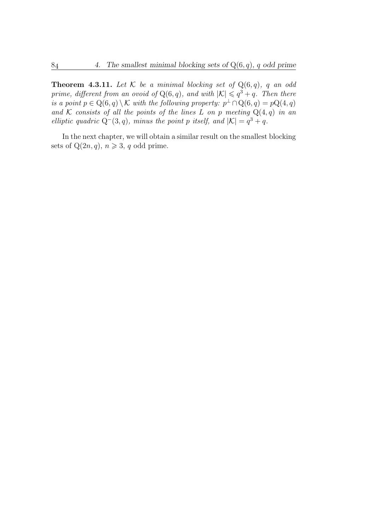**Theorem 4.3.11.** Let  $K$  be a minimal blocking set of  $Q(6, q)$ , q an odd prime, different from an ovoid of  $Q(6, q)$ , and with  $|K| \leqslant q^3 + q$ . Then there is a point  $p \in \mathrm{Q}(6,q) \setminus \mathcal{K}$  with the following property:  $p^{\perp} \cap \mathrm{Q}(6,q) = p\mathrm{Q}(4,q)$ and K consists of all the points of the lines L on p meeting  $Q(4,q)$  in an elliptic quadric  $Q^-(3, q)$ , minus the point p itself, and  $|K| = q^3 + q$ .

In the next chapter, we will obtain a similar result on the smallest blocking sets of  $Q(2n, q)$ ,  $n \geq 3$ , q odd prime.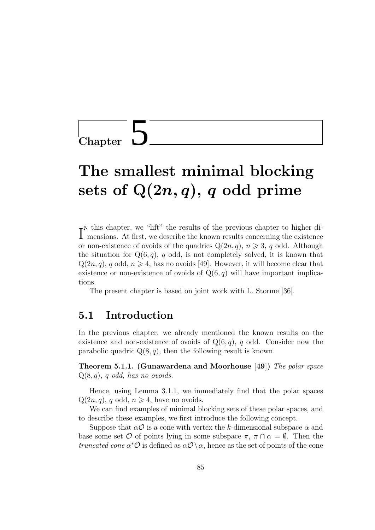Chapter 5

# The smallest minimal blocking sets of  $Q(2n, q)$ , q odd prime

I<sup>N</sup> this chapter, we filt the results of the previous chapter to higher di-<br>mensions. At first, we describe the known results concerning the existence  $\mathbf{r}^N$  this chapter, we "lift" the results of the previous chapter to higher dior non-existence of ovoids of the quadrics  $Q(2n, q)$ ,  $n \geq 3$ , q odd. Although the situation for  $Q(6, q)$ , q odd, is not completely solved, it is known that  $Q(2n, q)$ , q odd,  $n \geq 4$ , has no ovoids [49]. However, it will become clear that existence or non-existence of ovoids of  $Q(6, q)$  will have important implications.

The present chapter is based on joint work with L. Storme [36].

### 5.1 Introduction

In the previous chapter, we already mentioned the known results on the existence and non-existence of ovoids of  $Q(6, q)$ , q odd. Consider now the parabolic quadric  $Q(8, q)$ , then the following result is known.

Theorem 5.1.1. (Gunawardena and Moorhouse  $(49)$ ) The polar space  $Q(8, q)$ , q odd, has no ovoids.

Hence, using Lemma 3.1.1, we immediately find that the polar spaces  $Q(2n, q)$ , q odd,  $n \geq 4$ , have no ovoids.

We can find examples of minimal blocking sets of these polar spaces, and to describe these examples, we first introduce the following concept.

Suppose that  $\alpha \mathcal{O}$  is a cone with vertex the k-dimensional subspace  $\alpha$  and base some set O of points lying in some subspace  $\pi$ ,  $\pi \cap \alpha = \emptyset$ . Then the truncated cone  $\alpha^*$ O is defined as  $\alpha$ O \  $\alpha$ , hence as the set of points of the cone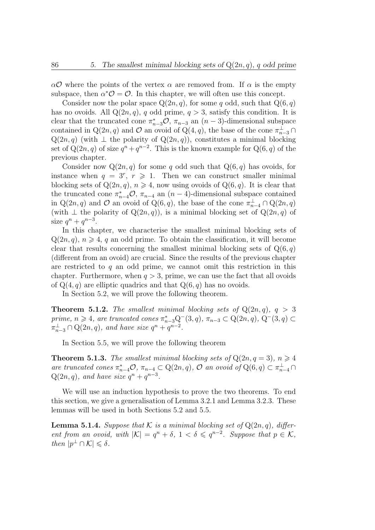$\alpha$ O where the points of the vertex  $\alpha$  are removed from. If  $\alpha$  is the empty subspace, then  $\alpha^* \mathcal{O} = \mathcal{O}$ . In this chapter, we will often use this concept.

Consider now the polar space  $Q(2n, q)$ , for some q odd, such that  $Q(6, q)$ has no ovoids. All  $Q(2n, q)$ , q odd prime,  $q > 3$ , satisfy this condition. It is clear that the truncated cone  $\pi_{n-3}^* \mathcal{O}, \pi_{n-3}$  an  $(n-3)$ -dimensional subspace contained in Q(2n, q) and O an ovoid of Q(4, q), the base of the cone  $\pi_{n-3}^{\perp} \cap$  $Q(2n, q)$  (with  $\perp$  the polarity of  $Q(2n, q)$ ), constitutes a minimal blocking set of  $Q(2n, q)$  of size  $q^{n} + q^{n-2}$ . This is the known example for  $Q(6, q)$  of the previous chapter.

Consider now  $Q(2n, q)$  for some q odd such that  $Q(6, q)$  has ovoids, for instance when  $q = 3^r, r \ge 1$ . Then we can construct smaller minimal blocking sets of  $Q(2n, q)$ ,  $n \ge 4$ , now using ovoids of  $Q(6, q)$ . It is clear that the truncated cone  $\pi_{n-4}^* \mathcal{O}, \pi_{n-4}$  an  $(n-4)$ -dimensional subspace contained in  $Q(2n, q)$  and  $O$  an ovoid of  $Q(6, q)$ , the base of the cone  $\pi_{n-4}^{\perp} \cap Q(2n, q)$ (with  $\perp$  the polarity of  $Q(2n, q)$ ), is a minimal blocking set of  $Q(2n, q)$  of size  $q^n + q^{n-3}$ .

In this chapter, we characterise the smallest minimal blocking sets of  $Q(2n, q)$ ,  $n \geq 4$ , q an odd prime. To obtain the classification, it will become clear that results concerning the smallest minimal blocking sets of  $Q(6, q)$ (different from an ovoid) are crucial. Since the results of the previous chapter are restricted to  $q$  an odd prime, we cannot omit this restriction in this chapter. Furthermore, when  $q > 3$ , prime, we can use the fact that all ovoids of  $Q(4, q)$  are elliptic quadrics and that  $Q(6, q)$  has no ovoids.

In Section 5.2, we will prove the following theorem.

**Theorem 5.1.2.** The smallest minimal blocking sets of  $Q(2n, q)$ ,  $q > 3$ prime,  $n \geq 4$ , are truncated cones  $\pi_{n-3}^* Q^-(3, q)$ ,  $\pi_{n-3} \subset Q(2n, q)$ ,  $Q^-(3, q) \subset$  $\pi_{n-3}^{\perp} \cap Q(2n, q)$ , and have size  $q^n + q^{n-2}$ .

In Section 5.5, we will prove the following theorem

**Theorem 5.1.3.** The smallest minimal blocking sets of  $Q(2n, q = 3)$ ,  $n \ge 4$ are truncated cones  $\pi_{n-4}^* \mathcal{O}, \pi_{n-4} \subset \mathbb{Q}(2n, q)$ ,  $\mathcal{O}$  an ovoid of  $\mathbb{Q}(6, q) \subset \pi_{n-4}^{\perp} \cap$  $Q(2n, q)$ , and have size  $q^n + q^{n-3}$ .

We will use an induction hypothesis to prove the two theorems. To end this section, we give a generalisation of Lemma 3.2.1 and Lemma 3.2.3. These lemmas will be used in both Sections 5.2 and 5.5.

**Lemma 5.1.4.** Suppose that K is a minimal blocking set of  $Q(2n, q)$ , different from an ovoid, with  $|K| = q^n + \delta$ ,  $1 < \delta \leqslant q^{n-2}$ . Suppose that  $p \in K$ , then  $|p^{\perp} \cap \mathcal{K}| \leqslant \delta$ .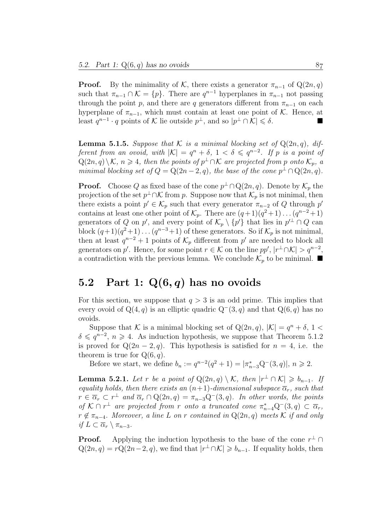**Proof.** By the minimality of K, there exists a generator  $\pi_{n-1}$  of Q(2n, q) such that  $\pi_{n-1} \cap \mathcal{K} = \{p\}$ . There are  $q^{n-1}$  hyperplanes in  $\pi_{n-1}$  not passing through the point p, and there are q generators different from  $\pi_{n-1}$  on each hyperplane of  $\pi_{n-1}$ , which must contain at least one point of K. Hence, at least  $q^{n-1} \cdot q$  points of K lie outside  $p^{\perp}$ , and so  $|p^{\perp} \cap \mathcal{K}| \leq \delta$ .

**Lemma 5.1.5.** Suppose that K is a minimal blocking set of  $Q(2n, q)$ , different from an ovoid, with  $|K| = q^n + \delta$ ,  $1 < \delta \leqslant q^{n-2}$ . If p is a point of  $\mathcal{Q}(2n, q)\setminus\mathcal{K}$ ,  $n \geqslant 4$ , then the points of  $p^{\perp} \cap \mathcal{K}$  are projected from p onto  $\mathcal{K}_p$ , a minimal blocking set of  $Q = Q(2n-2, q)$ , the base of the cone  $p^{\perp} \cap Q(2n, q)$ .

**Proof.** Choose Q as fixed base of the cone  $p^{\perp} \cap Q(2n, q)$ . Denote by  $\mathcal{K}_p$  the projection of the set  $p^{\perp} \cap \mathcal{K}$  from p. Suppose now that  $\mathcal{K}_p$  is not minimal, then there exists a point  $p' \in \mathcal{K}_p$  such that every generator  $\pi_{n-2}$  of Q through p' contains at least one other point of  $\mathcal{K}_p$ . There are  $(q+1)(q^2+1)\dots(q^{n-2}+1)$ generators of Q on p', and every point of  $\mathcal{K}_p \setminus \{p'\}$  that lies in  $p'^{\perp} \cap Q$  can block  $(q+1)(q^2+1)\ldots(q^{n-3}+1)$  of these generators. So if  $\mathcal{K}_p$  is not minimal, then at least  $q^{n-2}+1$  points of  $\mathcal{K}_p$  different from p' are needed to block all generators on p'. Hence, for some point  $r \in \mathcal{K}$  on the line pp',  $|r^{\perp} \cap \mathcal{K}| > q^{n-2}$ , a contradiction with the previous lemma. We conclude  $\mathcal{K}_p$  to be minimal.

### 5.2 Part 1:  $Q(6, q)$  has no ovoids

For this section, we suppose that  $q > 3$  is an odd prime. This implies that every ovoid of  $Q(4, q)$  is an elliptic quadric  $Q^-(3, q)$  and that  $Q(6, q)$  has no ovoids.

Suppose that K is a minimal blocking set of  $Q(2n, q)$ ,  $|K| = q<sup>n</sup> + \delta$ , 1  $\delta \leqslant q^{n-2}, n \geqslant 4$ . As induction hypothesis, we suppose that Theorem 5.1.2 is proved for  $Q(2n-2, q)$ . This hypothesis is satisfied for  $n = 4$ , i.e. the theorem is true for  $Q(6, q)$ .

Before we start, we define  $b_n := q^{n-2}(q^2 + 1) = |\pi_{n-3}^*Q^{-}(3, q)|, n \geq 2$ .

**Lemma 5.2.1.** Let r be a point of  $Q(2n,q) \setminus K$ , then  $|r^{\perp} \cap K| \geq b_{n-1}$ . If equality holds, then there exists an  $(n+1)$ -dimensional subspace  $\overline{\alpha}_r$ , such that  $r \in \overline{\alpha_r} \subset r^{\perp}$  and  $\overline{\alpha_r} \cap \mathrm{Q}(2n, q) = \pi_{n-3}\mathrm{Q}^{-}(3, q)$ . In other words, the points of  $K \cap r^{\perp}$  are projected from r onto a truncated cone  $\pi_{n-4}^* Q^-(3, q) \subset \overline{\alpha}_r$ ,  $r \notin \pi_{n-4}$ . Moreover, a line L on r contained in  $Q(2n, q)$  meets K if and only if  $L \subset \overline{\alpha}_r \setminus \pi_{n-3}$ .

**Proof.** Applying the induction hypothesis to the base of the cone  $r^{\perp} \cap$  $Q(2n, q) = rQ(2n-2, q)$ , we find that  $|r^{\perp} \cap \mathcal{K}| \geq b_{n-1}$ . If equality holds, then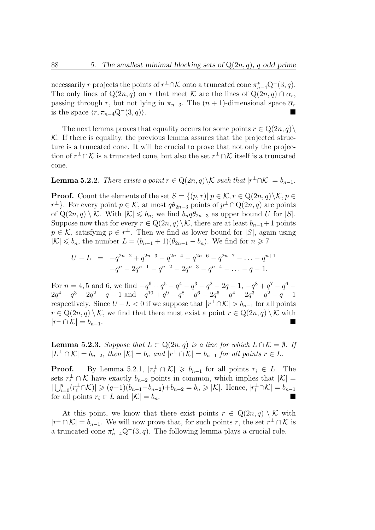necessarily r projects the points of  $r^{\perp} \cap \mathcal{K}$  onto a truncated cone  $\pi_{n-4}^* Q^-(3, q)$ . The only lines of Q(2n, q) on r that meet K are the lines of Q(2n, q)  $\cap \overline{\alpha}_r$ , passing through r, but not lying in  $\pi_{n-3}$ . The  $(n + 1)$ -dimensional space  $\overline{\alpha}_r$ is the space  $\langle r, \pi_{n-4}\mathbb{Q}^-(3, q)\rangle$ .

The next lemma proves that equality occurs for some points  $r \in \mathcal{Q}(2n, q)$  $K$ . If there is equality, the previous lemma assures that the projected structure is a truncated cone. It will be crucial to prove that not only the projection of  $r^{\perp} \cap \mathcal{K}$  is a truncated cone, but also the set  $r^{\perp} \cap \mathcal{K}$  itself is a truncated cone.

**Lemma 5.2.2.** There exists a point  $r \in \mathbb{Q}(2n, q) \backslash \mathcal{K}$  such that  $|r^{\perp} \cap \mathcal{K}| = b_{n-1}$ .

**Proof.** Count the elements of the set  $S = \{(p, r) \| p \in \mathcal{K}, r \in \mathbb{Q}(2n, q) \setminus \mathcal{K}, p \in \mathbb{Q}\}$  $r^{\perp}$ . For every point  $p \in \mathcal{K}$ , at most  $q\theta_{2n-3}$  points of  $p^{\perp} \cap Q(2n, q)$  are points of  $Q(2n, q) \setminus \mathcal{K}$ . With  $|\mathcal{K}| \leq b_n$ , we find  $b_n q \theta_{2n-3}$  as upper bound U for  $|S|$ . Suppose now that for every  $r \in \mathbb{Q}(2n, q) \setminus \mathcal{K}$ , there are at least  $b_{n-1}+1$  points  $p \in \mathcal{K}$ , satisfying  $p \in r^{\perp}$ . Then we find as lower bound for  $|S|$ , again using  $|\mathcal{K}| \leq b_n$ , the number  $L = (b_{n-1} + 1)(\theta_{2n-1} - b_n)$ . We find for  $n \geq 7$ 

$$
U - L = -q^{2n-2} + q^{2n-3} - q^{2n-4} - q^{2n-6} - q^{2n-7} - \dots - q^{n+1}
$$

$$
-q^n - 2q^{n-1} - q^{n-2} - 2q^{n-3} - q^{n-4} - \dots - q - 1.
$$

For  $n = 4, 5$  and 6, we find  $-q^6 + q^5 - q^4 - q^3 - q^2 - 2q - 1$ ,  $-q^8 + q^7 - q^6 2q^4 - q^3 - 2q^2 - q - 1$  and  $-q^{10} + q^9 - q^8 - q^6 - 2q^5 - q^4 - 2q^3 - q^2 - q - 1$ respectively. Since  $U - L < 0$  if we suppose that  $|r^{\perp} \cap \mathcal{K}| > b_{n-1}$  for all points  $r \in \mathbb{Q}(2n, q) \setminus \mathcal{K}$ , we find that there must exist a point  $r \in \mathbb{Q}(2n, q) \setminus \mathcal{K}$  with  $|r^{\perp} \cap \mathcal{K}| = b_{n-1}.$ 

**Lemma 5.2.3.** Suppose that  $L \subset Q(2n, q)$  is a line for which  $L \cap K = \emptyset$ . If  $|L^{\perp} \cap \mathcal{K}| = b_{n-2}$ , then  $|\mathcal{K}| = b_n$  and  $|r^{\perp} \cap \mathcal{K}| = b_{n-1}$  for all points  $r \in L$ .

**Proof.** By Lemma 5.2.1,  $|r_i^{\perp} \cap \mathcal{K}| \geq b_{n-1}$  for all points  $r_i \in L$ . The sets  $r_i^{\perp} \cap \mathcal{K}$  have exactly  $b_{n-2}$  points in common, which implies that  $|\mathcal{K}| =$  $|\bigcup_{i=0}^q (r_i^{\perp} \cap \mathcal{K})| \geq (q+1)(b_{n-1}-b_{n-2})+b_{n-2} = b_n \geq |\mathcal{K}|.$  Hence,  $|r_i^{\perp} \cap \mathcal{K}| = b_{n-1}$ for all points  $r_i \in L$  and  $|\mathcal{K}| = b_n$ .

At this point, we know that there exist points  $r \in \mathbb{Q}(2n, q) \setminus \mathcal{K}$  with  $|r^{\perp} \cap \mathcal{K}| = b_{n-1}$ . We will now prove that, for such points r, the set  $r^{\perp} \cap \mathcal{K}$  is a truncated cone  $\pi_{n-4}^* Q^-(3, q)$ . The following lemma plays a crucial role.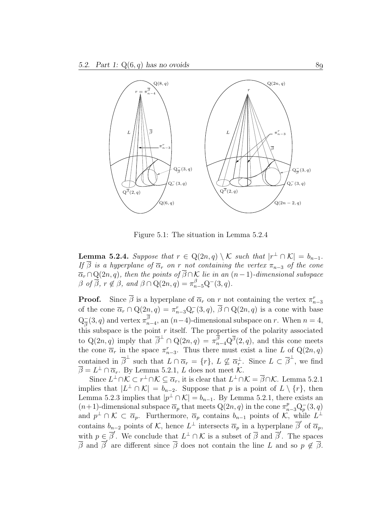

Figure 5.1: The situation in Lemma 5.2.4

**Lemma 5.2.4.** Suppose that  $r \in Q(2n, q) \setminus \mathcal{K}$  such that  $|r^{\perp} \cap \mathcal{K}| = b_{n-1}$ . If  $\overline{\beta}$  is a hyperplane of  $\overline{\alpha}_r$  on r not containing the vertex  $\pi_{n-3}$  of the cone  $\overline{\alpha}_r \cap Q(2n, q)$ , then the points of  $\overline{\beta} \cap \mathcal{K}$  lie in an  $(n-1)$ -dimensional subspace  $\beta$  of  $\overline{\beta}$ ,  $r \notin \beta$ , and  $\beta \cap \mathrm{Q}(2n, q) = \pi_{n-5}^{\beta} \mathrm{Q}^{-}(3, q)$ .

**Proof.** Since  $\overline{\beta}$  is a hyperplane of  $\overline{\alpha}_r$  on r not containing the vertex  $\pi_{n-3}^r$ of the cone  $\overline{\alpha}_r \cap Q(2n, q) = \pi_{n-3}^r Q_r^-(3, q), \overline{\beta} \cap Q(2n, q)$  is a cone with base  $Q_{\overline{a}}^ \frac{1}{\beta}(3, q)$  and vertex  $\pi_{n-4}^{\beta}$ , an  $(n-4)$ -dimensional subspace on r. When  $n = 4$ , this subspace is the point  $r$  itself. The properties of the polarity associated to  $Q(2n, q)$  imply that  $\overline{\beta}^{\perp} \cap Q(2n, q) = \pi_{n-4}^{\overline{\beta}} Q^{\overline{\beta}}(2, q)$ , and this cone meets the cone  $\overline{\alpha}_r$  in the space  $\pi_{n-3}^r$ . Thus there must exist a line L of Q(2n, q) contained in  $\overline{\beta}^{\perp}$  such that  $L \cap \overline{\alpha}_r = \{r\}, L \not\subseteq \overline{\alpha}_r^{\perp}$  $\frac{1}{r}$ . Since  $L \subset \overline{\beta}^{\perp}$ , we find  $\overline{\beta} = L^{\perp} \cap \overline{\alpha}_r$ . By Lemma 5.2.1, L does not meet K.

Since  $L^{\perp}\cap\mathcal{K}\subset r^{\perp}\cap\mathcal{K}\subseteq\overline{\alpha}_r$ , it is clear that  $L^{\perp}\cap\mathcal{K}=\overline{\beta}\cap\mathcal{K}$ . Lemma 5.2.1 implies that  $|L^{\perp} \cap \mathcal{K}| = b_{n-2}$ . Suppose that p is a point of  $L \setminus \{r\}$ , then Lemma 5.2.3 implies that  $|p^{\perp} \cap \mathcal{K}| = b_{n-1}$ . By Lemma 5.2.1, there exists an  $(n+1)$ -dimensional subspace  $\overline{\alpha}_p$  that meets  $Q(2n, q)$  in the cone  $\pi^p_{n-3}Q_p^-(3, q)$ and  $p^{\perp} \cap \mathcal{K} \subset \overline{\alpha}_p$ . Furthermore,  $\overline{\alpha}_p$  contains  $b_{n-1}$  points of  $\mathcal{K}$ , while  $L^{\perp}$ contains  $b_{n-2}$  points of K, hence  $L^{\perp}$  intersects  $\overline{\alpha}_p$  in a hyperplane  $\overline{\beta}'$  of  $\overline{\alpha}_p$ , with  $p \in \overline{\beta}'$ . We conclude that  $L^{\perp} \cap \mathcal{K}$  is a subset of  $\overline{\beta}$  and  $\overline{\beta}'$ . The spaces  $\frac{\partial}{\partial \beta}$  and  $\frac{\partial}{\partial \beta}$  are different since  $\overline{\beta}$  does not contain the line L and so  $p \notin \overline{\beta}$ .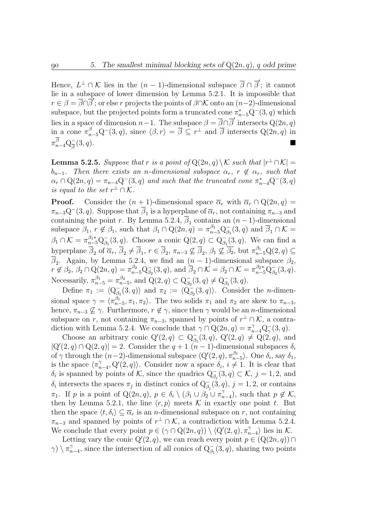Hence,  $L^{\perp} \cap \mathcal{K}$  lies in the  $(n-1)$ -dimensional subspace  $\overline{\beta} \cap \overline{\beta}'$ ; it cannot lie in a subspace of lower dimension by Lemma 5.2.1. It is impossible that  $r \in \beta = \overline{\beta} \cap \overline{\beta}'$ ; or else r projects the points of  $\beta \cap \mathcal{K}$  onto an  $(n-2)$ -dimensional subspace, but the projected points form a truncated cone  $\pi_{n-5}^* Q^-(3, q)$  which lies in a space of dimension  $n-1$ . The subspace  $\beta = \overline{\beta} \cap \overline{\beta}'$  intersects  $Q(2n, q)$ in a cone  $\pi_{n-5}^{\beta} Q^-(3, q)$ , since  $\langle \beta, r \rangle = \overline{\beta} \subseteq r^{\perp}$  and  $\overline{\beta}$  intersects  $Q(2n, q)$  in  $\pi^{\overline{\beta}}_{n-4} \mathrm{Q}_{\overline{\beta}}^$ β  $(3, q).$ 

**Lemma 5.2.5.** Suppose that r is a point of  $Q(2n, q) \setminus \mathcal{K}$  such that  $|r^{\perp} \cap \mathcal{K}| =$  $b_{n-1}$ . Then there exists an n-dimensional subspace  $\alpha_r$ ,  $r \notin \alpha_r$ , such that  $\alpha_r \cap Q(2n, q) = \pi_{n-4}Q^-(3, q)$  and such that the truncated cone  $\pi_{n-4}^*Q^-(3, q)$ is equal to the set  $r^{\perp} \cap \mathcal{K}$ .

**Proof.** Consider the  $(n + 1)$ -dimensional space  $\overline{\alpha}_r$  with  $\overline{\alpha}_r \cap Q(2n, q) =$  $\pi_{n-3}\mathbb{Q}^-(3, q)$ . Suppose that  $\overline{\beta}_1$  is a hyperplane of  $\overline{\alpha}_r$ , not containing  $\pi_{n-3}$  and containing the point r. By Lemma 5.2.4,  $\overline{\beta}_1$  contains an  $(n-1)$ -dimensional subspace  $\beta_1, r \notin \beta_1$ , such that  $\beta_1 \cap Q(2n, q) = \pi_{n=5}^{\beta_1} Q_{\beta_1}$  $\overline{\beta}_1(3,q)$  and  $\overline{\beta}_1 \cap \mathcal{K} =$  $\beta_1\cap{\cal K}=\pi^{\beta_1\ast}_{n-5}Q^-_{\beta_1}$  $\bar{B}_1(3,q)$ . Choose a conic  $Q(2,q) \subset Q_{\beta}$  $_{\beta_1}^{\dagger}(3,q)$ . We can find a hyperplane  $\overline{\beta}_2$  of  $\overline{\alpha}_r$ ,  $\overline{\beta}_2 \neq \overline{\beta}_1$ ,  $r \in \overline{\beta}_2$ ,  $\pi_{n-3} \nsubseteq \overline{\beta}_2$ ,  $\beta_1 \nsubseteq \overline{\beta}_2$ , but  $\pi_{n-5}^{\beta_1} Q(2, q) \subseteq$  $\overline{\beta}_2$ . Again, by Lemma 5.2.4, we find an  $(n-1)$ -dimensional subspace  $\beta_2$ ,  $r \not\in \beta_2, \, \beta_2 \cap \mathrm{Q}(2n, q) = \pi_{n-5}^{\beta_2} \mathrm{Q}_{\beta_2}^-,$  $\overline{\beta}_2(3,q)$ , and  $\overline{\beta}_2 \cap \overline{\mathcal{K}} = \beta_2 \cap \overline{\mathcal{K}} = \pi_{n-5}^{\beta_2*} Q_{\beta_2}$  $\bar{B}_{2}(3,q).$ Necessarily,  $\pi_{n-5}^{\beta_1} = \pi_{n-5}^{\beta_2}$ , and  $Q(2, q) \subset Q_{\beta_2}^ _{\beta_2}^-(3,q) \neq Q_{\beta_1}^-(3,q).$ 

Define  $\pi_1 := \langle \mathcal{Q}_{\beta_1}$  $\overline{\mathcal{G}}_1(3,q)$  and  $\pi_2 := \langle \overline{Q}_{\beta_2}^{-1} \rangle$  $\bar{B}_2(3,q)$ . Consider the *n*-dimensional space  $\gamma = \langle \pi_{n-5}^{\beta_1}, \pi_1, \pi_2 \rangle$ . The two solids  $\pi_1$  and  $\pi_2$  are skew to  $\pi_{n-3}$ , hence,  $\pi_{n-3} \nsubseteq \gamma$ . Furthermore,  $r \notin \gamma$ , since then  $\gamma$  would be an *n*-dimensional subspace on r, not containing  $\pi_{n-3}$ , spanned by points of  $r^{\perp} \cap \mathcal{K}$ , a contradiction with Lemma 5.2.4. We conclude that  $\gamma \cap Q(2n, q) = \pi_{n-4}^{\gamma} Q_{\gamma}^{-}(3, q)$ .

Choose an arbitrary conic  $Q'(2,q) \subset Q_{\beta}^ \overline{B}_1(3,q), \ Q'(2,q) \neq \overline{Q}(2,q), \text{ and}$  $|Q'(2,q) \cap Q(2,q)| = 2$ . Consider the  $q+1$   $(n-1)$ -dimensional subspaces  $\delta_i$ of  $\gamma$  through the  $(n-2)$ -dimensional subspace  $\langle Q'(2, q), \pi_{n-5}^{\beta_1} \rangle$ . One  $\delta_i$ , say  $\delta_1$ , is the space  $\langle \pi_{n-4}^{\gamma}, Q'(2, q) \rangle$ . Consider now a space  $\delta_i, i \neq 1$ . It is clear that  $\delta_i$  is spanned by points of K, since the quadrics  $Q_{\beta_j}^-(3, q) \subset K$ ,  $j = 1, 2$ , and  $\delta_i$  intersects the spaces  $\pi_j$  in distinct conics of  $Q_{\beta_j}(\mathbf{3}, q)$ ,  $j = 1, 2$ , or contains  $\pi_1$ . If p is a point of  $Q(2n, q)$ ,  $p \in \delta_i \setminus (\beta_1 \cup \beta_2 \cup \pi_{n-4}^{\gamma})$ , such that  $p \notin \mathcal{K}$ , then by Lemma 5.2.1, the line  $\langle r, p \rangle$  meets K in exactly one point t. But then the space  $\langle t, \delta_i \rangle \subseteq \overline{\alpha}_r$  is an *n*-dimensional subspace on r, not containing  $\pi_{n-3}$  and spanned by points of  $r^{\perp} \cap \mathcal{K}$ , a contradiction with Lemma 5.2.4. We conclude that every point  $p \in (\gamma \cap \mathrm{Q}(2n, q)) \setminus \mathrm{Q}(2, q), \pi_{n-4}^{\gamma}$  lies in K.

Letting vary the conic  $Q'(2, q)$ , we can reach every point  $p \in (Q(2n, q)) \cap$  $\gamma$ )  $\langle \pi_{n-4}^{\gamma}, \text{ since the intersection of all conics of } Q_{\beta_1}^-(3, q), \text{ sharing two points}$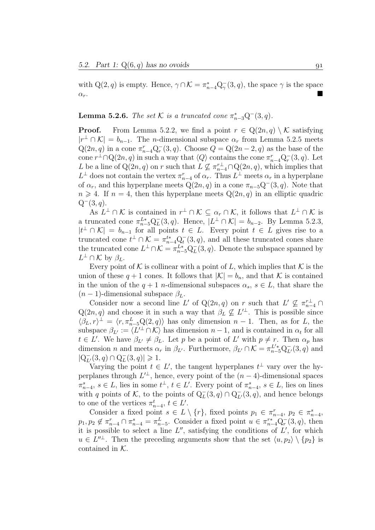with Q(2, q) is empty. Hence,  $\gamma \cap \mathcal{K} = \pi_{n-4}^* Q_\gamma^-(3, q)$ , the space  $\gamma$  is the space  $\alpha_r$ .

### **Lemma 5.2.6.** The set K is a truncated cone  $\pi_{n-3}^* Q^-(3, q)$ .

**Proof.** From Lemma 5.2.2, we find a point  $r \in Q(2n, q) \setminus \mathcal{K}$  satisfying  $|r^{\perp} \cap \mathcal{K}| = b_{n-1}$ . The *n*-dimensional subspace  $\alpha_r$  from Lemma 5.2.5 meets  $Q(2n, q)$  in a cone  $\pi_{n-4}^r Q_r^-(3, q)$ . Choose  $Q = Q(2n-2, q)$  as the base of the cone  $r^{\perp} \cap Q(2n, q)$  in such a way that  $\langle Q \rangle$  contains the cone  $\pi_{n-4}^r Q_r^-(3, q)$ . Let L be a line of  $Q(2n, q)$  on r such that  $L \nsubseteq \pi_{n-4}^{r} \cap Q(2n, q)$ , which implies that  $L^{\perp}$  does not contain the vertex  $\pi_{n-4}^r$  of  $\alpha_r$ . Thus  $L^{\perp}$  meets  $\alpha_r$  in a hyperplane of  $\alpha_r$ , and this hyperplane meets  $Q(2n, q)$  in a cone  $\pi_{n-5}Q^-(3, q)$ . Note that  $n \geq 4$ . If  $n = 4$ , then this hyperplane meets  $Q(2n, q)$  in an elliptic quadric  $Q^-(3, q)$ .

As  $L^{\perp} \cap \mathcal{K}$  is contained in  $r^{\perp} \cap \mathcal{K} \subseteq \alpha_r \cap \mathcal{K}$ , it follows that  $L^{\perp} \cap \mathcal{K}$  is a truncated cone  $\pi_{n-5}^{L*} \mathbf{Q}_{L}^{-}$  $_L^-(3,q)$ . Hence,  $|L^{\perp} \cap \mathcal{K}| = b_{n-2}$ . By Lemma 5.2.3,  $|t^{\perp} \cap \mathcal{K}| = b_{n-1}$  for all points  $t \in L$ . Every point  $t \in L$  gives rise to a truncated cone  $t^{\perp} \cap \mathcal{K} = \pi_{n-4}^{t*} \mathbf{Q}_t^{-1}$  $\bar{t}$ (3, q), and all these truncated cones share the truncated cone  $L^{\perp} \cap \mathcal{K} = \pi_{n-5}^{L*} Q^{-}_{L}$  $L^-(3, q)$ . Denote the subspace spanned by  $L^{\perp} \cap \mathcal{K}$  by  $\beta_L$ .

Every point of K is collinear with a point of L, which implies that K is the union of these  $q + 1$  cones. It follows that  $|\mathcal{K}| = b_n$ , and that K is contained in the union of the  $q + 1$  n-dimensional subspaces  $\alpha_s$ ,  $s \in L$ , that share the  $(n-1)$ -dimensional subspace  $\beta_L$ .

Consider now a second line L' of Q(2n, q) on r such that  $L' \nsubseteq \pi_{n-4}^{r\perp} \cap$  $Q(2n, q)$  and choose it in such a way that  $\beta_L \nsubseteq L^{\perp}$ . This is possible since  $\langle \beta_L, r \rangle^{\perp} = \langle r, \pi_{n-5}^L \mathbb{Q}(2, q) \rangle$  has only dimension  $n-1$ . Then, as for L, the subspace  $\beta_{L'} := \langle L'^{\perp} \cap \mathcal{K} \rangle$  has dimension  $n-1$ , and is contained in  $\alpha_t$  for all  $t \in L'$ . We have  $\beta_{L'} \neq \beta_L$ . Let p be a point of L' with  $p \neq r$ . Then  $\alpha_p$  has dimension *n* and meets  $\alpha_r$  in  $\beta_{L'}$ . Furthermore,  $\beta_{L'} \cap \mathcal{K} = \pi_{n-5}^{L'*} Q_{L'}^-(3, q)$  and  $|Q_{L'}^-(3, q) \cap Q_L^ _{L}^{-}(3,q)|\geqslant 1.$ 

Varying the point  $t \in L'$ , the tangent hyperplanes  $t^{\perp}$  vary over the hyperplanes through  $L^{\perp}$ , hence, every point of the  $(n-4)$ -dimensional spaces  $\pi_{n-4}^s, s \in L$ , lies in some  $t^{\perp}, t \in L'$ . Every point of  $\pi_{n-4}^s, s \in L$ , lies on lines with q points of K, to the points of  $Q_L^-(3, q) \cap Q_{L'}^-(3, q)$ , and hence belongs to one of the vertices  $\pi_{n-4}^t, t \in L'.$ 

Consider a fixed point  $s \in L \setminus \{r\}$ , fixed points  $p_1 \in \pi_{n-4}^r$ ,  $p_2 \in \pi_{n-4}^s$ ,  $p_1, p_2 \notin \pi_{n-4}^r \cap \pi_{n-4}^s = \pi_{n-5}^L$ . Consider a fixed point  $u \in \pi_{n-4}^{r*} \mathbb{Q}_r^{-}(3, q)$ , then it is possible to select a line  $L''$ , satisfying the conditions of  $L'$ , for which  $u \in L^{n\perp}$ . Then the preceding arguments show that the set  $\langle u, p_2 \rangle \setminus \{p_2\}$  is contained in K.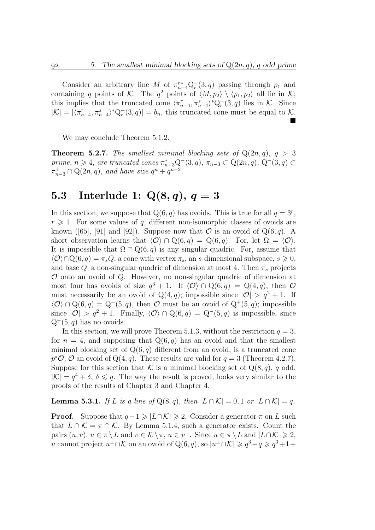Consider an arbitrary line M of  $\pi_{n-4}^{r*}Q_r^-(3,q)$  passing through  $p_1$  and containing q points of K. The  $q^2$  points of  $\langle M, p_2 \rangle \setminus \langle p_1, p_2 \rangle$  all lie in K; this implies that the truncated cone  $\langle \pi_{n-4}^r, \pi_{n-4}^s \rangle^* Q_r^-(3, q)$  lies in K. Since  $|\mathcal{K}| = |\langle \pi_{n-4}^r, \pi_{n-4}^s \rangle^* \mathcal{Q}_r^-(3, q)| = b_n$ , this truncated cone must be equal to K.  $\blacksquare$ 

We may conclude Theorem 5.1.2.

**Theorem 5.2.7.** The smallest minimal blocking sets of  $Q(2n, q)$ ,  $q > 3$  $prime, n \ge 4$ , are truncated cones π<sup>\*</sup><sub>n−3</sub> $Q^-(3, q)$ , π<sub>n−3</sub> ⊂  $Q(2n, q)$ ,  $Q^-(3, q)$  ⊂  $\pi_{n-3}^{\perp} \cap Q(2n, q)$ , and have size  $q^n + q^{n-2}$ .

# 5.3 Interlude 1:  $Q(8, q), q = 3$

In this section, we suppose that  $Q(6, q)$  has ovoids. This is true for all  $q = 3^r$ ,  $r \geq 1$ . For some values of q, different non-isomorphic classes of ovoids are known ([65], [91] and [92]). Suppose now that  $\mathcal O$  is an ovoid of  $Q(6, q)$ . A short observation learns that  $\langle \mathcal{O} \rangle \cap \mathbb{Q}(6, q) = \mathbb{Q}(6, q)$ . For, let  $\Omega = \langle \mathcal{O} \rangle$ . It is impossible that  $\Omega \cap Q(6,q)$  is any singular quadric. For, assume that  $\langle \mathcal{O} \rangle \cap Q(6, q) = \pi_s Q$ , a cone with vertex  $\pi_s$ , an s-dimensional subspace,  $s \geq 0$ , and base Q, a non-singular quadric of dimension at most 4. Then  $\pi_s$  projects  $\mathcal O$  onto an ovoid of  $Q$ . However, no non-singular quadric of dimension at most four has ovoids of size  $q^3 + 1$ . If  $\langle \mathcal{O} \rangle \cap Q(6, q) = Q(4, q)$ , then  $\mathcal O$ must necessarily be an ovoid of  $Q(4, q)$ ; impossible since  $|O| > q^2 + 1$ . If  $\langle \mathcal{O} \rangle \cap \mathcal{Q}(6, q) = \mathcal{Q}^+(5, q)$ , then  $\mathcal O$  must be an ovoid of  $\mathcal{Q}^+(5, q)$ ; impossible since  $|O| > q^2 + 1$ . Finally,  $\langle O \rangle \cap Q(6, q) = Q^-(5, q)$  is impossible, since  $Q^-(5, q)$  has no ovoids.

In this section, we will prove Theorem 5.1.3, without the restriction  $q = 3$ , for  $n = 4$ , and supposing that  $Q(6, q)$  has an ovoid and that the smallest minimal blocking set of  $Q(6, q)$  different from an ovoid, is a truncated cone  $p^{\ast}\mathcal{O}, \mathcal{O}$  an ovoid of Q(4, q). These results are valid for  $q=3$  (Theorem 4.2.7). Suppose for this section that K is a minimal blocking set of  $Q(8, q)$ , q odd,  $|\mathcal{K}| = q^4 + \delta, \delta \leq q$ . The way the result is proved, looks very similar to the proofs of the results of Chapter 3 and Chapter 4.

**Lemma 5.3.1.** If L is a line of  $Q(8, q)$ , then  $|L \cap K| = 0, 1$  or  $|L \cap K| = q$ .

**Proof.** Suppose that  $q-1 \geq |L \cap K| \geq 2$ . Consider a generator  $\pi$  on L such that  $L \cap \mathcal{K} = \pi \cap \mathcal{K}$ . By Lemma 5.1.4, such a generator exists. Count the pairs  $(u, v), u \in \pi \setminus L$  and  $v \in \mathcal{K} \setminus \pi, u \in v^{\perp}$ . Since  $u \in \pi \setminus L$  and  $|L \cap \mathcal{K}| \geq 2$ , u cannot project  $u^{\perp} \cap \mathcal{K}$  on an ovoid of  $Q(6, q)$ , so  $|u^{\perp} \cap \mathcal{K}| \geqslant q^3 + q \geqslant q^3 + 1 +$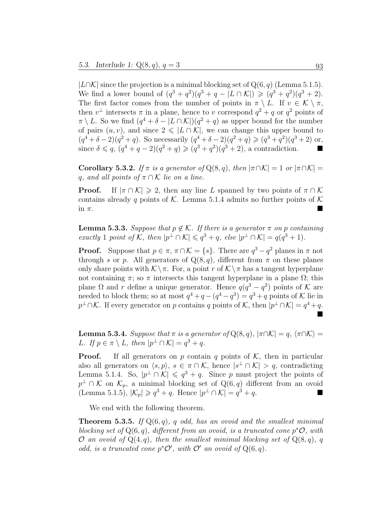$|L∩\mathcal{K}|$  since the projection is a minimal blocking set of Q(6, q) (Lemma 5.1.5). We find a lower bound of  $(q^3 + q^2)(q^3 + q - |L \cap \mathcal{K}|) \geq (q^3 + q^2)(q^3 + 2)$ . The first factor comes from the number of points in  $\pi \setminus L$ . If  $v \in \mathcal{K} \setminus \pi$ , then  $v^{\perp}$  intersects  $\pi$  in a plane, hence to v correspond  $q^2 + q$  or  $q^2$  points of  $\pi \setminus L$ . So we find  $(q^4 + \delta - |L \cap \mathcal{K}|)(q^2 + q)$  as upper bound for the number of pairs  $(u, v)$ , and since  $2 \leq L \cap \mathcal{K}$ , we can change this upper bound to  $(q^4 + \delta - 2)(q^2 + q)$ . So necessarily  $(q^4 + \delta - 2)(q^2 + q) \geq (q^3 + q^2)(q^3 + 2)$  or, since  $\delta \leq q$ ,  $(q^4 + q - 2)(q^2 + q) \geq (q^3 + q^2)(q^3 + 2)$ , a contradiction.

**Corollary 5.3.2.** If  $\pi$  is a generator of Q(8, q), then  $|\pi \cap \mathcal{K}| = 1$  or  $|\pi \cap \mathcal{K}| =$ q, and all points of  $\pi \cap \mathcal{K}$  lie on a line.

**Proof.** If  $|\pi \cap \mathcal{K}| \ge 2$ , then any line L spanned by two points of  $\pi \cap \mathcal{K}$ contains already q points of K. Lemma 5.1.4 admits no further points of K in  $\pi$ .

**Lemma 5.3.3.** Suppose that  $p \notin \mathcal{K}$ . If there is a generator  $\pi$  on p containing exactly 1 point of K, then  $|p^{\perp} \cap \mathcal{K}| \leqslant q^3 + q$ , else  $|p^{\perp} \cap \mathcal{K}| = q(q^3 + 1)$ .

**Proof.** Suppose that  $p \in \pi$ ,  $\pi \cap \mathcal{K} = \{s\}$ . There are  $q^3 - q^2$  planes in  $\pi$  not through s or p. All generators of  $Q(8, q)$ , different from  $\pi$  on these planes only share points with  $\mathcal{K} \setminus \pi$ . For, a point r of  $\mathcal{K} \setminus \pi$  has a tangent hyperplane not containing  $\pi$ ; so  $\pi$  intersects this tangent hyperplane in a plane  $\Omega$ ; this plane  $\Omega$  and r define a unique generator. Hence  $q(q^3 - q^2)$  points of K are needed to block them; so at most  $q^4 + q - (q^4 - q^3) = q^3 + q$  points of K lie in  $p^{\perp} \cap \mathcal{K}$ . If every generator on p contains q points of K, then  $|p^{\perp} \cap \mathcal{K}| = q^4 + q$ .  $\blacksquare$ 

**Lemma 5.3.4.** Suppose that  $\pi$  is a generator of  $Q(8, q)$ ,  $|\pi \cap \mathcal{K}| = q$ ,  $\langle \pi \cap \mathcal{K} \rangle =$ L. If  $p \in \pi \setminus L$ , then  $|p^{\perp} \cap \mathcal{K}| = q^3 + q$ .

**Proof.** If all generators on p contain q points of  $K$ , then in particular also all generators on  $\langle s, p \rangle$ ,  $s \in \pi \cap \mathcal{K}$ , hence  $|s^{\perp} \cap \mathcal{K}| > q$ , contradicting Lemma 5.1.4. So,  $|p^{\perp} \cap \mathcal{K}| \leqslant q^3 + q$ . Since p must project the points of  $p^{\perp} \cap \mathcal{K}$  on  $\mathcal{K}_p$ , a minimal blocking set of Q(6, q) different from an ovoid (Lemma 5.1.5),  $|\mathcal{K}_p| \geqslant q^3 + q$ . Hence  $|p^{\perp} \cap \mathcal{K}| = q^3 + q$ .

We end with the following theorem.

**Theorem 5.3.5.** If  $Q(6, q)$ , q odd, has an ovoid and the smallest minimal blocking set of  $Q(6, q)$ , different from an ovoid, is a truncated cone  $p^*O$ , with O an ovoid of  $Q(4, q)$ , then the smallest minimal blocking set of  $Q(8, q)$ , q odd, is a truncated cone  $p^{\ast}\mathcal{O}'$ , with  $\mathcal{O}'$  an ovoid of  $Q(6, q)$ .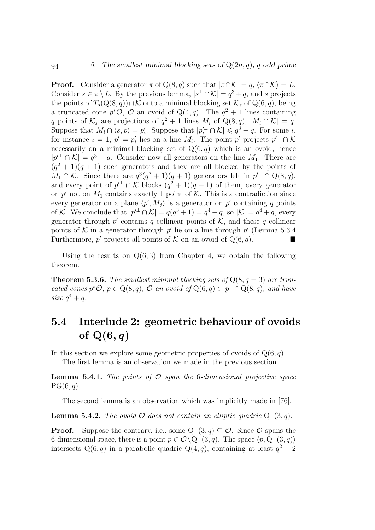**Proof.** Consider a generator  $\pi$  of Q(8, q) such that  $|\pi \cap \mathcal{K}| = q$ ,  $\langle \pi \cap \mathcal{K} \rangle = L$ . Consider  $s \in \pi \setminus L$ . By the previous lemma,  $|s^{\perp} \cap \mathcal{K}| = q^3 + q$ , and s projects the points of  $T_s(Q(8, q)) \cap \mathcal{K}$  onto a minimal blocking set  $\mathcal{K}_s$  of  $Q(6, q)$ , being a truncated cone  $p^{\ast}\mathcal{O}, \mathcal{O}$  an ovoid of Q(4, q). The  $q^2 + 1$  lines containing q points of  $\mathcal{K}_s$  are projections of  $q^2 + 1$  lines  $M_i$  of  $Q(8, q)$ ,  $|M_i \cap \mathcal{K}| = q$ . Suppose that  $M_i \cap \langle s, p \rangle = p'_i$ '<sub>i</sub>. Suppose that  $|p_i'$  ∩ K  $|\leqslant q^3 + q$ . For some *i*, for instance  $i = 1, p' = p'_i$  $\mathcal{U}_i$  lies on a line  $M_i$ . The point p' projects  $p'^{\perp} \cap \mathcal{K}$ necessarily on a minimal blocking set of  $Q(6, q)$  which is an ovoid, hence  $|p'^{\perp} \cap \mathcal{K}| = q^3 + q$ . Consider now all generators on the line  $M_1$ . There are  $(q<sup>2</sup> + 1)(q + 1)$  such generators and they are all blocked by the points of  $M_1 \cap K$ . Since there are  $q^3(q^2+1)(q+1)$  generators left in  $p'^{\perp} \cap Q(8,q)$ , and every point of  $p^{\perp} \cap \mathcal{K}$  blocks  $(q^2 + 1)(q + 1)$  of them, every generator on p' not on  $M_1$  contains exactly 1 point of K. This is a contradiction since every generator on a plane  $\langle p', M_j \rangle$  is a generator on p' containing q points of K. We conclude that  $|p'^{\perp} \cap \mathcal{K}| = q(q^3 + 1) = q^4 + q$ , so  $|\mathcal{K}| = q^4 + q$ , every generator through  $p'$  contains q collinear points of  $K$ , and these q collinear points of K in a generator through  $p'$  lie on a line through  $p'$  (Lemma 5.3.4 Furthermore, p' projects all points of K on an ovoid of  $Q(6, q)$ .

Using the results on  $Q(6,3)$  from Chapter 4, we obtain the following theorem.

**Theorem 5.3.6.** The smallest minimal blocking sets of  $Q(8, q = 3)$  are truncated cones  $p^*O, p \in Q(8,q), O$  an ovoid of  $Q(6,q) \subset p^{\perp} \cap Q(8,q),$  and have size  $q^4 + q$ .

### 5.4 Interlude 2: geometric behaviour of ovoids of  $Q(6, q)$

In this section we explore some geometric properties of ovoids of  $Q(6, q)$ .

The first lemma is an observation we made in the previous section.

**Lemma 5.4.1.** The points of  $\mathcal{O}$  span the 6-dimensional projective space  $PG(6, q)$ .

The second lemma is an observation which was implicitly made in [76].

**Lemma 5.4.2.** The ovoid  $\mathcal O$  does not contain an elliptic quadric  $Q^-(3, q)$ .

**Proof.** Suppose the contrary, i.e., some  $Q^-(3, q) \subset \mathcal{O}$ . Since  $\mathcal{O}$  spans the 6-dimensional space, there is a point  $p \in \mathcal{O} \backslash Q^-(3, q)$ . The space  $\langle p, Q^-(3, q) \rangle$ intersects  $Q(6, q)$  in a parabolic quadric  $Q(4, q)$ , containing at least  $q^2 + 2$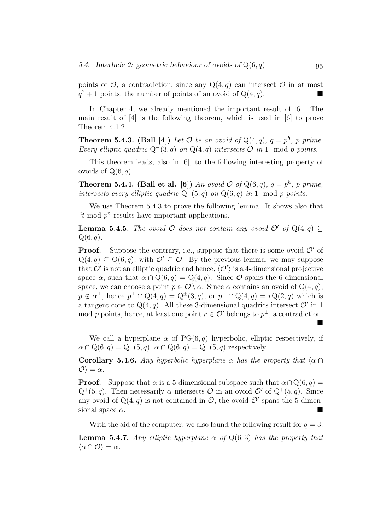points of  $O$ , a contradiction, since any  $Q(4, q)$  can intersect  $O$  in at most  $q^2+1$  points, the number of points of an ovoid of  $Q(4, q)$ .

In Chapter 4, we already mentioned the important result of [6]. The main result of [4] is the following theorem, which is used in [6] to prove Theorem 4.1.2.

**Theorem 5.4.3.** (Ball [4]) Let  $\mathcal O$  be an ovoid of  $Q(4, q)$ ,  $q = p^h$ , p prime. Every elliptic quadric  $Q^{-}(3, q)$  on  $Q(4, q)$  intersects  $\mathcal{O}$  in 1 mod p points.

This theorem leads, also in [6], to the following interesting property of ovoids of  $Q(6, q)$ .

**Theorem 5.4.4.** (Ball et al. [6]) An ovoid  $\mathcal{O}$  of  $Q(6, q)$ ,  $q = p^h$ , p prime, intersects every elliptic quadric  $Q^-(5, q)$  on  $Q(6, q)$  in 1 mod p points.

We use Theorem 5.4.3 to prove the following lemma. It shows also that "t mod  $p$ " results have important applications."

**Lemma 5.4.5.** The ovoid  $\mathcal O$  does not contain any ovoid  $\mathcal O'$  of  $Q(4, q)$  $Q(6, q)$ .

**Proof.** Suppose the contrary, i.e., suppose that there is some ovoid  $\mathcal{O}'$  of  $Q(4,q) \subseteq Q(6,q)$ , with  $\mathcal{O}' \subseteq \mathcal{O}$ . By the previous lemma, we may suppose that  $\mathcal{O}'$  is not an elliptic quadric and hence,  $\langle \mathcal{O}' \rangle$  is a 4-dimensional projective space  $\alpha$ , such that  $\alpha \cap Q(6, q) = Q(4, q)$ . Since  $\mathcal O$  spans the 6-dimensional space, we can choose a point  $p \in \mathcal{O} \setminus \alpha$ . Since  $\alpha$  contains an ovoid of  $Q(4, q)$ ,  $p \notin \alpha^{\perp}$ , hence  $p^{\perp} \cap Q(4,q) = Q^{\pm}(3,q)$ , or  $p^{\perp} \cap Q(4,q) = rQ(2,q)$  which is a tangent cone to  $Q(4, q)$ . All these 3-dimensional quadrics intersect  $\mathcal{O}'$  in 1 mod p points, hence, at least one point  $r \in \mathcal{O}'$  belongs to  $p^{\perp}$ , a contradiction.

We call a hyperplane  $\alpha$  of PG(6, q) hyperbolic, elliptic respectively, if  $\alpha \cap Q(6, q) = Q^+(5, q), \alpha \cap Q(6, q) = Q^-(5, q)$  respectively.

**Corollary 5.4.6.** Any hyperbolic hyperplane  $\alpha$  has the property that  $\langle \alpha \cap \beta \rangle$  $\langle \mathcal{O} \rangle = \alpha$ .

**Proof.** Suppose that  $\alpha$  is a 5-dimensional subspace such that  $\alpha \cap Q(6, q) =$  $Q^+(5, q)$ . Then necessarily  $\alpha$  intersects  $\mathcal O$  in an ovoid  $\mathcal O'$  of  $Q^+(5, q)$ . Since any ovoid of  $Q(4, q)$  is not contained in  $\mathcal{O}$ , the ovoid  $\mathcal{O}'$  spans the 5-dimensional space  $\alpha$ .

With the aid of the computer, we also found the following result for  $q = 3$ . **Lemma 5.4.7.** Any elliptic hyperplane  $\alpha$  of  $Q(6,3)$  has the property that  $\langle \alpha \cap \mathcal{O} \rangle = \alpha$ .

▊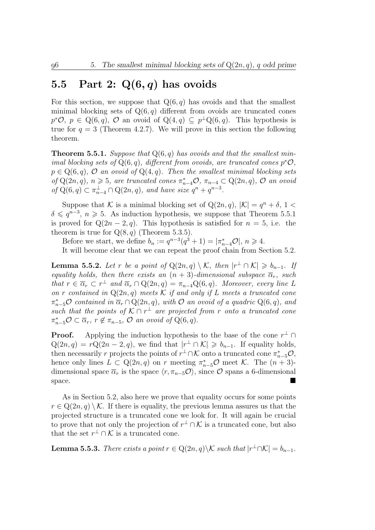### 5.5 Part 2:  $Q(6,q)$  has ovoids

For this section, we suppose that  $Q(6, q)$  has ovoids and that the smallest minimal blocking sets of  $Q(6, q)$  different from ovoids are truncated cones  $p^*O, p \in Q(6,q), O$  an ovoid of  $Q(4,q) \subseteq p^{\perp}Q(6,q)$ . This hypothesis is true for  $q = 3$  (Theorem 4.2.7). We will prove in this section the following theorem.

**Theorem 5.5.1.** Suppose that  $Q(6,q)$  has ovoids and that the smallest minimal blocking sets of  $Q(6, q)$ , different from ovoids, are truncated cones  $p^*O$ ,  $p \in Q(6, q)$ ,  $\mathcal O$  an ovoid of  $Q(4, q)$ . Then the smallest minimal blocking sets of  $Q(2n, q)$ ,  $n \geq 5$ , are truncated cones  $\pi_{n-4}^* \mathcal{O}, \pi_{n-4} \subset Q(2n, q)$ ,  $\mathcal{O}$  an ovoid of  $Q(6, q) \subset \pi_{n-4}^{\perp} \cap Q(2n, q)$ , and have size  $q^n + q^{n-3}$ .

Suppose that K is a minimal blocking set of  $Q(2n, q)$ ,  $|\mathcal{K}| = q^n + \delta$ , 1  $\delta \leqslant q^{n-3}, n \geqslant 5$ . As induction hypothesis, we suppose that Theorem 5.5.1 is proved for  $Q(2n-2, q)$ . This hypothesis is satisfied for  $n = 5$ , i.e. the theorem is true for  $Q(8, q)$  (Theorem 5.3.5).

Before we start, we define  $b_n := q^{n-3}(q^3 + 1) = |\pi_{n-4}^* \mathcal{O}|, n \geq 4$ .

It will become clear that we can repeat the proof chain from Section 5.2.

**Lemma 5.5.2.** Let r be a point of  $Q(2n,q) \setminus \mathcal{K}$ , then  $|r^{\perp} \cap \mathcal{K}| \geq b_{n-1}$ . If equality holds, then there exists an  $(n + 3)$ -dimensional subspace  $\overline{\alpha}_r$ , such that  $r \in \overline{\alpha}_r \subset r^{\perp}$  and  $\overline{\alpha}_r \cap \mathrm{Q}(2n, q) = \pi_{n-4}\mathrm{Q}(6, q)$ . Moreover, every line L on r contained in  $Q(2n, q)$  meets K if and only if L meets a truncated cone  $\pi_{n-5}^*$ O contained in  $\overline{\alpha}_r \cap \overline{Q}(2n, q)$ , with O an ovoid of a quadric  $Q(6, q)$ , and such that the points of  $K \cap r^{\perp}$  are projected from r onto a truncated cone  $\pi_{n-5}^* \mathcal{O} \subset \overline{\alpha}_r$ ,  $r \notin \pi_{n-5}$ ,  $\mathcal{O}$  an ovoid of  $\mathcal{Q}(6, q)$ .

**Proof.** Applying the induction hypothesis to the base of the cone  $r^{\perp} \cap$  $Q(2n, q) = rQ(2n - 2, q)$ , we find that  $|r^{\perp} \cap \mathcal{K}| \geq b_{n-1}$ . If equality holds, then necessarily r projects the points of  $r^{\perp} \cap \mathcal{K}$  onto a truncated cone  $\pi_{n-5}^* \mathcal{O}$ , hence only lines  $\overline{L} \subset \overline{Q(2n, q)}$  on r meeting  $\pi_{n-5}^* \mathcal{O}$  meet  $\mathcal{K}$ . The  $(n+3)$ dimensional space  $\overline{\alpha}_r$  is the space  $\langle r, \pi_{n-5}\mathcal{O} \rangle$ , since  $\mathcal O$  spans a 6-dimensional space.

As in Section 5.2, also here we prove that equality occurs for some points  $r \in \mathbb{Q}(2n, q) \setminus \mathcal{K}$ . If there is equality, the previous lemma assures us that the projected structure is a truncated cone we look for. It will again be crucial to prove that not only the projection of  $r^{\perp} \cap \mathcal{K}$  is a truncated cone, but also that the set  $r^{\perp} \cap \mathcal{K}$  is a truncated cone.

**Lemma 5.5.3.** There exists a point  $r \in Q(2n, q) \backslash K$  such that  $|r^{\perp} \cap K| = b_{n-1}$ .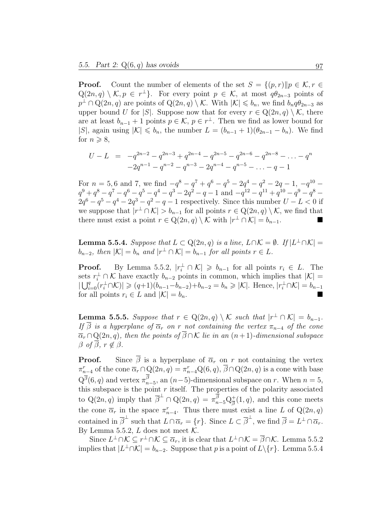**Proof.** Count the number of elements of the set  $S = \{(p, r) \| p \in \mathcal{K}, r \in$  $Q(2n, q) \setminus \mathcal{K}, p \in r^{\perp}$ . For every point  $p \in \mathcal{K}$ , at most  $q\theta_{2n-3}$  points of  $p^{\perp} \cap Q(2n, q)$  are points of  $Q(2n, q) \setminus \mathcal{K}$ . With  $|\mathcal{K}| \leqslant b_n$ , we find  $b_n q \theta_{2n-3}$  as upper bound U for |S|. Suppose now that for every  $r \in Q(2n, q) \setminus \mathcal{K}$ , there are at least  $b_{n-1} + 1$  points  $p \in \mathcal{K}$ ,  $p \in r^{\perp}$ . Then we find as lower bound for |S|, again using  $|\mathcal{K}| \leq b_n$ , the number  $L = (b_{n-1} + 1)(\theta_{2n-1} - b_n)$ . We find for  $n \geqslant 8$ ,

$$
U - L = -q^{2n-2} - q^{2n-3} + q^{2n-4} - q^{2n-5} - q^{2n-6} - q^{2n-8} - \dots - q^n
$$
  

$$
-2q^{n-1} - q^{n-2} - q^{n-3} - 2q^{n-4} - q^{n-5} - \dots - q - 1
$$

For  $n = 5, 6$  and 7, we find  $-q^8 - q^7 + q^6 - q^5 - 2q^4 - q^2 - 2q - 1$ ,  $-q^{10}$  $q^9 + q^8 - q^7 - q^6 - q^5 - q^4 - q^3 - 2q^2 - q - 1$  and  $-q^{12} - q^{11} + q^{10} - q^9 - q^8 2q^{6} - q^{5} - q^{4} - 2q^{3} - q^{2} - q - 1$  respectively. Since this number  $U - L < 0$  if we suppose that  $|r^{\perp} \cap \mathcal{K}| > b_{n-1}$  for all points  $r \in \mathbb{Q}(2n, q) \setminus \mathcal{K}$ , we find that there must exist a point  $r \in \mathbb{Q}(2n, q) \setminus \mathcal{K}$  with  $|r^{\perp} \cap \mathcal{K}| = b_{n-1}$ .

**Lemma 5.5.4.** Suppose that  $L \subset Q(2n, q)$  is a line,  $L \cap K = \emptyset$ . If  $|L^{\perp} \cap K|$  =  $b_{n-2}$ , then  $|K| = b_n$  and  $|r^{\perp} \cap K| = b_{n-1}$  for all points  $r \in L$ .

**Proof.** By Lemma 5.5.2,  $|r_i^{\perp} \cap \mathcal{K}| \geq b_{n-1}$  for all points  $r_i \in L$ . The sets  $r_i^{\perp} \cap \mathcal{K}$  have exactly  $b_{n-2}$  points in common, which implies that  $|\mathcal{K}| =$  $|\bigcup_{i=0}^q (r_i^{\perp} \cap \mathcal{K})| \geq (q+1)(b_{n-1}-b_{n-2})+b_{n-2} = b_n \geq |\mathcal{K}|.$  Hence,  $|r_i^{\perp} \cap \mathcal{K}| = b_{n-1}$ for all points  $r_i \in L$  and  $|\mathcal{K}| = b_n$ .

**Lemma 5.5.5.** Suppose that  $r \in Q(2n, q) \setminus \mathcal{K}$  such that  $|r^{\perp} \cap \mathcal{K}| = b_{n-1}$ . If  $\beta$  is a hyperplane of  $\overline{\alpha}_r$  on r not containing the vertex  $\pi_{n-4}$  of the cone  $\overline{\alpha}_r \cap Q(2n, q)$ , then the points of  $\overline{\beta} \cap K$  lie in an  $(n+1)$ -dimensional subspace  $\beta$  of  $\beta$ ,  $r \notin \beta$ .

**Proof.** Since  $\overline{\beta}$  is a hyperplane of  $\overline{\alpha}_r$  on r not containing the vertex  $\pi_{n-4}^r$  of the cone  $\overline{\alpha}_r \cap Q(2n, q) = \pi_{n-4}^r Q(6, q), \overline{\beta} \cap Q(2n, q)$  is a cone with base  $Q^{\overline{\beta}}(6, q)$  and vertex  $\pi^{\beta}_{n-5}$ , an  $(n-5)$ -dimensional subspace on r. When  $n = 5$ , this subspace is the point  $r$  itself. The properties of the polarity associated to  $Q(2n, q)$  imply that  $\overline{\beta}^{\perp} \cap Q(2n, q) = \pi_{n=5}^{\frac{1}{\beta}} Q_{\overline{\beta}}^{\perp}$  $\frac{1}{\beta}(1,q)$ , and this cone meets the cone  $\overline{\alpha}_r$  in the space  $\pi_{n-4}^r$ . Thus there must exist a line L of Q(2n, q) contained in  $\overline{\beta}^{\perp}$  such that  $L \cap \overline{\alpha}_r = \{r\}$ . Since  $L \subset \overline{\beta}^{\perp}$ , we find  $\overline{\beta} = L^{\perp} \cap \overline{\alpha}_r$ . By Lemma 5.5.2,  $L$  does not meet  $K$ .

Since  $L^{\perp}\cap\mathcal{K}\subseteq r^{\perp}\cap\mathcal{K}\subseteq\overline{\alpha}_r$ , it is clear that  $L^{\perp}\cap\mathcal{K}=\overline{\beta}\cap\mathcal{K}$ . Lemma 5.5.2 implies that  $|L^{\perp} \cap \mathcal{K}| = b_{n-2}$ . Suppose that p is a point of  $L \setminus \{r\}$ . Lemma 5.5.4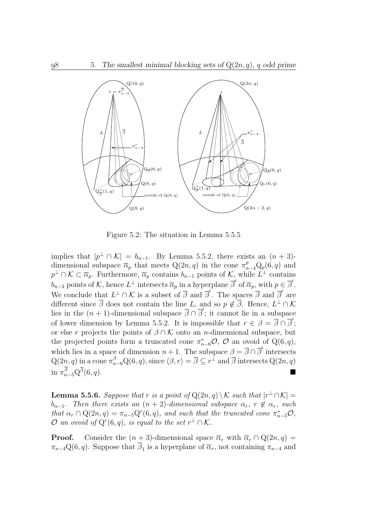

Figure 5.2: The situation in Lemma 5.5.5

implies that  $|p^{\perp} \cap \mathcal{K}| = b_{n-1}$ . By Lemma 5.5.2, there exists an  $(n+3)$ dimensional subspace  $\overline{\alpha}_p$  that meets  $Q(2n, q)$  in the cone  $\pi_{n-4}^p Q_p(6, q)$  and  $p^{\perp} \cap \mathcal{K} \subset \overline{\alpha}_p$ . Furthermore,  $\overline{\alpha}_p$  contains  $b_{n-1}$  points of K, while  $L^{\perp}$  contains  $b_{n-2}$  points of K, hence  $L^{\perp}$  intersects  $\overline{\alpha}_p$  in a hyperplane  $\overline{\beta}'$  of  $\overline{\alpha}_p$ , with  $p \in \overline{\beta}'$ . We conclude that  $L^{\perp} \cap \mathcal{K}$  is a subset of  $\overline{\beta}$  and  $\overline{\beta}'$ . The spaces  $\overline{\beta}$  and  $\overline{\beta}'$  are different since  $\overline{\beta}$  does not contain the line L, and so  $p \notin \overline{\beta}$ . Hence,  $L^{\perp} \cap \mathcal{K}$ different since  $\beta$  does not contain the line  $B$ , and so  $\beta \beta$ . Hence,  $B \rightarrow \infty$ <br>lies in the  $(n + 1)$ -dimensional subspace  $\overline{\beta} \cap \overline{\beta}'$ ; it cannot lie in a subspace of lower dimension by Lemma 5.5.2. It is impossible that  $r \in \beta = \overline{\beta} \cap \overline{\beta}'$ ; or else r projects the points of  $\beta \cap \mathcal{K}$  onto an n-dimensional subspace, but the projected points form a truncated cone  $\pi_{n-6}^*$ ,  $\mathcal O$  and ovoid of Q(6,q), which lies in a space of dimension  $n + 1$ . The subspace  $\beta = \overline{\beta} \cap \overline{\beta}'$  intersects  $Q(2n, q)$  in a cone  $\pi_{n-6}^{\beta} Q(6, q)$ , since  $\langle \beta, r \rangle = \overline{\beta} \subseteq r^{\perp}$  and  $\overline{\beta}$  intersects  $Q(2n, q)$ in  $\pi_{n-5}^{\beta} \mathrm{Q}^{\overline{\beta}}$  $(6, q)$ .

**Lemma 5.5.6.** Suppose that r is a point of  $Q(2n, q) \setminus \mathcal{K}$  such that  $|r^{\perp} \cap \mathcal{K}| =$  $b_{n-1}$ . Then there exists an  $(n + 2)$ -dimensional subspace  $\alpha_r$ ,  $r \notin \alpha_r$ , such that  $\alpha_r \cap Q(2n,q) = \pi_{n-5}Q^r(6,q)$ , and such that the truncated cone  $\pi_{n-5}^*O$ ,  $\mathcal O$  an ovoid of  $Q^r(6,q)$ , is equal to the set  $r^{\perp} \cap \mathcal K$ .

**Proof.** Consider the  $(n + 3)$ -dimensional space  $\overline{\alpha}_r$  with  $\overline{\alpha}_r \cap Q(2n, q) =$  $\pi_{n-4}\mathcal{Q}(6,q)$ . Suppose that  $\beta_1$  is a hyperplane of  $\overline{\alpha}_r$ , not containing  $\pi_{n-4}$  and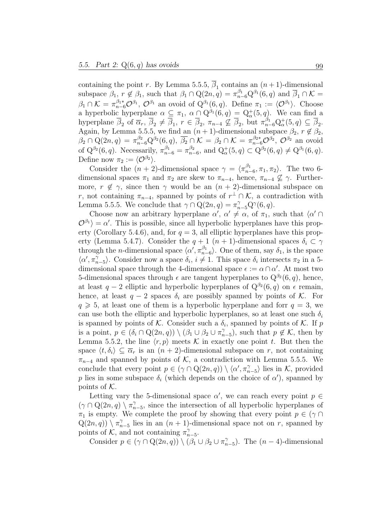containing the point r. By Lemma 5.5.5,  $\beta_1$  contains an  $(n+1)$ -dimensional subspace  $\beta_1$ ,  $r \notin \beta_1$ , such that  $\beta_1 \cap Q(2n, q) = \pi_{n-6}^{\beta_1} Q^{\beta_1}(6, q)$  and  $\overline{\beta}_1 \cap \mathcal{K} =$  $\beta_1 \cap \mathcal{K} = \pi_{n-6}^{\beta_1*} \mathcal{O}^{\beta_1}, \mathcal{O}^{\beta_1}$  an ovoid of  $Q^{\beta_1}(6, q)$ . Define  $\pi_1 := \langle \mathcal{O}^{\beta_1} \rangle$ . Choose a hyperbolic hyperplane  $\alpha \subseteq \pi_1$ ,  $\alpha \cap Q^{\beta_1}(6, q) = Q^+_{\alpha}(5, q)$ . We can find a hyperplane  $\overline{\beta}_2$  of  $\overline{\alpha}_r$ ,  $\overline{\beta}_2 \neq \overline{\beta}_1$ ,  $r \in \overline{\beta}_2$ ,  $\pi_{n-4} \nsubseteq \overline{\beta}_2$ , but  $\pi_{n-6}^{\beta_1} Q_\alpha^+(5, q) \subseteq \overline{\beta}_2$ . Again, by Lemma 5.5.5, we find an  $(n + 1)$ -dimensional subspace  $\beta_2$ ,  $r \notin \beta_2$ ,  $\beta_2 \cap Q(2n, q) = \pi_{n-6}^{\beta_2} Q^{\beta_2}(6, q), \overline{\beta_2} \cap \mathcal{K} = \beta_2 \cap \mathcal{K} = \pi_{n-6}^{\beta_2*} \mathcal{O}^{\beta_2}, \mathcal{O}^{\beta_2}$  an ovoid of  $Q^{\beta_2}(6, q)$ . Necessarily,  $\pi_{n-6}^{\beta_1} = \pi_{n-6}^{\beta_2}$ , and  $Q^+_{\alpha}(5, q) \subset Q^{\beta_2}(6, q) \neq Q^{\beta_1}(6, q)$ . Define now  $\pi_2 := \langle \mathcal{O}^{\beta_2} \rangle$ .

Consider the  $(n+2)$ -dimensional space  $\gamma = \langle \pi_{n-6}^{\beta_1}, \pi_1, \pi_2 \rangle$ . The two 6dimensional spaces  $\pi_1$  and  $\pi_2$  are skew to  $\pi_{n-4}$ , hence,  $\pi_{n-4} \nsubseteq \gamma$ . Furthermore,  $r \notin \gamma$ , since then  $\gamma$  would be an  $(n + 2)$ -dimensional subspace on r, not containing  $\pi_{n-4}$ , spanned by points of  $r^{\perp} \cap \mathcal{K}$ , a contradiction with Lemma 5.5.5. We conclude that  $\gamma \cap Q(2n, q) = \pi_{n-5}^{\gamma} Q^{\gamma}(6, q)$ .

Choose now an arbitrary hyperplane  $\alpha'$ ,  $\alpha' \neq \alpha$ , of  $\pi_1$ , such that  $\langle \alpha' \cap$  $\mathcal{O}^{\beta_1}$  = α'. This is possible, since all hyperbolic hyperplanes have this property (Corollary 5.4.6), and, for  $q = 3$ , all elliptic hyperplanes have this property (Lemma 5.4.7). Consider the  $q + 1$   $(n + 1)$ -dimensional spaces  $\delta_i \subset \gamma$ through the *n*-dimensional space  $\langle \alpha', \pi_{n-6}^{\beta_1} \rangle$ . One of them, say  $\delta_1$ , is the space  $\langle \alpha', \pi_{n-5}^{\gamma} \rangle$ . Consider now a space  $\delta_i, i \neq 1$ . This space  $\delta_i$  intersects  $\pi_2$  in a 5dimensional space through the 4-dimensional space  $\epsilon := \alpha \cap \alpha'$ . At most two 5-dimensional spaces through  $\epsilon$  are tangent hyperplanes to  $Q^{\beta_2}(6, q)$ , hence, at least  $q-2$  elliptic and hyperbolic hyperplanes of  $Q^{\beta_2}(6, q)$  on  $\epsilon$  remain, hence, at least  $q - 2$  spaces  $\delta_i$  are possibly spanned by points of K. For  $q \geq 5$ , at least one of them is a hyperbolic hyperplane and forr  $q = 3$ , we can use both the elliptic and hyperbolic hyperplanes, so at least one such  $\delta_i$ is spanned by points of K. Consider such a  $\delta_i$ , spanned by points of K. If p is a point,  $p \in (\delta_i \cap Q(2n, q)) \setminus (\beta_1 \cup \beta_2 \cup \pi_{n-5}^{\gamma})$ , such that  $p \notin \mathcal{K}$ , then by Lemma 5.5.2, the line  $\langle r, p \rangle$  meets K in exactly one point t. But then the space  $\langle t, \delta_i \rangle \subset \overline{\alpha}_r$  is an  $(n + 2)$ -dimensional subspace on r, not containing  $\pi_{n-4}$  and spanned by points of K, a contradiction with Lemma 5.5.5. We conclude that every point  $p \in (\gamma \cap \mathrm{Q}(2n, q)) \setminus \langle \alpha', \pi_{n-5}^{\gamma} \rangle$  lies in K, provided p lies in some subspace  $\delta_i$  (which depends on the choice of  $\alpha'$ ), spanned by points of  $K$ .

Letting vary the 5-dimensional space  $\alpha'$ , we can reach every point  $p \in$  $(\gamma \cap \mathrm{Q}(2n, q) \setminus \pi_{n-5}^{\gamma},$  since the intersection of all hyperbolic hyperplanes of  $\pi_1$  is empty. We complete the proof by showing that every point  $p \in (\gamma \cap$  $Q(2n, q)$   $\setminus \pi_{n-5}^{\gamma}$  lies in an  $(n + 1)$ -dimensional space not on r, spanned by points of  $\mathcal{K}$ , and not containing  $\pi_{n-5}^{\gamma}$ .

Consider  $p \in (\gamma \cap \mathbb{Q}(2n, q)) \setminus (\beta_1 \cup \beta_2 \cup \pi_{n-5}^{\gamma})$ . The  $(n-4)$ -dimensional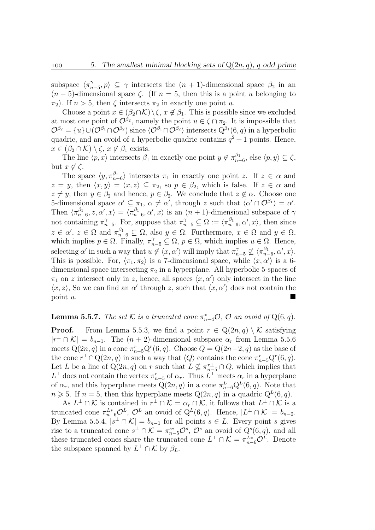subspace  $\langle \pi_{n-5}^{\gamma}, p \rangle \subseteq \gamma$  intersects the  $(n + 1)$ -dimensional space  $\beta_2$  in an  $(n-5)$ -dimensional space  $\zeta$ . (If  $n=5$ , then this is a point u belonging to  $\pi_2$ ). If  $n > 5$ , then  $\zeta$  intersects  $\pi_2$  in exactly one point u.

Choose a point  $x \in (\beta_2 \cap \mathcal{K}) \setminus \zeta$ ,  $x \notin \beta_1$ . This is possible since we excluded at most one point of  $\mathcal{O}^{\beta_2}$ , namely the point  $u \in \zeta \cap \pi_2$ . It is impossible that  $\mathcal{O}^{\beta_2} = \{u\} \cup (\mathcal{O}^{\beta_1} \cap \mathcal{O}^{\beta_2})$  since  $\langle \mathcal{O}^{\beta_1} \cap \mathcal{O}^{\beta_2} \rangle$  intersects  $Q^{\beta_1} (6, q)$  in a hyperbolic quadric, and an ovoid of a hyperbolic quadric contains  $q^2 + 1$  points. Hence,  $x \in (\beta_2 \cap \mathcal{K}) \setminus \zeta$ ,  $x \notin \beta_1$  exists.

The line  $\langle p, x \rangle$  intersects  $\beta_1$  in exactly one point  $y \notin \pi_{n-6}^{\beta_1}$ , else  $\langle p, y \rangle \subseteq \zeta$ , but  $x \notin \zeta$ .

The space  $\langle y, \pi_{n-6}^{\beta_1} \rangle$  intersects  $\pi_1$  in exactly one point z. If  $z \in \alpha$  and  $z = y$ , then  $\langle x, y \rangle = \langle x, z \rangle \subseteq \pi_2$ , so  $p \in \beta_2$ , which is false. If  $z \in \alpha$  and  $z \neq y$ , then  $y \in \beta_2$  and hence,  $p \in \beta_2$ . We conclude that  $z \notin \alpha$ . Choose one 5-dimensional space  $\alpha' \subseteq \pi_1, \alpha \neq \alpha'$ , through z such that  $\langle \alpha' \cap \mathcal{O}^{\beta_1} \rangle = \alpha'$ . Then  $\langle \pi_{n-6}^{\beta_1}, z, \alpha', x \rangle = \langle \pi_{n-6}^{\beta_1}, \alpha', x \rangle$  is an  $(n+1)$ -dimensional subspace of  $\gamma$ not containing  $\pi_{n-5}^{\gamma}$ . For, suppose that  $\pi_{n-5}^{\gamma} \subseteq \Omega := \langle \pi_{n-6}^{\beta_1}, \alpha', x \rangle$ , then since  $z \in \alpha'$ ,  $z \in \Omega$  and  $\pi_{n-6}^{\beta_1} \subseteq \Omega$ , also  $y \in \Omega$ . Furthermore,  $x \in \Omega$  and  $y \in \Omega$ , which implies  $p \in \Omega$ . Finally,  $\pi_{n-5}^{\gamma} \subseteq \Omega$ ,  $p \in \Omega$ , which implies  $u \in \Omega$ . Hence, selecting  $\alpha'$  in such a way that  $u \notin \langle x, \alpha' \rangle$  will imply that  $\pi_{n-5}^{\gamma} \nsubseteq \langle \pi_{n-6}^{\beta_1}, \alpha', x \rangle$ . This is possible. For,  $\langle \pi_1, \pi_2 \rangle$  is a 7-dimensional space, while  $\langle x, \alpha' \rangle$  is a 6dimensional space intersecting  $\pi_2$  in a hyperplane. All hyperbolic 5-spaces of  $\pi_1$  on z intersect only in z, hence, all spaces  $\langle x, \alpha' \rangle$  only intersect in the line  $\langle x, z \rangle$ , So we can find an  $\alpha'$  through z, such that  $\langle x, \alpha' \rangle$  does not contain the point u.

## **Lemma 5.5.7.** The set K is a truncated cone  $\pi_{n-4}^*$  $O$ ,  $O$  an ovoid of  $Q(6, q)$ .

**Proof.** From Lemma 5.5.3, we find a point  $r \in Q(2n, q) \setminus \mathcal{K}$  satisfying  $|r^{\perp} \cap \mathcal{K}| = b_{n-1}$ . The  $(n+2)$ -dimensional subspace  $\alpha_r$  from Lemma 5.5.6 meets  $Q(2n, q)$  in a cone  $\pi_{n-5}^r Q^r(6, q)$ . Choose  $Q = Q(2n-2, q)$  as the base of the cone  $r^{\perp} \cap Q(2n, q)$  in such a way that  $\langle Q \rangle$  contains the cone  $\pi_{n-5}^r Q^r(6, q)$ . Let L be a line of  $Q(2n, q)$  on r such that  $L \nsubseteq \pi_{n-5}^{\perp} \cap Q$ , which implies that  $L^{\perp}$  does not contain the vertex  $\pi_{n-5}^r$  of  $\alpha_r$ . Thus  $L^{\perp}$  meets  $\alpha_r$  in a hyperplane of  $\alpha_r$ , and this hyperplane meets  $Q(2n, q)$  in a cone  $\pi_{n-6}^L Q^L(6, q)$ . Note that  $n \geqslant 5$ . If  $n = 5$ , then this hyperplane meets  $Q(2n, q)$  in a quadric  $Q^L(6, q)$ .

As  $L^{\perp} \cap \mathcal{K}$  is contained in  $r^{\perp} \cap \mathcal{K} = \alpha_r \cap \mathcal{K}$ , it follows that  $L^{\perp} \cap \mathcal{K}$  is a truncated cone  $\pi_{n-6}^{L*}\mathcal{O}^L$ ,  $\mathcal{O}^L$  an ovoid of  $Q^L(6,q)$ . Hence,  $|L^{\perp} \cap \mathcal{K}| = b_{n-2}$ . By Lemma 5.5.4,  $|s^{\perp} \cap \mathcal{K}| = b_{n-1}$  for all points  $s \in L$ . Every point s gives rise to a truncated cone  $s^{\perp} \cap \mathcal{K} = \pi_{n-5}^{s*} \mathcal{O}^s$ ,  $\mathcal{O}^s$  an ovoid of  $Q^s(6, q)$ , and all these truncated cones share the truncated cone  $L^{\perp} \cap \mathcal{K} = \pi_{n-6}^{L*} \mathcal{O}^{\perp}$ . Denote the subspace spanned by  $L^{\perp} \cap \mathcal{K}$  by  $\beta_L$ .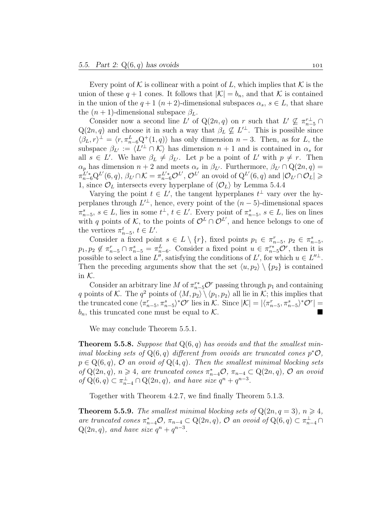Every point of K is collinear with a point of L, which implies that K is the union of these  $q + 1$  cones. It follows that  $|\mathcal{K}| = b_n$ , and that K is contained in the union of the  $q+1$   $(n+2)$ -dimensional subspaces  $\alpha_s$ ,  $s \in L$ , that share the  $(n + 1)$ -dimensional subspace  $\beta_L$ .

Consider now a second line L' of Q(2n, q) on r such that  $L' \nsubseteq \pi_{n-5}^{r\perp} \cap$  $Q(2n, q)$  and choose it in such a way that  $\beta_L \nsubseteq L^{\perp}$ . This is possible since  $\langle \beta_L, r \rangle^{\perp} = \langle r, \pi_{n-6}^L Q^+(1,q) \rangle$  has only dimension  $n-3$ . Then, as for L, the subspace  $\beta_{L'} := \langle L'^{\perp} \cap K \rangle$  has dimension  $n + 1$  and is contained in  $\alpha_s$  for all  $s \in L'$ . We have  $\beta_L \neq \beta_{L'}$ . Let p be a point of L' with  $p \neq r$ . Then  $\alpha_p$  has dimension  $n + 2$  and meets  $\alpha_r$  in  $\beta_{L'}$ . Furthermore,  $\beta_{L'} \cap Q(2n, q) =$  $\pi_{n-6}^{\tilde{L}'*} Q^{L'}(6,q), \beta_{L'} \cap \mathcal{K} = \pi_{n-6}^{L'} \mathcal{O}^{L'}, \mathcal{O}^{L'}$  an ovoid of  $Q^{L'}(6,q)$  and  $|\mathcal{O}_{L'} \cap \mathcal{O}_L| \geq$ 1, since  $\mathcal{O}_L$  intersects every hyperplane of  $\langle \mathcal{O}_L \rangle$  by Lemma 5.4.4

Varying the point  $t \in L'$ , the tangent hyperplanes  $t^{\perp}$  vary over the hyperplanes through  $L^{\perp}$ , hence, every point of the  $(n-5)$ -dimensional spaces  $\pi_{n-5}^s, s \in L$ , lies in some  $t^{\perp}, t \in L'$ . Every point of  $\pi_{n-5}^s, s \in L$ , lies on lines with q points of K, to the points of  $\mathcal{O}^L \cap \mathcal{O}^{L'}$ , and hence belongs to one of the vertices  $\pi_{n-5}^t$ ,  $t \in L'$ .

Consider a fixed point  $s \in L \setminus \{r\}$ , fixed points  $p_1 \in \pi_{n-5}^r$ ,  $p_2 \in \pi_{n-5}^s$ ,  $p_1, p_2 \notin \pi_{n-5}^r \cap \pi_{n-5}^s = \pi_{n-6}^L$ . Consider a fixed point  $u \in \pi_{n-5}^{r*} \mathcal{O}^r$ , then it is possible to select a line L'', satisfying the conditions of L', for which  $u \in L''^{\perp}$ . Then the preceding arguments show that the set  $\langle u, p_2 \rangle \setminus \{p_2\}$  is contained in  $K$ .

Consider an arbitrary line M of  $\pi^{r*}_{n-5}\mathcal{O}^r$  passing through  $p_1$  and containing q points of K. The  $q^2$  points of  $\langle M, p_2 \rangle \setminus \langle p_1, p_2 \rangle$  all lie in K; this implies that the truncated cone  $\langle \pi_{n-5}^r, \pi_{n-5}^s \rangle^* \mathcal{O}^r$  lies in K. Since  $|\mathcal{K}| = |\langle \pi_{n-5}^r, \pi_{n-5}^s \rangle^* \mathcal{O}^r| =$  $b_n$ , this truncated cone must be equal to K.

We may conclude Theorem 5.5.1.

**Theorem 5.5.8.** Suppose that  $Q(6, q)$  has ovoids and that the smallest minimal blocking sets of  $Q(6, q)$  different from ovoids are truncated cones  $p^*O$ ,  $p \in Q(6, q)$ ,  $\mathcal O$  an ovoid of  $Q(4, q)$ . Then the smallest minimal blocking sets of  $Q(2n, q)$ ,  $n \geq 4$ , are truncated cones  $\pi_{n-4}^* \mathcal{O}, \pi_{n-4} \subset Q(2n, q)$ ,  $\mathcal{O}$  an ovoid of  $Q(6, q) \subset \pi_{n-4}^{\perp} \cap Q(2n, q)$ , and have size  $q^n + q^{n-3}$ .

Together with Theorem 4.2.7, we find finally Theorem 5.1.3.

**Theorem 5.5.9.** The smallest minimal blocking sets of  $Q(2n, q = 3)$ ,  $n \ge 4$ , are truncated cones  $\pi_{n-4}^* \mathcal{O}, \pi_{n-4} \subset \mathbb{Q}(2n, q)$ ,  $\mathcal{O}$  an ovoid of  $\mathbb{Q}(6, q) \subset \pi_{n-4}^{\perp} \cap$  $Q(2n, q)$ , and have size  $q^n + q^{n-3}$ .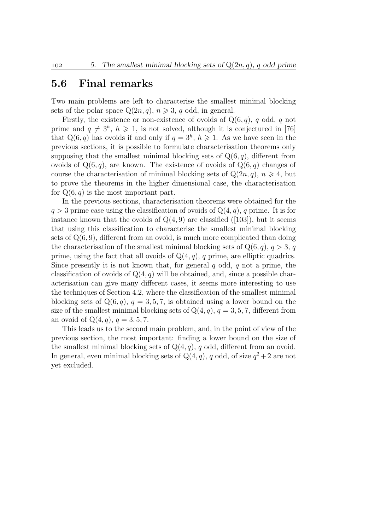## 5.6 Final remarks

Two main problems are left to characterise the smallest minimal blocking sets of the polar space  $Q(2n, q)$ ,  $n \ge 3$ , q odd, in general.

Firstly, the existence or non-existence of ovoids of  $Q(6, q)$ , q odd, q not prime and  $q \neq 3^h$ ,  $h \geq 1$ , is not solved, although it is conjectured in [76] that  $Q(6, q)$  has ovoids if and only if  $q = 3<sup>h</sup>$ ,  $h \ge 1$ . As we have seen in the previous sections, it is possible to formulate characterisation theorems only supposing that the smallest minimal blocking sets of  $Q(6, q)$ , different from ovoids of  $Q(6, q)$ , are known. The existence of ovoids of  $Q(6, q)$  changes of course the characterisation of minimal blocking sets of  $Q(2n, q)$ ,  $n \geq 4$ , but to prove the theorems in the higher dimensional case, the characterisation for  $Q(6, q)$  is the most important part.

In the previous sections, characterisation theorems were obtained for the  $q > 3$  prime case using the classification of ovoids of  $Q(4, q)$ , q prime. It is for instance known that the ovoids of  $Q(4, 9)$  are classified ([103]), but it seems that using this classification to characterise the smallest minimal blocking sets of  $Q(6, 9)$ , different from an ovoid, is much more complicated than doing the characterisation of the smallest minimal blocking sets of  $Q(6, q)$ ,  $q > 3$ , q prime, using the fact that all ovoids of  $Q(4, q)$ , q prime, are elliptic quadrics. Since presently it is not known that, for general  $q$  odd,  $q$  not a prime, the classification of ovoids of  $Q(4, q)$  will be obtained, and, since a possible characterisation can give many different cases, it seems more interesting to use the techniques of Section 4.2, where the classification of the smallest minimal blocking sets of  $Q(6, q)$ ,  $q = 3, 5, 7$ , is obtained using a lower bound on the size of the smallest minimal blocking sets of  $Q(4, q)$ ,  $q = 3, 5, 7$ , different from an ovoid of  $Q(4, q)$ ,  $q = 3, 5, 7$ .

This leads us to the second main problem, and, in the point of view of the previous section, the most important: finding a lower bound on the size of the smallest minimal blocking sets of  $Q(4, q)$ , q odd, different from an ovoid. In general, even minimal blocking sets of  $Q(4, q)$ , q odd, of size  $q^2 + 2$  are not yet excluded.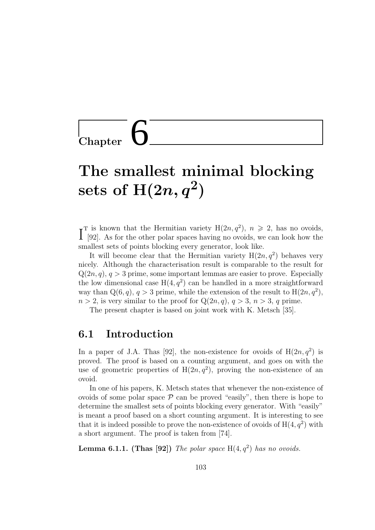$\mathop{\rm Chapter}$ 

# The smallest minimal blocking  $\mathrm{sets}\,\, \mathrm{of}\,\, \mathrm{H}(2n, q^2)$

 $\int_{a}^{\infty}$  Is known that the Hermitian variety  $H(2n, q^2)$ ,  $n \ge 2$ , has no ovoids,  $[92]$ . As for the other polar spaces having no ovoids, we can look how the [92]. As for the other polar spaces having no ovoids, we can look how the smallest sets of points blocking every generator, look like.

It will become clear that the Hermitian variety  $H(2n, q^2)$  behaves very nicely. Although the characterisation result is comparable to the result for  $Q(2n, q), q > 3$  prime, some important lemmas are easier to prove. Especially the low dimensional case  $H(4, q^2)$  can be handled in a more straightforward way than  $Q(6, q)$ ,  $q > 3$  prime, while the extension of the result to  $H(2n, q^2)$ ,  $n > 2$ , is very similar to the proof for  $Q(2n, q)$ ,  $q > 3$ ,  $n > 3$ , q prime.

The present chapter is based on joint work with K. Metsch [35].

## 6.1 Introduction

In a paper of J.A. Thas [92], the non-existence for ovoids of  $H(2n, q^2)$  is proved. The proof is based on a counting argument, and goes on with the use of geometric properties of  $H(2n, q^2)$ , proving the non-existence of an ovoid.

In one of his papers, K. Metsch states that whenever the non-existence of ovoids of some polar space  $P$  can be proved "easily", then there is hope to determine the smallest sets of points blocking every generator. With "easily" is meant a proof based on a short counting argument. It is interesting to see that it is indeed possible to prove the non-existence of ovoids of  $H(4, q^2)$  with a short argument. The proof is taken from [74].

**Lemma 6.1.1.** (Thas [92]) The polar space  $H(4, q^2)$  has no ovoids.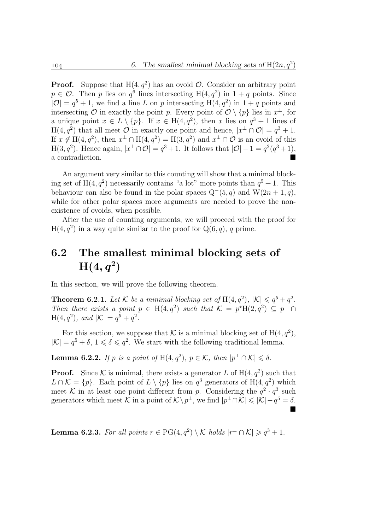**Proof.** Suppose that  $H(4, q^2)$  has an ovoid  $\mathcal{O}$ . Consider an arbitrary point  $p \in \mathcal{O}$ . Then p lies on  $q^6$  lines intersecting  $H(4, q^2)$  in  $1 + q$  points. Since  $|\mathcal{O}| = q^5 + 1$ , we find a line L on p intersecting H $(4, q^2)$  in  $1 + q$  points and intersecting O in exactly the point p. Every point of  $\mathcal{O} \setminus \{p\}$  lies in  $x^{\perp}$ , for a unique point  $x \in L \setminus \{p\}$ . If  $x \in H(4, q^2)$ , then x lies on  $q^3 + 1$  lines of  $H(4, q^2)$  that all meet  $\hat{\mathcal{O}}$  in exactly one point and hence,  $|x^{\perp} \cap \mathcal{O}| = q^3 + 1$ . If  $x \notin H(4, q^2)$ , then  $x^{\perp} \cap H(4, q^2) = H(3, q^2)$  and  $x^{\perp} \cap \mathcal{O}$  is an ovoid of this  $H(3, q^2)$ . Hence again,  $|x^{\perp} \cap \mathcal{O}| = q^3 + 1$ . It follows that  $|\mathcal{O}| - 1 = q^2(q^3 + 1)$ , a contradiction.

An argument very similar to this counting will show that a minimal blocking set of  $H(4, q^2)$  necessarily contains "a lot" more points than  $q^5 + 1$ . This behaviour can also be found in the polar spaces  $Q^-(5, q)$  and  $W(2n + 1, q)$ , while for other polar spaces more arguments are needed to prove the nonexistence of ovoids, when possible.

After the use of counting arguments, we will proceed with the proof for  $H(4, q^2)$  in a way quite similar to the proof for  $Q(6, q)$ , q prime.

# 6.2 The smallest minimal blocking sets of  $\mathrm{H}(4,q^2)$

In this section, we will prove the following theorem.

**Theorem 6.2.1.** Let K be a minimal blocking set of  $H(4, q^2)$ ,  $|\mathcal{K}| \leq q^5 + q^2$ . Then there exists a point  $p oldsymbol{\in} H(4,q^2)$  such that  $\mathcal{K} = p^*H(2,q^2) \subseteq p^{\perp} \cap$  $H(4, q^2)$ , and  $|\mathcal{K}| = q^5 + q^2$ .

For this section, we suppose that K is a minimal blocking set of  $H(4, q^2)$ ,  $|\mathcal{K}| = q^5 + \delta, 1 \le \delta \le q^2$ . We start with the following traditional lemma.

**Lemma 6.2.2.** If p is a point of H $(4, q^2)$ ,  $p \in \mathcal{K}$ , then  $|p^{\perp} \cap \mathcal{K}| \leq \delta$ .

**Proof.** Since K is minimal, there exists a generator L of  $H(4, q^2)$  such that  $L \cap \mathcal{K} = \{p\}$ . Each point of  $L \setminus \{p\}$  lies on  $q^3$  generators of  $H(4, q^2)$  which meet K in at least one point different from p. Considering the  $q^2 \cdot q^3$  such generators which meet  $\mathcal{K}$  in a point of  $\mathcal{K} \setminus p^{\perp}$ , we find  $|p^{\perp} \cap \mathcal{K}| \leq |\mathcal{K}| - q^5 = \delta$ . П

**Lemma 6.2.3.** For all points  $r \in PG(4, q^2) \setminus K$  holds  $|r^{\perp} \cap K| \geq q^3 + 1$ .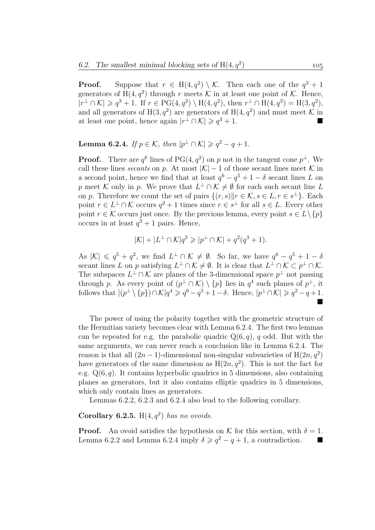**Proof.** Suppose that  $r \in H(4, q^2) \setminus \mathcal{K}$ . Then each one of the  $q^3 + 1$ generators of H $(4, q^2)$  through r meets  $\mathcal K$  in at least one point of  $\mathcal K$ . Hence,  $|r^{\perp} \cap \mathcal{K}| \geqslant q^3 + 1$ . If  $r \in PG(4, q^2) \setminus H(4, q^2)$ , then  $r^{\perp} \cap H(4, q^2) = H(3, q^2)$ , and all generators of  $H(3, q^2)$  are generators of  $H(4, q^2)$  and must meet K in at least one point, hence again  $|r^{\perp} \cap \mathcal{K}| \geqslant q^3 + 1$ .

**Lemma 6.2.4.** If  $p \in \mathcal{K}$ , then  $|p^{\perp} \cap \mathcal{K}| \geq q^2 - q + 1$ .

**Proof.** There are  $q^6$  lines of PG(4,  $q^2$ ) on p not in the tangent cone  $p^{\perp}$ . We call these lines secants on p. At most  $|\mathcal{K}| - 1$  of those secant lines meet K in a second point, hence we find that at least  $q^6 - q^5 + 1 - \delta$  secant lines L on p meet K only in p. We prove that  $L^{\perp} \cap \mathcal{K} \neq \emptyset$  for each such secant line L on p. Therefore we count the set of pairs  $\{(r, s) \| r \in \mathcal{K}, s \in L, r \in s^{\perp}\}.$  Each point  $r \in L^{\perp} \cap \mathcal{K}$  occurs  $q^2 + 1$  times since  $r \in s^{\perp}$  for all  $s \in L$ . Every other point  $r \in \mathcal{K}$  occurs just once. By the previous lemma, every point  $s \in L \setminus \{p\}$ occurs in at least  $q^3 + 1$  pairs. Hence,

$$
|\mathcal{K}| + |L^{\perp} \cap \mathcal{K}|q^2 \geqslant |p^{\perp} \cap \mathcal{K}| + q^2(q^3 + 1).
$$

As  $|\mathcal{K}| \leqslant q^5 + q^2$ , we find  $L^{\perp} \cap \mathcal{K} \neq \emptyset$ . So far, we have  $q^6 - q^5 + 1 - \delta$ secant lines L on p satisfying  $L^{\perp} \cap \mathcal{K} \neq \emptyset$ . It is clear that  $L^{\perp} \cap \mathcal{K} \subset p^{\perp} \cap \mathcal{K}$ . The subspaces  $L^{\perp} \cap \mathcal{K}$  are planes of the 3-dimensional space  $p^{\perp}$  not passing through p. As every point of  $(p^{\perp} \cap \mathcal{K}) \setminus \{p\}$  lies in  $q^4$  such planes of  $p^{\perp}$ , it follows that  $|(p^{\perp}\setminus\{p\})\cap \mathcal{K}|q^4\geqslant q^6-q^5+1-\delta.$  Hence,  $|p^{\perp}\cap \mathcal{K}|\geqslant q^2-q+1.$ Ē

The power of using the polarity together with the geometric structure of the Hermitian variety becomes clear with Lemma 6.2.4. The first two lemmas can be repeated for e.g. the parabolic quadric  $Q(6, q)$ , q odd. But with the same arguments, we can never reach a conclusion like in Lemma 6.2.4. The reason is that all  $(2n - 1)$ -dimensional non-singular subvarieties of  $H(2n, q^2)$ have generators of the same dimension as  $H(2n, q^2)$ . This is not the fact for e.g.  $Q(6, q)$ . It contains hyperbolic quadrics in 5 dimensions, also containing planes as generators, but it also contains elliptic quadrics in 5 dimensions, which only contain lines as generators.

Lemmas 6.2.2, 6.2.3 and 6.2.4 also lead to the following corollary.

Corollary 6.2.5.  $H(4,q^2)$  has no ovoids.

**Proof.** An ovoid satisfies the hypothesis on K for this section, with  $\delta = 1$ . Lemma 6.2.2 and Lemma 6.2.4 imply  $\delta \geq q^2 - q + 1$ , a contradiction.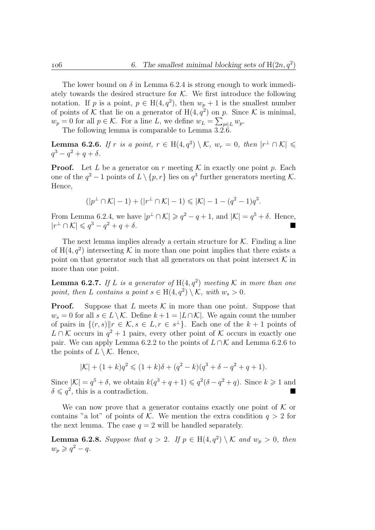The lower bound on  $\delta$  in Lemma 6.2.4 is strong enough to work immediately towards the desired structure for  $K$ . We first introduce the following notation. If p is a point,  $p \in H(4, q^2)$ , then  $w_p + 1$  is the smallest number of points of K that lie on a generator of  $H(4, q^2)$  on p. Since K is minimal,  $w_p = 0$  for all  $p \in \mathcal{K}$ . For a line L, we define  $w_L = \sum_{p \in L} w_p$ .

The following lemma is comparable to Lemma 3.2.6.

**Lemma 6.2.6.** If r is a point,  $r \in H(4,q^2) \setminus \mathcal{K}$ ,  $w_r = 0$ , then  $|r^{\perp} \cap \mathcal{K}| \leq$  $q^3 - q^2 + q + \delta.$ 

**Proof.** Let L be a generator on r meeting  $K$  in exactly one point p. Each one of the  $q^2-1$  points of  $L \setminus \{p, r\}$  lies on  $q^3$  further generators meeting K. Hence,

$$
(|p^\perp \cap \mathcal{K}|-1)+(|r^\perp \cap \mathcal{K}|-1) \leqslant |\mathcal{K}|-1-(q^2-1)q^3.
$$

From Lemma 6.2.4, we have  $|p^{\perp} \cap \mathcal{K}| \geqslant q^2 - q + 1$ , and  $|\mathcal{K}| = q^5 + \delta$ . Hence,  $|r^{\perp} \cap \mathcal{K}| \leqslant q^3 - q^2 + q + \delta.$ 

The next lemma implies already a certain structure for  $K$ . Finding a line of  $H(4, q^2)$  intersecting K in more than one point implies that there exists a point on that generator such that all generators on that point intersect  $K$  in more than one point.

**Lemma 6.2.7.** If L is a generator of  $H(4, q^2)$  meeting K in more than one point, then L contains a point  $s \in H(4, q^2) \setminus \mathcal{K}$ , with  $w_s > 0$ .

**Proof.** Suppose that L meets  $K$  in more than one point. Suppose that  $w_s = 0$  for all  $s \in L \setminus \mathcal{K}$ . Define  $k + 1 = |L \cap \mathcal{K}|$ . We again count the number of pairs in  $\{(r, s) \| r \in \mathcal{K}, s \in L, r \in s^{\perp}\}\$ . Each one of the  $k + 1$  points of  $L ∩ K$  occurs in  $q^2 + 1$  pairs, every other point of K occurs in exactly one pair. We can apply Lemma 6.2.2 to the points of  $L \cap \mathcal{K}$  and Lemma 6.2.6 to the points of  $L \setminus \mathcal{K}$ . Hence,

$$
|\mathcal{K}| + (1+k)q^2 \leq (1+k)\delta + (q^2 - k)(q^3 + \delta - q^2 + q + 1).
$$

Since  $|\mathcal{K}| = q^5 + \delta$ , we obtain  $k(q^3 + q + 1) \leqslant q^2(\delta - q^2 + q)$ . Since  $k \geqslant 1$  and  $\delta \leqslant q^2$ , this is a contradiction.

We can now prove that a generator contains exactly one point of  $K$  or contains "a lot" of points of K. We mention the extra condition  $q > 2$  for the next lemma. The case  $q = 2$  will be handled separately.

**Lemma 6.2.8.** Suppose that  $q > 2$ . If  $p \in H(4, q^2) \setminus \mathcal{K}$  and  $w_p > 0$ , then  $w_p \geqslant q^2 - q.$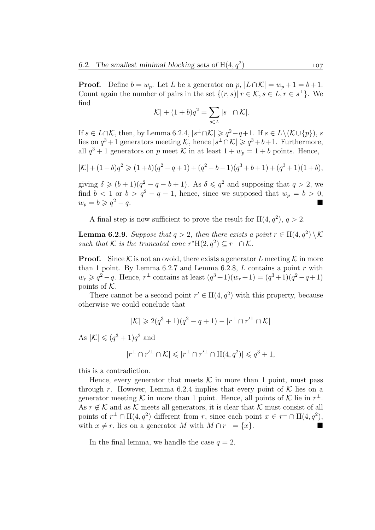**Proof.** Define  $b = w_p$ . Let L be a generator on p,  $|L \cap K| = w_p + 1 = b + 1$ . Count again the number of pairs in the set  $\{(r, s)| | r \in \mathcal{K}, s \in L, r \in s^{\perp}\}\$ . We find

$$
|\mathcal{K}| + (1+b)q^2 = \sum_{s \in L} |s^{\perp} \cap \mathcal{K}|.
$$

If  $s \in L \cap \mathcal{K}$ , then, by Lemma 6.2.4,  $|s^{\perp} \cap \mathcal{K}| \geqslant q^2 - q + 1$ . If  $s \in L \setminus (\mathcal{K} \cup \{p\})$ , s lies on  $q^3+1$  generators meeting K, hence  $|s^{\perp} \cap \mathcal{K}| \geqslant q^3+b+1$ . Furthermore, all  $q^3 + 1$  generators on p meet K in at least  $1 + w_p = 1 + b$  points. Hence,

$$
|\mathcal{K}| + (1+b)q^2 \geq (1+b)(q^2 - q + 1) + (q^2 - b - 1)(q^3 + b + 1) + (q^3 + 1)(1+b),
$$

giving  $\delta \geqslant (b+1)(q^2-q-b+1)$ . As  $\delta \leqslant q^2$  and supposing that  $q > 2$ , we find  $b < 1$  or  $b > q^2 - q - 1$ , hence, since we supposed that  $w_p = b > 0$ ,  $w_p = b \geqslant q^2 - q.$  $2 - q$ .

A final step is now sufficient to prove the result for  $H(4, q^2)$ ,  $q > 2$ .

**Lemma 6.2.9.** Suppose that  $q > 2$ , then there exists a point  $r \in H(4, q^2) \setminus \mathcal{K}$ such that K is the truncated cone  $r^*H(2,q^2) \subseteq r^{\perp} \cap \mathcal{K}$ .

**Proof.** Since  $K$  is not an ovoid, there exists a generator L meeting  $K$  in more than 1 point. By Lemma  $6.2.7$  and Lemma  $6.2.8$ , L contains a point r with  $w_r \geqslant q^2 - q$ . Hence,  $r^{\perp}$  contains at least  $(q^3 + 1)(w_r + 1) = (q^3 + 1)(q^2 - q + 1)$ points of  $K$ .

There cannot be a second point  $r' \in H(4, q^2)$  with this property, because otherwise we could conclude that

$$
|\mathcal{K}| \geq 2(q^3 + 1)(q^2 - q + 1) - |r^{\perp} \cap r'^{\perp} \cap \mathcal{K}|
$$

As  $|\mathcal{K}| \leqslant (q^3 + 1)q^2$  and

$$
|r^\perp \cap r'^\perp \cap \mathcal{K}| \leqslant |r^\perp \cap r'^\perp \cap \mathcal{H}(4, q^2)| \leqslant q^3 + 1,
$$

this is a contradiction.

Hence, every generator that meets  $K$  in more than 1 point, must pass through r. However, Lemma 6.2.4 implies that every point of K lies on a generator meeting K in more than 1 point. Hence, all points of K lie in  $r^{\perp}$ . As  $r \notin \mathcal{K}$  and as  $\mathcal{K}$  meets all generators, it is clear that  $\mathcal{K}$  must consist of all points of  $r^{\perp} \cap H(4, q^2)$  different from r, since each point  $x \in r^{\perp} \cap H(4, q^2)$ , with  $x \neq r$ , lies on a generator M with  $M \cap r^{\perp} = \{x\}.$ 

In the final lemma, we handle the case  $q = 2$ .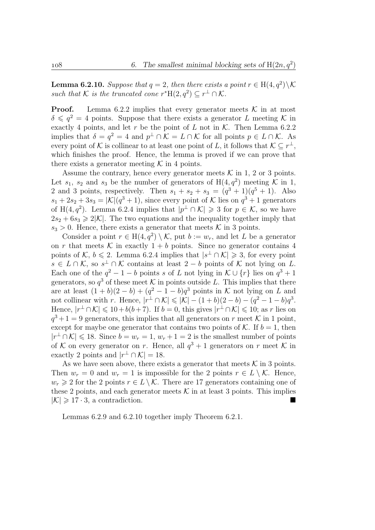**Lemma 6.2.10.** Suppose that  $q = 2$ , then there exists a point  $r \in H(4, q^2) \setminus \mathcal{K}$ such that K is the truncated cone  $r^*H(2,q^2) \subseteq r^{\perp} \cap \mathcal{K}$ .

**Proof.** Lemma 6.2.2 implies that every generator meets  $\mathcal{K}$  in at most  $\delta \leqslant q^2 = 4$  points. Suppose that there exists a generator L meeting K in exactly 4 points, and let r be the point of L not in  $K$ . Then Lemma 6.2.2 implies that  $\delta = q^2 = 4$  and  $p^{\perp} \cap \mathcal{K} = L \cap \mathcal{K}$  for all points  $p \in L \cap \mathcal{K}$ . As every point of K is collinear to at least one point of L, it follows that  $\mathcal{K} \subseteq r^{\perp}$ , which finishes the proof. Hence, the lemma is proved if we can prove that there exists a generator meeting  $K$  in 4 points.

Assume the contrary, hence every generator meets  $K$  in 1, 2 or 3 points. Let  $s_1$ ,  $s_2$  and  $s_3$  be the number of generators of  $H(4, q^2)$  meeting K in 1, 2 and 3 points, respectively. Then  $s_1 + s_2 + s_3 = (q^3 + 1)(q^5 + 1)$ . Also  $s_1 + 2s_2 + 3s_3 = |\mathcal{K}|(q^3 + 1)$ , since every point of K lies on  $q^3 + 1$  generators of H(4,  $q^2$ ). Lemma 6.2.4 implies that  $|p^{\perp} \cap \mathcal{K}| \geq 3$  for  $p \in \mathcal{K}$ , so we have  $2s_2 + 6s_3 \geq 2|\mathcal{K}|$ . The two equations and the inequality together imply that  $s_3 > 0$ . Hence, there exists a generator that meets K in 3 points.

Consider a point  $r \in H(4, q^2) \setminus \mathcal{K}$ , put  $b := w_r$ , and let L be a generator on r that meets  $\mathcal K$  in exactly  $1 + b$  points. Since no generator contains 4 points of  $\mathcal{K}, b \leq 2$ . Lemma 6.2.4 implies that  $|s^{\perp} \cap \mathcal{K}| \geq 3$ , for every point  $s \in L \cap \mathcal{K}$ , so  $s^{\perp} \cap \mathcal{K}$  contains at least  $2-b$  points of  $\mathcal{K}$  not lying on L. Each one of the  $q^2 - 1 - b$  points s of L not lying in  $\mathcal{K} \cup \{r\}$  lies on  $q^3 + 1$ generators, so  $q^3$  of these meet K in points outside L. This implies that there are at least  $(1 + b)(2 - b) + (q^2 - 1 - b)q^3$  points in K not lying on L and not collinear with r. Hence,  $|r^{\perp} \cap \mathcal{K}| \leq |\mathcal{K}| - (1+b)(2-b) - (q^2-1-b)q^3$ . Hence,  $|r^{\perp} \cap \mathcal{K}| \leq 10 + b(b+7)$ . If  $b = 0$ , this gives  $|r^{\perp} \cap \mathcal{K}| \leq 10$ ; as r lies on  $q^3+1=9$  generators, this implies that all generators on r meet K in 1 point, except for maybe one generator that contains two points of K. If  $b = 1$ , then  $|r^{\perp} \cap \mathcal{K}| \le 18$ . Since  $b = w_r = 1, w_r + 1 = 2$  is the smallest number of points of K on every generator on r. Hence, all  $q^3 + 1$  generators on r meet K in exactly 2 points and  $|r^{\perp} \cap \mathcal{K}| = 18$ .

As we have seen above, there exists a generator that meets  $\mathcal K$  in 3 points. Then  $w_r = 0$  and  $w_r = 1$  is impossible for the 2 points  $r \in L \setminus \mathcal{K}$ . Hence,  $w_r \geq 2$  for the 2 points  $r \in L \setminus \mathcal{K}$ . There are 17 generators containing one of these 2 points, and each generator meets  $\mathcal K$  in at least 3 points. This implies  $|\mathcal{K}| \geq 17 \cdot 3$ , a contradiction.

Lemmas 6.2.9 and 6.2.10 together imply Theorem 6.2.1.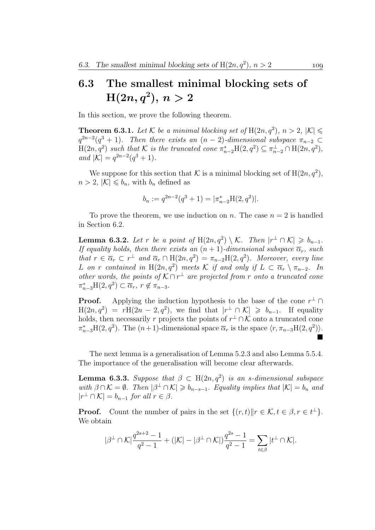# 6.3 The smallest minimal blocking sets of  $\text{H}(2n, q^2), \, n > 2$

In this section, we prove the following theorem.

**Theorem 6.3.1.** Let K be a minimal blocking set of  $H(2n, q^2)$ ,  $n > 2$ ,  $|\mathcal{K}| \le$  $q^{2n-2}(q^3+1)$ . Then there exists an  $(n-2)$ -dimensional subspace  $\pi_{n-2} \subset$  $H(2n, q^2)$  such that K is the truncated cone  $\pi_{n-2}^*H(2, q^2) \subseteq \pi_{n-2}^{\perp} \cap H(2n, q^2)$ , and  $|\mathcal{K}| = q^{2n-2}(q^3+1)$ .

We suppose for this section that K is a minimal blocking set of  $H(2n, q^2)$ ,  $n > 2$ ,  $|\mathcal{K}| \leq b_n$ , with  $b_n$  defined as

$$
b_n := q^{2n-2}(q^3+1) = |\pi_{n-2}^* \mathcal{H}(2, q^2)|.
$$

To prove the theorem, we use induction on n. The case  $n = 2$  is handled in Section 6.2.

**Lemma 6.3.2.** Let r be a point of  $H(2n, q^2) \setminus \mathcal{K}$ . Then  $|r^{\perp} \cap \mathcal{K}| \geq b_{n-1}$ . If equality holds, then there exists an  $(n + 1)$ -dimensional subspace  $\overline{\alpha}_r$ , such that  $r \in \overline{\alpha}_r \subset r^{\perp}$  and  $\overline{\alpha}_r \cap H(2n, q^2) = \pi_{n-2}H(2, q^2)$ . Moreover, every line L on r contained in  $H(2n, q^2)$  meets K if and only if  $L \subset \overline{\alpha}_r \setminus \pi_{n-2}$ . In other words, the points of  $K \cap r^{\perp}$  are projected from r onto a truncated cone  $\pi_{n-3}^* H(2, q^2) \subset \overline{\alpha}_r$ ,  $r \notin \pi_{n-3}$ .

**Proof.** Applying the induction hypothesis to the base of the cone  $r^{\perp} \cap$  $H(2n, q^2) = rH(2n - 2, q^2)$ , we find that  $|r^{\perp} \cap \mathcal{K}| \geq b_{n-1}$ . If equality holds, then necessarily r projects the points of  $r^{\perp} \cap \mathcal{K}$  onto a truncated cone  $\pi_{n-3}^*H(2,q^2)$ . The  $(n+1)$ -dimensional space  $\overline{\alpha}_r$  is the space  $\langle r, \pi_{n-3}H(2,q^2) \rangle$ . П

The next lemma is a generalisation of Lemma 5.2.3 and also Lemma 5.5.4. The importance of the generalisation will become clear afterwards.

**Lemma 6.3.3.** Suppose that  $\beta \subset H(2n, q^2)$  is an s-dimensional subspace with  $\beta \cap \mathcal{K} = \emptyset$ . Then  $|\beta^{\perp} \cap \mathcal{K}| \geq b_{n-s-1}$ . Equality implies that  $|\mathcal{K}| = b_n$  and  $|r^{\perp} \cap \mathcal{K}| = b_{n-1}$  for all  $r \in \beta$ .

**Proof.** Count the number of pairs in the set  $\{(r, t) \| r \in \mathcal{K}, t \in \beta, r \in t^{\perp}\}.$ We obtain

$$
|\beta^\perp\cap\mathcal{K}|\frac{q^{2s+2}-1}{q^2-1}+ (|\mathcal{K}|-|\beta^\perp\cap\mathcal{K}|)\frac{q^{2s}-1}{q^2-1}=\sum_{t\in\beta}|t^\perp\cap\mathcal{K}|.
$$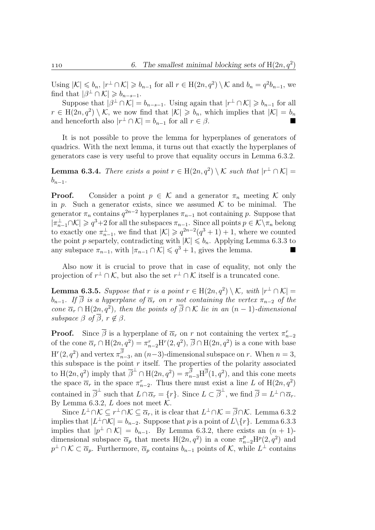Using  $|\mathcal{K}| \leqslant b_n$ ,  $|r^{\perp} \cap \mathcal{K}| \geqslant b_{n-1}$  for all  $r \in H(2n, q^2) \setminus \mathcal{K}$  and  $b_n = q^2 b_{n-1}$ , we find that  $|\beta^{\perp} \cap \mathcal{K}| \geq b_{n-s-1}$ .

Suppose that  $|\beta^{\perp} \cap \mathcal{K}| = b_{n-s-1}$ . Using again that  $|r^{\perp} \cap \mathcal{K}| \geq b_{n-1}$  for all  $r \in H(2n, q^2) \setminus \mathcal{K}$ , we now find that  $|\mathcal{K}| \geq b_n$ , which implies that  $|\mathcal{K}| = b_n$ and henceforth also  $|r^{\perp} \cap \mathcal{K}| = b_{n-1}$  for all  $r \in \beta$ .

It is not possible to prove the lemma for hyperplanes of generators of quadrics. With the next lemma, it turns out that exactly the hyperplanes of generators case is very useful to prove that equality occurs in Lemma 6.3.2.

**Lemma 6.3.4.** There exists a point  $r \in H(2n, q^2) \setminus \mathcal{K}$  such that  $|r^{\perp} \cap \mathcal{K}| =$  $b_{n-1}$ .

**Proof.** Consider a point  $p \in \mathcal{K}$  and a generator  $\pi_n$  meeting K only in p. Such a generator exists, since we assumed  $K$  to be minimal. The generator  $\pi_n$  contains  $q^{2n-2}$  hyperplanes  $\pi_{n-1}$  not containing p. Suppose that  $|\pi_{n-1}^{\perp} \cap \mathcal{K}| \geqslant q^3 + 2$  for all the subspaces  $\pi_{n-1}$ . Since all points  $p \in \mathcal{K} \setminus \pi_n$  belong to exactly one  $\pi_{n-1}^{\perp}$ , we find that  $|\mathcal{K}| \geqslant q^{2n-2}(q^3+1)+1$ , where we counted the point p separtely, contradicting with  $|\mathcal{K}| \leq b_n$ . Applying Lemma 6.3.3 to any subspace  $\pi_{n-1}$ , with  $|\pi_{n-1} \cap \mathcal{K}| \leqslant q^3 + 1$ , gives the lemma.

Also now it is crucial to prove that in case of equality, not only the projection of  $r^{\perp} \cap \mathcal{K}$ , but also the set  $r^{\perp} \cap \mathcal{K}$  itself is a truncated cone.

**Lemma 6.3.5.** Suppose that r is a point  $r \in H(2n, q^2) \setminus \mathcal{K}$ , with  $|r^{\perp} \cap \mathcal{K}| =$  $b_{n-1}$ . If  $\overline{\beta}$  is a hyperplane of  $\overline{\alpha}_r$  on r not containing the vertex  $\pi_{n-2}$  of the cone  $\overline{\alpha}_r \cap H(2n, q^2)$ , then the points of  $\overline{\beta} \cap \mathcal{K}$  lie in an  $(n-1)$ -dimensional subspace  $\beta$  of  $\overline{\beta}$ ,  $r \notin \beta$ .

**Proof.** Since  $\overline{\beta}$  is a hyperplane of  $\overline{\alpha}_r$  on r not containing the vertex  $\pi_{n-2}^r$ of the cone  $\overline{\alpha}_r \cap H(2n, q^2) = \pi_{n-2}^r H^r(2, q^2), \overline{\beta} \cap H(2n, q^2)$  is a cone with base  $H^{r}(2, q^2)$  and vertex  $\pi^{\beta}_{n-3}$ , an  $(n-3)$ -dimensional subspace on r. When  $n=3$ , this subspace is the point  $r$  itself. The properties of the polarity associated to  $H(2n, q^2)$  imply that  $\overline{\beta}^{\perp} \cap H(2n, q^2) = \pi_{n-3}^{\frac{1}{\beta}} H^{\overline{\beta}}(1, q^2)$ , and this cone meets the space  $\overline{\alpha}_r$  in the space  $\pi_{n-2}^r$ . Thus there must exist a line L of  $H(2n, q^2)$ contained in  $\overline{\beta}^{\perp}$  such that  $L \cap \overline{\alpha}_r = \{r\}$ . Since  $L \subset \overline{\beta}^{\perp}$ , we find  $\overline{\beta} = L^{\perp} \cap \overline{\alpha}_r$ . By Lemma 6.3.2,  $L$  does not meet  $K$ .

Since  $L^{\perp}\cap\mathcal{K}\subseteq r^{\perp}\cap\mathcal{K}\subseteq\overline{\alpha}_r$ , it is clear that  $L^{\perp}\cap\mathcal{K}=\overline{\beta}\cap\mathcal{K}$ . Lemma 6.3.2 implies that  $|L^{\perp} \cap \mathcal{K}| = b_{n-2}$ . Suppose that p is a point of  $L \setminus \{r\}$ . Lemma 6.3.3 implies that  $|p^{\perp} \cap \mathcal{K}| = b_{n-1}$ . By Lemma 6.3.2, there exists an  $(n + 1)$ dimensional subspace  $\overline{\alpha}_p$  that meets  $H(2n, q^2)$  in a cone  $\pi_{n-2}^p H^p(2, q^2)$  and  $p^{\perp} \cap \mathcal{K} \subset \overline{\alpha}_p$ . Furthermore,  $\overline{\alpha}_p$  contains  $b_{n-1}$  points of K, while  $L^{\perp}$  contains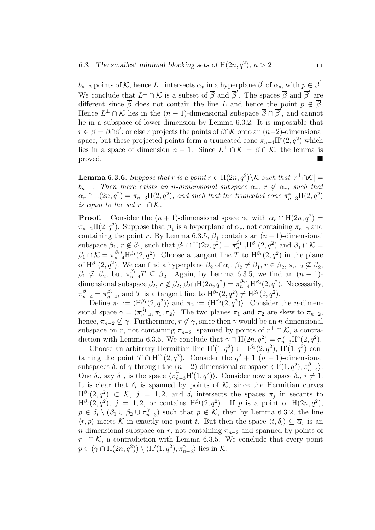$b_{n-2}$  points of K, hence  $L^{\perp}$  intersects  $\overline{\alpha}_p$  in a hyperplane  $\overline{\beta}'$  of  $\overline{\alpha}_p$ , with  $p \in \overline{\beta}'$ . We conclude that  $L^{\perp} \cap \mathcal{K}$  is a subset of  $\overline{\beta}$  and  $\overline{\beta}'$ . The spaces  $\overline{\beta}$  and  $\overline{\beta}'$  are different since  $\overline{\beta}$  does not contain the line L and hence the point  $p \notin \overline{\beta}$ . Hence  $L^{\perp} \cap \mathcal{K}$  lies in the  $(n-1)$ -dimensional subspace  $\overline{\beta} \cap \overline{\beta}'$ , and cannot lie in a subspace of lower dimension by Lemma 6.3.2. It is impossible that  $r \in \beta = \overline{\beta} \cap \overline{\beta}'$ ; or else r projects the points of  $\beta \cap \mathcal{K}$  onto an  $(n-2)$ -dimensional space, but these projected points form a truncated cone  $\pi_{n-4}H^r(2,q^2)$  which lies in a space of dimension  $n-1$ . Since  $L^{\perp} \cap \mathcal{K} = \overline{\beta} \cap \mathcal{K}$ , the lemma is proved.

**Lemma 6.3.6.** Suppose that r is a point  $r \in H(2n, q^2) \setminus \mathcal{K}$  such that  $|r^{\perp} \cap \mathcal{K}| =$  $b_{n-1}$ . Then there exists an n-dimensional subspace  $\alpha_r$ ,  $r \notin \alpha_r$ , such that  $\alpha_r \cap \text{H}(2n, q^2) = \pi_{n-3}\text{H}(2, q^2)$ , and such that the truncated cone  $\pi_{n-3}^* \text{H}(2, q^2)$ is equal to the set  $r^{\perp} \cap \mathcal{K}$ .

**Proof.** Consider the  $(n + 1)$ -dimensional space  $\overline{\alpha}_r$  with  $\overline{\alpha}_r \cap H(2n, q^2) =$  $\pi_{n-2}H(2,q^2)$ . Suppose that  $\overline{\beta}_1$  is a hyperplane of  $\overline{\alpha}_r$ , not containing  $\pi_{n-2}$  and containing the point r. By Lemma 6.3.5,  $\overline{\beta}_1$  contains an  $(n-1)$ -dimensional subspace  $\beta_1, r \notin \beta_1$ , such that  $\beta_1 \cap H(2n, q^2) = \pi_{n-4}^{\beta_1} H^{\beta_1}(2, q^2)$  and  $\overline{\beta}_1 \cap \mathcal{K} =$  $\beta_1 \cap \mathcal{K} = \pi_{n-4}^{\beta_1*} H^{\beta_1}(2,q^2)$ . Choose a tangent line T to  $H^{\beta_1}(2,q^2)$  in the plane of  $\mathrm{H}^{\beta_1}(2,q^2)$ . We can find a hyperplane  $\overline{\beta_2}$  of  $\overline{\alpha_r}$ ,  $\overline{\beta_2} \neq \overline{\beta_1}$ ,  $r \in \overline{\beta_2}$ ,  $\pi_{n-2} \not\subseteq \overline{\beta_2}$ ,  $\beta_1 \nsubseteq \overline{\beta}_2$ , but  $\pi_{n-4}^{\beta_1}T \subseteq \overline{\beta}_2$ . Again, by Lemma 6.3.5, we find an  $(n-1)$ dimensional subspace  $\beta_2$ ,  $r \notin \beta_2$ ,  $\beta_2 \cap \text{H}(2n, q^2) = \pi_{n-4}^{\beta_2*} \text{H}^{\beta_2}(2, q^2)$ . Necessarily,  $\pi_{n-4}^{\beta_1} = \pi_{n-4}^{\beta_2}$ , and T is a tangent line to  $H^{\beta_2}(2, q^2) \neq H^{\beta_1}(2, q^2)$ .

Define  $\pi_1 := \langle \mathrm{H}^{\beta_1}(2, q^2) \rangle$  and  $\pi_2 := \langle \mathrm{H}^{\beta_2}(2, q^2) \rangle$ . Consider the *n*-dimensional space  $\gamma = \langle \pi_{n-4}^{\beta_1}, \pi_1, \pi_2 \rangle$ . The two planes  $\pi_1$  and  $\pi_2$  are skew to  $\pi_{n-2}$ , hence,  $\pi_{n-2} \nsubseteq \gamma$ . Furthermore,  $r \notin \gamma$ , since then  $\gamma$  would be an *n*-dimensional subspace on r, not containing  $\pi_{n-2}$ , spanned by points of  $r^{\perp} \cap \mathcal{K}$ , a contradiction with Lemma 6.3.5. We conclude that  $\gamma \cap H(2n, q^2) = \pi_{n-3}^{\gamma} H^{\gamma}(2, q^2)$ .

Choose an arbitrary Hermitian line  $H'(1, q^2) \subset H^{\beta_1}(2, q^2)$ ,  $H'(1, q^2)$  containing the point  $T \cap H^{\beta_1}(2, q^2)$ . Consider the  $q^2 + 1$   $(n-1)$ -dimensional subspaces  $\delta_i$  of  $\gamma$  through the  $(n-2)$ -dimensional subspace  $\langle H'(1, q^2), \pi_{n-4}^{\beta_1} \rangle$ . One  $\delta_i$ , say  $\delta_1$ , is the space  $\langle \pi_{n-3}^{\gamma} H'(1, q^2) \rangle$ . Consider now a space  $\delta_i$ ,  $i \neq 1$ . It is clear that  $\delta_i$  is spanned by points of K, since the Hermitian curves  $H^{\beta_j}(2,q^2) \subset \mathcal{K}, \ j = 1,2, \text{ and } \delta_i \text{ intersects the spaces } \pi_j \text{ in secants to }$  $H^{\beta_j}(2,q^2), j = 1, 2$ , or contains  $H^{\beta_1}(2,q^2)$ . If p is a point of  $H(2n,q^2)$ ,  $p \in \delta_i \setminus (\beta_1 \cup \beta_2 \cup \pi_{n-3}^{\gamma})$  such that  $p \notin \mathcal{K}$ , then by Lemma 6.3.2, the line  $\langle r, p \rangle$  meets K in exactly one point t. But then the space  $\langle t, \delta_i \rangle \subseteq \overline{\alpha}_r$  is an n-dimensional subspace on r, not containing  $\pi_{n-2}$  and spanned by points of  $r^{\perp} \cap \mathcal{K}$ , a contradiction with Lemma 6.3.5. We conclude that every point  $p \in (\gamma \cap \mathrm{H}(2n, q^2)) \setminus \langle \mathrm{H}'(1, q^2), \pi_{n-3}^{\gamma} \rangle$  lies in K.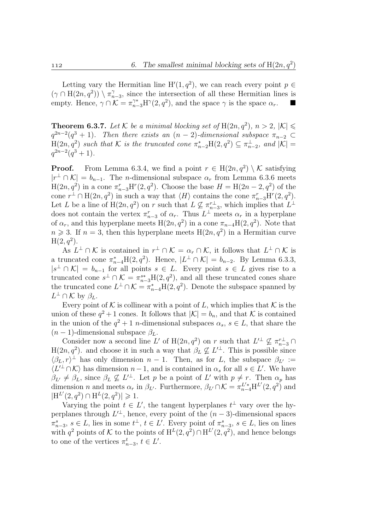Letting vary the Hermitian line  $H'(1, q^2)$ , we can reach every point  $p \in$  $(\gamma \cap H(2n, q^2)) \setminus \pi_{n-3}^{\gamma}$ , since the intersection of all these Hermitian lines is empty. Hence,  $\gamma \cap \mathcal{K} = \pi_{n-3}^{\gamma*} H^{\gamma}(2, q^2)$ , and the space  $\gamma$  is the space  $\alpha_r$ .

**Theorem 6.3.7.** Let K be a minimal blocking set of  $H(2n, q^2)$ ,  $n > 2$ ,  $|\mathcal{K}| \le$  $q^{2n-2}(q^3+1)$ . Then there exists an  $(n-2)$ -dimensional subspace  $\pi_{n-2} \subset$  $H(2n, q^2)$  such that K is the truncated cone  $\pi_{n-2}^* H(2, q^2) \subseteq \pi_{n-2}^{\perp}$ , and  $|K| =$  $q^{2n-2}(q^3+1)$ .

**Proof.** From Lemma 6.3.4, we find a point  $r \in H(2n, q^2) \setminus \mathcal{K}$  satisfying  $|r^{\perp} \cap \mathcal{K}| = b_{n-1}$ . The *n*-dimensional subspace  $\alpha_r$  from Lemma 6.3.6 meets  $H(2n, q^2)$  in a cone  $\pi_{n-3}^r H^r(2, q^2)$ . Choose the base  $H = H(2n-2, q^2)$  of the cone  $r^{\perp} \cap H(2n, q^2)$  in such a way that  $\langle H \rangle$  contains the cone  $\pi_{n-3}^r H^r(2, q^2)$ . Let L be a line of  $H(2n, q^2)$  on r such that  $L \nsubseteq \pi_{n-3}^{r\perp}$ , which implies that  $L^{\perp}$ does not contain the vertex  $\pi_{n-3}^r$  of  $\alpha_r$ . Thus  $L^{\perp}$  meets  $\alpha_r$  in a hyperplane of  $\alpha_r$ , and this hyperplane meets  $H(2n, q^2)$  in a cone  $\pi_{n-4}H(2, q^2)$ . Note that  $n \geq 3$ . If  $n = 3$ , then this hyperplane meets  $H(2n, q^2)$  in a Hermitian curve  $H(2, q^2)$ .

As  $L^{\perp} \cap \mathcal{K}$  is contained in  $r^{\perp} \cap \mathcal{K} = \alpha_r \cap \mathcal{K}$ , it follows that  $L^{\perp} \cap \mathcal{K}$  is a truncated cone  $\pi_{n-4}^* H(2,q^2)$ . Hence,  $|L^{\perp} \cap \mathcal{K}| = b_{n-2}$ . By Lemma 6.3.3,  $|s^{\perp} \cap \mathcal{K}| = b_{n-1}$  for all points  $s \in L$ . Every point  $s \in L$  gives rise to a truncated cone  $s^{\perp} \cap \mathcal{K} = \pi_{n-3}^{s*} H(2, q^2)$ , and all these truncated cones share the truncated cone  $L^{\perp} \cap \mathcal{K} = \pi_{n-4}^* H(2, q^2)$ . Denote the subspace spanned by  $L^{\perp} \cap \mathcal{K}$  by  $\beta_L$ .

Every point of K is collinear with a point of L, which implies that K is the union of these  $q^2 + 1$  cones. It follows that  $|\mathcal{K}| = b_n$ , and that K is contained in the union of the  $q^2 + 1$  *n*-dimensional subspaces  $\alpha_s$ ,  $s \in L$ , that share the  $(n-1)$ -dimensional subspace  $\beta_L$ .

Consider now a second line L' of  $H(2n, q^2)$  on r such that  $L'^{\perp} \nsubseteq \pi_{n-3}^{r\perp} \cap$  $H(2n, q^2)$  and choose it in such a way that  $\beta_L \not\subseteq L'^{\perp}$ . This is possible since  $\langle \beta_L, r \rangle^{\perp}$  has only dimension  $n-1$ . Then, as for L, the subspace  $\beta_{L'} :=$  $\langle L'^{\perp} \cap \mathcal{K} \rangle$  has dimension  $n-1$ , and is contained in  $\alpha_s$  for all  $s \in L'$ . We have  $\beta_{L'} \neq \beta_L$ , since  $\beta_L \nsubseteq L'^{\perp}$ . Let p be a point of L' with  $p \neq r$ . Then  $\alpha_p$  has dimension *n* and meets  $\alpha_r$  in  $\beta_{L'}$ . Furthermore,  $\beta_{L'} \cap \mathcal{K} = \pi_{n-4}^{L'*} H^{L'}(2, q^2)$  and  $|H^{L'}(2,q^2) \cap H^{L}(2,q^2)| \geq 1.$ 

Varying the point  $t \in L'$ , the tangent hyperplanes  $t^{\perp}$  vary over the hyperplanes through  $L^{\perp}$ , hence, every point of the  $(n-3)$ -dimensional spaces  $\pi_{n-3}^s, s \in L$ , lies in some  $t^{\perp}, t \in L'$ . Every point of  $\pi_{n-3}^s, s \in L$ , lies on lines with  $q^2$  points of K to the points of  $H^L(2,q^2) \cap H^{L'}(2,q^2)$ , and hence belongs to one of the vertices  $\pi_{n-3}^t$ ,  $t \in L'$ .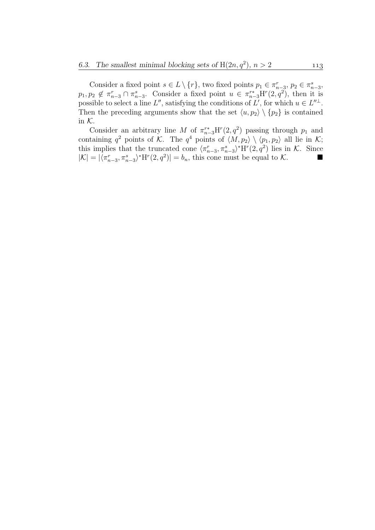Consider a fixed point  $s \in L \setminus \{r\}$ , two fixed points  $p_1 \in \pi_{n-3}^r$ ,  $p_2 \in \pi_{n-3}^s$ ,  $p_1, p_2 \notin \pi_{n-3}^r \cap \pi_{n-3}^s$ . Consider a fixed point  $u \in \pi_{n-3}^{r*} H^r(\mathbf{2}, q^2)$ , then it is possible to select a line L'', satisfying the conditions of L', for which  $u \in L''^{\perp}$ . Then the preceding arguments show that the set  $\langle u, p_2 \rangle \setminus \{p_2\}$  is contained in K.

Consider an arbitrary line M of  $\pi_{n-3}^{r*}H^r(2,q^2)$  passing through  $p_1$  and containing  $q^2$  points of K. The  $q^4$  points of  $\langle M, p_2 \rangle \setminus \langle p_1, p_2 \rangle$  all lie in K; this implies that the truncated cone  $\langle \pi_{n-3}^r, \pi_{n-3}^s \rangle^* H^r(2, q^2)$  lies in K. Since  $|\mathcal{K}| = |\langle \pi_{n-3}^r, \pi_{n-3}^s \rangle^* \mathcal{H}^r(2, q^2)| = b_n$ , this cone must be equal to K.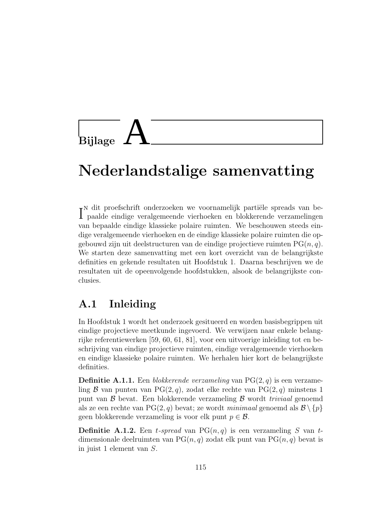

# Nederlandstalige samenvatting

 $\Gamma$ dit proefschrift onderzoeken we voornamelijk partiële spreads van be-paalde eindige veralgemeende vierhoeken en blokkerende verzamelingen paalde eindige veralgemeende vierhoeken en blokkerende verzamelingen van bepaalde eindige klassieke polaire ruimten. We beschouwen steeds eindige veralgemeende vierhoeken en de eindige klassieke polaire ruimten die opgebouwd zijn uit deelstructuren van de eindige projectieve ruimten  $PG(n, q)$ . We starten deze samenvatting met een kort overzicht van de belangrijkste definities en gekende resultaten uit Hoofdstuk 1. Daarna beschrijven we de resultaten uit de opeenvolgende hoofdstukken, alsook de belangrijkste conclusies.

## A.1 Inleiding

In Hoofdstuk 1 wordt het onderzoek gesitueerd en worden basisbegrippen uit eindige projectieve meetkunde ingevoerd. We verwijzen naar enkele belangrijke referentiewerken [59, 60, 61, 81], voor een uitvoerige inleiding tot en beschrijving van eindige projectieve ruimten, eindige veralgemeende vierhoeken en eindige klassieke polaire ruimten. We herhalen hier kort de belangrijkste definities.

**Definitie A.1.1.** Een blokkerende verzameling van  $PG(2,q)$  is een verzameling B van punten van PG(2, q), zodat elke rechte van PG(2, q) minstens 1 punt van  $\beta$  bevat. Een blokkerende verzameling  $\beta$  wordt *triviaal* genoemd als ze een rechte van PG $(2, q)$  bevat; ze wordt *minimaal* genoemd als  $\mathcal{B} \setminus \{p\}$ geen blokkerende verzameling is voor elk punt  $p \in \mathcal{B}$ .

**Definitie A.1.2.** Een t-spread van  $PG(n, q)$  is een verzameling S van tdimensionale deelruimten van  $PG(n, q)$  zodat elk punt van  $PG(n, q)$  bevat is in juist 1 element van S.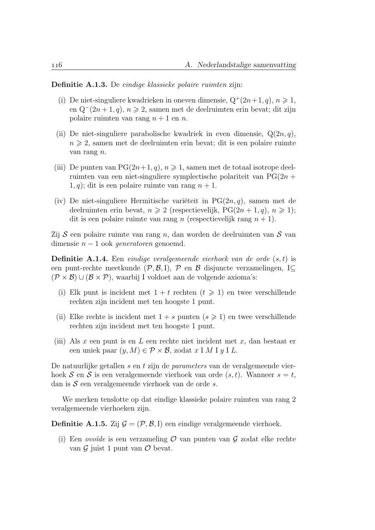Definitie A.1.3. De eindige klassieke polaire ruimten zijn:

- (i) De niet-singuliere kwadrieken in oneven dimensie,  $Q^+(2n+1, q)$ ,  $n \ge 1$ , en Q<sup>−</sup>(2*n* + 1, *q*), *n*  $\geq$  2, samen met de deelruimten erin bevat; dit zijn polaire ruimten van rang  $n + 1$  en n.
- (ii) De niet-singuliere parabolische kwadriek in even dimensie,  $Q(2n, q)$ ,  $n \geq 2$ , samen met de deelruimten erin bevat; dit is een polaire ruimte van rang n.
- (iii) De punten van  $PG(2n+1, q), n \geqslant 1$ , samen met de totaal isotrope deelruimten van een niet-singuliere symplectische polariteit van  $PG(2n +$  $1, q$ ; dit is een polaire ruimte van rang  $n + 1$ .
- (iv) De niet-singuliere Hermitische variëteit in  $PG(2n, q)$ , samen met de deelruimten erin bevat,  $n \geq 2$  (respectievelijk, PG(2n + 1, q),  $n \geq 1$ ); dit is een polaire ruimte van rang n (respectievelijk rang  $n + 1$ ).

Zij  $S$  een polaire ruimte van rang n, dan worden de deelruimten van  $S$  van dimensie  $n - 1$  ook *generatoren* genoemd.

**Definitie A.1.4.** Een eindige veralgemeende vierhoek van de orde  $(s, t)$  is een punt-rechte meetkunde ( $\mathcal{P}, \mathcal{B}, I$ ),  $\mathcal{P}$  en  $\mathcal{B}$  disjuncte verzamelingen, I $\subset$  $(\mathcal{P} \times \mathcal{B}) \cup (\mathcal{B} \times \mathcal{P})$ , waarbij I voldoet aan de volgende axioma's:

- (i) Elk punt is incident met  $1 + t$  rechten  $(t \ge 1)$  en twee verschillende rechten zijn incident met ten hoogste 1 punt.
- (ii) Elke rechte is incident met  $1 + s$  punten  $(s \geq 1)$  en twee verschillende rechten zijn incident met ten hoogste 1 punt.
- (iii) Als  $x$  een punt is en  $L$  een rechte niet incident met  $x$ , dan bestaat er een uniek paar  $(y, M) \in \mathcal{P} \times \mathcal{B}$ , zodat x I M I y I L.

De natuurlijke getallen s en t zijn de parameters van de veralgemeende vierhoek S en S is een veralgemeende vierhoek van orde  $(s, t)$ . Wanneer  $s = t$ , dan is  $S$  een veralgemeende vierhoek van de orde s.

We merken tenslotte op dat eindige klassieke polaire ruimten van rang 2 veralgemeende vierhoeken zijn.

**Definitie A.1.5.** Zij  $\mathcal{G} = (\mathcal{P}, \mathcal{B}, I)$  een eindige veralgemeende vierhoek.

(i) Een *ovoïde* is een verzameling  $\mathcal O$  van punten van  $\mathcal G$  zodat elke rechte van  $\mathcal G$  juist 1 punt van  $\mathcal O$  bevat.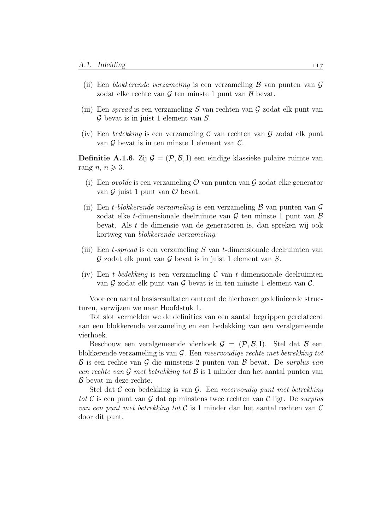- (ii) Een blokkerende verzameling is een verzameling  $\beta$  van punten van  $\mathcal G$ zodat elke rechte van  $\mathcal G$  ten minste 1 punt van  $\mathcal B$  bevat.
- (iii) Een spread is een verzameling S van rechten van G zodat elk punt van  $\mathcal G$  bevat is in juist 1 element van  $S$ .
- (iv) Een bedekking is een verzameling C van rechten van G zodat elk punt van  $\mathcal G$  bevat is in ten minste 1 element van  $\mathcal C$ .

**Definitie A.1.6.** Zij  $\mathcal{G} = (\mathcal{P}, \mathcal{B}, I)$  een eindige klassieke polaire ruimte van rang  $n, n \geqslant 3$ .

- (i) Een *ovoïde* is een verzameling  $\mathcal O$  van punten van  $\mathcal G$  zodat elke generator van  $\mathcal G$  juist 1 punt van  $\mathcal O$  bevat.
- (ii) Een t-blokkerende verzameling is een verzameling  $\beta$  van punten van  $\mathcal G$ zodat elke t-dimensionale deelruimte van  $G$  ten minste 1 punt van  $B$ bevat. Als t de dimensie van de generatoren is, dan spreken wij ook kortweg van blokkerende verzameling.
- (iii) Een t-spread is een verzameling S van t-dimensionale deelruimten van  $\mathcal G$  zodat elk punt van  $\mathcal G$  bevat is in juist 1 element van  $S$ .
- (iv) Een t-bedekking is een verzameling  $\mathcal C$  van t-dimensionale deelruimten van  $\mathcal G$  zodat elk punt van  $\mathcal G$  bevat is in ten minste 1 element van  $\mathcal C$ .

Voor een aantal basisresultaten omtrent de hierboven gedefinieerde structuren, verwijzen we naar Hoofdstuk 1.

Tot slot vermelden we de definities van een aantal begrippen gerelateerd aan een blokkerende verzameling en een bedekking van een veralgemeende vierhoek.

Beschouw een veralgemeende vierhoek  $\mathcal{G} = (\mathcal{P}, \mathcal{B}, I)$ . Stel dat  $\mathcal{B}$  een blokkerende verzameling is van G. Een meervoudige rechte met betrekking tot  $\beta$  is een rechte van  $\mathcal G$  die minstens 2 punten van  $\mathcal B$  bevat. De *surplus van* een rechte van G met betrekking tot B is 1 minder dan het aantal punten van B bevat in deze rechte.

Stel dat C een bedekking is van G. Een meervoudig punt met betrekking tot C is een punt van G dat op minstens twee rechten van C ligt. De surplus van een punt met betrekking tot  $\mathcal C$  is 1 minder dan het aantal rechten van  $\mathcal C$ door dit punt.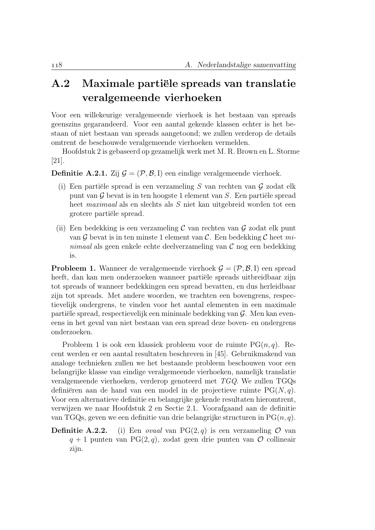## A.2 Maximale partiële spreads van translatie veralgemeende vierhoeken

Voor een willekeurige veralgemeende vierhoek is het bestaan van spreads geenszins gegarandeerd. Voor een aantal gekende klassen echter is het bestaan of niet bestaan van spreads aangetoond; we zullen verderop de details omtrent de beschouwde veralgemeende vierhoeken vermelden.

Hoofdstuk 2 is gebaseerd op gezamelijk werk met M. R. Brown en L. Storme [21].

**Definitie A.2.1.** Zij  $\mathcal{G} = (\mathcal{P}, \mathcal{B}, I)$  een eindige veralgemeende vierhoek.

- (i) Een partiële spread is een verzameling S van rechten van  $\mathcal G$  zodat elk punt van  $\mathcal G$  bevat is in ten hoogste 1 element van  $S$ . Een partiële spread heet maximaal als en slechts als S niet kan uitgebreid worden tot een grotere partiële spread.
- (ii) Een bedekking is een verzameling  $\mathcal C$  van rechten van  $\mathcal G$  zodat elk punt van  $\mathcal G$  bevat is in ten minste 1 element van  $\mathcal C$ . Een bedekking  $\mathcal C$  heet minimaal als geen enkele echte deelverzameling van  $\mathcal C$  nog een bedekking is.

**Probleem 1.** Wanneer de veralgemeende vierhoek  $\mathcal{G} = (\mathcal{P}, \mathcal{B}, I)$  een spread heeft, dan kan men onderzoeken wanneer partiële spreads uitbreidbaar zijn tot spreads of wanneer bedekkingen een spread bevatten, en dus herleidbaar zijn tot spreads. Met andere woorden, we trachten een bovengrens, respectievelijk ondergrens, te vinden voor het aantal elementen in een maximale partiële spread, respectievelijk een minimale bedekking van  $\mathcal G$ . Men kan eveneens in het geval van niet bestaan van een spread deze boven- en ondergrens onderzoeken.

Probleem 1 is ook een klassiek probleem voor de ruimte  $PG(n, q)$ . Recent werden er een aantal resultaten beschreven in [45]. Gebruikmakend van analoge technieken zullen we het bestaande probleem beschouwen voor een belangrijke klasse van eindige veralgemeende vierhoeken, namelijk translatie veralgemeende vierhoeken, verderop genoteerd met TGQ. We zullen TGQs definiëren aan de hand van een model in de projectieve ruimte  $PG(N, q)$ . Voor een alternatieve definitie en belangrijke gekende resultaten hieromtrent, verwijzen we naar Hoofdstuk 2 en Sectie 2.1. Voorafgaand aan de definitie van TGQs, geven we een definitie van drie belangrijke structuren in  $PG(n, q)$ .

**Definitie A.2.2.** (i) Een *ovaal* van PG(2, q) is een verzameling  $\mathcal{O}$  van  $q + 1$  punten van PG(2, q), zodat geen drie punten van  $\mathcal O$  collineair zijn.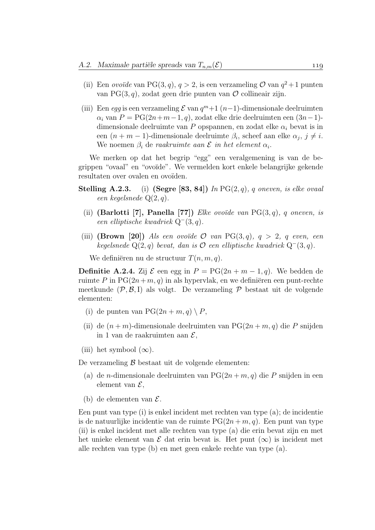- (ii) Een ovoïde van PG(3, q),  $q > 2$ , is een verzameling  $\mathcal{O}$  van  $q^2 + 1$  punten van PG(3, q), zodat geen drie punten van  $\mathcal O$  collineair zijn.
- (iii) Een egg is een verzameling  $\mathcal E$  van  $q^m+1$  (n-1)-dimensionale deelruimten  $\alpha_i$  van  $P = PG(2n+m-1, q)$ , zodat elke drie deelruimten een  $(3n-1)$ dimensionale deelruimte van P opspannen, en zodat elke  $\alpha_i$  bevat is in een  $(n + m - 1)$ -dimensionale deelruimte  $\beta_i$ , scheef aan elke  $\alpha_j$ ,  $j \neq i$ . We noemen  $\beta_i$  de raakruimte aan  $\mathcal E$  in het element  $\alpha_i$ .

We merken op dat het begrip "egg" een veralgemening is van de begrippen "ovaal" en "ovoïde". We vermelden kort enkele belangrijke gekende resultaten over ovalen en ovoïden.

- **Stelling A.2.3.** (i) (Segre [83, 84]) In  $PG(2,q)$ , q oneven, is elke ovaal een kegelsnede Q(2, q).
	- (ii) (Barlotti [7], Panella [77]) Elke ovoïde van  $PG(3, q)$ , q oneven, is een elliptische kwadriek Q<sup>−</sup>(3, q).
- (iii) (Brown [20]) Als een ovoïde  $\mathcal O$  van PG(3,q),  $q > 2$ , q even, een kegelsnede Q(2, q) bevat, dan is  $O$  een elliptische kwadriek Q<sup>−</sup>(3, q).

We definiëren nu de structuur  $T(n, m, q)$ .

**Definitie A.2.4.** Zij  $\mathcal{E}$  een egg in  $P = PG(2n + m - 1, q)$ . We bedden de ruimte P in  $PG(2n+m, q)$  in als hypervlak, en we definiëren een punt-rechte meetkunde  $(\mathcal{P}, \mathcal{B}, I)$  als volgt. De verzameling  $\mathcal{P}$  bestaat uit de volgende elementen:

- (i) de punten van  $PG(2n + m, q) \setminus P$ ,
- (ii) de  $(n+m)$ -dimensionale deelruimten van PG $(2n+m, q)$  die P snijden in 1 van de raakruimten aan  $\mathcal{E}$ ,
- (iii) het symbool  $(\infty)$ .

De verzameling  $\beta$  bestaat uit de volgende elementen:

- (a) de *n*-dimensionale deelruimten van  $PG(2n + m, q)$  die P snijden in een element van  $\mathcal{E}$ .
- (b) de elementen van  $\mathcal{E}$ .

Een punt van type (i) is enkel incident met rechten van type (a); de incidentie is de natuurlijke incidentie van de ruimte  $PG(2n + m, q)$ . Een punt van type (ii) is enkel incident met alle rechten van type (a) die erin bevat zijn en met het unieke element van  $\mathcal E$  dat erin bevat is. Het punt  $(\infty)$  is incident met alle rechten van type (b) en met geen enkele rechte van type (a).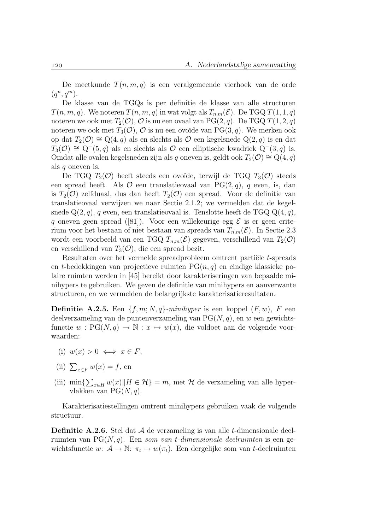De meetkunde  $T(n, m, q)$  is een veralgemeende vierhoek van de orde  $(q^n, q^m)$ .

De klasse van de TGQs is per definitie de klasse van alle structuren  $T(n, m, q)$ . We noteren  $T(n, m, q)$  in wat volgt als  $T_{n,m}(\mathcal{E})$ . De TGQ  $T(1, 1, q)$ noteren we ook met  $T_2(\mathcal{O}), \mathcal{O}$  is nu een ovaal van PG(2, q). De TGQ  $T(1, 2, q)$ noteren we ook met  $T_3(\mathcal{O}), \mathcal{O}$  is nu een ovoïde van PG(3, q). We merken ook op dat  $T_2(\mathcal{O}) \cong Q(4,q)$  als en slechts als  $\mathcal O$  een kegelsnede Q(2, q) is en dat  $T_3(\mathcal{O}) \cong Q^-(5, q)$  als en slechts als  $\mathcal O$  een elliptische kwadriek  $Q^-(3, q)$  is. Omdat alle ovalen kegelsneden zijn als q oneven is, geldt ook  $T_2(\mathcal{O}) \cong \mathbb{Q}(4,q)$ als q oneven is.

De TGQ  $T_2(\mathcal{O})$  heeft steeds een ovoïde, terwijl de TGQ  $T_3(\mathcal{O})$  steeds een spread heeft. Als  $\mathcal O$  een translatieovaal van PG(2, q), q even, is, dan is  $T_2(\mathcal{O})$  zelfduaal, dus dan heeft  $T_2(\mathcal{O})$  een spread. Voor de definitie van translatieovaal verwijzen we naar Sectie 2.1.2; we vermelden dat de kegelsnede  $Q(2,q)$ , q even, een translatieovaal is. Tenslotte heeft de TGQ  $Q(4,q)$ , q oneven geen spread ([81]). Voor een willekeurige egg  $\mathcal E$  is er geen criterium voor het bestaan of niet bestaan van spreads van  $T_{n,m}(\mathcal{E})$ . In Sectie 2.3 wordt een voorbeeld van een TGQ  $T_{n,m}(\mathcal{E})$  gegeven, verschillend van  $T_2(\mathcal{O})$ en verschillend van  $T_3(\mathcal{O})$ , die een spread bezit.

Resultaten over het vermelde spreadprobleem omtrent partiële t-spreads en t-bedekkingen van projectieve ruimten  $PG(n, q)$  en eindige klassieke polaire ruimten werden in [45] bereikt door karakteriseringen van bepaalde minihypers te gebruiken. We geven de definitie van minihypers en aanverwante structuren, en we vermelden de belangrijkste karakterisatieresultaten.

**Definitie A.2.5.** Een  $\{f, m; N, q\}$ -minihyper is een koppel  $(F, w)$ , F een deelverzameling van de puntenverzameling van  $PG(N, q)$ , en w een gewichtsfunctie  $w : PG(N, q) \to \mathbb{N} : x \mapsto w(x)$ , die voldoet aan de volgende voorwaarden:

- (i)  $w(x) > 0 \iff x \in F$ ,
- (ii)  $\sum_{x \in F} w(x) = f$ , en
- (iii) min $\sum_{x \in H} w(x)$ || $H \in \mathcal{H}$ } = m, met  $\mathcal H$  de verzameling van alle hypervlakken van  $PG(N, q)$ .

Karakterisatiestellingen omtrent minihypers gebruiken vaak de volgende structuur.

**Definitie A.2.6.** Stel dat  $\mathcal A$  de verzameling is van alle t-dimensionale deelruimten van  $PG(N, q)$ . Een som van t-dimensionale deelruimten is een gewichtsfunctie  $w: \mathcal{A} \to \mathbb{N}: \pi_t \mapsto w(\pi_t)$ . Een dergelijke som van t-deelruimten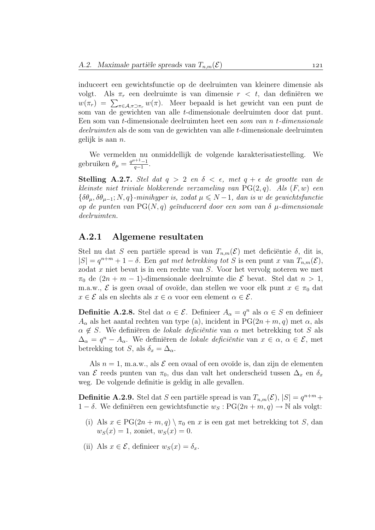induceert een gewichtsfunctie op de deelruimten van kleinere dimensie als volgt. Als  $\pi_r$  een deelruimte is van dimensie  $r < t$ , dan definiëren we  $w(\pi_r) = \sum_{\pi \in A, \pi \supset \pi_r} w(\pi)$ . Meer bepaald is het gewicht van een punt de som van de gewichten van alle t-dimensionale deelruimten door dat punt. Een som van t-dimensionale deelruimten heet een som van n t-dimensionale deelruimten als de som van de gewichten van alle t-dimensionale deelruimten gelijk is aan n.

We vermelden nu onmiddellijk de volgende karakterisatiestelling. We gebruiken  $\theta_{\mu} = \frac{q^{\mu+1}-1}{q-1}$  $\frac{q-1}{q-1}$ .

Stelling A.2.7. Stel dat  $q > 2$  en  $\delta < \epsilon$ , met  $q + \epsilon$  de grootte van de kleinste niet triviale blokkerende verzameling van  $PG(2,q)$ . Als  $(F, w)$  een  ${\delta \theta_{\mu}, \delta \theta_{\mu-1}; N, q}$ -minihyper is, zodat  $\mu \leq N-1$ , dan is w de gewichtsfunctie op de punten van  $PG(N, q)$  geïnduceerd door een som van  $\delta \mu$ -dimensionale deelruimten.

#### A.2.1 Algemene resultaten

Stel nu dat S een partiële spread is van  $T_{n,m}(\mathcal{E})$  met deficiëntie  $\delta$ , dit is,  $|S| = q^{n+m} + 1 - \delta$ . Een gat met betrekking tot S is een punt x van  $T_{n,m}(\mathcal{E}),$ zodat x niet bevat is in een rechte van S. Voor het vervolg noteren we met  $\pi_0$  de  $(2n + m - 1)$ -dimensionale deelruimte die  $\mathcal E$  bevat. Stel dat  $n > 1$ , m.a.w.,  $\mathcal{E}$  is geen ovaal of ovoïde, dan stellen we voor elk punt  $x \in \pi_0$  dat  $x \in \mathcal{E}$  als en slechts als  $x \in \alpha$  voor een element  $\alpha \in \mathcal{E}$ .

**Definitie A.2.8.** Stel dat  $\alpha \in \mathcal{E}$ . Definieer  $A_{\alpha} = q^{n}$  als  $\alpha \in S$  en definieer  $A_{\alpha}$  als het aantal rechten van type (a), incident in PG(2n + m, q) met  $\alpha$ , als  $\alpha \notin S$ . We definiëren de lokale deficiëntie van  $\alpha$  met betrekking tot S als  $\Delta_{\alpha} = q^{n} - A_{\alpha}$ . We definiëren de *lokale deficiëntie* van  $x \in \alpha$ ,  $\alpha \in \mathcal{E}$ , met betrekking tot S, als  $\delta_x = \Delta_\alpha$ .

Als  $n = 1$ , m.a.w., als  $\mathcal E$  een ovaal of een ovoïde is, dan zijn de elementen van  $\mathcal E$  reeds punten van  $\pi_0$ , dus dan valt het onderscheid tussen  $\Delta_x$  en  $\delta_x$ weg. De volgende definitie is geldig in alle gevallen.

**Definitie A.2.9.** Stel dat S een partiële spread is van  $T_{n,m}(\mathcal{E}), |S| = q^{n+m} +$  $1 - \delta$ . We definiëren een gewichtsfunctie  $w_S : PG(2n + m, q) \rightarrow \mathbb{N}$  als volgt:

- (i) Als  $x \in PG(2n + m, q) \setminus \pi_0$  en x is een gat met betrekking tot S, dan  $w_S(x) = 1$ , zoniet,  $w_S(x) = 0$ .
- (ii) Als  $x \in \mathcal{E}$ , definieer  $w_S(x) = \delta_x$ .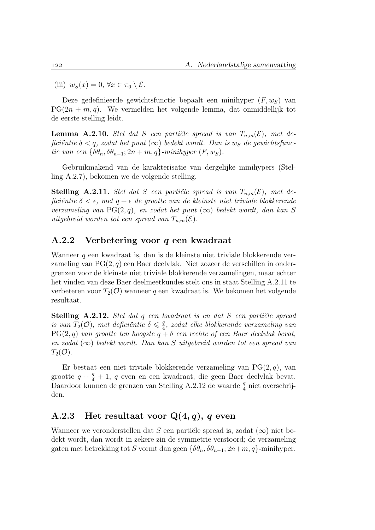(iii)  $w_S(x) = 0, \forall x \in \pi_0 \setminus \mathcal{E}.$ 

Deze gedefinieerde gewichtsfunctie bepaalt een minihyper  $(F, w_S)$  van  $PG(2n + m, q)$ . We vermelden het volgende lemma, dat onmiddellijk tot de eerste stelling leidt.

**Lemma A.2.10.** Stel dat S een partiële spread is van  $T_{n,m}(\mathcal{E})$ , met deficiëntie  $\delta < q$ , zodat het punt  $(\infty)$  bedekt wordt. Dan is w<sub>S</sub> de gewichtsfunctie van een  $\{\delta \theta_n, \delta \theta_{n-1}; 2n+m, q\}$ -minihyper  $(F, w_S)$ .

Gebruikmakend van de karakterisatie van dergelijke minihypers (Stelling A.2.7), bekomen we de volgende stelling.

**Stelling A.2.11.** Stel dat S een partiële spread is van  $T_{n,m}(\mathcal{E})$ , met deficiëntie  $\delta < \epsilon$ , met  $q + \epsilon$  de grootte van de kleinste niet triviale blokkerende verzameling van PG(2, q), en zodat het punt  $(\infty)$  bedekt wordt, dan kan S uitgebreid worden tot een spread van  $T_{n,m}(\mathcal{E})$ .

#### A.2.2 Verbetering voor q een kwadraat

Wanneer q een kwadraat is, dan is de kleinste niet triviale blokkerende verzameling van  $PG(2, q)$  een Baer deelvlak. Niet zozeer de verschillen in ondergrenzen voor de kleinste niet triviale blokkerende verzamelingen, maar echter het vinden van deze Baer deelmeetkundes stelt ons in staat Stelling A.2.11 te verbeteren voor  $T_2(\mathcal{O})$  wanneer q een kwadraat is. We bekomen het volgende resultaat.

Stelling A.2.12. Stel dat q een kwadraat is en dat S een partiële spread is van  $T_2(\mathcal{O})$ , met deficiëntie  $\delta \leqslant \frac{q}{4}$  $\frac{q}{4}$ , zodat elke blokkerende verzameling van  $PG(2,q)$  van grootte ten hoogste  $q + \delta$  een rechte of een Baer deelvlak bevat, en zodat  $(\infty)$  bedekt wordt. Dan kan S uitgebreid worden tot een spread van  $T_2(\mathcal{O})$ .

Er bestaat een niet triviale blokkerende verzameling van  $PG(2, q)$ , van grootte  $q + \frac{q}{4} + 1$ , q even en een kwadraat, die geen Baer deelvlak bevat. Daardoor kunnen de grenzen van Stelling A.2.12 de waarde $\frac{q}{4}$ niet overschrijden.

### A.2.3 Het resultaat voor  $Q(4, q)$ , q even

Wanneer we veronderstellen dat S een partiële spread is, zodat  $(\infty)$  niet bedekt wordt, dan wordt in zekere zin de symmetrie verstoord; de verzameling gaten met betrekking tot S vormt dan geen  $\{\delta\theta_n, \delta\theta_{n-1}; 2n+m, q\}$ -minihyper.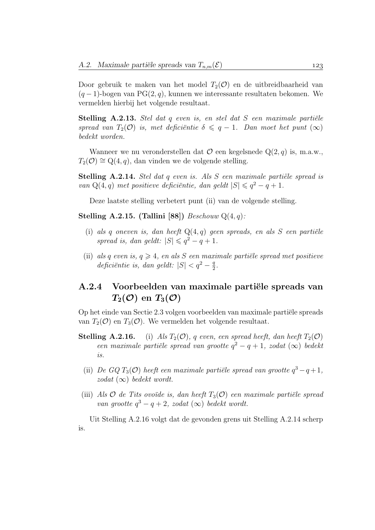Door gebruik te maken van het model  $T_2(\mathcal{O})$  en de uitbreidbaarheid van  $(q-1)$ -bogen van PG $(2, q)$ , kunnen we interessante resultaten bekomen. We vermelden hierbij het volgende resultaat.

**Stelling A.2.13.** Stel dat q even is, en stel dat S een maximale partiële spread van  $T_2(\mathcal{O})$  is, met deficiëntie  $\delta \leq q-1$ . Dan moet het punt  $(\infty)$ bedekt worden.

Wanneer we nu veronderstellen dat  $\mathcal O$  een kegelsnede  $Q(2, q)$  is, m.a.w.,  $T_2(\mathcal{O}) \cong Q(4,q)$ , dan vinden we de volgende stelling.

Stelling A.2.14. Stel dat  $q$  even is. Als  $S$  een maximale partiële spread is van  $Q(4,q)$  met positieve deficiëntie, dan geldt  $|S| \leqslant q^2 - q + 1$ .

Deze laatste stelling verbetert punt (ii) van de volgende stelling.

Stelling A.2.15. (Tallini [88])  $Beschouw \mathcal{Q}(4,q)$ :

- (i) als q oneven is, dan heeft  $Q(4,q)$  geen spreads, en als S een partiële spread is, dan geldt:  $|S| \leqslant q^2 - q + 1$ .
- (ii) als q even is,  $q \geq 4$ , en als S een maximale partiële spread met positieve deficiëntie is, dan geldt:  $|S| < q^2 - \frac{q}{2}$  $\frac{q}{2}$ .

## A.2.4 Voorbeelden van maximale partiële spreads van  $T_2(\mathcal{O})$  en  $T_3(\mathcal{O})$

Op het einde van Sectie 2.3 volgen voorbeelden van maximale partiële spreads van  $T_2(\mathcal{O})$  en  $T_3(\mathcal{O})$ . We vermelden het volgende resultaat.

- **Stelling A.2.16.** (i) Als  $T_2(\mathcal{O})$ , q even, een spread heeft, dan heeft  $T_2(\mathcal{O})$ een maximale partiële spread van grootte  $q^2 - q + 1$ , zodat  $(\infty)$  bedekt is.
	- (ii) De GQ  $T_3(\mathcal{O})$  heeft een maximale partiële spread van grootte  $q^3 q + 1$ , zodat  $(\infty)$  bedekt wordt.
- (iii) Als  $\mathcal O$  de Tits ovoïde is, dan heeft  $T_3(\mathcal O)$  een maximale partiële spread van grootte  $q^3 - q + 2$ , zodat  $(\infty)$  bedekt wordt.

Uit Stelling A.2.16 volgt dat de gevonden grens uit Stelling A.2.14 scherp is.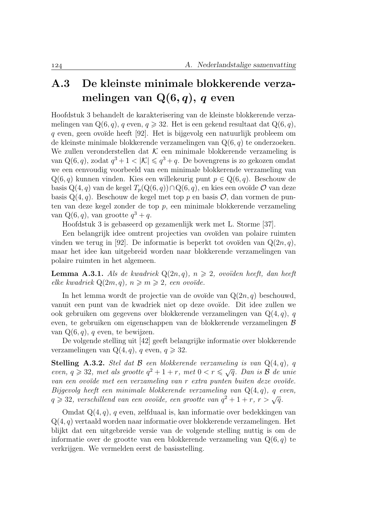# A.3 De kleinste minimale blokkerende verzamelingen van  $Q(6, q)$ , q even

Hoofdstuk 3 behandelt de karakterisering van de kleinste blokkerende verzamelingen van  $Q(6, q)$ , q even,  $q \ge 32$ . Het is een gekend resultaat dat  $Q(6, q)$ , q even, geen ovoïde heeft [92]. Het is bijgevolg een natuurlijk probleem om de kleinste minimale blokkerende verzamelingen van  $Q(6, q)$  te onderzoeken. We zullen veronderstellen dat  $K$  een minimale blokkerende verzameling is van Q(6, q), zodat  $q^3 + 1 < |\mathcal{K}| \leqslant q^3 + q$ . De bovengrens is zo gekozen omdat we een eenvoudig voorbeeld van een minimale blokkerende verzameling van  $Q(6, q)$  kunnen vinden. Kies een willekeurig punt  $p \in Q(6, q)$ . Beschouw de basis  $Q(4, q)$  van de kegel  $T_p(Q(6, q)) \cap Q(6, q)$ , en kies een ovoïde  $\mathcal O$  van deze basis  $Q(4, q)$ . Beschouw de kegel met top p en basis  $\mathcal{O}$ , dan vormen de punten van deze kegel zonder de top p, een minimale blokkerende verzameling van  $Q(6, q)$ , van grootte  $q^3 + q$ .

Hoofdstuk 3 is gebaseerd op gezamenlijk werk met L. Storme [37].

Een belangrijk idee omtrent projecties van ovoïden van polaire ruimten vinden we terug in [92]. De informatie is beperkt tot ovoïden van  $Q(2n, q)$ , maar het idee kan uitgebreid worden naar blokkerende verzamelingen van polaire ruimten in het algemeen.

**Lemma A.3.1.** Als de kwadriek  $Q(2n, q)$ ,  $n \ge 2$ , ovoïden heeft, dan heeft elke kwadriek  $Q(2m, q), n \geqslant m \geqslant 2$ , een ovoïde.

In het lemma wordt de projectie van de ovoïde van  $Q(2n, q)$  beschouwd, vanuit een punt van de kwadriek niet op deze ovoïde. Dit idee zullen we ook gebruiken om gegevens over blokkerende verzamelingen van  $Q(4, q)$ , q even, te gebruiken om eigenschappen van de blokkerende verzamelingen B van  $Q(6, q)$ , q even, te bewijzen.

De volgende stelling uit [42] geeft belangrijke informatie over blokkerende verzamelingen van  $Q(4, q)$ , q even,  $q \ge 32$ .

Stelling A.3.2. Stel dat  $\beta$  een blokkerende verzameling is van  $Q(4,q)$ , q **Stelling A.3.2.** Stel aat  $B$  een olokkerende verzameling is van  $Q(4, q)$ , q<br>even,  $q \ge 32$ , met als grootte  $q^2 + 1 + r$ , met  $0 < r \le \sqrt{q}$ . Dan is  $B$  de unie van een ovoïde met een verzameling van r extra punten buiten deze ovoïde. Bijgevolg heeft een minimale blokkerende verzameling van  $Q(4,q)$ , q even, Bijgevoig neeft een minimale vlokkerende verzameling van Q(4,q), q e<br> $q \geqslant 32$ , verschillend van een ovoïde, een grootte van  $q^2+1+r$ , r  $> \sqrt{q}$ .

Omdat  $Q(4, q)$ , q even, zelfduaal is, kan informatie over bedekkingen van Q(4, q) vertaald worden naar informatie over blokkerende verzamelingen. Het blijkt dat een uitgebreide versie van de volgende stelling nuttig is om de informatie over de grootte van een blokkerende verzameling van  $Q(6, q)$  te verkrijgen. We vermelden eerst de basisstelling.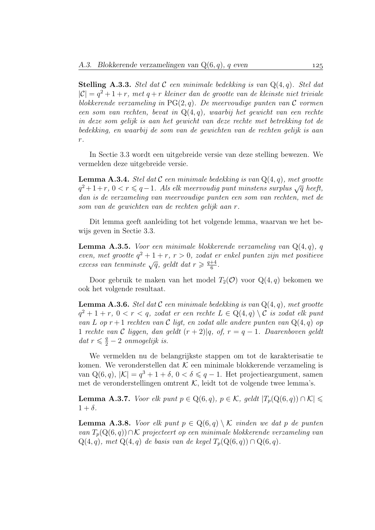**Stelling A.3.3.** Stel dat C een minimale bedekking is van  $Q(4, q)$ . Stel dat  $|\mathcal{C}| = q^2 + 1 + r$ , met  $q + r$  kleiner dan de grootte van de kleinste niet triviale blokkerende verzameling in  $PG(2, q)$ . De meervoudige punten van  $\mathcal C$  vormen een som van rechten, bevat in Q(4, q), waarbij het gewicht van een rechte in deze som gelijk is aan het gewicht van deze rechte met betrekking tot de bedekking, en waarbij de som van de gewichten van de rechten gelijk is aan  $r$ .

In Sectie 3.3 wordt een uitgebreide versie van deze stelling bewezen. We vermelden deze uitgebreide versie.

**Lemma A.3.4.** Stel dat  $C$  een minimale bedekking is van  $Q(4, q)$ , met grootte **Lemma A.3.4.** Stet aat C een minimate beaekking is van Q(4, q), met grootte  $q^2+1+r$ ,  $0 < r \leq q-1$ . Als elk meervoudig punt minstens surplus  $\sqrt{q}$  heeft, dan is de verzameling van meervoudige punten een som van rechten, met de som van de gewichten van de rechten gelijk aan r.

Dit lemma geeft aanleiding tot het volgende lemma, waarvan we het bewijs geven in Sectie 3.3.

**Lemma A.3.5.** Voor een minimale blokkerende verzameling van  $Q(4, q)$ , q even, met grootte  $q^2 + 1 + r$ ,  $r > 0$ , zodat er enkel punten zijn met positieve even, met grootte  $q^- + 1 + r$ ,  $r > 0$ , zoaat e<br>excess van tenminste  $\sqrt{q}$ , geldt dat  $r \geq \frac{q+4}{6}$  $\frac{+4}{6}$ .

Door gebruik te maken van het model  $T_2(\mathcal{O})$  voor  $Q(4, q)$  bekomen we ook het volgende resultaat.

**Lemma A.3.6.** Stel dat  $C$  een minimale bedekking is van  $Q(4, q)$ , met grootte  $q^2 + 1 + r$ ,  $0 < r < q$ , zodat er een rechte  $L \in \mathbb{Q}(4, q) \setminus \mathcal{C}$  is zodat elk punt van L op  $r+1$  rechten van C ligt, en zodat alle andere punten van  $Q(4,q)$  op 1 rechte van  $\mathcal C$  liggen, dan geldt  $(r+2)|q,$  of,  $r = q-1$ . Daarenboven geldt dat  $r \leqslant \frac{q}{2} - 2$  onmogelijk is.

We vermelden nu de belangrijkste stappen om tot de karakterisatie te komen. We veronderstellen dat  $K$  een minimale blokkerende verzameling is van  $Q(6, q)$ ,  $|K| = q^3 + 1 + \delta$ ,  $0 < \delta \leq q - 1$ . Het projectieargument, samen met de veronderstellingen omtrent  $K$ , leidt tot de volgende twee lemma's.

**Lemma A.3.7.** Voor elk punt  $p \in Q(6, q)$ ,  $p \in \mathcal{K}$ , geldt  $|T_p(Q(6, q)) \cap \mathcal{K}| \leq$  $1 + \delta$ .

**Lemma A.3.8.** Voor elk punt  $p \in Q(6, q) \setminus \mathcal{K}$  vinden we dat p de punten van  $T_p(Q(6,q)) \cap \mathcal{K}$  projecteert op een minimale blokkerende verzameling van  $Q(4,q)$ , met  $Q(4,q)$  de basis van de kegel  $T_p(Q(6,q)) \cap Q(6,q)$ .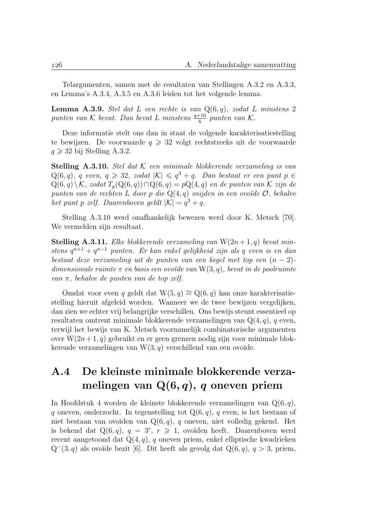Telargumenten, samen met de resultaten van Stellingen A.3.2 en A.3.3, en Lemma's A.3.4, A.3.5 en A.3.6 leiden tot het volgende lemma.

**Lemma A.3.9.** Stel dat L een rechte is van  $Q(6,q)$ , zodat L minstens 2 punten van  $K$  bevat. Dan bevat L minstens  $\frac{q+10}{6}$  punten van K.

Deze informatie stelt ons dan in staat de volgende karakterisatiestelling te bewijzen. De voorwaarde  $q \ge 32$  volgt rechtstreeks uit de voorwaarde  $q \geqslant 32$  bij Stelling A.3.2.

**Stelling A.3.10.** Stel dat  $K$  een minimale blokkerende verzameling is van  $Q(6, q)$ , q even,  $q \ge 32$ , zodat  $|\mathcal{K}| \le q^3 + q$ . Dan bestaat er een punt  $p \in$  $Q(6, q) \setminus \mathcal{K}$ , zodat  $T_p(Q(6, q)) \cap Q(6, q) = pQ(4, q)$  en de punten van K zijn de punten van de rechten L door p die  $Q(4,q)$  snijden in een ovoïde  $\mathcal{O}$ , behalve het punt p zelf. Daarenboven geldt  $|K| = q^3 + q$ .

Stelling A.3.10 werd onafhankelijk bewezen werd door K. Metsch [70]. We vermelden zijn resultaat.

**Stelling A.3.11.** Elke blokkerende verzameling van  $W(2n+1, q)$  bevat minstens  $q^{n+1} + q^{n-1}$  punten. Er kan enkel gelijkheid zijn als q even is en dan bestaat deze verzameling uit de punten van een kegel met top een  $(n-2)$ dimensionale ruimte  $\pi$  en basis een ovoïde van W(3, q), bevat in de poolruimte van π, behalve de punten van de top zelf.

Omdat voor even q geldt dat W(5, q) ≅ Q(6, q) kan onze karakterisatiestelling hieruit afgeleid worden. Wanneer we de twee bewijzen vergelijken, dan zien we echter vrij belangrijke verschillen. Ons bewijs steunt essentieel op resultaten omtrent minimale blokkerende verzamelingen van  $Q(4, q)$ , q even, terwijl het bewijs van K. Metsch voornamelijk combinatorische argumenten over  $W(2n+1, q)$  gebruikt en er geen grenzen nodig zijn voor minimale blokkerende verzamelingen van  $W(3, q)$  verschillend van een ovoïde.

# A.4 De kleinste minimale blokkerende verzamelingen van  $Q(6, q)$ , q oneven priem

In Hoofdstuk 4 worden de kleinste blokkerende verzamelingen van  $Q(6, q)$ , q oneven, onderzocht. In tegenstelling tot  $Q(6, q)$ , q even, is het bestaan of niet bestaan van ovoïden van  $Q(6, q)$ , q oneven, niet volledig gekend. Het is bekend dat  $Q(6,q)$ ,  $q = 3^r$ ,  $r \ge 1$ , ovoïden heeft. Daarenboven werd recent aangetoond dat  $Q(4, q)$ , q oneven priem, enkel elliptische kwadrieken  $Q^-(3, q)$  als ovoïde bezit [6]. Dit heeft als gevolg dat  $Q(6, q)$ ,  $q > 3$ , priem,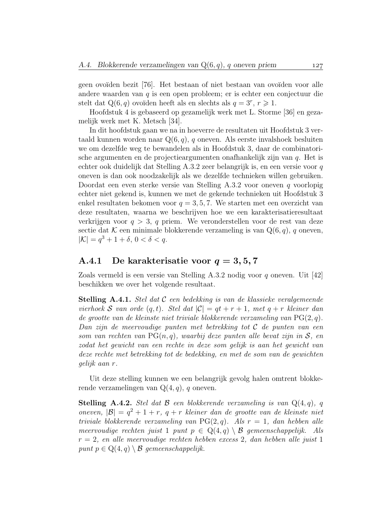geen ovoïden bezit [76]. Het bestaan of niet bestaan van ovoïden voor alle andere waarden van q is een open probleem; er is echter een conjectuur die stelt dat Q(6, q) ovoïden heeft als en slechts als  $q = 3^r, r \ge 1$ .

Hoofdstuk 4 is gebaseerd op gezamelijk werk met L. Storme [36] en gezamelijk werk met K. Metsch [34].

In dit hoofdstuk gaan we na in hoeverre de resultaten uit Hoofdstuk 3 vertaald kunnen worden naar  $Q(6, q)$ , q oneven. Als eerste invalshoek besluiten we om dezelfde weg te bewandelen als in Hoofdstuk 3, daar de combinatorische argumenten en de projectieargumenten onafhankelijk zijn van q. Het is echter ook duidelijk dat Stelling A.3.2 zeer belangrijk is, en een versie voor q oneven is dan ook noodzakelijk als we dezelfde technieken willen gebruiken. Doordat een even sterke versie van Stelling A.3.2 voor oneven q voorlopig echter niet gekend is, kunnen we met de gekende technieken uit Hoofdstuk 3 enkel resultaten bekomen voor  $q = 3, 5, 7$ . We starten met een overzicht van deze resultaten, waarna we beschrijven hoe we een karakterisatieresultaat verkrijgen voor  $q > 3$ , q priem. We veronderstellen voor de rest van deze sectie dat  $K$  een minimale blokkerende verzameling is van  $Q(6, q)$ , q oneven,  $|K| = q^3 + 1 + \delta, \, 0 < \delta < q.$ 

### A.4.1 De karakterisatie voor  $q = 3, 5, 7$

Zoals vermeld is een versie van Stelling A.3.2 nodig voor q oneven. Uit [42] beschikken we over het volgende resultaat.

**Stelling A.4.1.** Stel dat  $C$  een bedekking is van de klassieke veralgemeende vierhoek S van orde  $(q, t)$ . Stel dat  $|\mathcal{C}| = qt + r + 1$ , met  $q + r$  kleiner dan de grootte van de kleinste niet triviale blokkerende verzameling van PG(2, q). Dan zijn de meervoudige punten met betrekking tot  $\mathcal C$  de punten van een som van rechten van  $PG(n, q)$ , waarbij deze punten alle bevat zijn in S, en zodat het gewicht van een rechte in deze som gelijk is aan het gewicht van deze rechte met betrekking tot de bedekking, en met de som van de gewichten gelijk aan r.

Uit deze stelling kunnen we een belangrijk gevolg halen omtrent blokkerende verzamelingen van  $Q(4, q)$ , q oneven.

**Stelling A.4.2.** Stel dat  $\beta$  een blokkerende verzameling is van  $Q(4, q)$ , q oneven,  $|\mathcal{B}| = q^2 + 1 + r$ ,  $q + r$  kleiner dan de grootte van de kleinste niet triviale blokkerende verzameling van  $PG(2, q)$ . Als  $r = 1$ , dan hebben alle meervoudige rechten juist 1 punt  $p \in Q(4,q) \setminus \mathcal{B}$  gemeenschappelijk. Als  $r = 2$ , en alle meervoudige rechten hebben excess 2, dan hebben alle juist 1 punt  $p \in \mathbb{Q}(4,q) \setminus \mathcal{B}$  gemeenschappelijk.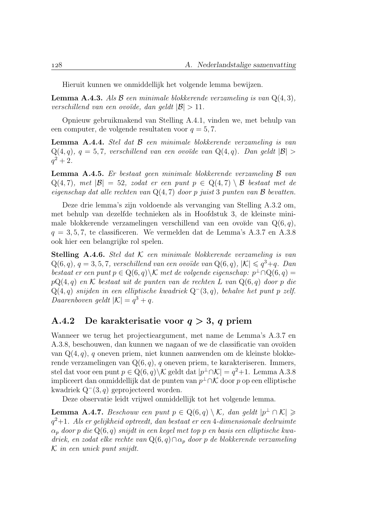Hieruit kunnen we onmiddellijk het volgende lemma bewijzen.

**Lemma A.4.3.** Als  $\beta$  een minimale blokkerende verzameling is van  $Q(4,3)$ , verschillend van een ovoïde, dan geldt  $|\mathcal{B}| > 11$ .

Opnieuw gebruikmakend van Stelling A.4.1, vinden we, met behulp van een computer, de volgende resultaten voor  $q = 5, 7$ .

**Lemma A.4.4.** Stel dat  $\beta$  een minimale blokkerende verzameling is van  $Q(4,q), q = 5,7$ , verschillend van een ovoïde van  $Q(4,q)$ . Dan geldt  $|\mathcal{B}| >$  $q^2 + 2.$ 

Lemma A.4.5. Er bestaat geen minimale blokkerende verzameling B van  $Q(4, 7)$ , met  $|\mathcal{B}| = 52$ , zodat er een punt  $p \in Q(4, 7) \setminus \mathcal{B}$  bestaat met de eigenschap dat alle rechten van  $Q(4, 7)$  door p juist 3 punten van  $\mathcal B$  bevatten.

Deze drie lemma's zijn voldoende als vervanging van Stelling A.3.2 om, met behulp van dezelfde technieken als in Hoofdstuk 3, de kleinste minimale blokkerende verzamelingen verschillend van een ovoïde van  $Q(6, q)$ ,  $q = 3, 5, 7$ , te classificeren. We vermelden dat de Lemma's A.3.7 en A.3.8 ook hier een belangrijke rol spelen.

**Stelling A.4.6.** Stel dat  $K$  een minimale blokkerende verzameling is van  $Q(6,q)$ ,  $q = 3, 5, 7$ , verschillend van een ovoïde van  $Q(6,q)$ ,  $|K| \leqslant q^3+q$ . Dan bestaat er een punt  $p \in Q(6, q) \backslash \mathcal{K}$  met de volgende eigenschap:  $p^{\perp} \cap Q(6, q) =$  $pQ(4,q)$  en K bestaat uit de punten van de rechten L van  $Q(6,q)$  door p die  $Q(4,q)$  snijden in een elliptische kwadriek  $Q^-(3,q)$ , behalve het punt p zelf. Daarenboven geldt  $|\mathcal{K}| = q^3 + q$ .

#### A.4.2 De karakterisatie voor  $q > 3$ , q priem

Wanneer we terug het projectieargument, met name de Lemma's A.3.7 en A.3.8, beschouwen, dan kunnen we nagaan of we de classificatie van ovoïden van  $Q(4, q)$ , q oneven priem, niet kunnen aanwenden om de kleinste blokkerende verzamelingen van  $Q(6, q)$ , q oneven priem, te karakteriseren. Immers, stel dat voor een punt  $p \in \mathcal{Q}(6, q) \backslash \mathcal{K}$  geldt dat  $|p^{\perp} \cap \mathcal{K}| = q^2 + 1$ . Lemma A.3.8 impliceert dan onmiddellijk dat de punten van  $p^{\perp} \cap \mathcal{K}$  door p op een elliptische kwadriek  $Q^-(3, q)$  geprojecteerd worden.

Deze observatie leidt vrijwel onmiddellijk tot het volgende lemma.

**Lemma A.4.7.** Beschouw een punt  $p \in Q(6,q) \setminus \mathcal{K}$ , dan geldt  $|p^{\perp} \cap \mathcal{K}| \geq$  $q^2+1$ . Als er gelijkheid optreedt, dan bestaat er een 4-dimensionale deelruimte  $\alpha_n$  door p die Q(6, q) snijdt in een kegel met top p en basis een elliptische kwadriek, en zodat elke rechte van Q(6, q)∩ $\alpha_p$  door p de blokkerende verzameling K in een uniek punt snijdt.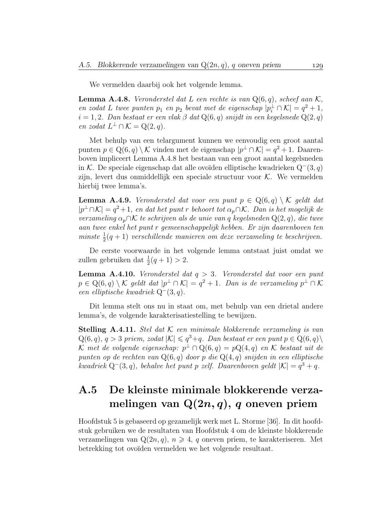We vermelden daarbij ook het volgende lemma.

**Lemma A.4.8.** Veronderstel dat L een rechte is van  $Q(6, q)$ , scheef aan K, en zodat L twee punten  $p_1$  en  $p_2$  bevat met de eigenschap  $|p_i^{\perp} \cap \mathcal{K}| = q^2 + 1$ ,  $i = 1, 2$ . Dan bestaat er een vlak β dat Q(6, q) snijdt in een kegelsnede Q(2, q) en zodat  $L^{\perp} \cap \mathcal{K} = Q(2,q)$ .

Met behulp van een telargument kunnen we eenvoudig een groot aantal punten  $p \in \mathbb{Q}(6, q) \setminus \mathcal{K}$  vinden met de eigenschap  $|p^{\perp} \cap \mathcal{K}| = q^2 + 1$ . Daarenboven impliceert Lemma A.4.8 het bestaan van een groot aantal kegelsneden in K. De speciale eigenschap dat alle ovoïden elliptische kwadrieken  $Q^-(3, q)$ zijn, levert dus onmiddellijk een speciale structuur voor K. We vermelden hierbij twee lemma's.

**Lemma A.4.9.** Veronderstel dat voor een punt  $p \in Q(6, q) \setminus \mathcal{K}$  geldt dat  $|p^{\perp} \cap \mathcal{K}| = q^2 + 1$ , en dat het punt r behoort tot  $\alpha_p \cap \mathcal{K}$ . Dan is het mogelijk de verzameling  $\alpha_p \cap \mathcal{K}$  te schrijven als de unie van q kegelsneden Q(2, q), die twee aan twee enkel het punt r gemeenschappelijk hebben. Er zijn daarenboven ten minste  $\frac{1}{2}(q+1)$  verschillende manieren om deze verzameling te beschrijven.

De eerste voorwaarde in het volgende lemma ontstaat juist omdat we zullen gebruiken dat  $\frac{1}{2}(q+1) > 2$ .

**Lemma A.4.10.** Veronderstel dat  $q > 3$ . Veronderstel dat voor een punt  $p \in \mathrm{Q}(6, q) \setminus \mathcal{K}$  geldt dat  $|p^{\perp} \cap \mathcal{K}| = q^2 + 1$ . Dan is de verzameling  $p^{\perp} \cap \mathcal{K}$ een elliptische kwadriek Q<sup>−</sup>(3, q).

Dit lemma stelt ons nu in staat om, met behulp van een drietal andere lemma's, de volgende karakterisatiestelling te bewijzen.

**Stelling A.4.11.** Stel dat  $K$  een minimale blokkerende verzameling is van  $Q(6, q), q > 3$  priem, zodat  $|K| \leq q^3 + q$ . Dan bestaat er een punt  $p \in Q(6, q)$  $K$  met de volgende eigenschap:  $p^\perp \cap \mathrm{Q}(6,q) = p\mathrm{Q}(4,q)$  en K bestaat uit de punten op de rechten van  $Q(6, q)$  door p die  $Q(4, q)$  snijden in een elliptische kwadriek Q<sup>-</sup>(3,q), behalve het punt p zelf. Daarenboven geldt  $|K| = q^3 + q$ .

# A.5 De kleinste minimale blokkerende verzamelingen van  $Q(2n, q)$ , q oneven priem

Hoofdstuk 5 is gebaseerd op gezamelijk werk met L. Storme [36]. In dit hoofdstuk gebruiken we de resultaten van Hoofdstuk 4 om de kleinste blokkerende verzamelingen van  $Q(2n, q)$ ,  $n \geq 4$ , q oneven priem, te karakteriseren. Met betrekking tot ovoïden vermelden we het volgende resultaat.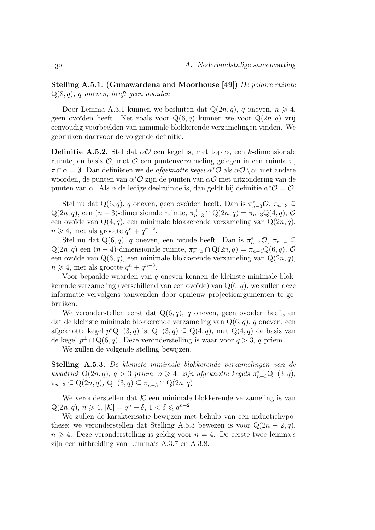Stelling A.5.1. (Gunawardena and Moorhouse [49]) De polaire ruimte  $Q(8, q)$ , q oneven, heeft geen ovoïden.

Door Lemma A.3.1 kunnen we besluiten dat  $Q(2n, q)$ , q oneven,  $n \geq 4$ , geen ovoïden heeft. Net zoals voor  $Q(6, q)$  kunnen we voor  $Q(2n, q)$  vrij eenvoudig voorbeelden van minimale blokkerende verzamelingen vinden. We gebruiken daarvoor de volgende definitie.

**Definitie A.5.2.** Stel dat  $\alpha$ O een kegel is, met top  $\alpha$ , een k-dimensionale ruimte, en basis  $\mathcal{O}$ , met  $\mathcal O$  een puntenverzameling gelegen in een ruimte  $\pi$ ,  $\pi \cap \alpha = \emptyset$ . Dan definiëren we de *afgeknotte kegel*  $\alpha^* \mathcal{O}$  als  $\alpha \mathcal{O} \setminus \alpha$ , met andere woorden, de punten van  $\alpha^* \mathcal{O}$  zijn de punten van  $\alpha \mathcal{O}$  met uitzondering van de punten van  $\alpha$ . Als  $\alpha$  de ledige deelruimte is, dan geldt bij definitie  $\alpha^*\mathcal{O} = \mathcal{O}$ .

Stel nu dat Q(6, q), q oneven, geen ovoïden heeft. Dan is  $\pi_{n-3}^* \mathcal{O}, \pi_{n-3} \subseteq$  $Q(2n, q)$ , een  $(n-3)$ -dimensionale ruimte,  $\pi_{n-3}^{\perp} \cap Q(2n, q) = \pi_{n-3}^{\perp} Q(4, q)$ ,  $\mathcal{O}$ een ovoïde van  $Q(4, q)$ , een minimale blokkerende verzameling van  $Q(2n, q)$ ,  $n \geq 4$ , met als grootte  $q^n + q^{n-2}$ .

Stel nu dat Q(6, q), q oneven, een ovoïde heeft. Dan is  $\pi_{n-4}^* \mathcal{O}, \pi_{n-4} \subseteq$  $Q(2n, q)$  een  $(n-4)$ -dimensionale ruimte,  $\pi_{n-4}^{\perp} \cap Q(2n, q) = \pi_{n-4}^{\perp} Q(6, q)$ ,  $\mathcal{O}$ een ovoïde van  $Q(6, q)$ , een minimale blokkerende verzameling van  $Q(2n, q)$ ,  $n \geq 4$ , met als grootte  $q^n + q^{n-3}$ .

Voor bepaalde waarden van q oneven kennen de kleinste minimale blokkerende verzameling (verschillend van een ovoïde) van  $Q(6, q)$ , we zullen deze informatie vervolgens aanwenden door opnieuw projectieargumenten te gebruiken.

We veronderstellen eerst dat  $Q(6, q)$ , q oneven, geen ovoïden heeft, en dat de kleinste minimale blokkerende verzameling van  $Q(6, q)$ , q oneven, een afgeknotte kegel  $p^*Q^-(3, q)$  is,  $Q^-(3, q) \subseteq Q(4, q)$ , met  $Q(4, q)$  de basis van de kegel  $p^{\perp} \cap \mathbb{Q}(6,q)$ . Deze veronderstelling is waar voor  $q > 3$ , q priem.

We zullen de volgende stelling bewijzen.

Stelling A.5.3. De kleinste minimale blokkerende verzamelingen van de kwadriek  $Q(2n, q)$ ,  $q > 3$  priem,  $n \geq 4$ , zijn afgeknotte kegels  $\pi_{n-3}^* Q^-(3, q)$ ,  $\pi_{n-3} \subseteq \mathrm{Q}(2n, q), \ \mathrm{Q}^-(3, q) \subseteq \pi_{n-3}^{\perp} \cap \mathrm{Q}(2n, q).$ 

We veronderstellen dat  $K$  een minimale blokkerende verzameling is van  $Q(2n, q), n \ge 4, |\mathcal{K}| = q^n + \delta, 1 < \delta \le q^{n-2}.$ 

We zullen de karakterisatie bewijzen met behulp van een inductiehypothese; we veronderstellen dat Stelling A.5.3 bewezen is voor  $Q(2n-2, q)$ ,  $n \geq 4$ . Deze veronderstelling is geldig voor  $n = 4$ . De eerste twee lemma's zijn een uitbreiding van Lemma's A.3.7 en A.3.8.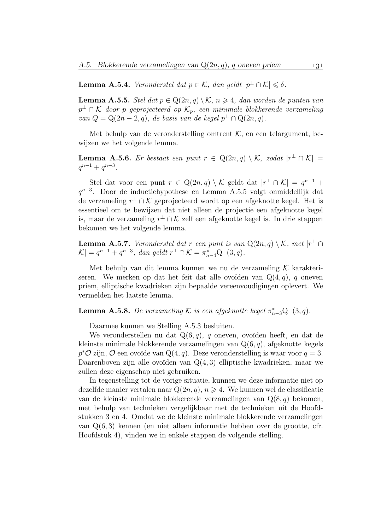**Lemma A.5.4.** Veronderstel dat  $p \in \mathcal{K}$ , dan geldt  $|p^{\perp} \cap \mathcal{K}| \leq \delta$ .

**Lemma A.5.5.** Stel dat  $p \in Q(2n, q) \setminus \mathcal{K}$ ,  $n \geq 4$ , dan worden de punten van  $p^{\perp} \cap \mathcal{K}$  door p geprojecteerd op  $\mathcal{K}_p$ , een minimale blokkerende verzameling van  $Q = Q(2n-2, q)$ , de basis van de kegel  $p^{\perp} \cap Q(2n, q)$ .

Met behulp van de veronderstelling omtrent  $K$ , en een telargument, bewijzen we het volgende lemma.

**Lemma A.5.6.** Er bestaat een punt  $r \in Q(2n,q) \setminus \mathcal{K}$ , zodat  $|r^{\perp} \cap \mathcal{K}| =$  $q^{n-1} + q^{n-3}$ .

Stel dat voor een punt  $r \in \mathbb{Q}(2n, q) \setminus \mathcal{K}$  geldt dat  $|r^{\perp} \cap \mathcal{K}| = q^{n-1} +$ q<sup>n-3</sup>. Door de inductiehypothese en Lemma A.5.5 volgt onmiddellijk dat de verzameling  $r^{\perp} \cap \mathcal{K}$  geprojecteerd wordt op een afgeknotte kegel. Het is essentieel om te bewijzen dat niet alleen de projectie een afgeknotte kegel is, maar de verzameling  $r^{\perp} \cap \mathcal{K}$  zelf een afgeknotte kegel is. In drie stappen bekomen we het volgende lemma.

**Lemma A.5.7.** Veronderstel dat r een punt is van  $Q(2n, q) \setminus \mathcal{K}$ , met  $|r^{\perp} \cap$  $|\mathcal{K}| = q^{n-1} + q^{n-3}$ , dan geldt  $r^{\perp} \cap \mathcal{K} = \pi_{n-4}^* \mathcal{Q}^-(3, q)$ .

Met behulp van dit lemma kunnen we nu de verzameling  $\mathcal K$  karakteriseren. We merken op dat het feit dat alle ovoïden van  $Q(4, q)$ , q oneven priem, elliptische kwadrieken zijn bepaalde vereenvoudigingen oplevert. We vermelden het laatste lemma.

**Lemma A.5.8.** De verzameling K is een afgeknotte kegel  $\pi_{n-3}^* Q^-(3, q)$ .

Daarmee kunnen we Stelling A.5.3 besluiten.

We veronderstellen nu dat  $Q(6, q)$ , q oneven, ovoïden heeft, en dat de kleinste minimale blokkerende verzamelingen van  $Q(6, q)$ , afgeknotte kegels  $p^{\ast}\mathcal{O}$  zijn,  $\mathcal{O}$  een ovoïde van Q(4, q). Deze veronderstelling is waar voor  $q=3$ . Daarenboven zijn alle ovoïden van  $Q(4, 3)$  elliptische kwadrieken, maar we zullen deze eigenschap niet gebruiken.

In tegenstelling tot de vorige situatie, kunnen we deze informatie niet op dezelfde manier vertalen naar  $Q(2n, q)$ ,  $n \geq 4$ . We kunnen wel de classificatie van de kleinste minimale blokkerende verzamelingen van  $Q(8, q)$  bekomen, met behulp van technieken vergelijkbaar met de technieken uit de Hoofdstukken 3 en 4. Omdat we de kleinste minimale blokkerende verzamelingen van Q(6, 3) kennen (en niet alleen informatie hebben over de grootte, cfr. Hoofdstuk 4), vinden we in enkele stappen de volgende stelling.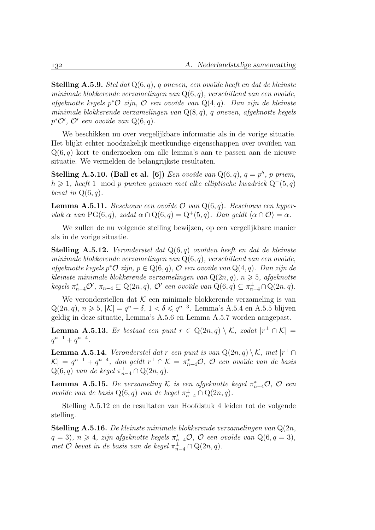**Stelling A.5.9.** Stel dat  $Q(6, q)$ , q oneven, een ovoïde heeft en dat de kleinste minimale blokkerende verzamelingen van  $Q(6, q)$ , verschillend van een ovoïde, afgeknotte kegels p\* $\mathcal O$  zijn,  $\mathcal O$  een ovoïde van  $Q(4,q)$ . Dan zijn de kleinste minimale blokkerende verzamelingen van  $Q(8, q)$ , q oneven, afgeknotte kegels  $p^{\ast} \mathcal{O}'$ ,  $\mathcal{O}'$  een ovoïde van  $Q(6, q)$ .

We beschikken nu over vergelijkbare informatie als in de vorige situatie. Het blijkt echter noodzakelijk meetkundige eigenschappen over ovoïden van  $Q(6, q)$  kort te onderzoeken om alle lemma's aan te passen aan de nieuwe situatie. We vermelden de belangrijkste resultaten.

Stelling A.5.10. (Ball et al. [6]) Een ovoïde van  $Q(6,q)$ ,  $q = p<sup>h</sup>$ , p priem, h > 1, heeft 1 mod p punten gemeen met elke elliptische kwadriek Q<sup>−</sup>(5, q) bevat in  $Q(6, q)$ .

**Lemma A.5.11.** Beschouw een ovoïde  $\mathcal{O}$  van  $Q(6, q)$ . Beschouw een hypervlak  $\alpha$  van PG(6, q), zodat  $\alpha \cap Q(6, q) = Q^+(5, q)$ . Dan geldt  $\langle \alpha \cap \mathcal{O} \rangle = \alpha$ .

We zullen de nu volgende stelling bewijzen, op een vergelijkbare manier als in de vorige situatie.

**Stelling A.5.12.** Veronderstel dat  $Q(6,q)$  ovoïden heeft en dat de kleinste minimale blokkerende verzamelingen van  $Q(6, q)$ , verschillend van een ovoïde, afgeknotte kegels p\* $\mathcal O$  zijn,  $p \in \mathcal Q(6,q)$ ,  $\mathcal O$  een ovoïde van  $\mathcal Q(4,q)$ . Dan zijn de kleinste minimale blokkerende verzamelingen van  $Q(2n, q)$ ,  $n \geq 5$ , afgeknotte  $keyels \ \pi_{n-4}^* \mathcal{O}', \ \pi_{n-4} \subseteq \mathrm{Q}(2n, q), \ \mathcal{O}' \ \textit{een ovoïde van} \ \mathrm{Q}(6, q) \subseteq \pi_{n-4}^{\perp} \cap \mathrm{Q}(2n, q).$ 

We veronderstellen dat  $K$  een minimale blokkerende verzameling is van  $Q(2n, q), n \ge 5, |\mathcal{K}| = q^n + \delta, 1 < \delta \le q^{n-3}$ . Lemma's A.5.4 en A.5.5 blijven geldig in deze situatie, Lemma's A.5.6 en Lemma A.5.7 worden aangepast.

**Lemma A.5.13.** Er bestaat een punt  $r \in Q(2n,q) \setminus \mathcal{K}$ , zodat  $|r^{\perp} \cap \mathcal{K}| =$  $q^{n-1} + q^{n-4}.$ 

**Lemma A.5.14.** Veronderstel dat r een punt is van  $Q(2n, q) \setminus \mathcal{K}$ , met  $|r^{\perp} \cap$  $|\mathcal{K}| = q^{n-1} + q^{n-4}$ , dan geldt  $r^{\perp} \cap \mathcal{K} = \pi_{n-4}^* \mathcal{O}$ ,  $\mathcal{O}$  een ovoïde van de basis  $Q(6,q)$  van de kegel  $\pi_{n-4}^{\perp} \cap Q(2n,q)$ .

**Lemma A.5.15.** De verzameling K is een afgeknotte kegel  $\pi_{n-4}^* \mathcal{O}$ ,  $\mathcal{O}$  een ovoïde van de basis  $Q(6,q)$  van de kegel  $\pi_{n-4}^{\perp} \cap Q(2n, q)$ .

Stelling A.5.12 en de resultaten van Hoofdstuk 4 leiden tot de volgende stelling.

**Stelling A.5.16.** De kleinste minimale blokkerende verzamelingen van  $Q(2n)$ ,  $q = 3$ ,  $n \geq 4$ , zijn afgeknotte kegels  $\pi_{n-4}^* \mathcal{O}$ ,  $\mathcal{O}$  een ovoïde van Q $(6, q = 3)$ , met  $\hat{\mathcal{O}}$  bevat in de basis van de kegel  $\pi^{\perp}_{n-4} \cap \mathbb{Q}(2n, q)$ .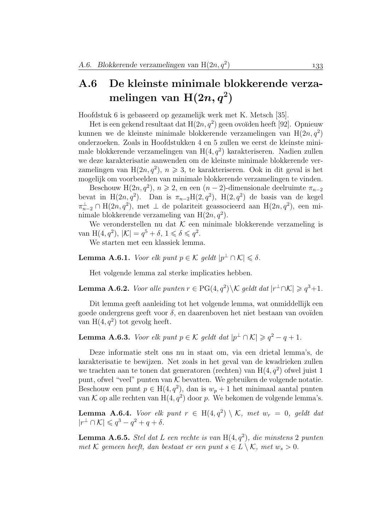## A.6 De kleinste minimale blokkerende verzamelingen van  $\text{H}(2n, q^2)$

Hoofdstuk 6 is gebaseerd op gezamelijk werk met K. Metsch [35].

Het is een gekend resultaat dat  $H(2n, q^2)$  geen ovoïden heeft [92]. Opnieuw kunnen we de kleinste minimale blokkerende verzamelingen van  $H(2n, q^2)$ onderzoeken. Zoals in Hoofdstukken 4 en 5 zullen we eerst de kleinste minimale blokkerende verzamelingen van  $H(4, q^2)$  karakteriseren. Nadien zullen we deze karakterisatie aanwenden om de kleinste minimale blokkerende verzamelingen van H $(2n, q^2)$ ,  $n \geq 3$ , te karakteriseren. Ook in dit geval is het mogelijk om voorbeelden van minimale blokkerende verzamelingen te vinden.

Beschouw H(2n,  $q^2$ ),  $n \ge 2$ , en een  $(n-2)$ -dimensionale deelruimte  $\pi_{n-2}$ bevat in H(2n,  $q^2$ ). Dan is  $\pi_{n-2}H(2, q^2)$ , H(2,  $q^2$ ) de basis van de kegel  $\pi_{n-2}^{\perp} \cap H(2n, q^2)$ , met  $\perp$  de polariteit geassocieerd aan  $H(2n, q^2)$ , een minimale blokkerende verzameling van  $H(2n, q^2)$ .

We veronderstellen nu dat  $K$  een minimale blokkerende verzameling is van H $(4, q^2)$ ,  $|\mathcal{K}| = q^5 + \delta$ ,  $1 \le \delta \le q^2$ .

We starten met een klassiek lemma.

**Lemma A.6.1.** Voor elk punt  $p \in \mathcal{K}$  geldt  $|p^{\perp} \cap \mathcal{K}| \leq \delta$ .

Het volgende lemma zal sterke implicaties hebben.

**Lemma A.6.2.** Voor alle punten  $r \in PG(4, q^2) \backslash K$  geldt dat  $|r^{\perp} \cap K| \geq q^3 + 1$ .

Dit lemma geeft aanleiding tot het volgende lemma, wat onmiddellijk een goede ondergrens geeft voor  $\delta$ , en daarenboven het niet bestaan van ovoïden van H $(4, q^2)$  tot gevolg heeft.

**Lemma A.6.3.** Voor elk punt  $p \in \mathcal{K}$  geldt dat  $|p^{\perp} \cap \mathcal{K}| \geq q^2 - q + 1$ .

Deze informatie stelt ons nu in staat om, via een drietal lemma's, de karakterisatie te bewijzen. Net zoals in het geval van de kwadrieken zullen we trachten aan te tonen dat generatoren (rechten) van  $H(4, q^2)$  ofwel juist 1 punt, ofwel "veel" punten van  $K$  bevatten. We gebruiken de volgende notatie. Beschouw een punt  $p \in H(4, q^2)$ , dan is  $w_p + 1$  het minimaal aantal punten van K op alle rechten van  $H(4, q^2)$  door p. We bekomen de volgende lemma's.

**Lemma A.6.4.** Voor elk punt  $r \in H(4,q^2) \setminus \mathcal{K}$ , met  $w_r = 0$ , geldt dat  $|r^{\perp} \cap \mathcal{K}| \leqslant q^3 - q^2 + q + \delta.$ 

**Lemma A.6.5.** Stel dat L een rechte is van  $H(4, q^2)$ , die minstens 2 punten met K gemeen heeft, dan bestaat er een punt  $s \in L \setminus \mathcal{K}$ , met  $w_s > 0$ .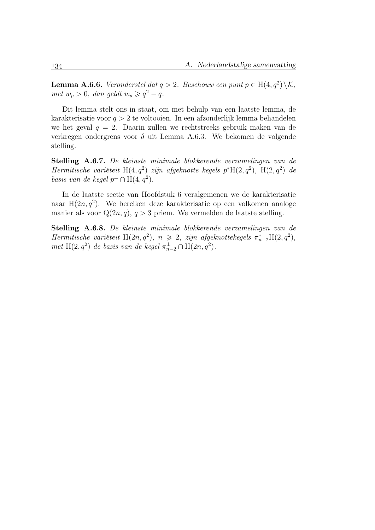**Lemma A.6.6.** Veronderstel dat  $q > 2$ . Beschouw een punt  $p \in H(4, q^2) \setminus \mathcal{K}$ , met  $w_p > 0$ , dan geldt  $w_p \geqslant q^2 - q$ .

Dit lemma stelt ons in staat, om met behulp van een laatste lemma, de karakterisatie voor  $q > 2$  te voltooien. In een afzonderlijk lemma behandelen we het geval  $q = 2$ . Daarin zullen we rechtstreeks gebruik maken van de verkregen ondergrens voor  $\delta$  uit Lemma A.6.3. We bekomen de volgende stelling.

Stelling A.6.7. De kleinste minimale blokkerende verzamelingen van de Hermitische variëteit H $(4, q^2)$  zijn afgeknotte kegels p\*H $(2, q^2)$ , H $(2, q^2)$  de basis van de kegel  $p^{\perp} \cap \text{H}(4, q^2)$ .

In de laatste sectie van Hoofdstuk 6 veralgemenen we de karakterisatie naar  $H(2n, q^2)$ . We bereiken deze karakterisatie op een volkomen analoge manier als voor  $Q(2n, q)$ ,  $q > 3$  priem. We vermelden de laatste stelling.

Stelling A.6.8. De kleinste minimale blokkerende verzamelingen van de Hermitische variëteit H(2n, q<sup>2</sup>),  $n \ge 2$ , zijn afgeknottekegels  $\pi_{n-2}^*H(2,q^2)$ , met H(2, $q^2$ ) de basis van de kegel  $\pi_{n-2}^{\perp} \cap H(2n, q^2)$ .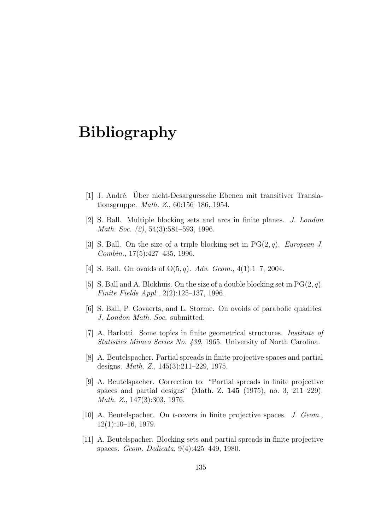## Bibliography

- [1] J. André. Über nicht-Desarguessche Ebenen mit transitiver Translationsgruppe. Math. Z., 60:156–186, 1954.
- [2] S. Ball. Multiple blocking sets and arcs in finite planes. J. London Math. Soc. (2), 54(3):581–593, 1996.
- [3] S. Ball. On the size of a triple blocking set in  $PG(2, q)$ . European J. Combin., 17(5):427–435, 1996.
- [4] S. Ball. On ovoids of  $O(5, q)$ . Adv. Geom., 4(1):1-7, 2004.
- [5] S. Ball and A. Blokhuis. On the size of a double blocking set in  $PG(2, q)$ . Finite Fields Appl., 2(2):125–137, 1996.
- [6] S. Ball, P. Govaerts, and L. Storme. On ovoids of parabolic quadrics. J. London Math. Soc. submitted.
- [7] A. Barlotti. Some topics in finite geometrical structures. Institute of Statistics Mimeo Series No. 439, 1965. University of North Carolina.
- [8] A. Beutelspacher. Partial spreads in finite projective spaces and partial designs. Math. Z., 145(3):211–229, 1975.
- [9] A. Beutelspacher. Correction to: "Partial spreads in finite projective spaces and partial designs" (Math. Z. 145 (1975), no. 3, 211–229). Math. Z., 147(3):303, 1976.
- [10] A. Beutelspacher. On t-covers in finite projective spaces. J. Geom., 12(1):10–16, 1979.
- [11] A. Beutelspacher. Blocking sets and partial spreads in finite projective spaces. Geom. Dedicata, 9(4):425–449, 1980.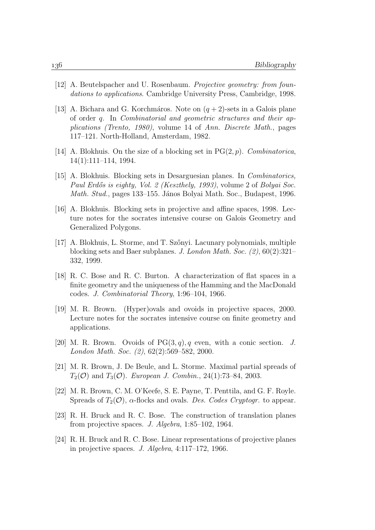- [12] A. Beutelspacher and U. Rosenbaum. Projective geometry: from foundations to applications. Cambridge University Press, Cambridge, 1998.
- [13] A. Bichara and G. Korchmáros. Note on  $(q+2)$ -sets in a Galois plane of order q. In Combinatorial and geometric structures and their applications (Trento, 1980), volume 14 of Ann. Discrete Math., pages 117–121. North-Holland, Amsterdam, 1982.
- [14] A. Blokhuis. On the size of a blocking set in  $PG(2, p)$ . Combinatorica, 14(1):111–114, 1994.
- [15] A. Blokhuis. Blocking sets in Desarguesian planes. In Combinatorics, Paul Erdős is eighty, Vol. 2 (Keszthely, 1993), volume 2 of Bolyai Soc. Math. Stud., pages 133–155. János Bolyai Math. Soc., Budapest, 1996.
- [16] A. Blokhuis. Blocking sets in projective and affine spaces, 1998. Lecture notes for the socrates intensive course on Galois Geometry and Generalized Polygons.
- [17] A. Blokhuis, L. Storme, and T. Szőnyi. Lacunary polynomials, multiple blocking sets and Baer subplanes. J. London Math. Soc. (2), 60(2):321– 332, 1999.
- [18] R. C. Bose and R. C. Burton. A characterization of flat spaces in a finite geometry and the uniqueness of the Hamming and the MacDonald codes. J. Combinatorial Theory, 1:96–104, 1966.
- [19] M. R. Brown. (Hyper)ovals and ovoids in projective spaces, 2000. Lecture notes for the socrates intensive course on finite geometry and applications.
- [20] M. R. Brown. Ovoids of  $PG(3, q)$ , q even, with a conic section. J. London Math. Soc. (2), 62(2):569–582, 2000.
- [21] M. R. Brown, J. De Beule, and L. Storme. Maximal partial spreads of  $T_2(\mathcal{O})$  and  $T_3(\mathcal{O})$ . European J. Combin., 24(1):73-84, 2003.
- [22] M. R. Brown, C. M. O'Keefe, S. E. Payne, T. Penttila, and G. F. Royle. Spreads of  $T_2(\mathcal{O})$ ,  $\alpha$ -flocks and ovals. Des. Codes Cryptogr. to appear.
- [23] R. H. Bruck and R. C. Bose. The construction of translation planes from projective spaces. J. Algebra, 1:85–102, 1964.
- [24] R. H. Bruck and R. C. Bose. Linear representations of projective planes in projective spaces. J. Algebra, 4:117–172, 1966.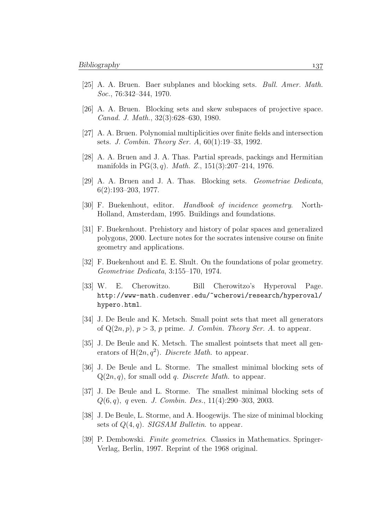- [25] A. A. Bruen. Baer subplanes and blocking sets. Bull. Amer. Math. Soc., 76:342–344, 1970.
- [26] A. A. Bruen. Blocking sets and skew subspaces of projective space. Canad. J. Math., 32(3):628–630, 1980.
- [27] A. A. Bruen. Polynomial multiplicities over finite fields and intersection sets. J. Combin. Theory Ser. A, 60(1):19–33, 1992.
- [28] A. A. Bruen and J. A. Thas. Partial spreads, packings and Hermitian manifolds in  $PG(3, q)$ . *Math. Z.*, 151(3):207–214, 1976.
- [29] A. A. Bruen and J. A. Thas. Blocking sets. Geometriae Dedicata, 6(2):193–203, 1977.
- [30] F. Buekenhout, editor. Handbook of incidence geometry. North-Holland, Amsterdam, 1995. Buildings and foundations.
- [31] F. Buekenhout. Prehistory and history of polar spaces and generalized polygons, 2000. Lecture notes for the socrates intensive course on finite geometry and applications.
- [32] F. Buekenhout and E. E. Shult. On the foundations of polar geometry. Geometriae Dedicata, 3:155–170, 1974.
- [33] W. E. Cherowitzo. Bill Cherowitzo's Hyperoval Page. http://www-math.cudenver.edu/~wcherowi/research/hyperoval/ hypero.html.
- [34] J. De Beule and K. Metsch. Small point sets that meet all generators of  $Q(2n, p)$ ,  $p > 3$ , p prime. J. Combin. Theory Ser. A. to appear.
- [35] J. De Beule and K. Metsch. The smallest pointsets that meet all generators of  $H(2n, q^2)$ . Discrete Math. to appear.
- [36] J. De Beule and L. Storme. The smallest minimal blocking sets of  $Q(2n, q)$ , for small odd q. Discrete Math. to appear.
- [37] J. De Beule and L. Storme. The smallest minimal blocking sets of  $Q(6, q)$ , q even. J. Combin. Des., 11(4):290–303, 2003.
- [38] J. De Beule, L. Storme, and A. Hoogewijs. The size of minimal blocking sets of  $Q(4, q)$ . SIGSAM Bulletin. to appear.
- [39] P. Dembowski. Finite geometries. Classics in Mathematics. Springer-Verlag, Berlin, 1997. Reprint of the 1968 original.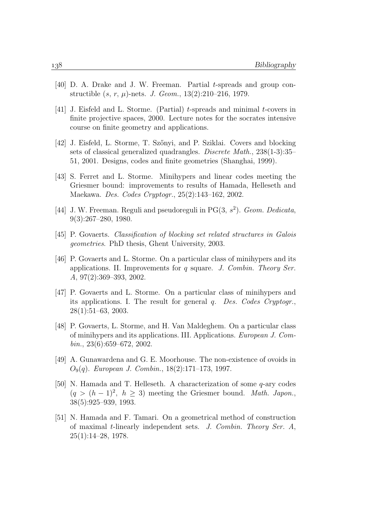- [40] D. A. Drake and J. W. Freeman. Partial t-spreads and group constructible  $(s, r, \mu)$ -nets. *J. Geom.*, 13(2):210–216, 1979.
- [41] J. Eisfeld and L. Storme. (Partial) t-spreads and minimal t-covers in finite projective spaces, 2000. Lecture notes for the socrates intensive course on finite geometry and applications.
- [42] J. Eisfeld, L. Storme, T. Sz˝onyi, and P. Sziklai. Covers and blocking sets of classical generalized quadrangles. Discrete Math., 238(1-3):35– 51, 2001. Designs, codes and finite geometries (Shanghai, 1999).
- [43] S. Ferret and L. Storme. Minihypers and linear codes meeting the Griesmer bound: improvements to results of Hamada, Helleseth and Maekawa. Des. Codes Cryptogr., 25(2):143–162, 2002.
- [44] J. W. Freeman. Reguli and pseudoreguli in  $PG(3, s^2)$ . Geom. Dedicata, 9(3):267–280, 1980.
- [45] P. Govaerts. Classification of blocking set related structures in Galois geometries. PhD thesis, Ghent University, 2003.
- [46] P. Govaerts and L. Storme. On a particular class of minihypers and its applications. II. Improvements for q square. J. Combin. Theory Ser. A, 97(2):369–393, 2002.
- [47] P. Govaerts and L. Storme. On a particular class of minihypers and its applications. I. The result for general q. Des. Codes Cryptogr., 28(1):51–63, 2003.
- [48] P. Govaerts, L. Storme, and H. Van Maldeghem. On a particular class of minihypers and its applications. III. Applications. European J. Com $bin.$ , 23(6):659–672, 2002.
- [49] A. Gunawardena and G. E. Moorhouse. The non-existence of ovoids in O9(q). European J. Combin., 18(2):171–173, 1997.
- [50] N. Hamada and T. Helleseth. A characterization of some q-ary codes  $(q > (h-1)^2, h \ge 3)$  meeting the Griesmer bound. Math. Japon., 38(5):925–939, 1993.
- [51] N. Hamada and F. Tamari. On a geometrical method of construction of maximal t-linearly independent sets. J. Combin. Theory Ser. A,  $25(1):14-28, 1978.$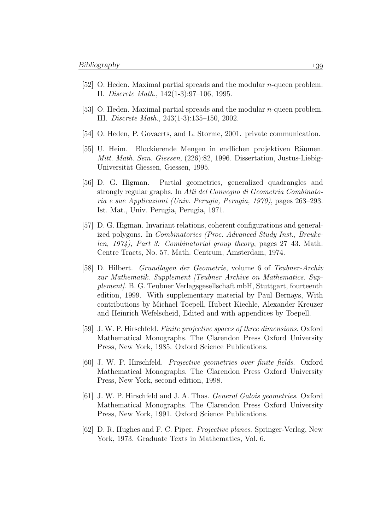- [52] O. Heden. Maximal partial spreads and the modular n-queen problem. II. Discrete Math., 142(1-3):97–106, 1995.
- [53] O. Heden. Maximal partial spreads and the modular n-queen problem. III. Discrete Math., 243(1-3):135–150, 2002.
- [54] O. Heden, P. Govaerts, and L. Storme, 2001. private communication.
- [55] U. Heim. Blockierende Mengen in endlichen projektiven R¨aumen. Mitt. Math. Sem. Giessen, (226):82, 1996. Dissertation, Justus-Liebig-Universität Giessen, Giessen, 1995.
- [56] D. G. Higman. Partial geometries, generalized quadrangles and strongly regular graphs. In Atti del Convegno di Geometria Combinatoria e sue Applicazioni (Univ. Perugia, Perugia, 1970), pages 263–293. Ist. Mat., Univ. Perugia, Perugia, 1971.
- [57] D. G. Higman. Invariant relations, coherent configurations and generalized polygons. In Combinatorics (Proc. Advanced Study Inst., Breukelen, 1974), Part 3: Combinatorial group theory, pages 27–43. Math. Centre Tracts, No. 57. Math. Centrum, Amsterdam, 1974.
- [58] D. Hilbert. Grundlagen der Geometrie, volume 6 of Teubner-Archiv zur Mathematik. Supplement [Teubner Archive on Mathematics. Supplement]. B. G. Teubner Verlagsgesellschaft mbH, Stuttgart, fourteenth edition, 1999. With supplementary material by Paul Bernays, With contributions by Michael Toepell, Hubert Kiechle, Alexander Kreuzer and Heinrich Wefelscheid, Edited and with appendices by Toepell.
- [59] J. W. P. Hirschfeld. Finite projective spaces of three dimensions. Oxford Mathematical Monographs. The Clarendon Press Oxford University Press, New York, 1985. Oxford Science Publications.
- [60] J. W. P. Hirschfeld. Projective geometries over finite fields. Oxford Mathematical Monographs. The Clarendon Press Oxford University Press, New York, second edition, 1998.
- [61] J. W. P. Hirschfeld and J. A. Thas. General Galois geometries. Oxford Mathematical Monographs. The Clarendon Press Oxford University Press, New York, 1991. Oxford Science Publications.
- [62] D. R. Hughes and F. C. Piper. Projective planes. Springer-Verlag, New York, 1973. Graduate Texts in Mathematics, Vol. 6.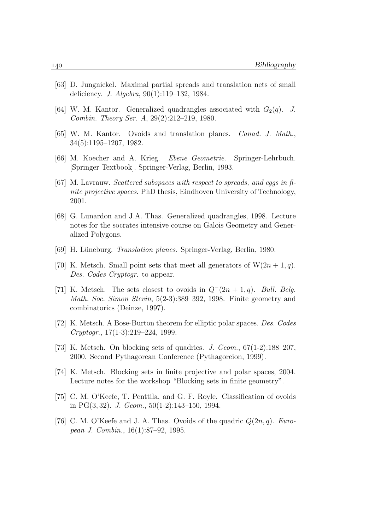- [63] D. Jungnickel. Maximal partial spreads and translation nets of small deficiency. J. Algebra, 90(1):119–132, 1984.
- [64] W. M. Kantor. Generalized quadrangles associated with  $G_2(q)$ . J. Combin. Theory Ser. A, 29(2):212–219, 1980.
- [65] W. M. Kantor. Ovoids and translation planes. Canad. J. Math., 34(5):1195–1207, 1982.
- [66] M. Koecher and A. Krieg. Ebene Geometrie. Springer-Lehrbuch. [Springer Textbook]. Springer-Verlag, Berlin, 1993.
- [67] M. Lavrauw. Scattered subspaces with respect to spreads, and eggs in finite projective spaces. PhD thesis, Eindhoven University of Technology, 2001.
- [68] G. Lunardon and J.A. Thas. Generalized quadrangles, 1998. Lecture notes for the socrates intensive course on Galois Geometry and Generalized Polygons.
- [69] H. Lüneburg. *Translation planes*. Springer-Verlag, Berlin, 1980.
- [70] K. Metsch. Small point sets that meet all generators of  $W(2n+1, q)$ . Des. Codes Cryptogr. to appear.
- [71] K. Metsch. The sets closest to ovoids in  $Q^-(2n+1, q)$ . Bull. Belg. Math. Soc. Simon Stevin, 5(2-3):389–392, 1998. Finite geometry and combinatorics (Deinze, 1997).
- [72] K. Metsch. A Bose-Burton theorem for elliptic polar spaces. Des. Codes Cryptogr., 17(1-3):219–224, 1999.
- [73] K. Metsch. On blocking sets of quadrics. J. Geom., 67(1-2):188–207, 2000. Second Pythagorean Conference (Pythagoreion, 1999).
- [74] K. Metsch. Blocking sets in finite projective and polar spaces, 2004. Lecture notes for the workshop "Blocking sets in finite geometry".
- [75] C. M. O'Keefe, T. Penttila, and G. F. Royle. Classification of ovoids in PG(3, 32). J. Geom., 50(1-2):143–150, 1994.
- [76] C. M. O'Keefe and J. A. Thas. Ovoids of the quadric  $Q(2n, q)$ . European J. Combin., 16(1):87–92, 1995.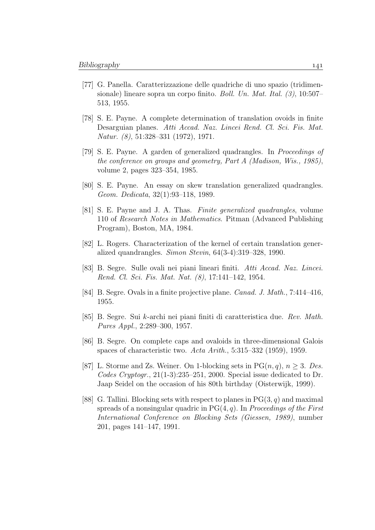- [77] G. Panella. Caratterizzazione delle quadriche di uno spazio (tridimensionale) lineare sopra un corpo finito. Boll. Un. Mat. Ital. (3), 10:507– 513, 1955.
- [78] S. E. Payne. A complete determination of translation ovoids in finite Desarguian planes. Atti Accad. Naz. Lincei Rend. Cl. Sci. Fis. Mat. Natur. (8), 51:328–331 (1972), 1971.
- [79] S. E. Payne. A garden of generalized quadrangles. In Proceedings of the conference on groups and geometry, Part A (Madison, Wis., 1985), volume 2, pages 323–354, 1985.
- [80] S. E. Payne. An essay on skew translation generalized quadrangles. Geom. Dedicata, 32(1):93–118, 1989.
- [81] S. E. Payne and J. A. Thas. Finite generalized quadrangles, volume 110 of Research Notes in Mathematics. Pitman (Advanced Publishing Program), Boston, MA, 1984.
- [82] L. Rogers. Characterization of the kernel of certain translation generalized quandrangles. Simon Stevin,  $64(3-4):319-328$ , 1990.
- [83] B. Segre. Sulle ovali nei piani lineari finiti. Atti Accad. Naz. Lincei. Rend. Cl. Sci. Fis. Mat. Nat. (8), 17:141–142, 1954.
- [84] B. Segre. Ovals in a finite projective plane. Canad. J. Math., 7:414–416, 1955.
- [85] B. Segre. Sui k-archi nei piani finiti di caratteristica due. Rev. Math. Pures Appl., 2:289–300, 1957.
- [86] B. Segre. On complete caps and ovaloids in three-dimensional Galois spaces of characteristic two. Acta Arith., 5:315–332 (1959), 1959.
- [87] L. Storme and Zs. Weiner. On 1-blocking sets in  $PG(n, q)$ ,  $n \geq 3$ . Des. Codes Cryptogr., 21(1-3):235–251, 2000. Special issue dedicated to Dr. Jaap Seidel on the occasion of his 80th birthday (Oisterwijk, 1999).
- [88] G. Tallini. Blocking sets with respect to planes in  $PG(3, q)$  and maximal spreads of a nonsingular quadric in  $PG(4, q)$ . In *Proceedings of the First* International Conference on Blocking Sets (Giessen, 1989), number 201, pages 141–147, 1991.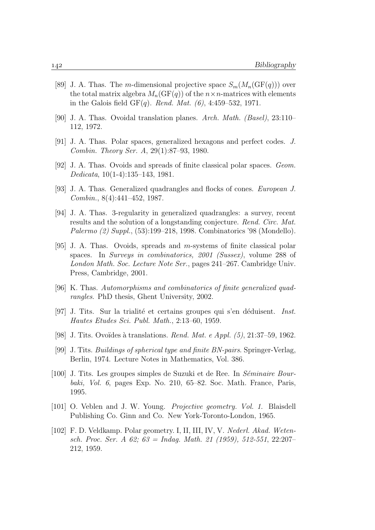- [89] J. A. Thas. The m-dimensional projective space  $S_m(M_n(\text{GF}(q)))$  over the total matrix algebra  $M_n(\mathrm{GF}(q))$  of the  $n \times n$ -matrices with elements in the Galois field  $GF(q)$ . Rend. Mat. (6), 4:459-532, 1971.
- [90] J. A. Thas. Ovoidal translation planes. Arch. Math. (Basel),  $23:110-$ 112, 1972.
- [91] J. A. Thas. Polar spaces, generalized hexagons and perfect codes. J. Combin. Theory Ser. A, 29(1):87–93, 1980.
- [92] J. A. Thas. Ovoids and spreads of finite classical polar spaces. Geom. Dedicata, 10(1-4):135–143, 1981.
- [93] J. A. Thas. Generalized quadrangles and flocks of cones. European J. Combin., 8(4):441–452, 1987.
- [94] J. A. Thas. 3-regularity in generalized quadrangles: a survey, recent results and the solution of a longstanding conjecture. Rend. Circ. Mat. Palermo (2) Suppl., (53):199–218, 1998. Combinatorics '98 (Mondello).
- [95] J. A. Thas. Ovoids, spreads and m-systems of finite classical polar spaces. In Surveys in combinatorics, 2001 (Sussex), volume 288 of London Math. Soc. Lecture Note Ser., pages 241–267. Cambridge Univ. Press, Cambridge, 2001.
- [96] K. Thas. Automorphisms and combinatorics of finite generalized quadrangles. PhD thesis, Ghent University, 2002.
- [97] J. Tits. Sur la trialité et certains groupes qui s'en déduisent. Inst. Hautes Etudes Sci. Publ. Math., 2:13–60, 1959.
- [98] J. Tits. Ovoïdes à translations. Rend. Mat. e Appl.  $(5)$ , 21:37–59, 1962.
- [99] J. Tits. Buildings of spherical type and finite BN-pairs. Springer-Verlag, Berlin, 1974. Lecture Notes in Mathematics, Vol. 386.
- [100] J. Tits. Les groupes simples de Suzuki et de Ree. In  $Séminaire Bour$ baki, Vol. 6, pages Exp. No. 210, 65–82. Soc. Math. France, Paris, 1995.
- [101] O. Veblen and J. W. Young. Projective geometry. Vol. 1. Blaisdell Publishing Co. Ginn and Co. New York-Toronto-London, 1965.
- [102] F. D. Veldkamp. Polar geometry. I, II, III, IV, V. Nederl. Akad. Wetensch. Proc. Ser. A 62;  $63 = Indaq$ . Math. 21 (1959), 512-551, 22:207-212, 1959.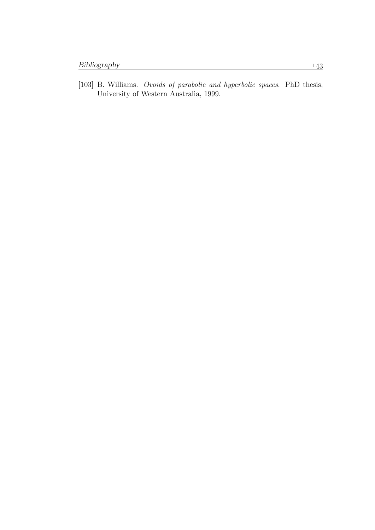[103] B. Williams. *Ovoids of parabolic and hyperbolic spaces*. PhD thesis, University of Western Australia, 1999.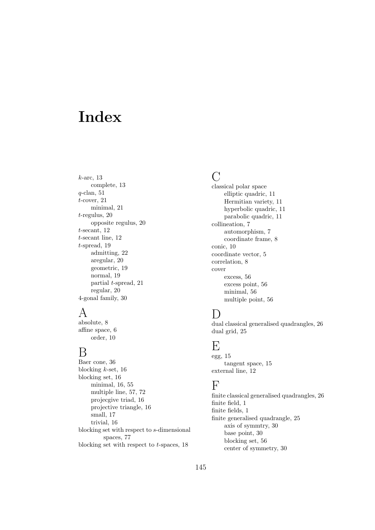# Index

k-arc, 13 complete, 13  $q$ -clan, 51 t-cover, 21 minimal, 21 t-regulus, 20 opposite regulus, 20 t-secant, 12 t-secant line, 12 t-spread, 19 admitting, 22 aregular, 20 geometric, 19 normal, 19 partial t-spread, 21 regular, 20 4-gonal family, 30

#### A

absolute, 8 affine space, 6 order, 10

#### $\mathbf B$

Baer cone, 36 blocking  $k$ -set, 16 blocking set, 16 minimal, 16, 55 multiple line, 57, 72 projecgive triad, 16 projective triangle, 16 small, 17 trivial, 16 blocking set with respect to s-dimensional spaces, 77 blocking set with respect to  $t$ -spaces, 18

#### $\bigcap$

classical polar space elliptic quadric, 11 Hermitian variety, 11 hyperbolic quadric, 11 parabolic quadric, 11 collineation, 7 automorphism, 7 coordinate frame, 8 conic, 10 coordinate vector, 5 correlation, 8 cover excess, 56 excess point, 56 minimal, 56 multiple point, 56

## D

dual classical generalised quadrangles, 26 dual grid, 25

### E

egg, 15 tangent space, 15 external line, 12

## F

finite classical generalised quadrangles, 26 finite field, 1 finite fields, 1 finite generalised quadrangle, 25 axis of symmtry, 30 base point, 30 blocking set, 56 center of symmetry, 30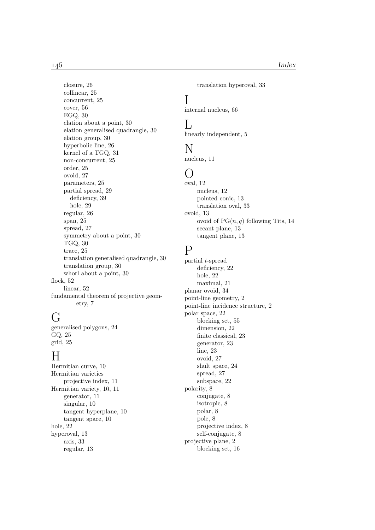closure, 26 collinear, 25 concurrent, 25 cover, 56 EGQ, 30 elation about a point, 30 elation generalised quadrangle, 30 elation group, 30 hyperbolic line, 26 kernel of a TGQ, 31 non-concurrent, 25 order, 25 ovoid, 27 parameters, 25 partial spread, 29 deficiency, 39 hole, 29 regular, 26 span, 25 spread, 27 symmetry about a point, 30 TGQ, 30 trace, 25 translation generalised quadrangle, 30 translation group, 30 whorl about a point, 30 flock, 52 linear, 52 fundamental theorem of projective geometry, 7

## G

generalised polygons, 24 GQ, 25 grid, 25

## H

Hermitian curve, 10 Hermitian varieties projective index, 11 Hermitian variety, 10, 11 generator, 11 singular, 10 tangent hyperplane, 10 tangent space, 10 hole, 22 hyperoval, 13 axis, 33 regular, 13

translation hyperoval, 33

## I

internal nucleus, 66

#### $\mathbf{L}$

linearly independent, 5

#### N

nucleus, 11

#### $(\ )$

oval, 12 nucleus, 12 pointed conic, 13 translation oval, 33 ovoid, 13 ovoid of  $PG(n, q)$  following Tits, 14 secant plane, 13 tangent plane, 13

#### P

partial t-spread deficiency, 22 hole, 22 maximal, 21 planar ovoid, 34 point-line geometry, 2 point-line incidence structure, 2 polar space, 22 blocking set, 55 dimension, 22 finite classical, 23 generator, 23 line, 23 ovoid, 27 shult space, 24 spread, 27 subspace, 22 polarity, 8 conjugate, 8 isotropic, 8 polar, 8 pole, 8 projective index, 8 self-conjugate, 8 projective plane, 2 blocking set, 16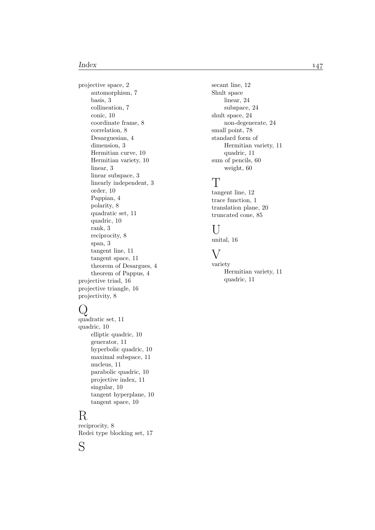projective space, 2 automorphism, 7 basis, 3 collineation, 7 conic, 10 coordinate frame, 8 correlation, 8 Desarguesian, 4 dimension, 3 Hermitian curve, 10 Hermitian variety, 10 linear, 3 linear subspace, 3 linearly independent, 3 order, 10 Pappian, 4 polarity, 8 quadratic set, 11 quadric, 10 rank, 3 reciprocity, 8 span, 3 tangent line, 11 tangent space, 11 theorem of Desargues, 4 theorem of Pappus, 4 projective triad, 16 projective triangle, 16 projectivity, 8

## $\mathcal Q$

```
quadratic set, 11
quadric, 10
    elliptic quadric, 10
    generator, 11
    hyperbolic quadric, 10
    maximal subspace, 11
    nucleus, 11
    parabolic quadric, 10
    projective index, 11
    singular, 10
    tangent hyperplane, 10
    tangent space, 10
```
## R

S

reciprocity, 8 Redei type blocking set, 17 secant line, 12 Shult space linear, 24 subspace, 24 shult space, 24 non-degenerate, 24 small point, 78 standard form of Hermitian variety, 11 quadric, 11 sum of pencils, 60 weight, 60

## T

tangent line, 12 trace function, 1 translation plane, 20 truncated cone, 85

#### $\overline{U}$

unital, 16

#### $\overline{\mathrm{V}}$

variety Hermitian variety, 11 quadric, 11